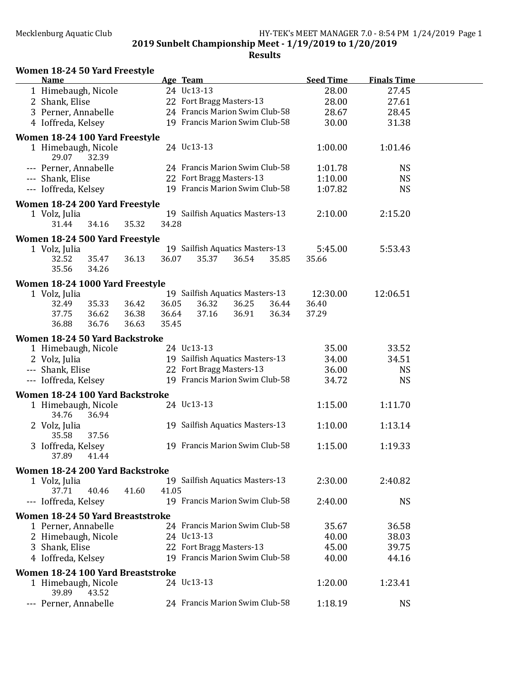| Women 18-24 50 Yard Freestyle                                     |                                        |  |  |  |  |  |  |  |  |
|-------------------------------------------------------------------|----------------------------------------|--|--|--|--|--|--|--|--|
| <b>Name</b><br>Age Team                                           | <b>Seed Time</b><br><b>Finals Time</b> |  |  |  |  |  |  |  |  |
| 24 Uc13-13<br>1 Himebaugh, Nicole                                 | 28.00<br>27.45                         |  |  |  |  |  |  |  |  |
| 22 Fort Bragg Masters-13<br>2 Shank, Elise                        | 28.00<br>27.61                         |  |  |  |  |  |  |  |  |
| 24 Francis Marion Swim Club-58<br>3 Perner, Annabelle             | 28.67<br>28.45                         |  |  |  |  |  |  |  |  |
| 19 Francis Marion Swim Club-58<br>4 Ioffreda, Kelsey              | 30.00<br>31.38                         |  |  |  |  |  |  |  |  |
| Women 18-24 100 Yard Freestyle                                    |                                        |  |  |  |  |  |  |  |  |
| 24 Uc13-13<br>1 Himebaugh, Nicole<br>29.07<br>32.39               | 1:00.00<br>1:01.46                     |  |  |  |  |  |  |  |  |
| --- Perner, Annabelle<br>24 Francis Marion Swim Club-58           | <b>NS</b><br>1:01.78                   |  |  |  |  |  |  |  |  |
| 22 Fort Bragg Masters-13<br>--- Shank, Elise                      | <b>NS</b><br>1:10.00                   |  |  |  |  |  |  |  |  |
| 19 Francis Marion Swim Club-58<br>--- Ioffreda, Kelsey            | <b>NS</b><br>1:07.82                   |  |  |  |  |  |  |  |  |
|                                                                   |                                        |  |  |  |  |  |  |  |  |
| Women 18-24 200 Yard Freestyle<br>19 Sailfish Aquatics Masters-13 | 2:10.00<br>2:15.20                     |  |  |  |  |  |  |  |  |
| 1 Volz, Julia<br>34.28<br>34.16<br>35.32<br>31.44                 |                                        |  |  |  |  |  |  |  |  |
|                                                                   |                                        |  |  |  |  |  |  |  |  |
| Women 18-24 500 Yard Freestyle                                    |                                        |  |  |  |  |  |  |  |  |
| 19 Sailfish Aquatics Masters-13<br>1 Volz, Julia                  | 5:53.43<br>5:45.00                     |  |  |  |  |  |  |  |  |
| 35.47<br>36.13<br>36.07<br>35.37<br>36.54<br>32.52                | 35.85<br>35.66                         |  |  |  |  |  |  |  |  |
| 35.56<br>34.26                                                    |                                        |  |  |  |  |  |  |  |  |
| Women 18-24 1000 Yard Freestyle                                   |                                        |  |  |  |  |  |  |  |  |
| 19 Sailfish Aquatics Masters-13<br>1 Volz, Julia                  | 12:30.00<br>12:06.51                   |  |  |  |  |  |  |  |  |
| 32.49<br>35.33<br>36.42<br>36.05<br>36.32<br>36.25                | 36.44<br>36.40                         |  |  |  |  |  |  |  |  |
| 37.75<br>36.62<br>36.38<br>37.16<br>36.91<br>36.64                | 36.34<br>37.29                         |  |  |  |  |  |  |  |  |
| 36.88<br>36.76<br>36.63<br>35.45                                  |                                        |  |  |  |  |  |  |  |  |
| Women 18-24 50 Yard Backstroke                                    |                                        |  |  |  |  |  |  |  |  |
| 24 Uc13-13<br>1 Himebaugh, Nicole                                 | 35.00<br>33.52                         |  |  |  |  |  |  |  |  |
| 19 Sailfish Aquatics Masters-13<br>2 Volz, Julia                  | 34.00<br>34.51                         |  |  |  |  |  |  |  |  |
| 22 Fort Bragg Masters-13<br>--- Shank, Elise                      | 36.00<br><b>NS</b>                     |  |  |  |  |  |  |  |  |
| 19 Francis Marion Swim Club-58<br>--- Ioffreda, Kelsey            | <b>NS</b><br>34.72                     |  |  |  |  |  |  |  |  |
|                                                                   |                                        |  |  |  |  |  |  |  |  |
| Women 18-24 100 Yard Backstroke                                   |                                        |  |  |  |  |  |  |  |  |
| 24 Uc13-13<br>1 Himebaugh, Nicole                                 | 1:15.00<br>1:11.70                     |  |  |  |  |  |  |  |  |
| 34.76<br>36.94                                                    |                                        |  |  |  |  |  |  |  |  |
| 19 Sailfish Aquatics Masters-13<br>2 Volz, Julia                  | 1:10.00<br>1:13.14                     |  |  |  |  |  |  |  |  |
| 35.58<br>37.56                                                    |                                        |  |  |  |  |  |  |  |  |
| 19 Francis Marion Swim Club-58<br>3 Ioffreda, Kelsey              | 1:15.00<br>1:19.33                     |  |  |  |  |  |  |  |  |
| 37.89<br>41.44                                                    |                                        |  |  |  |  |  |  |  |  |
| Women 18-24 200 Yard Backstroke                                   |                                        |  |  |  |  |  |  |  |  |
| 19 Sailfish Aquatics Masters-13<br>1 Volz, Julia                  | 2:30.00<br>2:40.82                     |  |  |  |  |  |  |  |  |
| 40.46<br>41.05<br>37.71<br>41.60                                  |                                        |  |  |  |  |  |  |  |  |
| --- Ioffreda, Kelsey<br>19 Francis Marion Swim Club-58            | 2:40.00<br><b>NS</b>                   |  |  |  |  |  |  |  |  |
| Women 18-24 50 Yard Breaststroke                                  |                                        |  |  |  |  |  |  |  |  |
| 24 Francis Marion Swim Club-58<br>1 Perner, Annabelle             | 35.67<br>36.58                         |  |  |  |  |  |  |  |  |
| 2 Himebaugh, Nicole<br>24 Uc13-13                                 | 40.00<br>38.03                         |  |  |  |  |  |  |  |  |
| 22 Fort Bragg Masters-13<br>3 Shank, Elise                        | 45.00<br>39.75                         |  |  |  |  |  |  |  |  |
| 19 Francis Marion Swim Club-58                                    | 44.16                                  |  |  |  |  |  |  |  |  |
| 4 Ioffreda, Kelsey                                                | 40.00                                  |  |  |  |  |  |  |  |  |
| Women 18-24 100 Yard Breaststroke                                 |                                        |  |  |  |  |  |  |  |  |
| 24 Uc13-13<br>1 Himebaugh, Nicole<br>39.89<br>43.52               | 1:20.00<br>1:23.41                     |  |  |  |  |  |  |  |  |
| --- Perner, Annabelle<br>24 Francis Marion Swim Club-58           | 1:18.19<br><b>NS</b>                   |  |  |  |  |  |  |  |  |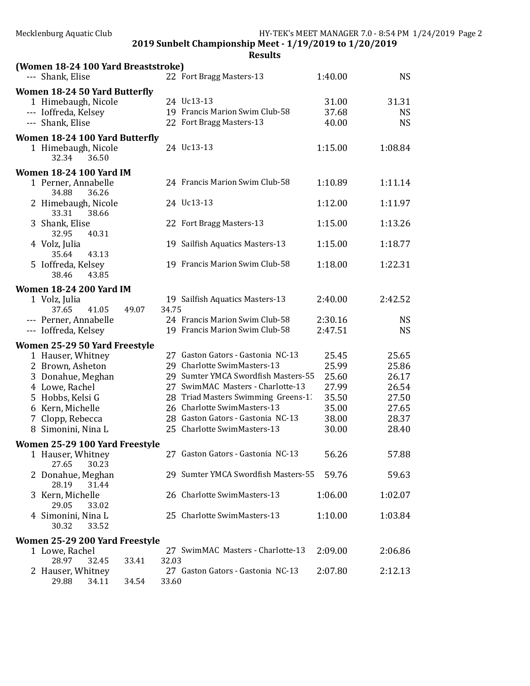| Mecklenburg Aquatic Club                                |                |                                                                          |                    | HY-TEK's MEET MANAGER 7.0 - 8:54 PM 1/24/2019 Page 2 |  |  |  |  |
|---------------------------------------------------------|----------------|--------------------------------------------------------------------------|--------------------|------------------------------------------------------|--|--|--|--|
| 2019 Sunbelt Championship Meet - 1/19/2019 to 1/20/2019 |                |                                                                          |                    |                                                      |  |  |  |  |
|                                                         |                | <b>Results</b>                                                           |                    |                                                      |  |  |  |  |
| (Women 18-24 100 Yard Breaststroke)                     |                |                                                                          |                    |                                                      |  |  |  |  |
| --- Shank, Elise                                        |                | 22 Fort Bragg Masters-13                                                 | 1:40.00            | <b>NS</b>                                            |  |  |  |  |
| Women 18-24 50 Yard Butterfly                           |                |                                                                          |                    |                                                      |  |  |  |  |
| 1 Himebaugh, Nicole                                     |                | 24 Uc13-13                                                               | 31.00              | 31.31                                                |  |  |  |  |
| --- Ioffreda, Kelsey                                    |                | 19 Francis Marion Swim Club-58                                           | 37.68              | <b>NS</b>                                            |  |  |  |  |
| --- Shank, Elise                                        |                | 22 Fort Bragg Masters-13                                                 | 40.00              | <b>NS</b>                                            |  |  |  |  |
| Women 18-24 100 Yard Butterfly                          |                |                                                                          |                    |                                                      |  |  |  |  |
| 1 Himebaugh, Nicole                                     |                | 24 Uc13-13                                                               | 1:15.00            | 1:08.84                                              |  |  |  |  |
| 32.34<br>36.50                                          |                |                                                                          |                    |                                                      |  |  |  |  |
| <b>Women 18-24 100 Yard IM</b>                          |                |                                                                          |                    |                                                      |  |  |  |  |
| 1 Perner, Annabelle                                     |                | 24 Francis Marion Swim Club-58                                           | 1:10.89            | 1:11.14                                              |  |  |  |  |
| 34.88<br>36.26                                          |                |                                                                          |                    |                                                      |  |  |  |  |
| 2 Himebaugh, Nicole                                     |                | 24 Uc13-13                                                               | 1:12.00            | 1:11.97                                              |  |  |  |  |
| 33.31<br>38.66                                          |                |                                                                          |                    |                                                      |  |  |  |  |
| 3 Shank, Elise                                          |                | 22 Fort Bragg Masters-13                                                 | 1:15.00            | 1:13.26                                              |  |  |  |  |
| 32.95<br>40.31                                          |                |                                                                          |                    |                                                      |  |  |  |  |
| 4 Volz, Julia                                           |                | 19 Sailfish Aquatics Masters-13                                          | 1:15.00            | 1:18.77                                              |  |  |  |  |
| 35.64<br>43.13                                          |                |                                                                          |                    |                                                      |  |  |  |  |
| 5 Ioffreda, Kelsey                                      |                | 19 Francis Marion Swim Club-58                                           | 1:18.00            | 1:22.31                                              |  |  |  |  |
| 38.46<br>43.85                                          |                |                                                                          |                    |                                                      |  |  |  |  |
| <b>Women 18-24 200 Yard IM</b>                          |                |                                                                          |                    |                                                      |  |  |  |  |
| 1 Volz, Julia                                           |                | 19 Sailfish Aquatics Masters-13                                          | 2:40.00            | 2:42.52                                              |  |  |  |  |
| 37.65<br>41.05                                          | 49.07<br>34.75 |                                                                          |                    |                                                      |  |  |  |  |
| --- Perner, Annabelle<br>--- Ioffreda, Kelsey           |                | 24 Francis Marion Swim Club-58<br>19 Francis Marion Swim Club-58         | 2:30.16<br>2:47.51 | <b>NS</b><br><b>NS</b>                               |  |  |  |  |
|                                                         |                |                                                                          |                    |                                                      |  |  |  |  |
| Women 25-29 50 Yard Freestyle                           |                |                                                                          |                    |                                                      |  |  |  |  |
| 1 Hauser, Whitney                                       |                | 27 Gaston Gators - Gastonia NC-13                                        | 25.45              | 25.65                                                |  |  |  |  |
| 2 Brown, Asheton                                        |                | 29 Charlotte SwimMasters-13                                              | 25.99              | 25.86                                                |  |  |  |  |
| 3 Donahue, Meghan                                       |                | 29 Sumter YMCA Swordfish Masters-55<br>27 SwimMAC Masters - Charlotte-13 | 25.60              | 26.17                                                |  |  |  |  |
| 4 Lowe, Rachel<br>5 Hobbs, Kelsi G                      |                | 28 Triad Masters Swimming Greens-1.                                      | 27.99<br>35.50     | 26.54<br>27.50                                       |  |  |  |  |
| 6 Kern, Michelle                                        |                | 26 Charlotte SwimMasters-13                                              | 35.00              | 27.65                                                |  |  |  |  |
| 7 Clopp, Rebecca                                        |                | 28 Gaston Gators - Gastonia NC-13                                        | 38.00              | 28.37                                                |  |  |  |  |
| 8 Simonini, Nina L                                      |                | 25 Charlotte SwimMasters-13                                              | 30.00              | 28.40                                                |  |  |  |  |
|                                                         |                |                                                                          |                    |                                                      |  |  |  |  |
| Women 25-29 100 Yard Freestyle                          |                | 27 Gaston Gators - Gastonia NC-13                                        |                    |                                                      |  |  |  |  |
| 1 Hauser, Whitney<br>27.65<br>30.23                     |                |                                                                          | 56.26              | 57.88                                                |  |  |  |  |
| 2 Donahue, Meghan                                       |                | 29 Sumter YMCA Swordfish Masters-55                                      | 59.76              | 59.63                                                |  |  |  |  |
| 28.19<br>31.44                                          |                |                                                                          |                    |                                                      |  |  |  |  |
| 3 Kern, Michelle                                        |                | 26 Charlotte SwimMasters-13                                              | 1:06.00            | 1:02.07                                              |  |  |  |  |
| 29.05<br>33.02                                          |                |                                                                          |                    |                                                      |  |  |  |  |
| 4 Simonini, Nina L                                      |                | 25 Charlotte SwimMasters-13                                              | 1:10.00            | 1:03.84                                              |  |  |  |  |
| 30.32<br>33.52                                          |                |                                                                          |                    |                                                      |  |  |  |  |
| Women 25-29 200 Yard Freestyle                          |                |                                                                          |                    |                                                      |  |  |  |  |
| 1 Lowe, Rachel                                          |                | 27 SwimMAC Masters - Charlotte-13                                        | 2:09.00            | 2:06.86                                              |  |  |  |  |
| 28.97<br>32.45                                          | 32.03<br>33.41 |                                                                          |                    |                                                      |  |  |  |  |
| 2 Hauser, Whitney                                       |                | 27 Gaston Gators - Gastonia NC-13                                        | 2:07.80            | 2:12.13                                              |  |  |  |  |
| 29.88<br>34.11                                          | 34.54<br>33.60 |                                                                          |                    |                                                      |  |  |  |  |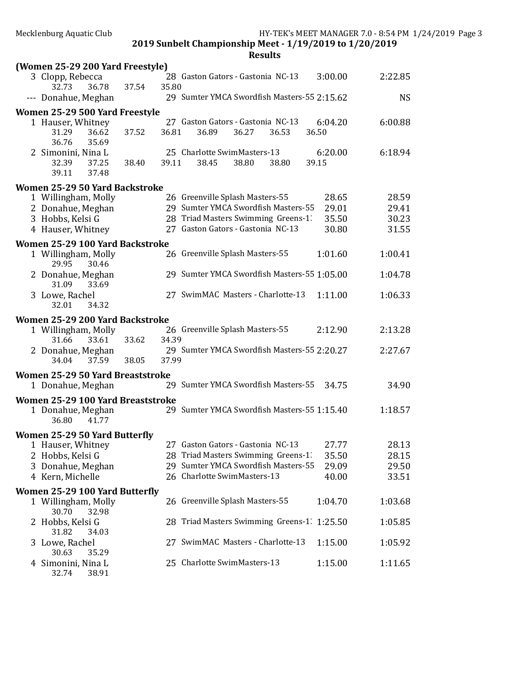**Results** 

| (Women 25-29 200 Yard Freestyle)                       |       |       |                                                                            |                |                |
|--------------------------------------------------------|-------|-------|----------------------------------------------------------------------------|----------------|----------------|
| 3 Clopp, Rebecca                                       |       |       | 28 Gaston Gators - Gastonia NC-13                                          | 3:00.00        | 2:22.85        |
| 36.78<br>32.73                                         | 37.54 | 35.80 |                                                                            |                |                |
| --- Donahue, Meghan                                    |       |       | 29 Sumter YMCA Swordfish Masters-55 2:15.62                                |                | <b>NS</b>      |
| Women 25-29 500 Yard Freestyle                         |       |       |                                                                            |                |                |
| 1 Hauser, Whitney                                      |       |       | 27 Gaston Gators - Gastonia NC-13                                          | 6:04.20        | 6:00.88        |
| 31.29<br>36.62<br>36.76<br>35.69                       | 37.52 | 36.81 | 36.89<br>36.27<br>36.53                                                    | 36.50          |                |
| 2 Simonini, Nina L                                     |       |       | 25 Charlotte SwimMasters-13                                                | 6:20.00        | 6:18.94        |
| 37.25<br>32.39                                         | 38.40 | 39.11 | 38.45<br>38.80<br>38.80                                                    | 39.15          |                |
| 39.11<br>37.48                                         |       |       |                                                                            |                |                |
| Women 25-29 50 Yard Backstroke                         |       |       |                                                                            |                |                |
| 1 Willingham, Molly                                    |       |       | 26 Greenville Splash Masters-55                                            | 28.65          | 28.59          |
| 2 Donahue, Meghan<br>3 Hobbs, Kelsi G                  |       |       | 29 Sumter YMCA Swordfish Masters-55<br>28 Triad Masters Swimming Greens-1. | 29.01<br>35.50 | 29.41<br>30.23 |
| 4 Hauser, Whitney                                      |       |       | 27 Gaston Gators - Gastonia NC-13                                          | 30.80          | 31.55          |
|                                                        |       |       |                                                                            |                |                |
| Women 25-29 100 Yard Backstroke<br>1 Willingham, Molly |       |       | 26 Greenville Splash Masters-55                                            | 1:01.60        | 1:00.41        |
| 29.95<br>30.46                                         |       |       |                                                                            |                |                |
| 2 Donahue, Meghan<br>31.09<br>33.69                    |       |       | 29 Sumter YMCA Swordfish Masters-55 1:05.00                                |                | 1:04.78        |
| 3 Lowe, Rachel                                         |       |       | 27 SwimMAC Masters - Charlotte-13                                          | 1:11.00        | 1:06.33        |
| 32.01<br>34.32                                         |       |       |                                                                            |                |                |
| Women 25-29 200 Yard Backstroke                        |       |       |                                                                            |                |                |
| 1 Willingham, Molly                                    |       |       | 26 Greenville Splash Masters-55                                            | 2:12.90        | 2:13.28        |
| 31.66<br>33.61                                         | 33.62 | 34.39 | 29 Sumter YMCA Swordfish Masters-55 2:20.27                                |                |                |
| 2 Donahue, Meghan<br>37.59<br>34.04                    | 38.05 | 37.99 |                                                                            |                | 2:27.67        |
| Women 25-29 50 Yard Breaststroke                       |       |       |                                                                            |                |                |
| 1 Donahue, Meghan                                      |       |       | 29 Sumter YMCA Swordfish Masters-55                                        | 34.75          | 34.90          |
| Women 25-29 100 Yard Breaststroke                      |       |       |                                                                            |                |                |
| 1 Donahue, Meghan                                      |       |       | 29 Sumter YMCA Swordfish Masters-55 1:15.40                                |                | 1:18.57        |
| 36.80<br>41.77                                         |       |       |                                                                            |                |                |
| Women 25-29 50 Yard Butterfly                          |       |       |                                                                            |                |                |
| 1 Hauser, Whitney                                      |       |       | 27 Gaston Gators - Gastonia NC-13                                          | 27.77          | 28.13          |
| 2 Hobbs, Kelsi G                                       |       |       | 28 Triad Masters Swimming Greens-1.                                        | 35.50          | 28.15          |
| 3 Donahue, Meghan<br>4 Kern, Michelle                  |       |       | 29 Sumter YMCA Swordfish Masters-55<br>26 Charlotte SwimMasters-13         | 29.09<br>40.00 | 29.50<br>33.51 |
|                                                        |       |       |                                                                            |                |                |
| Women 25-29 100 Yard Butterfly                         |       |       | 26 Greenville Splash Masters-55                                            | 1:04.70        | 1:03.68        |
| 1 Willingham, Molly<br>30.70<br>32.98                  |       |       |                                                                            |                |                |
| 2 Hobbs, Kelsi G                                       |       |       | 28 Triad Masters Swimming Greens-1. 1:25.50                                |                | 1:05.85        |
| 31.82<br>34.03                                         |       |       |                                                                            |                |                |
| 3 Lowe, Rachel<br>30.63<br>35.29                       |       |       | 27 SwimMAC Masters - Charlotte-13                                          | 1:15.00        | 1:05.92        |
| 4 Simonini, Nina L                                     |       |       | 25 Charlotte SwimMasters-13                                                | 1:15.00        | 1:11.65        |

32.74 38.91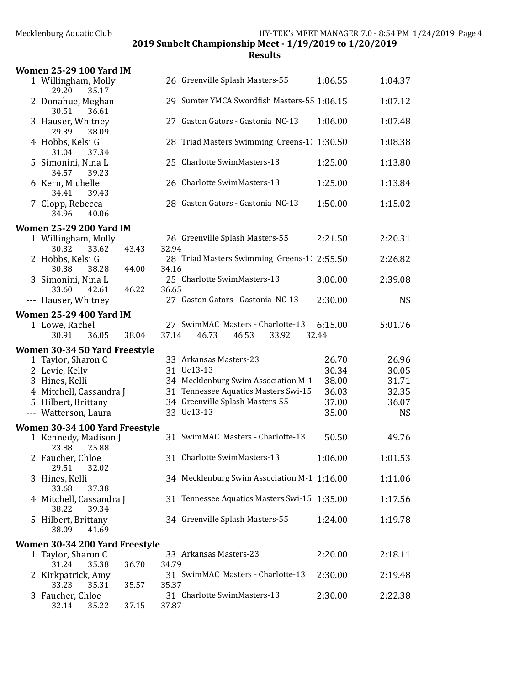| <b>Women 25-29 100 Yard IM</b>              |       |       |                                                                             |                  |                    |
|---------------------------------------------|-------|-------|-----------------------------------------------------------------------------|------------------|--------------------|
| 1 Willingham, Molly<br>29.20<br>35.17       |       |       | 26 Greenville Splash Masters-55                                             | 1:06.55          | 1:04.37            |
| 2 Donahue, Meghan<br>30.51<br>36.61         |       |       | 29 Sumter YMCA Swordfish Masters-55 1:06.15                                 |                  | 1:07.12            |
| 3 Hauser, Whitney<br>29.39<br>38.09         |       |       | 27 Gaston Gators - Gastonia NC-13                                           | 1:06.00          | 1:07.48            |
| 4 Hobbs, Kelsi G<br>31.04<br>37.34          |       |       | 28 Triad Masters Swimming Greens-1. 1:30.50                                 |                  | 1:08.38            |
| 5 Simonini, Nina L<br>34.57<br>39.23        |       |       | 25 Charlotte SwimMasters-13                                                 | 1:25.00          | 1:13.80            |
| 6 Kern, Michelle<br>39.43<br>34.41          |       |       | 26 Charlotte SwimMasters-13                                                 | 1:25.00          | 1:13.84            |
| 7 Clopp, Rebecca<br>34.96<br>40.06          |       |       | 28 Gaston Gators - Gastonia NC-13                                           | 1:50.00          | 1:15.02            |
| <b>Women 25-29 200 Yard IM</b>              |       |       |                                                                             |                  |                    |
| 1 Willingham, Molly<br>30.32<br>33.62       | 43.43 | 32.94 | 26 Greenville Splash Masters-55                                             | 2:21.50          | 2:20.31            |
| 2 Hobbs, Kelsi G<br>30.38<br>38.28          | 44.00 | 34.16 | 28 Triad Masters Swimming Greens-1. 2:55.50                                 |                  | 2:26.82            |
| 3 Simonini, Nina L<br>33.60<br>42.61        | 46.22 | 36.65 | 25 Charlotte SwimMasters-13                                                 | 3:00.00          | 2:39.08            |
| --- Hauser, Whitney                         |       |       | 27 Gaston Gators - Gastonia NC-13                                           | 2:30.00          | <b>NS</b>          |
| <b>Women 25-29 400 Yard IM</b>              |       |       |                                                                             |                  |                    |
| 1 Lowe, Rachel<br>30.91<br>36.05            | 38.04 | 37.14 | 27 SwimMAC Masters - Charlotte-13<br>46.73<br>46.53<br>33.92                | 6:15.00<br>32.44 | 5:01.76            |
|                                             |       |       |                                                                             |                  |                    |
|                                             |       |       |                                                                             |                  |                    |
| Women 30-34 50 Yard Freestyle               |       |       | 33 Arkansas Masters-23                                                      | 26.70            | 26.96              |
| 1 Taylor, Sharon C                          |       |       | 31 Uc13-13                                                                  | 30.34            | 30.05              |
| 2 Levie, Kelly                              |       |       |                                                                             | 38.00            | 31.71              |
| 3 Hines, Kelli                              |       |       | 34 Mecklenburg Swim Association M-1<br>31 Tennessee Aquatics Masters Swi-15 |                  | 32.35              |
| 4 Mitchell, Cassandra J                     |       |       |                                                                             | 36.03            |                    |
| 5 Hilbert, Brittany<br>--- Watterson, Laura |       |       | 34 Greenville Splash Masters-55<br>33 Uc13-13                               | 37.00<br>35.00   | 36.07<br><b>NS</b> |
| Women 30-34 100 Yard Freestyle              |       |       |                                                                             |                  |                    |
| 1 Kennedy, Madison J<br>23.88<br>25.88      |       |       | 31 SwimMAC Masters - Charlotte-13                                           | 50.50            | 49.76              |
| 2 Faucher, Chloe<br>29.51<br>32.02          |       |       | 31 Charlotte SwimMasters-13                                                 | 1:06.00          | 1:01.53            |
| 3 Hines, Kelli<br>33.68<br>37.38            |       |       | 34 Mecklenburg Swim Association M-1 1:16.00                                 |                  | 1:11.06            |
| 4 Mitchell, Cassandra J<br>39.34<br>38.22   |       |       | 31 Tennessee Aquatics Masters Swi-15 1:35.00                                |                  | 1:17.56            |
| 5 Hilbert, Brittany<br>38.09<br>41.69       |       |       | 34 Greenville Splash Masters-55                                             | 1:24.00          | 1:19.78            |
|                                             |       |       |                                                                             |                  |                    |
| Women 30-34 200 Yard Freestyle              |       |       | 33 Arkansas Masters-23                                                      | 2:20.00          |                    |
| 1 Taylor, Sharon C<br>31.24<br>35.38        | 36.70 | 34.79 |                                                                             |                  | 2:18.11            |
| 2 Kirkpatrick, Amy<br>33.23<br>35.31        | 35.57 | 35.37 | 31 SwimMAC Masters - Charlotte-13                                           | 2:30.00          | 2:19.48            |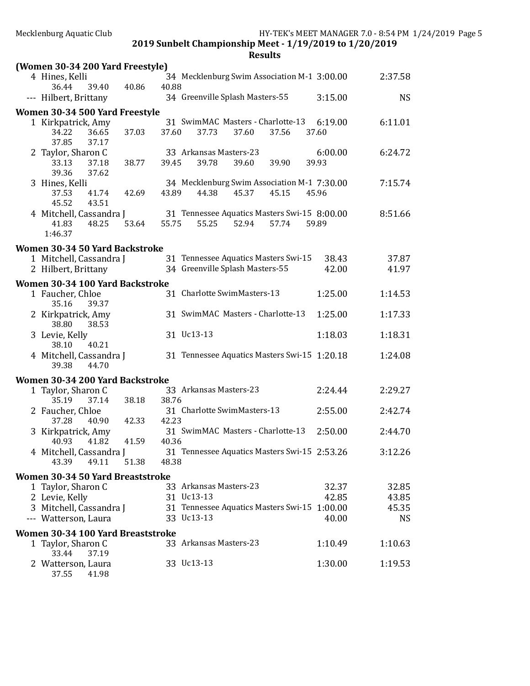| (Women 30-34 200 Yard Freestyle)     |                |                                                              |                  |           |
|--------------------------------------|----------------|--------------------------------------------------------------|------------------|-----------|
| 4 Hines, Kelli                       |                | 34 Mecklenburg Swim Association M-1 3:00.00                  |                  | 2:37.58   |
| 36.44<br>39.40                       | 40.86<br>40.88 |                                                              |                  |           |
| --- Hilbert, Brittany                |                | 34 Greenville Splash Masters-55                              | 3:15.00          | <b>NS</b> |
| Women 30-34 500 Yard Freestyle       |                |                                                              |                  |           |
| 1 Kirkpatrick, Amy<br>34.22<br>36.65 | 37.03<br>37.60 | 31 SwimMAC Masters - Charlotte-13<br>37.73<br>37.60<br>37.56 | 6:19.00<br>37.60 | 6:11.01   |
| 37.85<br>37.17                       |                |                                                              |                  |           |
| 2 Taylor, Sharon C                   |                | 33 Arkansas Masters-23                                       | 6:00.00          | 6:24.72   |
| 33.13<br>37.18                       | 38.77<br>39.45 | 39.78<br>39.60<br>39.90                                      | 39.93            |           |
| 39.36<br>37.62                       |                |                                                              |                  |           |
| 3 Hines, Kelli                       |                | 34 Mecklenburg Swim Association M-1 7:30.00                  |                  | 7:15.74   |
| 37.53<br>41.74<br>45.52<br>43.51     | 42.69<br>43.89 | 44.38<br>45.37<br>45.15                                      | 45.96            |           |
| 4 Mitchell, Cassandra J              |                | 31 Tennessee Aquatics Masters Swi-15 8:00.00                 |                  | 8:51.66   |
| 48.25<br>41.83                       | 53.64<br>55.75 | 55.25<br>52.94<br>57.74                                      | 59.89            |           |
| 1:46.37                              |                |                                                              |                  |           |
| Women 30-34 50 Yard Backstroke       |                |                                                              |                  |           |
| 1 Mitchell, Cassandra J              |                | 31 Tennessee Aquatics Masters Swi-15                         | 38.43            | 37.87     |
| 2 Hilbert, Brittany                  |                | 34 Greenville Splash Masters-55                              | 42.00            | 41.97     |
| Women 30-34 100 Yard Backstroke      |                |                                                              |                  |           |
| 1 Faucher, Chloe                     |                | 31 Charlotte SwimMasters-13                                  | 1:25.00          | 1:14.53   |
| 35.16<br>39.37                       |                |                                                              |                  |           |
| 2 Kirkpatrick, Amy                   |                | 31 SwimMAC Masters - Charlotte-13                            | 1:25.00          | 1:17.33   |
| 38.80<br>38.53<br>3 Levie, Kelly     |                | 31 Uc13-13                                                   | 1:18.03          | 1:18.31   |
| 40.21<br>38.10                       |                |                                                              |                  |           |
| 4 Mitchell, Cassandra J              |                | 31 Tennessee Aquatics Masters Swi-15 1:20.18                 |                  | 1:24.08   |
| 44.70<br>39.38                       |                |                                                              |                  |           |
| Women 30-34 200 Yard Backstroke      |                |                                                              |                  |           |
| 1 Taylor, Sharon C                   |                | 33 Arkansas Masters-23                                       | 2:24.44          | 2:29.27   |
| 35.19<br>37.14                       | 38.76<br>38.18 |                                                              |                  |           |
| 2 Faucher, Chloe                     |                | 31 Charlotte SwimMasters-13                                  | 2:55.00          | 2:42.74   |
| 37.28<br>40.90<br>3 Kirkpatrick, Amy | 42.23<br>42.33 | 31 SwimMAC Masters - Charlotte-13                            | 2:50.00          | 2:44.70   |
| 40.93<br>41.82                       | 41.59<br>40.36 |                                                              |                  |           |
| 4 Mitchell, Cassandra J              |                | 31 Tennessee Aquatics Masters Swi-15 2:53.26                 |                  | 3:12.26   |
| 43.39<br>49.11                       | 51.38<br>48.38 |                                                              |                  |           |
| Women 30-34 50 Yard Breaststroke     |                |                                                              |                  |           |
| 1 Taylor, Sharon C                   |                | 33 Arkansas Masters-23                                       | 32.37            | 32.85     |
| 2 Levie, Kelly                       |                | 31 Uc13-13                                                   | 42.85            | 43.85     |
| 3 Mitchell, Cassandra J              |                | 31 Tennessee Aquatics Masters Swi-15 1:00.00                 |                  | 45.35     |
| --- Watterson, Laura                 |                | 33 Uc13-13                                                   | 40.00            | <b>NS</b> |
| Women 30-34 100 Yard Breaststroke    |                |                                                              |                  |           |
| 1 Taylor, Sharon C                   |                | 33 Arkansas Masters-23                                       | 1:10.49          | 1:10.63   |
| 37.19<br>33.44<br>2 Watterson, Laura |                | 33 Uc13-13                                                   | 1:30.00          | 1:19.53   |
| 37.55<br>41.98                       |                |                                                              |                  |           |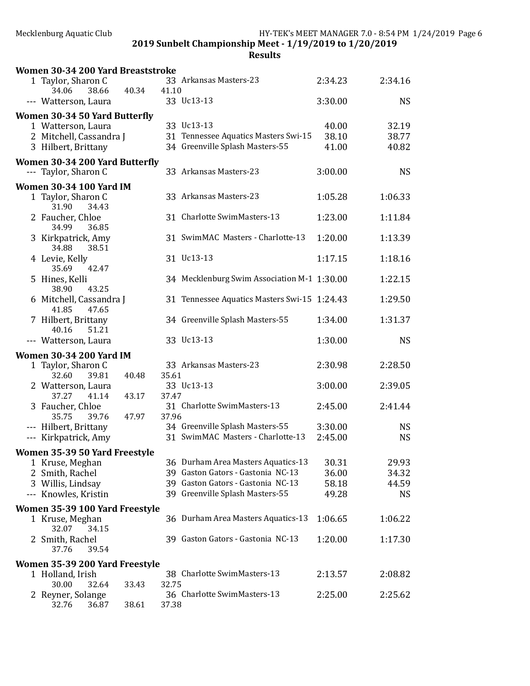2019 Sunbelt Championship Meet - 1/19/2019 to 1/20/2019

| Women 30-34 200 Yard Breaststroke                 |       |       |                                              |                |           |
|---------------------------------------------------|-------|-------|----------------------------------------------|----------------|-----------|
| 1 Taylor, Sharon C<br>34.06<br>38.66              | 40.34 | 41.10 | 33 Arkansas Masters-23                       | 2:34.23        | 2:34.16   |
| --- Watterson, Laura                              |       |       | 33 Uc13-13                                   | 3:30.00        | <b>NS</b> |
| Women 30-34 50 Yard Butterfly                     |       |       |                                              |                |           |
| 1 Watterson, Laura                                |       |       | 33 Uc13-13                                   | 40.00          | 32.19     |
| 2 Mitchell, Cassandra J                           |       |       | 31 Tennessee Aquatics Masters Swi-15         | 38.10          | 38.77     |
| 3 Hilbert, Brittany                               |       |       | 34 Greenville Splash Masters-55              | 41.00          | 40.82     |
| Women 30-34 200 Yard Butterfly                    |       |       |                                              |                |           |
| --- Taylor, Sharon C                              |       |       | 33 Arkansas Masters-23                       | 3:00.00        | <b>NS</b> |
| <b>Women 30-34 100 Yard IM</b>                    |       |       |                                              |                |           |
| 1 Taylor, Sharon C                                |       |       | 33 Arkansas Masters-23                       | 1:05.28        | 1:06.33   |
| 31.90<br>34.43                                    |       |       |                                              |                |           |
| 2 Faucher, Chloe<br>34.99<br>36.85                |       |       | 31 Charlotte SwimMasters-13                  | 1:23.00        | 1:11.84   |
| 3 Kirkpatrick, Amy                                |       |       | 31 SwimMAC Masters - Charlotte-13            | 1:20.00        | 1:13.39   |
| 38.51<br>34.88                                    |       |       |                                              |                |           |
| 4 Levie, Kelly                                    |       |       | 31 Uc13-13                                   | 1:17.15        | 1:18.16   |
| 35.69<br>42.47<br>5 Hines, Kelli                  |       |       | 34 Mecklenburg Swim Association M-1 1:30.00  |                | 1:22.15   |
| 38.90<br>43.25                                    |       |       |                                              |                |           |
| 6 Mitchell, Cassandra J                           |       |       | 31 Tennessee Aquatics Masters Swi-15 1:24.43 |                | 1:29.50   |
| 41.85<br>47.65                                    |       |       |                                              |                |           |
| 7 Hilbert, Brittany<br>40.16<br>51.21             |       |       | 34 Greenville Splash Masters-55              | 1:34.00        | 1:31.37   |
| --- Watterson, Laura                              |       |       | 33 Uc13-13                                   | 1:30.00        | <b>NS</b> |
| <b>Women 30-34 200 Yard IM</b>                    |       |       |                                              |                |           |
| 1 Taylor, Sharon C                                |       |       | 33 Arkansas Masters-23                       | 2:30.98        | 2:28.50   |
| 32.60<br>39.81                                    | 40.48 | 35.61 |                                              |                |           |
| 2 Watterson, Laura                                |       |       | 33 Uc13-13                                   | 3:00.00        | 2:39.05   |
| 37.27<br>41.14                                    | 43.17 | 37.47 |                                              |                |           |
| 3 Faucher, Chloe                                  |       |       | 31 Charlotte SwimMasters-13                  | 2:45.00        | 2:41.44   |
| 35.75<br>39.76<br>--- Hilbert, Brittany           | 47.97 | 37.96 | 34 Greenville Splash Masters-55              | 3:30.00        | <b>NS</b> |
| --- Kirkpatrick, Amy                              |       |       | 31 SwimMAC Masters - Charlotte-13            | 2:45.00        | <b>NS</b> |
|                                                   |       |       |                                              |                |           |
| Women 35-39 50 Yard Freestyle                     |       |       | 36 Durham Area Masters Aquatics-13           |                | 29.93     |
| 1 Kruse, Meghan<br>2 Smith, Rachel                |       |       | 39 Gaston Gators - Gastonia NC-13            | 30.31<br>36.00 | 34.32     |
| 3 Willis, Lindsay                                 |       |       | 39 Gaston Gators - Gastonia NC-13            | 58.18          | 44.59     |
| --- Knowles, Kristin                              |       |       | 39 Greenville Splash Masters-55              | 49.28          | <b>NS</b> |
|                                                   |       |       |                                              |                |           |
| Women 35-39 100 Yard Freestyle<br>1 Kruse, Meghan |       |       | 36 Durham Area Masters Aquatics-13           | 1:06.65        | 1:06.22   |
| 32.07<br>34.15                                    |       |       |                                              |                |           |
| 2 Smith, Rachel                                   |       |       | 39 Gaston Gators - Gastonia NC-13            | 1:20.00        | 1:17.30   |
| 39.54<br>37.76                                    |       |       |                                              |                |           |
| Women 35-39 200 Yard Freestyle                    |       |       |                                              |                |           |
| 1 Holland, Irish                                  |       |       | 38 Charlotte SwimMasters-13                  | 2:13.57        | 2:08.82   |
| 30.00<br>32.64                                    | 33.43 | 32.75 |                                              |                |           |
| 2 Reyner, Solange                                 |       |       | 36 Charlotte SwimMasters-13                  | 2:25.00        | 2:25.62   |
| 32.76<br>36.87                                    | 38.61 | 37.38 |                                              |                |           |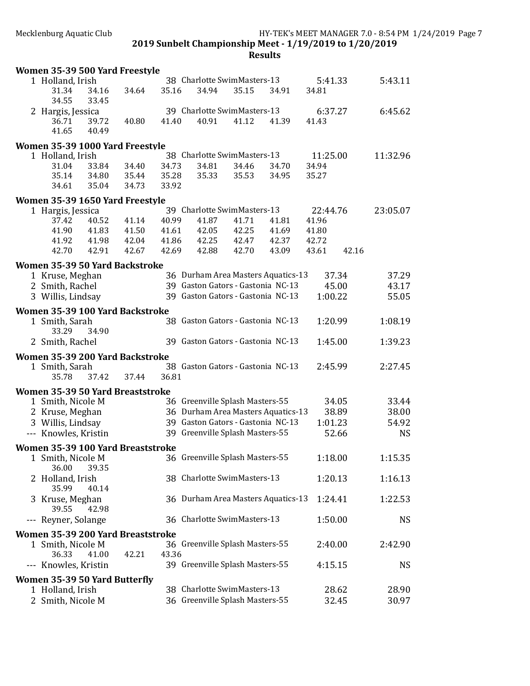| 38 Charlotte SwimMasters-13<br>5:43.11<br>1 Holland, Irish<br>5:41.33<br>35.16<br>34.94<br>35.15<br>34.91<br>34.16<br>34.64<br>34.81<br>31.34<br>34.55<br>33.45<br>39 Charlotte SwimMasters-13<br>6:45.62<br>2 Hargis, Jessica<br>6:37.27<br>41.40<br>40.91<br>41.12<br>41.39<br>41.43<br>36.71<br>39.72<br>40.80<br>41.65<br>40.49<br>Women 35-39 1000 Yard Freestyle<br>38 Charlotte SwimMasters-13<br>1 Holland, Irish<br>11:25.00<br>11:32.96<br>31.04<br>33.84<br>34.40<br>34.73<br>34.81<br>34.46<br>34.94<br>34.70<br>35.14<br>34.80<br>35.44<br>35.28<br>35.33<br>35.53<br>35.27<br>34.95<br>35.04<br>34.73<br>33.92<br>34.61<br>Women 35-39 1650 Yard Freestyle<br>39 Charlotte SwimMasters-13<br>22:44.76<br>23:05.07<br>1 Hargis, Jessica<br>41.14<br>40.99<br>41.87<br>41.81<br>41.96<br>37.42<br>40.52<br>41.71<br>41.90<br>41.83<br>41.61<br>42.05<br>41.69<br>41.50<br>42.25<br>41.80<br>41.98<br>42.04<br>41.86<br>42.25<br>42.37<br>42.72<br>41.92<br>42.47<br>42.70<br>42.91<br>42.69<br>42.88<br>43.09<br>42.16<br>42.67<br>42.70<br>43.61<br>Women 35-39 50 Yard Backstroke<br>36 Durham Area Masters Aquatics-13<br>1 Kruse, Meghan<br>37.34<br>37.29<br>39 Gaston Gators - Gastonia NC-13<br>2 Smith, Rachel<br>45.00<br>43.17<br>39 Gaston Gators - Gastonia NC-13<br>55.05<br>3 Willis, Lindsay<br>1:00.22<br>Women 35-39 100 Yard Backstroke<br>38 Gaston Gators - Gastonia NC-13<br>1:08.19<br>1:20.99<br>1 Smith, Sarah<br>33.29<br>34.90<br>2 Smith, Rachel<br>39 Gaston Gators - Gastonia NC-13<br>1:45.00<br>1:39.23<br>Women 35-39 200 Yard Backstroke<br>38 Gaston Gators - Gastonia NC-13<br>2:27.45<br>2:45.99<br>1 Smith, Sarah<br>35.78<br>37.42<br>37.44<br>36.81<br>Women 35-39 50 Yard Breaststroke<br>1 Smith, Nicole M<br>36 Greenville Splash Masters-55<br>33.44<br>34.05<br>36 Durham Area Masters Aquatics-13<br>38.00<br>2 Kruse, Meghan<br>38.89<br>39 Gaston Gators - Gastonia NC-13<br>3 Willis, Lindsay<br>1:01.23<br>54.92<br>39 Greenville Splash Masters-55<br>--- Knowles, Kristin<br>52.66<br><b>NS</b><br>Women 35-39 100 Yard Breaststroke<br>36 Greenville Splash Masters-55<br>1:18.00<br>1 Smith, Nicole M<br>1:15.35<br>36.00<br>39.35<br>38 Charlotte SwimMasters-13<br>Holland, Irish<br>1:20.13<br>1:16.13<br>35.99<br>40.14<br>36 Durham Area Masters Aquatics-13<br>1:24.41<br>1:22.53<br>3 Kruse, Meghan<br>39.55<br>42.98<br>36 Charlotte SwimMasters-13<br>Reyner, Solange<br>1:50.00<br><b>NS</b><br>$---$<br>Women 35-39 200 Yard Breaststroke<br>36 Greenville Splash Masters-55<br>2:40.00<br>2:42.90<br>1 Smith, Nicole M<br>36.33<br>41.00<br>43.36<br>42.21<br>--- Knowles, Kristin<br>39 Greenville Splash Masters-55<br>4:15.15<br><b>NS</b><br>Women 35-39 50 Yard Butterfly<br>38 Charlotte SwimMasters-13<br>1 Holland, Irish<br>28.90<br>28.62<br>36 Greenville Splash Masters-55<br>2 Smith, Nicole M<br>32.45<br>30.97 | Women 35-39 500 Yard Freestyle |  |  |  |  |
|------------------------------------------------------------------------------------------------------------------------------------------------------------------------------------------------------------------------------------------------------------------------------------------------------------------------------------------------------------------------------------------------------------------------------------------------------------------------------------------------------------------------------------------------------------------------------------------------------------------------------------------------------------------------------------------------------------------------------------------------------------------------------------------------------------------------------------------------------------------------------------------------------------------------------------------------------------------------------------------------------------------------------------------------------------------------------------------------------------------------------------------------------------------------------------------------------------------------------------------------------------------------------------------------------------------------------------------------------------------------------------------------------------------------------------------------------------------------------------------------------------------------------------------------------------------------------------------------------------------------------------------------------------------------------------------------------------------------------------------------------------------------------------------------------------------------------------------------------------------------------------------------------------------------------------------------------------------------------------------------------------------------------------------------------------------------------------------------------------------------------------------------------------------------------------------------------------------------------------------------------------------------------------------------------------------------------------------------------------------------------------------------------------------------------------------------------------------------------------------------------------------------------------------------------------------------------------------------------------------------------------------------------------------------------------------------------------------------------------------------------------------------------------------------------------------------------------------------------------------------------------------------------------|--------------------------------|--|--|--|--|
|                                                                                                                                                                                                                                                                                                                                                                                                                                                                                                                                                                                                                                                                                                                                                                                                                                                                                                                                                                                                                                                                                                                                                                                                                                                                                                                                                                                                                                                                                                                                                                                                                                                                                                                                                                                                                                                                                                                                                                                                                                                                                                                                                                                                                                                                                                                                                                                                                                                                                                                                                                                                                                                                                                                                                                                                                                                                                                            |                                |  |  |  |  |
|                                                                                                                                                                                                                                                                                                                                                                                                                                                                                                                                                                                                                                                                                                                                                                                                                                                                                                                                                                                                                                                                                                                                                                                                                                                                                                                                                                                                                                                                                                                                                                                                                                                                                                                                                                                                                                                                                                                                                                                                                                                                                                                                                                                                                                                                                                                                                                                                                                                                                                                                                                                                                                                                                                                                                                                                                                                                                                            |                                |  |  |  |  |
|                                                                                                                                                                                                                                                                                                                                                                                                                                                                                                                                                                                                                                                                                                                                                                                                                                                                                                                                                                                                                                                                                                                                                                                                                                                                                                                                                                                                                                                                                                                                                                                                                                                                                                                                                                                                                                                                                                                                                                                                                                                                                                                                                                                                                                                                                                                                                                                                                                                                                                                                                                                                                                                                                                                                                                                                                                                                                                            |                                |  |  |  |  |
|                                                                                                                                                                                                                                                                                                                                                                                                                                                                                                                                                                                                                                                                                                                                                                                                                                                                                                                                                                                                                                                                                                                                                                                                                                                                                                                                                                                                                                                                                                                                                                                                                                                                                                                                                                                                                                                                                                                                                                                                                                                                                                                                                                                                                                                                                                                                                                                                                                                                                                                                                                                                                                                                                                                                                                                                                                                                                                            |                                |  |  |  |  |
|                                                                                                                                                                                                                                                                                                                                                                                                                                                                                                                                                                                                                                                                                                                                                                                                                                                                                                                                                                                                                                                                                                                                                                                                                                                                                                                                                                                                                                                                                                                                                                                                                                                                                                                                                                                                                                                                                                                                                                                                                                                                                                                                                                                                                                                                                                                                                                                                                                                                                                                                                                                                                                                                                                                                                                                                                                                                                                            |                                |  |  |  |  |
|                                                                                                                                                                                                                                                                                                                                                                                                                                                                                                                                                                                                                                                                                                                                                                                                                                                                                                                                                                                                                                                                                                                                                                                                                                                                                                                                                                                                                                                                                                                                                                                                                                                                                                                                                                                                                                                                                                                                                                                                                                                                                                                                                                                                                                                                                                                                                                                                                                                                                                                                                                                                                                                                                                                                                                                                                                                                                                            |                                |  |  |  |  |
|                                                                                                                                                                                                                                                                                                                                                                                                                                                                                                                                                                                                                                                                                                                                                                                                                                                                                                                                                                                                                                                                                                                                                                                                                                                                                                                                                                                                                                                                                                                                                                                                                                                                                                                                                                                                                                                                                                                                                                                                                                                                                                                                                                                                                                                                                                                                                                                                                                                                                                                                                                                                                                                                                                                                                                                                                                                                                                            |                                |  |  |  |  |
|                                                                                                                                                                                                                                                                                                                                                                                                                                                                                                                                                                                                                                                                                                                                                                                                                                                                                                                                                                                                                                                                                                                                                                                                                                                                                                                                                                                                                                                                                                                                                                                                                                                                                                                                                                                                                                                                                                                                                                                                                                                                                                                                                                                                                                                                                                                                                                                                                                                                                                                                                                                                                                                                                                                                                                                                                                                                                                            |                                |  |  |  |  |
|                                                                                                                                                                                                                                                                                                                                                                                                                                                                                                                                                                                                                                                                                                                                                                                                                                                                                                                                                                                                                                                                                                                                                                                                                                                                                                                                                                                                                                                                                                                                                                                                                                                                                                                                                                                                                                                                                                                                                                                                                                                                                                                                                                                                                                                                                                                                                                                                                                                                                                                                                                                                                                                                                                                                                                                                                                                                                                            |                                |  |  |  |  |
|                                                                                                                                                                                                                                                                                                                                                                                                                                                                                                                                                                                                                                                                                                                                                                                                                                                                                                                                                                                                                                                                                                                                                                                                                                                                                                                                                                                                                                                                                                                                                                                                                                                                                                                                                                                                                                                                                                                                                                                                                                                                                                                                                                                                                                                                                                                                                                                                                                                                                                                                                                                                                                                                                                                                                                                                                                                                                                            |                                |  |  |  |  |
|                                                                                                                                                                                                                                                                                                                                                                                                                                                                                                                                                                                                                                                                                                                                                                                                                                                                                                                                                                                                                                                                                                                                                                                                                                                                                                                                                                                                                                                                                                                                                                                                                                                                                                                                                                                                                                                                                                                                                                                                                                                                                                                                                                                                                                                                                                                                                                                                                                                                                                                                                                                                                                                                                                                                                                                                                                                                                                            |                                |  |  |  |  |
|                                                                                                                                                                                                                                                                                                                                                                                                                                                                                                                                                                                                                                                                                                                                                                                                                                                                                                                                                                                                                                                                                                                                                                                                                                                                                                                                                                                                                                                                                                                                                                                                                                                                                                                                                                                                                                                                                                                                                                                                                                                                                                                                                                                                                                                                                                                                                                                                                                                                                                                                                                                                                                                                                                                                                                                                                                                                                                            |                                |  |  |  |  |
|                                                                                                                                                                                                                                                                                                                                                                                                                                                                                                                                                                                                                                                                                                                                                                                                                                                                                                                                                                                                                                                                                                                                                                                                                                                                                                                                                                                                                                                                                                                                                                                                                                                                                                                                                                                                                                                                                                                                                                                                                                                                                                                                                                                                                                                                                                                                                                                                                                                                                                                                                                                                                                                                                                                                                                                                                                                                                                            |                                |  |  |  |  |
|                                                                                                                                                                                                                                                                                                                                                                                                                                                                                                                                                                                                                                                                                                                                                                                                                                                                                                                                                                                                                                                                                                                                                                                                                                                                                                                                                                                                                                                                                                                                                                                                                                                                                                                                                                                                                                                                                                                                                                                                                                                                                                                                                                                                                                                                                                                                                                                                                                                                                                                                                                                                                                                                                                                                                                                                                                                                                                            |                                |  |  |  |  |
|                                                                                                                                                                                                                                                                                                                                                                                                                                                                                                                                                                                                                                                                                                                                                                                                                                                                                                                                                                                                                                                                                                                                                                                                                                                                                                                                                                                                                                                                                                                                                                                                                                                                                                                                                                                                                                                                                                                                                                                                                                                                                                                                                                                                                                                                                                                                                                                                                                                                                                                                                                                                                                                                                                                                                                                                                                                                                                            |                                |  |  |  |  |
|                                                                                                                                                                                                                                                                                                                                                                                                                                                                                                                                                                                                                                                                                                                                                                                                                                                                                                                                                                                                                                                                                                                                                                                                                                                                                                                                                                                                                                                                                                                                                                                                                                                                                                                                                                                                                                                                                                                                                                                                                                                                                                                                                                                                                                                                                                                                                                                                                                                                                                                                                                                                                                                                                                                                                                                                                                                                                                            |                                |  |  |  |  |
|                                                                                                                                                                                                                                                                                                                                                                                                                                                                                                                                                                                                                                                                                                                                                                                                                                                                                                                                                                                                                                                                                                                                                                                                                                                                                                                                                                                                                                                                                                                                                                                                                                                                                                                                                                                                                                                                                                                                                                                                                                                                                                                                                                                                                                                                                                                                                                                                                                                                                                                                                                                                                                                                                                                                                                                                                                                                                                            |                                |  |  |  |  |
|                                                                                                                                                                                                                                                                                                                                                                                                                                                                                                                                                                                                                                                                                                                                                                                                                                                                                                                                                                                                                                                                                                                                                                                                                                                                                                                                                                                                                                                                                                                                                                                                                                                                                                                                                                                                                                                                                                                                                                                                                                                                                                                                                                                                                                                                                                                                                                                                                                                                                                                                                                                                                                                                                                                                                                                                                                                                                                            |                                |  |  |  |  |
|                                                                                                                                                                                                                                                                                                                                                                                                                                                                                                                                                                                                                                                                                                                                                                                                                                                                                                                                                                                                                                                                                                                                                                                                                                                                                                                                                                                                                                                                                                                                                                                                                                                                                                                                                                                                                                                                                                                                                                                                                                                                                                                                                                                                                                                                                                                                                                                                                                                                                                                                                                                                                                                                                                                                                                                                                                                                                                            |                                |  |  |  |  |
|                                                                                                                                                                                                                                                                                                                                                                                                                                                                                                                                                                                                                                                                                                                                                                                                                                                                                                                                                                                                                                                                                                                                                                                                                                                                                                                                                                                                                                                                                                                                                                                                                                                                                                                                                                                                                                                                                                                                                                                                                                                                                                                                                                                                                                                                                                                                                                                                                                                                                                                                                                                                                                                                                                                                                                                                                                                                                                            |                                |  |  |  |  |
|                                                                                                                                                                                                                                                                                                                                                                                                                                                                                                                                                                                                                                                                                                                                                                                                                                                                                                                                                                                                                                                                                                                                                                                                                                                                                                                                                                                                                                                                                                                                                                                                                                                                                                                                                                                                                                                                                                                                                                                                                                                                                                                                                                                                                                                                                                                                                                                                                                                                                                                                                                                                                                                                                                                                                                                                                                                                                                            |                                |  |  |  |  |
|                                                                                                                                                                                                                                                                                                                                                                                                                                                                                                                                                                                                                                                                                                                                                                                                                                                                                                                                                                                                                                                                                                                                                                                                                                                                                                                                                                                                                                                                                                                                                                                                                                                                                                                                                                                                                                                                                                                                                                                                                                                                                                                                                                                                                                                                                                                                                                                                                                                                                                                                                                                                                                                                                                                                                                                                                                                                                                            |                                |  |  |  |  |
|                                                                                                                                                                                                                                                                                                                                                                                                                                                                                                                                                                                                                                                                                                                                                                                                                                                                                                                                                                                                                                                                                                                                                                                                                                                                                                                                                                                                                                                                                                                                                                                                                                                                                                                                                                                                                                                                                                                                                                                                                                                                                                                                                                                                                                                                                                                                                                                                                                                                                                                                                                                                                                                                                                                                                                                                                                                                                                            |                                |  |  |  |  |
|                                                                                                                                                                                                                                                                                                                                                                                                                                                                                                                                                                                                                                                                                                                                                                                                                                                                                                                                                                                                                                                                                                                                                                                                                                                                                                                                                                                                                                                                                                                                                                                                                                                                                                                                                                                                                                                                                                                                                                                                                                                                                                                                                                                                                                                                                                                                                                                                                                                                                                                                                                                                                                                                                                                                                                                                                                                                                                            |                                |  |  |  |  |
|                                                                                                                                                                                                                                                                                                                                                                                                                                                                                                                                                                                                                                                                                                                                                                                                                                                                                                                                                                                                                                                                                                                                                                                                                                                                                                                                                                                                                                                                                                                                                                                                                                                                                                                                                                                                                                                                                                                                                                                                                                                                                                                                                                                                                                                                                                                                                                                                                                                                                                                                                                                                                                                                                                                                                                                                                                                                                                            |                                |  |  |  |  |
|                                                                                                                                                                                                                                                                                                                                                                                                                                                                                                                                                                                                                                                                                                                                                                                                                                                                                                                                                                                                                                                                                                                                                                                                                                                                                                                                                                                                                                                                                                                                                                                                                                                                                                                                                                                                                                                                                                                                                                                                                                                                                                                                                                                                                                                                                                                                                                                                                                                                                                                                                                                                                                                                                                                                                                                                                                                                                                            |                                |  |  |  |  |
|                                                                                                                                                                                                                                                                                                                                                                                                                                                                                                                                                                                                                                                                                                                                                                                                                                                                                                                                                                                                                                                                                                                                                                                                                                                                                                                                                                                                                                                                                                                                                                                                                                                                                                                                                                                                                                                                                                                                                                                                                                                                                                                                                                                                                                                                                                                                                                                                                                                                                                                                                                                                                                                                                                                                                                                                                                                                                                            |                                |  |  |  |  |
|                                                                                                                                                                                                                                                                                                                                                                                                                                                                                                                                                                                                                                                                                                                                                                                                                                                                                                                                                                                                                                                                                                                                                                                                                                                                                                                                                                                                                                                                                                                                                                                                                                                                                                                                                                                                                                                                                                                                                                                                                                                                                                                                                                                                                                                                                                                                                                                                                                                                                                                                                                                                                                                                                                                                                                                                                                                                                                            |                                |  |  |  |  |
|                                                                                                                                                                                                                                                                                                                                                                                                                                                                                                                                                                                                                                                                                                                                                                                                                                                                                                                                                                                                                                                                                                                                                                                                                                                                                                                                                                                                                                                                                                                                                                                                                                                                                                                                                                                                                                                                                                                                                                                                                                                                                                                                                                                                                                                                                                                                                                                                                                                                                                                                                                                                                                                                                                                                                                                                                                                                                                            |                                |  |  |  |  |
|                                                                                                                                                                                                                                                                                                                                                                                                                                                                                                                                                                                                                                                                                                                                                                                                                                                                                                                                                                                                                                                                                                                                                                                                                                                                                                                                                                                                                                                                                                                                                                                                                                                                                                                                                                                                                                                                                                                                                                                                                                                                                                                                                                                                                                                                                                                                                                                                                                                                                                                                                                                                                                                                                                                                                                                                                                                                                                            |                                |  |  |  |  |
|                                                                                                                                                                                                                                                                                                                                                                                                                                                                                                                                                                                                                                                                                                                                                                                                                                                                                                                                                                                                                                                                                                                                                                                                                                                                                                                                                                                                                                                                                                                                                                                                                                                                                                                                                                                                                                                                                                                                                                                                                                                                                                                                                                                                                                                                                                                                                                                                                                                                                                                                                                                                                                                                                                                                                                                                                                                                                                            |                                |  |  |  |  |
|                                                                                                                                                                                                                                                                                                                                                                                                                                                                                                                                                                                                                                                                                                                                                                                                                                                                                                                                                                                                                                                                                                                                                                                                                                                                                                                                                                                                                                                                                                                                                                                                                                                                                                                                                                                                                                                                                                                                                                                                                                                                                                                                                                                                                                                                                                                                                                                                                                                                                                                                                                                                                                                                                                                                                                                                                                                                                                            |                                |  |  |  |  |
|                                                                                                                                                                                                                                                                                                                                                                                                                                                                                                                                                                                                                                                                                                                                                                                                                                                                                                                                                                                                                                                                                                                                                                                                                                                                                                                                                                                                                                                                                                                                                                                                                                                                                                                                                                                                                                                                                                                                                                                                                                                                                                                                                                                                                                                                                                                                                                                                                                                                                                                                                                                                                                                                                                                                                                                                                                                                                                            |                                |  |  |  |  |
|                                                                                                                                                                                                                                                                                                                                                                                                                                                                                                                                                                                                                                                                                                                                                                                                                                                                                                                                                                                                                                                                                                                                                                                                                                                                                                                                                                                                                                                                                                                                                                                                                                                                                                                                                                                                                                                                                                                                                                                                                                                                                                                                                                                                                                                                                                                                                                                                                                                                                                                                                                                                                                                                                                                                                                                                                                                                                                            |                                |  |  |  |  |
|                                                                                                                                                                                                                                                                                                                                                                                                                                                                                                                                                                                                                                                                                                                                                                                                                                                                                                                                                                                                                                                                                                                                                                                                                                                                                                                                                                                                                                                                                                                                                                                                                                                                                                                                                                                                                                                                                                                                                                                                                                                                                                                                                                                                                                                                                                                                                                                                                                                                                                                                                                                                                                                                                                                                                                                                                                                                                                            |                                |  |  |  |  |
|                                                                                                                                                                                                                                                                                                                                                                                                                                                                                                                                                                                                                                                                                                                                                                                                                                                                                                                                                                                                                                                                                                                                                                                                                                                                                                                                                                                                                                                                                                                                                                                                                                                                                                                                                                                                                                                                                                                                                                                                                                                                                                                                                                                                                                                                                                                                                                                                                                                                                                                                                                                                                                                                                                                                                                                                                                                                                                            |                                |  |  |  |  |
|                                                                                                                                                                                                                                                                                                                                                                                                                                                                                                                                                                                                                                                                                                                                                                                                                                                                                                                                                                                                                                                                                                                                                                                                                                                                                                                                                                                                                                                                                                                                                                                                                                                                                                                                                                                                                                                                                                                                                                                                                                                                                                                                                                                                                                                                                                                                                                                                                                                                                                                                                                                                                                                                                                                                                                                                                                                                                                            |                                |  |  |  |  |
|                                                                                                                                                                                                                                                                                                                                                                                                                                                                                                                                                                                                                                                                                                                                                                                                                                                                                                                                                                                                                                                                                                                                                                                                                                                                                                                                                                                                                                                                                                                                                                                                                                                                                                                                                                                                                                                                                                                                                                                                                                                                                                                                                                                                                                                                                                                                                                                                                                                                                                                                                                                                                                                                                                                                                                                                                                                                                                            |                                |  |  |  |  |
|                                                                                                                                                                                                                                                                                                                                                                                                                                                                                                                                                                                                                                                                                                                                                                                                                                                                                                                                                                                                                                                                                                                                                                                                                                                                                                                                                                                                                                                                                                                                                                                                                                                                                                                                                                                                                                                                                                                                                                                                                                                                                                                                                                                                                                                                                                                                                                                                                                                                                                                                                                                                                                                                                                                                                                                                                                                                                                            |                                |  |  |  |  |
|                                                                                                                                                                                                                                                                                                                                                                                                                                                                                                                                                                                                                                                                                                                                                                                                                                                                                                                                                                                                                                                                                                                                                                                                                                                                                                                                                                                                                                                                                                                                                                                                                                                                                                                                                                                                                                                                                                                                                                                                                                                                                                                                                                                                                                                                                                                                                                                                                                                                                                                                                                                                                                                                                                                                                                                                                                                                                                            |                                |  |  |  |  |
|                                                                                                                                                                                                                                                                                                                                                                                                                                                                                                                                                                                                                                                                                                                                                                                                                                                                                                                                                                                                                                                                                                                                                                                                                                                                                                                                                                                                                                                                                                                                                                                                                                                                                                                                                                                                                                                                                                                                                                                                                                                                                                                                                                                                                                                                                                                                                                                                                                                                                                                                                                                                                                                                                                                                                                                                                                                                                                            |                                |  |  |  |  |
|                                                                                                                                                                                                                                                                                                                                                                                                                                                                                                                                                                                                                                                                                                                                                                                                                                                                                                                                                                                                                                                                                                                                                                                                                                                                                                                                                                                                                                                                                                                                                                                                                                                                                                                                                                                                                                                                                                                                                                                                                                                                                                                                                                                                                                                                                                                                                                                                                                                                                                                                                                                                                                                                                                                                                                                                                                                                                                            |                                |  |  |  |  |
|                                                                                                                                                                                                                                                                                                                                                                                                                                                                                                                                                                                                                                                                                                                                                                                                                                                                                                                                                                                                                                                                                                                                                                                                                                                                                                                                                                                                                                                                                                                                                                                                                                                                                                                                                                                                                                                                                                                                                                                                                                                                                                                                                                                                                                                                                                                                                                                                                                                                                                                                                                                                                                                                                                                                                                                                                                                                                                            |                                |  |  |  |  |
|                                                                                                                                                                                                                                                                                                                                                                                                                                                                                                                                                                                                                                                                                                                                                                                                                                                                                                                                                                                                                                                                                                                                                                                                                                                                                                                                                                                                                                                                                                                                                                                                                                                                                                                                                                                                                                                                                                                                                                                                                                                                                                                                                                                                                                                                                                                                                                                                                                                                                                                                                                                                                                                                                                                                                                                                                                                                                                            |                                |  |  |  |  |
|                                                                                                                                                                                                                                                                                                                                                                                                                                                                                                                                                                                                                                                                                                                                                                                                                                                                                                                                                                                                                                                                                                                                                                                                                                                                                                                                                                                                                                                                                                                                                                                                                                                                                                                                                                                                                                                                                                                                                                                                                                                                                                                                                                                                                                                                                                                                                                                                                                                                                                                                                                                                                                                                                                                                                                                                                                                                                                            |                                |  |  |  |  |
|                                                                                                                                                                                                                                                                                                                                                                                                                                                                                                                                                                                                                                                                                                                                                                                                                                                                                                                                                                                                                                                                                                                                                                                                                                                                                                                                                                                                                                                                                                                                                                                                                                                                                                                                                                                                                                                                                                                                                                                                                                                                                                                                                                                                                                                                                                                                                                                                                                                                                                                                                                                                                                                                                                                                                                                                                                                                                                            |                                |  |  |  |  |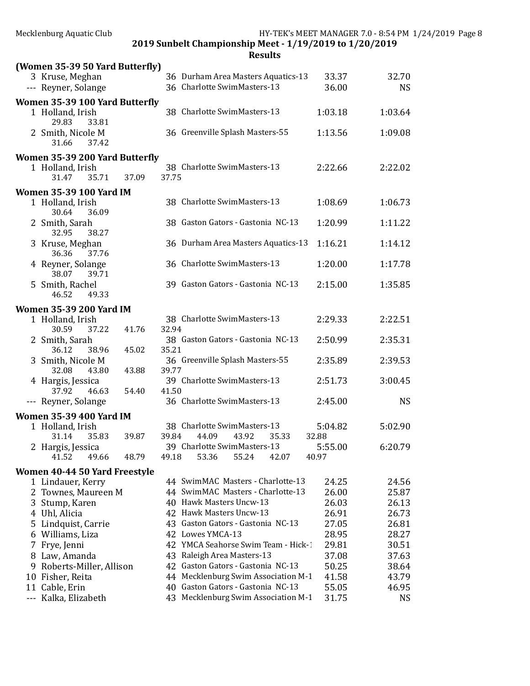|     | (Women 35-39 50 Yard Butterfly)<br>3 Kruse, Meghan<br>--- Reyner, Solange |       |       | 36 Durham Area Masters Aquatics-13<br>36 Charlotte SwimMasters-13 | 33.37<br>36.00   | 32.70<br><b>NS</b> |
|-----|---------------------------------------------------------------------------|-------|-------|-------------------------------------------------------------------|------------------|--------------------|
|     | Women 35-39 100 Yard Butterfly<br>1 Holland, Irish                        |       |       | 38 Charlotte SwimMasters-13                                       | 1:03.18          | 1:03.64            |
|     | 29.83<br>33.81<br>2 Smith, Nicole M<br>31.66<br>37.42                     |       |       | 36 Greenville Splash Masters-55                                   | 1:13.56          | 1:09.08            |
|     | Women 35-39 200 Yard Butterfly<br>1 Holland, Irish<br>31.47<br>35.71      | 37.09 | 37.75 | 38 Charlotte SwimMasters-13                                       | 2:22.66          | 2:22.02            |
|     | <b>Women 35-39 100 Yard IM</b><br>1 Holland, Irish<br>30.64<br>36.09      |       |       | 38 Charlotte SwimMasters-13                                       | 1:08.69          | 1:06.73            |
|     | 2 Smith, Sarah<br>32.95<br>38.27                                          |       |       | 38 Gaston Gators - Gastonia NC-13                                 | 1:20.99          | 1:11.22            |
|     | 3 Kruse, Meghan<br>36.36<br>37.76                                         |       |       | 36 Durham Area Masters Aquatics-13                                | 1:16.21          | 1:14.12            |
|     | 4 Reyner, Solange<br>38.07<br>39.71                                       |       |       | 36 Charlotte SwimMasters-13                                       | 1:20.00          | 1:17.78            |
|     | 5 Smith, Rachel<br>46.52<br>49.33                                         |       |       | 39 Gaston Gators - Gastonia NC-13                                 | 2:15.00          | 1:35.85            |
|     | <b>Women 35-39 200 Yard IM</b><br>1 Holland, Irish<br>30.59<br>37.22      | 41.76 | 32.94 | 38 Charlotte SwimMasters-13                                       | 2:29.33          | 2:22.51            |
|     | 2 Smith, Sarah<br>36.12<br>38.96                                          | 45.02 | 35.21 | 38 Gaston Gators - Gastonia NC-13                                 | 2:50.99          | 2:35.31            |
|     | 3 Smith, Nicole M<br>32.08<br>43.80                                       | 43.88 | 39.77 | 36 Greenville Splash Masters-55                                   | 2:35.89          | 2:39.53            |
|     | 4 Hargis, Jessica<br>46.63<br>37.92                                       | 54.40 | 41.50 | 39 Charlotte SwimMasters-13                                       | 2:51.73          | 3:00.45            |
|     | --- Reyner, Solange                                                       |       |       | 36 Charlotte SwimMasters-13                                       | 2:45.00          | <b>NS</b>          |
|     | <b>Women 35-39 400 Yard IM</b>                                            |       |       |                                                                   |                  |                    |
|     | 1 Holland, Irish<br>31.14<br>35.83                                        | 39.87 | 39.84 | 38 Charlotte SwimMasters-13<br>43.92<br>44.09<br>35.33            | 5:04.82<br>32.88 | 5:02.90            |
|     | 2 Hargis, Jessica<br>41.52<br>49.66                                       | 48.79 | 49.18 | 39 Charlotte SwimMasters-13<br>53.36<br>55.24<br>42.07            | 5:55.00<br>40.97 | 6:20.79            |
|     | Women 40-44 50 Yard Freestyle                                             |       |       |                                                                   |                  |                    |
|     | 1 Lindauer, Kerry                                                         |       |       | 44 SwimMAC Masters - Charlotte-13                                 | 24.25            | 24.56              |
|     | 2 Townes, Maureen M                                                       |       |       | 44 SwimMAC Masters - Charlotte-13                                 | 26.00            | 25.87              |
|     | 3 Stump, Karen                                                            |       |       | 40 Hawk Masters Uncw-13                                           | 26.03            | 26.13              |
|     | 4 Uhl, Alicia                                                             |       |       | 42 Hawk Masters Uncw-13                                           | 26.91            | 26.73              |
|     | 5 Lindquist, Carrie                                                       |       |       | 43 Gaston Gators - Gastonia NC-13                                 | 27.05            | 26.81              |
|     | 6 Williams, Liza                                                          |       |       | 42 Lowes YMCA-13                                                  | 28.95            | 28.27              |
|     | 7 Frye, Jenni                                                             |       |       | 42 YMCA Seahorse Swim Team - Hick-1                               | 29.81            | 30.51              |
|     | 8 Law, Amanda                                                             |       |       | 43 Raleigh Area Masters-13                                        | 37.08            | 37.63              |
|     | 9 Roberts-Miller, Allison                                                 |       |       | 42 Gaston Gators - Gastonia NC-13                                 | 50.25            | 38.64              |
|     | 10 Fisher, Reita                                                          |       |       | 44 Mecklenburg Swim Association M-1                               | 41.58            | 43.79              |
| 11  | Cable, Erin                                                               |       |       | 40 Gaston Gators - Gastonia NC-13                                 | 55.05            | 46.95              |
| --- | Kalka, Elizabeth                                                          |       |       | 43 Mecklenburg Swim Association M-1                               | 31.75            | <b>NS</b>          |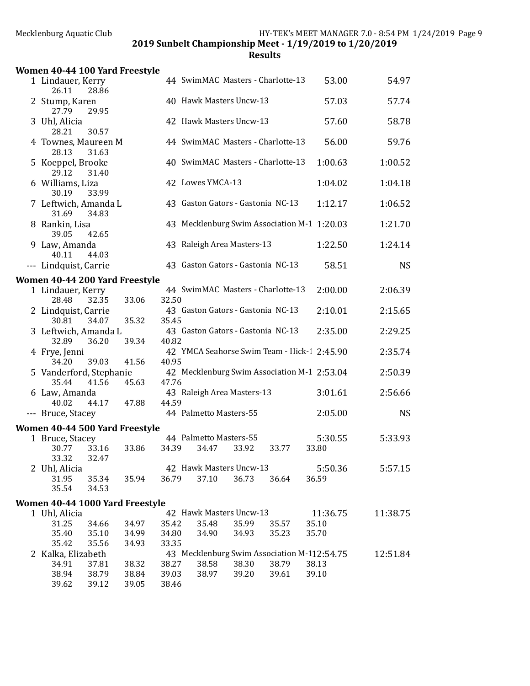| Women 40-44 100 Yard Freestyle            |       |       |                                   |       |       |                                             |           |
|-------------------------------------------|-------|-------|-----------------------------------|-------|-------|---------------------------------------------|-----------|
| 1 Lindauer, Kerry<br>26.11<br>28.86       |       |       | 44 SwimMAC Masters - Charlotte-13 |       |       | 53.00                                       | 54.97     |
| 2 Stump, Karen<br>27.79<br>29.95          |       |       | 40 Hawk Masters Uncw-13           |       |       | 57.03                                       | 57.74     |
| 3 Uhl, Alicia<br>28.21<br>30.57           |       |       | 42 Hawk Masters Uncw-13           |       |       | 57.60                                       | 58.78     |
| 4 Townes, Maureen M<br>28.13<br>31.63     |       |       | 44 SwimMAC Masters - Charlotte-13 |       |       | 56.00                                       | 59.76     |
| 5 Koeppel, Brooke<br>29.12<br>31.40       |       |       | 40 SwimMAC Masters - Charlotte-13 |       |       | 1:00.63                                     | 1:00.52   |
| 6 Williams, Liza<br>33.99<br>30.19        |       |       | 42 Lowes YMCA-13                  |       |       | 1:04.02                                     | 1:04.18   |
| 7 Leftwich, Amanda L<br>31.69<br>34.83    |       |       | 43 Gaston Gators - Gastonia NC-13 |       |       | 1:12.17                                     | 1:06.52   |
| 8 Rankin, Lisa<br>39.05<br>42.65          |       |       |                                   |       |       | 43 Mecklenburg Swim Association M-1 1:20.03 | 1:21.70   |
| 9 Law, Amanda<br>40.11<br>44.03           |       |       | 43 Raleigh Area Masters-13        |       |       | 1:22.50                                     | 1:24.14   |
| --- Lindquist, Carrie                     |       |       | 43 Gaston Gators - Gastonia NC-13 |       |       | 58.51                                       | <b>NS</b> |
| Women 40-44 200 Yard Freestyle            |       |       |                                   |       |       |                                             |           |
| 1 Lindauer, Kerry<br>28.48<br>32.35       | 33.06 | 32.50 | 44 SwimMAC Masters - Charlotte-13 |       |       | 2:00.00                                     | 2:06.39   |
| 2 Lindquist, Carrie<br>30.81<br>34.07     | 35.32 | 35.45 | 43 Gaston Gators - Gastonia NC-13 |       |       | 2:10.01                                     | 2:15.65   |
| 3 Leftwich, Amanda L<br>32.89<br>36.20    | 39.34 | 40.82 | 43 Gaston Gators - Gastonia NC-13 |       |       | 2:35.00                                     | 2:29.25   |
| 4 Frye, Jenni<br>34.20<br>39.03           | 41.56 | 40.95 |                                   |       |       | 42 YMCA Seahorse Swim Team - Hick-1 2:45.90 | 2:35.74   |
| 5 Vanderford, Stephanie<br>35.44<br>41.56 | 45.63 | 47.76 |                                   |       |       | 42 Mecklenburg Swim Association M-1 2:53.04 | 2:50.39   |
| 6 Law, Amanda<br>40.02<br>44.17           | 47.88 | 44.59 | 43 Raleigh Area Masters-13        |       |       | 3:01.61                                     | 2:56.66   |
| --- Bruce, Stacey                         |       |       | 44 Palmetto Masters-55            |       |       | 2:05.00                                     | <b>NS</b> |
| Women 40-44 500 Yard Freestyle            |       |       |                                   |       |       |                                             |           |
| 1 Bruce, Stacey<br>30.77<br>33.16         | 33.86 | 34.39 | 44 Palmetto Masters-55<br>34.47   | 33.92 | 33.77 | 5:30.55<br>33.80                            | 5:33.93   |
| 33.32<br>32.47<br>2 Uhl, Alicia           |       |       | 42 Hawk Masters Uncw-13<br>37.10  |       |       | 5:50.36                                     | 5:57.15   |
| 31.95<br>35.34<br>35.54<br>34.53          | 35.94 | 36.79 |                                   | 36.73 | 36.64 | 36.59                                       |           |
| Women 40-44 1000 Yard Freestyle           |       |       |                                   |       |       |                                             |           |
| 1 Uhl, Alicia                             |       |       | 42 Hawk Masters Uncw-13           |       |       | 11:36.75                                    | 11:38.75  |
| 31.25<br>34.66                            | 34.97 | 35.42 | 35.48                             | 35.99 | 35.57 | 35.10                                       |           |
| 35.40<br>35.10                            | 34.99 | 34.80 | 34.90                             | 34.93 | 35.23 | 35.70                                       |           |
| 35.42<br>35.56                            | 34.93 | 33.35 |                                   |       |       |                                             |           |
| 2 Kalka, Elizabeth                        |       |       |                                   |       |       | 43 Mecklenburg Swim Association M-112:54.75 | 12:51.84  |
| 34.91<br>37.81                            | 38.32 | 38.27 | 38.58                             | 38.30 | 38.79 | 38.13                                       |           |
| 38.94<br>38.79                            | 38.84 | 39.03 | 38.97                             | 39.20 | 39.61 | 39.10                                       |           |
| 39.62<br>39.12                            | 39.05 | 38.46 |                                   |       |       |                                             |           |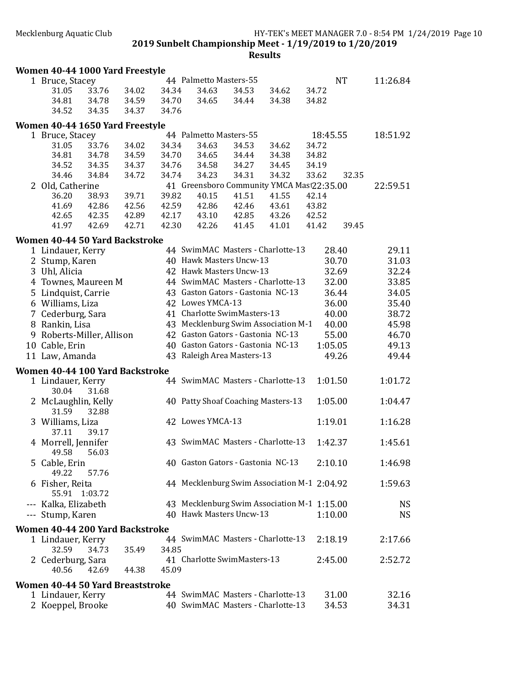| Women 40-44 1000 Yard Freestyle    |       |       |       |                                             |       |       |          |           |           |
|------------------------------------|-------|-------|-------|---------------------------------------------|-------|-------|----------|-----------|-----------|
| 1 Bruce, Stacey                    |       |       |       | 44 Palmetto Masters-55                      |       |       |          | <b>NT</b> | 11:26.84  |
| 31.05                              | 33.76 | 34.02 | 34.34 | 34.63                                       | 34.53 | 34.62 | 34.72    |           |           |
| 34.81                              | 34.78 | 34.59 | 34.70 | 34.65                                       | 34.44 | 34.38 | 34.82    |           |           |
| 34.52                              | 34.35 | 34.37 | 34.76 |                                             |       |       |          |           |           |
| Women 40-44 1650 Yard Freestyle    |       |       |       |                                             |       |       |          |           |           |
| 1 Bruce, Stacey                    |       |       |       | 44 Palmetto Masters-55                      |       |       | 18:45.55 |           | 18:51.92  |
| 31.05                              | 33.76 | 34.02 | 34.34 | 34.63                                       | 34.53 | 34.62 | 34.72    |           |           |
| 34.81                              | 34.78 | 34.59 | 34.70 | 34.65                                       | 34.44 | 34.38 | 34.82    |           |           |
| 34.52                              | 34.35 | 34.37 | 34.76 | 34.58                                       | 34.27 | 34.45 | 34.19    |           |           |
| 34.46                              | 34.84 | 34.72 | 34.74 | 34.23                                       | 34.31 | 34.32 | 33.62    | 32.35     |           |
| 2 Old, Catherine                   |       |       |       | 41 Greensboro Community YMCA Mast22:35.00   |       |       |          |           | 22:59.51  |
| 36.20                              | 38.93 | 39.71 | 39.82 | 40.15                                       | 41.51 | 41.55 | 42.14    |           |           |
| 41.69                              | 42.86 | 42.56 | 42.59 | 42.86                                       | 42.46 | 43.61 | 43.82    |           |           |
| 42.65                              | 42.35 | 42.89 | 42.17 | 43.10                                       | 42.85 | 43.26 | 42.52    |           |           |
| 41.97                              | 42.69 | 42.71 | 42.30 | 42.26                                       | 41.45 | 41.01 | 41.42    | 39.45     |           |
| Women 40-44 50 Yard Backstroke     |       |       |       |                                             |       |       |          |           |           |
| 1 Lindauer, Kerry                  |       |       |       | 44 SwimMAC Masters - Charlotte-13           |       |       |          | 28.40     | 29.11     |
| 2 Stump, Karen                     |       |       |       | 40 Hawk Masters Uncw-13                     |       |       |          | 30.70     | 31.03     |
| 3 Uhl, Alicia                      |       |       |       | 42 Hawk Masters Uncw-13                     |       |       |          | 32.69     | 32.24     |
| 4 Townes, Maureen M                |       |       |       | 44 SwimMAC Masters - Charlotte-13           |       |       |          | 32.00     | 33.85     |
| 5 Lindquist, Carrie                |       |       |       | 43 Gaston Gators - Gastonia NC-13           |       |       |          | 36.44     | 34.05     |
| 6 Williams, Liza                   |       |       |       | 42 Lowes YMCA-13                            |       |       |          | 36.00     | 35.40     |
| 7 Cederburg, Sara                  |       |       |       | 41 Charlotte SwimMasters-13                 |       |       |          | 40.00     | 38.72     |
| 8 Rankin, Lisa                     |       |       |       | 43 Mecklenburg Swim Association M-1         |       |       |          | 40.00     | 45.98     |
| 9 Roberts-Miller, Allison          |       |       |       | 42 Gaston Gators - Gastonia NC-13           |       |       |          | 55.00     | 46.70     |
| 10 Cable, Erin                     |       |       |       | 40 Gaston Gators - Gastonia NC-13           |       |       | 1:05.05  |           | 49.13     |
| 11 Law, Amanda                     |       |       |       | 43 Raleigh Area Masters-13                  |       |       |          | 49.26     | 49.44     |
| Women 40-44 100 Yard Backstroke    |       |       |       |                                             |       |       |          |           |           |
| 1 Lindauer, Kerry<br>30.04         | 31.68 |       |       | 44 SwimMAC Masters - Charlotte-13           |       |       | 1:01.50  |           | 1:01.72   |
| 2 McLaughlin, Kelly<br>31.59       | 32.88 |       |       | 40 Patty Shoaf Coaching Masters-13          |       |       | 1:05.00  |           | 1:04.47   |
| 3 Williams, Liza<br>37.11          | 39.17 |       |       | 42 Lowes YMCA-13                            |       |       | 1:19.01  |           | 1:16.28   |
| 4 Morrell, Jennifer<br>49.58 56.03 |       |       |       | 43 SwimMAC Masters - Charlotte-13           |       |       | 1:42.37  |           | 1:45.61   |
| 5 Cable, Erin<br>49.22             | 57.76 |       |       | 40 Gaston Gators - Gastonia NC-13           |       |       | 2:10.10  |           | 1:46.98   |
| 6 Fisher, Reita<br>55.91 1:03.72   |       |       |       | 44 Mecklenburg Swim Association M-1 2:04.92 |       |       |          |           | 1:59.63   |
| --- Kalka, Elizabeth               |       |       |       | 43 Mecklenburg Swim Association M-1 1:15.00 |       |       |          |           | <b>NS</b> |
| --- Stump, Karen                   |       |       |       | 40 Hawk Masters Uncw-13                     |       |       | 1:10.00  |           | <b>NS</b> |
| Women 40-44 200 Yard Backstroke    |       |       |       |                                             |       |       |          |           |           |
| 1 Lindauer, Kerry                  |       |       |       | 44 SwimMAC Masters - Charlotte-13           |       |       | 2:18.19  |           | 2:17.66   |
| 32.59                              | 34.73 | 35.49 | 34.85 |                                             |       |       |          |           |           |
| 2 Cederburg, Sara                  |       |       |       | 41 Charlotte SwimMasters-13                 |       |       | 2:45.00  |           | 2:52.72   |
| 40.56                              | 42.69 | 44.38 | 45.09 |                                             |       |       |          |           |           |
| Women 40-44 50 Yard Breaststroke   |       |       |       |                                             |       |       |          |           |           |
| 1 Lindauer, Kerry                  |       |       |       | 44 SwimMAC Masters - Charlotte-13           |       |       |          | 31.00     | 32.16     |
| 2 Koeppel, Brooke                  |       |       |       | 40 SwimMAC Masters - Charlotte-13           |       |       |          | 34.53     | 34.31     |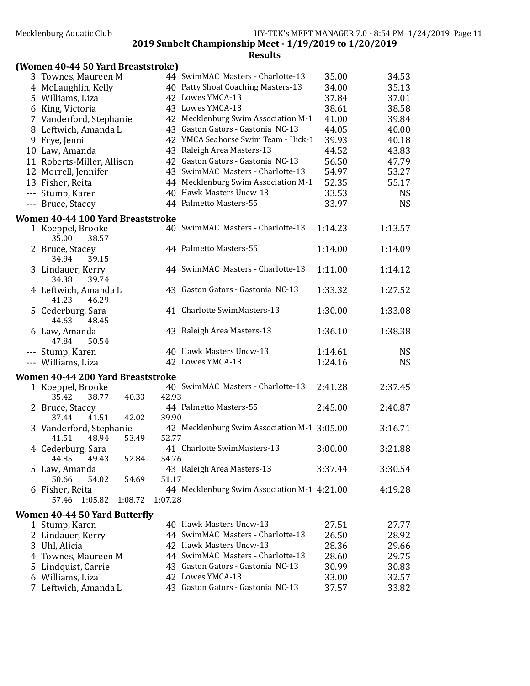| (Women 40-44 50 Yard Breaststroke)           |         |                                             |         |           |
|----------------------------------------------|---------|---------------------------------------------|---------|-----------|
| 3 Townes, Maureen M                          |         | 44 SwimMAC Masters - Charlotte-13           | 35.00   | 34.53     |
| 4 McLaughlin, Kelly                          |         | 40 Patty Shoaf Coaching Masters-13          | 34.00   | 35.13     |
| 5 Williams, Liza                             |         | 42 Lowes YMCA-13                            | 37.84   | 37.01     |
| 6 King, Victoria                             |         | 43 Lowes YMCA-13                            | 38.61   | 38.58     |
| 7 Vanderford, Stephanie                      |         | 42 Mecklenburg Swim Association M-1         | 41.00   | 39.84     |
| 8 Leftwich, Amanda L                         |         | 43 Gaston Gators - Gastonia NC-13           | 44.05   | 40.00     |
| 9 Frye, Jenni                                |         | 42 YMCA Seahorse Swim Team - Hick-1         | 39.93   | 40.18     |
| 10 Law, Amanda                               |         | 43 Raleigh Area Masters-13                  | 44.52   | 43.83     |
| 11 Roberts-Miller, Allison                   |         | 42 Gaston Gators - Gastonia NC-13           | 56.50   | 47.79     |
| 12 Morrell, Jennifer                         |         | 43 SwimMAC Masters - Charlotte-13           | 54.97   | 53.27     |
| 13 Fisher, Reita                             |         | 44 Mecklenburg Swim Association M-1         | 52.35   | 55.17     |
| --- Stump, Karen                             |         | 40 Hawk Masters Uncw-13                     | 33.53   | <b>NS</b> |
| --- Bruce, Stacey                            |         | 44 Palmetto Masters-55                      | 33.97   | <b>NS</b> |
| Women 40-44 100 Yard Breaststroke            |         |                                             |         |           |
| 1 Koeppel, Brooke                            |         | 40 SwimMAC Masters - Charlotte-13           | 1:14.23 | 1:13.57   |
| 35.00<br>38.57                               |         |                                             |         |           |
| 2 Bruce, Stacey<br>39.15<br>34.94            |         | 44 Palmetto Masters-55                      | 1:14.00 | 1:14.09   |
| 3 Lindauer, Kerry<br>34.38<br>39.74          |         | 44 SwimMAC Masters - Charlotte-13           | 1:11.00 | 1:14.12   |
| 4 Leftwich, Amanda L<br>41.23<br>46.29       |         | 43 Gaston Gators - Gastonia NC-13           | 1:33.32 | 1:27.52   |
| 5 Cederburg, Sara<br>44.63<br>48.45          |         | 41 Charlotte SwimMasters-13                 | 1:30.00 | 1:33.08   |
| 6 Law, Amanda<br>47.84<br>50.54              |         | 43 Raleigh Area Masters-13                  | 1:36.10 | 1:38.38   |
| --- Stump, Karen                             |         | 40 Hawk Masters Uncw-13                     | 1:14.61 | <b>NS</b> |
| --- Williams, Liza                           |         | 42 Lowes YMCA-13                            | 1:24.16 | <b>NS</b> |
|                                              |         |                                             |         |           |
| Women 40-44 200 Yard Breaststroke            |         | 40 SwimMAC Masters - Charlotte-13           |         |           |
| 1 Koeppel, Brooke<br>38.77<br>40.33<br>35.42 | 42.93   |                                             | 2:41.28 | 2:37.45   |
| 2 Bruce, Stacey                              |         | 44 Palmetto Masters-55                      | 2:45.00 | 2:40.87   |
| 41.51<br>42.02<br>37.44                      | 39.90   |                                             |         |           |
| 3 Vanderford, Stephanie                      |         | 42 Mecklenburg Swim Association M-1 3:05.00 |         | 3:16.71   |
| 48.94<br>41.51<br>53.49                      | 52.77   |                                             |         |           |
| 4 Cederburg, Sara                            |         | 41 Charlotte SwimMasters-13                 | 3:00.00 | 3:21.88   |
| 44.85<br>49.43<br>52.84                      | 54.76   |                                             |         |           |
| 5 Law, Amanda                                |         | 43 Raleigh Area Masters-13                  | 3:37.44 | 3:30.54   |
| 50.66<br>54.02<br>54.69                      | 51.17   |                                             |         |           |
| 6 Fisher, Reita                              |         | 44 Mecklenburg Swim Association M-1 4:21.00 |         | 4:19.28   |
| 57.46 1:05.82<br>1:08.72                     | 1:07.28 |                                             |         |           |
| Women 40-44 50 Yard Butterfly                |         |                                             |         |           |
| 1 Stump, Karen                               |         | 40 Hawk Masters Uncw-13                     | 27.51   | 27.77     |
| 2 Lindauer, Kerry                            |         | 44 SwimMAC Masters - Charlotte-13           | 26.50   | 28.92     |
| 3 Uhl, Alicia                                |         | 42 Hawk Masters Uncw-13                     | 28.36   | 29.66     |
| 4 Townes, Maureen M                          |         | 44 SwimMAC Masters - Charlotte-13           | 28.60   | 29.75     |
| 5 Lindquist, Carrie                          |         | 43 Gaston Gators - Gastonia NC-13           | 30.99   | 30.83     |
| 6 Williams, Liza                             |         | 42 Lowes YMCA-13                            | 33.00   | 32.57     |
| 7 Leftwich, Amanda L                         |         | 43 Gaston Gators - Gastonia NC-13           | 37.57   | 33.82     |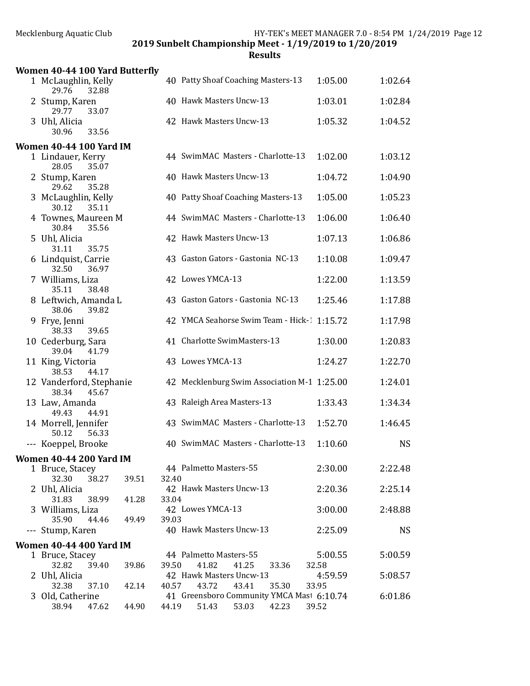2019 Sunbelt Championship Meet - 1/19/2019 to 1/20/2019

| Women 40-44 100 Yard Butterfly              |       |                                                    |                  |           |
|---------------------------------------------|-------|----------------------------------------------------|------------------|-----------|
| 1 McLaughlin, Kelly<br>29.76<br>32.88       |       | 40 Patty Shoaf Coaching Masters-13                 | 1:05.00          | 1:02.64   |
| 2 Stump, Karen<br>29.77<br>33.07            |       | 40 Hawk Masters Uncw-13                            | 1:03.01          | 1:02.84   |
| 3 Uhl, Alicia<br>30.96<br>33.56             |       | 42 Hawk Masters Uncw-13                            | 1:05.32          | 1:04.52   |
| <b>Women 40-44 100 Yard IM</b>              |       |                                                    |                  |           |
| 1 Lindauer, Kerry<br>28.05<br>35.07         |       | 44 SwimMAC Masters - Charlotte-13                  | 1:02.00          | 1:03.12   |
| 2 Stump, Karen<br>29.62<br>35.28            |       | 40 Hawk Masters Uncw-13                            | 1:04.72          | 1:04.90   |
| 3 McLaughlin, Kelly<br>30.12<br>35.11       |       | 40 Patty Shoaf Coaching Masters-13                 | 1:05.00          | 1:05.23   |
| 4 Townes, Maureen M<br>30.84<br>35.56       |       | 44 SwimMAC Masters - Charlotte-13                  | 1:06.00          | 1:06.40   |
| 5 Uhl, Alicia<br>31.11<br>35.75             |       | 42 Hawk Masters Uncw-13                            | 1:07.13          | 1:06.86   |
| 6 Lindquist, Carrie<br>32.50<br>36.97       |       | 43 Gaston Gators - Gastonia NC-13                  | 1:10.08          | 1:09.47   |
| 7 Williams, Liza<br>35.11<br>38.48          |       | 42 Lowes YMCA-13                                   | 1:22.00          | 1:13.59   |
| 8 Leftwich, Amanda L<br>38.06<br>39.82      |       | 43 Gaston Gators - Gastonia NC-13                  | 1:25.46          | 1:17.88   |
| 9 Frye, Jenni<br>38.33<br>39.65             |       | 42 YMCA Seahorse Swim Team - Hick-1 1:15.72        |                  | 1:17.98   |
| 10 Cederburg, Sara<br>39.04<br>41.79        |       | 41 Charlotte SwimMasters-13                        | 1:30.00          | 1:20.83   |
| 11 King, Victoria<br>38.53<br>44.17         |       | 43 Lowes YMCA-13                                   | 1:24.27          | 1:22.70   |
| 12 Vanderford, Stephanie<br>38.34<br>45.67  |       | 42 Mecklenburg Swim Association M-1 1:25.00        |                  | 1:24.01   |
| 13 Law, Amanda<br>49.43<br>44.91            |       | 43 Raleigh Area Masters-13                         | 1:33.43          | 1:34.34   |
| 14 Morrell, Jennifer<br>50.12<br>56.33      |       | 43 SwimMAC Masters - Charlotte-13                  | 1:52.70          | 1:46.45   |
| --- Koeppel, Brooke                         |       | 40 SwimMAC Masters - Charlotte-13                  | 1:10.60          | <b>NS</b> |
| <b>Women 40-44 200 Yard IM</b>              |       |                                                    |                  |           |
| 1 Bruce, Stacey<br>32.30<br>38.27<br>39.51  | 32.40 | 44 Palmetto Masters-55                             | 2:30.00          | 2:22.48   |
| 2 Uhl, Alicia<br>31.83<br>38.99<br>41.28    | 33.04 | 42 Hawk Masters Uncw-13                            | 2:20.36          | 2:25.14   |
| 3 Williams, Liza<br>35.90<br>44.46<br>49.49 | 39.03 | 42 Lowes YMCA-13                                   | 3:00.00          | 2:48.88   |
| --- Stump, Karen                            |       | 40 Hawk Masters Uncw-13                            | 2:25.09          | <b>NS</b> |
| <b>Women 40-44 400 Yard IM</b>              |       |                                                    |                  |           |
| 1 Bruce, Stacey                             |       | 44 Palmetto Masters-55                             | 5:00.55          | 5:00.59   |
| 32.82<br>39.40<br>39.86                     | 39.50 | 41.82<br>41.25<br>33.36                            | 32.58            |           |
| 2 Uhl, Alicia<br>32.38<br>37.10<br>42.14    | 40.57 | 42 Hawk Masters Uncw-13<br>43.72<br>43.41<br>35.30 | 4:59.59<br>33.95 | 5:08.57   |
| 3 Old, Catherine                            |       | 41 Greensboro Community YMCA Mast 6:10.74          |                  | 6:01.86   |
| 38.94<br>47.62<br>44.90                     | 44.19 | 51.43<br>53.03<br>42.23                            | 39.52            |           |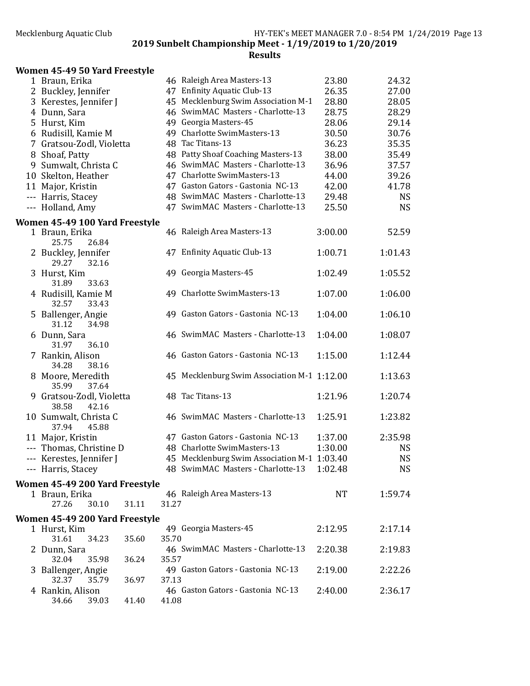| Women 45-49 50 Yard Freestyle |
|-------------------------------|
|-------------------------------|

| 1 Braun, Erika                                   |       | 46 Raleigh Area Masters-13                  | 23.80     | 24.32     |
|--------------------------------------------------|-------|---------------------------------------------|-----------|-----------|
| 2 Buckley, Jennifer                              |       | 47 Enfinity Aquatic Club-13                 | 26.35     | 27.00     |
| 3 Kerestes, Jennifer J                           |       | 45 Mecklenburg Swim Association M-1         | 28.80     | 28.05     |
| 4 Dunn, Sara                                     |       | 46 SwimMAC Masters - Charlotte-13           | 28.75     | 28.29     |
| 5 Hurst, Kim                                     |       | 49 Georgia Masters-45                       | 28.06     | 29.14     |
| 6 Rudisill, Kamie M                              |       | 49 Charlotte SwimMasters-13                 | 30.50     | 30.76     |
| 7 Gratsou-Zodl, Violetta                         |       | 48 Tac Titans-13                            | 36.23     | 35.35     |
| 8 Shoaf, Patty                                   |       | 48 Patty Shoaf Coaching Masters-13          | 38.00     | 35.49     |
| 9 Sumwalt, Christa C                             |       | 46 SwimMAC Masters - Charlotte-13           | 36.96     | 37.57     |
| 10 Skelton, Heather                              |       | 47 Charlotte SwimMasters-13                 | 44.00     | 39.26     |
| 11 Major, Kristin                                |       | 47 Gaston Gators - Gastonia NC-13           | 42.00     | 41.78     |
| --- Harris, Stacey                               |       | 48 SwimMAC Masters - Charlotte-13           | 29.48     | <b>NS</b> |
| --- Holland, Amy                                 |       | 47 SwimMAC Masters - Charlotte-13           | 25.50     | <b>NS</b> |
| Women 45-49 100 Yard Freestyle                   |       |                                             |           |           |
| 1 Braun, Erika<br>25.75<br>26.84                 |       | 46 Raleigh Area Masters-13                  | 3:00.00   | 52.59     |
| 2 Buckley, Jennifer<br>29.27<br>32.16            |       | 47 Enfinity Aquatic Club-13                 | 1:00.71   | 1:01.43   |
| 3 Hurst, Kim<br>33.63<br>31.89                   |       | 49 Georgia Masters-45                       | 1:02.49   | 1:05.52   |
| 4 Rudisill, Kamie M<br>32.57<br>33.43            |       | 49 Charlotte SwimMasters-13                 | 1:07.00   | 1:06.00   |
| 5 Ballenger, Angie<br>31.12<br>34.98             |       | 49 Gaston Gators - Gastonia NC-13           | 1:04.00   | 1:06.10   |
| 6 Dunn, Sara<br>31.97<br>36.10                   |       | 46 SwimMAC Masters - Charlotte-13           | 1:04.00   | 1:08.07   |
| 7 Rankin, Alison<br>34.28<br>38.16               |       | 46 Gaston Gators - Gastonia NC-13           | 1:15.00   | 1:12.44   |
| 8 Moore, Meredith<br>35.99<br>37.64              |       | 45 Mecklenburg Swim Association M-1 1:12.00 |           | 1:13.63   |
| 9 Gratsou-Zodl, Violetta<br>38.58<br>42.16       |       | 48 Tac Titans-13                            | 1:21.96   | 1:20.74   |
| 10 Sumwalt, Christa C<br>37.94<br>45.88          |       | 46 SwimMAC Masters - Charlotte-13           | 1:25.91   | 1:23.82   |
| 11 Major, Kristin                                |       | 47 Gaston Gators - Gastonia NC-13           | 1:37.00   | 2:35.98   |
| --- Thomas, Christine D                          |       | 48 Charlotte SwimMasters-13                 | 1:30.00   | NS        |
| --- Kerestes, Jennifer J                         |       | 45 Mecklenburg Swim Association M-1 1:03.40 |           | <b>NS</b> |
| --- Harris, Stacey                               |       | 48 SwimMAC Masters - Charlotte-13           | 1:02.48   | <b>NS</b> |
|                                                  |       |                                             |           |           |
| Women 45-49 200 Yard Freestyle<br>1 Braun, Erika |       | 46 Raleigh Area Masters-13                  | <b>NT</b> | 1:59.74   |
| 27.26<br>30.10<br>31.11                          | 31.27 |                                             |           |           |
|                                                  |       |                                             |           |           |
| Women 45-49 200 Yard Freestyle                   |       |                                             |           |           |
| 1 Hurst, Kim                                     |       | 49 Georgia Masters-45                       | 2:12.95   | 2:17.14   |
| 31.61<br>34.23<br>35.60                          | 35.70 |                                             |           |           |
| 2 Dunn, Sara                                     |       | 46 SwimMAC Masters - Charlotte-13           | 2:20.38   | 2:19.83   |
| 32.04<br>35.98<br>36.24                          | 35.57 | 49 Gaston Gators - Gastonia NC-13           |           |           |
| 3 Ballenger, Angie<br>32.37<br>35.79<br>36.97    | 37.13 |                                             | 2:19.00   | 2:22.26   |
| 4 Rankin, Alison                                 |       | 46 Gaston Gators - Gastonia NC-13           | 2:40.00   | 2:36.17   |
| 34.66<br>39.03<br>41.40                          | 41.08 |                                             |           |           |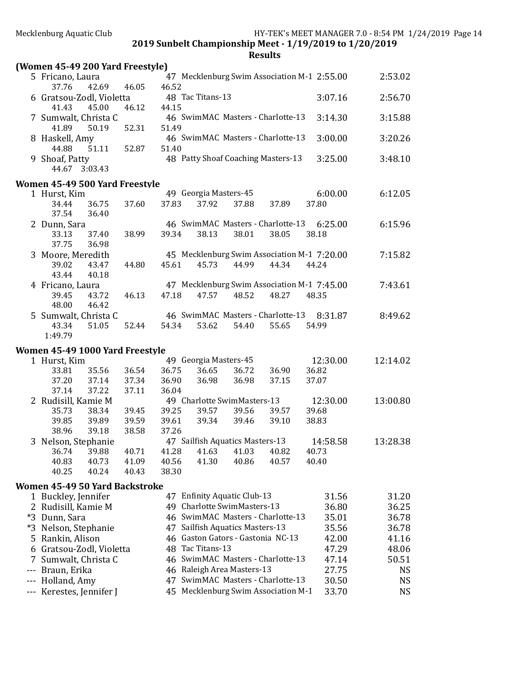| (Women 45-49 200 Yard Freestyle)      |                |       |       |                                 |       |                                             |       |          |          |
|---------------------------------------|----------------|-------|-------|---------------------------------|-------|---------------------------------------------|-------|----------|----------|
| 5 Fricano, Laura                      |                |       |       |                                 |       | 47 Mecklenburg Swim Association M-1 2:55.00 |       |          | 2:53.02  |
| 37.76<br>6 Gratsou-Zodl, Violetta     | 42.69          | 46.05 | 46.52 | 48 Tac Titans-13                |       |                                             |       | 3:07.16  | 2:56.70  |
| 41.43                                 | 45.00          | 46.12 | 44.15 |                                 |       |                                             |       |          |          |
| 7 Sumwalt, Christa C                  |                |       |       |                                 |       | 46 SwimMAC Masters - Charlotte-13           |       | 3:14.30  | 3:15.88  |
| 41.89<br>8 Haskell, Amy               | 50.19          | 52.31 | 51.49 |                                 |       | 46 SwimMAC Masters - Charlotte-13           |       | 3:00.00  | 3:20.26  |
| 44.88                                 | 51.11          | 52.87 | 51.40 |                                 |       |                                             |       |          |          |
| 9 Shoaf, Patty<br>44.67 3:03.43       |                |       |       |                                 |       | 48 Patty Shoaf Coaching Masters-13          |       | 3:25.00  | 3:48.10  |
| Women 45-49 500 Yard Freestyle        |                |       |       |                                 |       |                                             |       |          |          |
| 1 Hurst, Kim                          |                |       |       | 49 Georgia Masters-45           |       |                                             |       | 6:00.00  | 6:12.05  |
| 34.44<br>37.54                        | 36.75<br>36.40 | 37.60 | 37.83 | 37.92                           | 37.88 | 37.89                                       | 37.80 |          |          |
| 2 Dunn, Sara                          |                |       |       |                                 |       | 46 SwimMAC Masters - Charlotte-13           |       | 6:25.00  | 6:15.96  |
| 33.13<br>37.75                        | 37.40<br>36.98 | 38.99 | 39.34 | 38.13                           | 38.01 | 38.05                                       | 38.18 |          |          |
| 3 Moore, Meredith                     |                |       |       |                                 |       | 45 Mecklenburg Swim Association M-1 7:20.00 |       |          | 7:15.82  |
| 39.02<br>43.44                        | 43.47<br>40.18 | 44.80 | 45.61 | 45.73                           | 44.99 | 44.34                                       | 44.24 |          |          |
| 4 Fricano, Laura                      |                |       |       |                                 |       | 47 Mecklenburg Swim Association M-1 7:45.00 |       |          | 7:43.61  |
| 39.45                                 | 43.72          | 46.13 | 47.18 | 47.57                           | 48.52 | 48.27                                       | 48.35 |          |          |
| 48.00                                 | 46.42          |       |       |                                 |       |                                             |       |          |          |
| 5 Sumwalt, Christa C                  |                |       |       |                                 |       | 46 SwimMAC Masters - Charlotte-13           |       | 8:31.87  | 8:49.62  |
| 43.34<br>1:49.79                      | 51.05          | 52.44 | 54.34 | 53.62                           | 54.40 | 55.65                                       | 54.99 |          |          |
|                                       |                |       |       |                                 |       |                                             |       |          |          |
| Women 45-49 1000 Yard Freestyle       |                |       |       | 49 Georgia Masters-45           |       |                                             |       | 12:30.00 | 12:14.02 |
| 1 Hurst, Kim<br>33.81                 | 35.56          | 36.54 | 36.75 | 36.65                           | 36.72 | 36.90                                       | 36.82 |          |          |
| 37.20                                 | 37.14          | 37.34 | 36.90 | 36.98                           | 36.98 | 37.15                                       | 37.07 |          |          |
| 37.14                                 | 37.22          | 37.11 | 36.04 |                                 |       |                                             |       |          |          |
| 2 Rudisill, Kamie M                   |                |       |       | 49 Charlotte SwimMasters-13     |       |                                             |       | 12:30.00 | 13:00.80 |
| 35.73                                 | 38.34          | 39.45 | 39.25 | 39.57                           | 39.56 | 39.57                                       | 39.68 |          |          |
| 39.85                                 | 39.89          | 39.59 | 39.61 | 39.34                           | 39.46 | 39.10                                       | 38.83 |          |          |
| 38.96<br>3 Nelson, Stephanie          | 39.18          | 38.58 | 37.26 | 47 Sailfish Aquatics Masters-13 |       |                                             |       | 14:58.58 | 13:28.38 |
| 36.74 39.88                           |                | 40.71 |       | 41.28 41.63 41.03 40.82         |       |                                             | 40.73 |          |          |
| 40.83                                 | 40.73          | 41.09 | 40.56 | 41.30                           | 40.86 | 40.57                                       | 40.40 |          |          |
| 40.25                                 | 40.24          | 40.43 | 38.30 |                                 |       |                                             |       |          |          |
| <b>Women 45-49 50 Yard Backstroke</b> |                |       |       |                                 |       |                                             |       |          |          |
| 1 Buckley, Jennifer                   |                |       |       | 47 Enfinity Aquatic Club-13     |       |                                             |       | 31.56    | 31.20    |
| 2 Rudisill, Kamie M                   |                |       |       | 49 Charlotte SwimMasters-13     |       |                                             |       | 36.80    | 36.25    |
| *3 Dunn, Sara                         |                |       |       |                                 |       | 46 SwimMAC Masters - Charlotte-13           |       | 35.01    | 36.78    |
| *3 Nelson, Stephanie                  |                |       |       | 47 Sailfish Aquatics Masters-13 |       |                                             |       | 35.56    | 36.78    |
| 5 Rankin, Alison                      |                |       |       |                                 |       | 46 Gaston Gators - Gastonia NC-13           |       | 42.00    | 41.16    |
| 6 Gratsou-Zodl, Violetta              |                |       |       | 48 Tac Titans-13                |       |                                             |       | 47.29    | 48.06    |
| 7 Sumwalt, Christa C                  |                |       |       |                                 |       | 46 SwimMAC Masters - Charlotte-13           |       | 47.14    | 50.51    |
| Braun, Erika                          |                |       |       | 46 Raleigh Area Masters-13      |       |                                             |       | 27.75    | NS       |
| Holland, Amy                          |                |       |       |                                 |       | 47 SwimMAC Masters - Charlotte-13           |       | 30.50    | NS       |
| Kerestes, Jennifer J                  |                |       |       |                                 |       | 45 Mecklenburg Swim Association M-1         |       | 33.70    | NS       |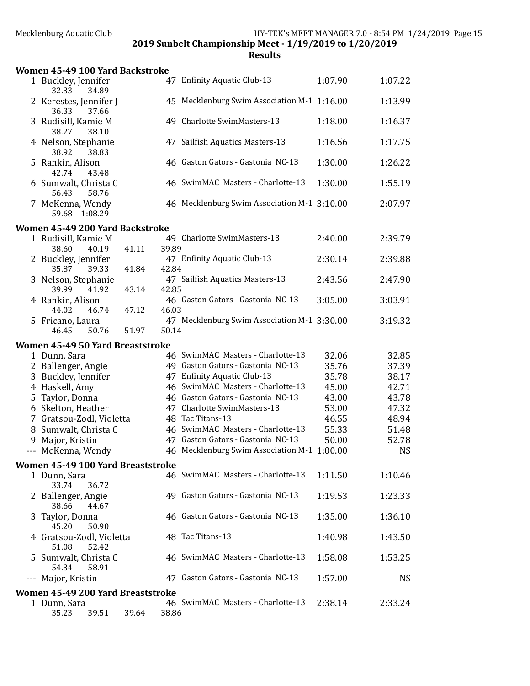|   | Women 45-49 100 Yard Backstroke            |       |       |                                             |         |           |
|---|--------------------------------------------|-------|-------|---------------------------------------------|---------|-----------|
|   | 1 Buckley, Jennifer<br>32.33<br>34.89      |       |       | 47 Enfinity Aquatic Club-13                 | 1:07.90 | 1:07.22   |
|   | 2 Kerestes, Jennifer J<br>36.33<br>37.66   |       |       | 45 Mecklenburg Swim Association M-1 1:16.00 |         | 1:13.99   |
|   | 3 Rudisill, Kamie M<br>38.27<br>38.10      |       |       | 49 Charlotte SwimMasters-13                 | 1:18.00 | 1:16.37   |
|   | 4 Nelson, Stephanie<br>38.92<br>38.83      |       |       | 47 Sailfish Aquatics Masters-13             | 1:16.56 | 1:17.75   |
|   | 5 Rankin, Alison<br>42.74<br>43.48         |       |       | 46 Gaston Gators - Gastonia NC-13           | 1:30.00 | 1:26.22   |
|   | 6 Sumwalt, Christa C<br>56.43<br>58.76     |       |       | 46 SwimMAC Masters - Charlotte-13           | 1:30.00 | 1:55.19   |
|   | 7 McKenna, Wendy<br>59.68 1:08.29          |       |       | 46 Mecklenburg Swim Association M-1 3:10.00 |         | 2:07.97   |
|   | Women 45-49 200 Yard Backstroke            |       |       |                                             |         |           |
|   | 1 Rudisill, Kamie M                        |       |       | 49 Charlotte SwimMasters-13                 | 2:40.00 | 2:39.79   |
|   | 38.60<br>40.19                             | 41.11 | 39.89 |                                             |         |           |
|   | 2 Buckley, Jennifer<br>35.87<br>39.33      | 41.84 | 42.84 | 47 Enfinity Aquatic Club-13                 | 2:30.14 | 2:39.88   |
|   | 3 Nelson, Stephanie<br>39.99<br>41.92      | 43.14 | 42.85 | 47 Sailfish Aquatics Masters-13             | 2:43.56 | 2:47.90   |
|   | 4 Rankin, Alison<br>44.02<br>46.74         | 47.12 | 46.03 | 46 Gaston Gators - Gastonia NC-13           | 3:05.00 | 3:03.91   |
|   | 5 Fricano, Laura<br>46.45<br>50.76         | 51.97 | 50.14 | 47 Mecklenburg Swim Association M-1 3:30.00 |         | 3:19.32   |
|   | Women 45-49 50 Yard Breaststroke           |       |       |                                             |         |           |
|   | 1 Dunn, Sara                               |       |       | 46 SwimMAC Masters - Charlotte-13           | 32.06   | 32.85     |
|   | 2 Ballenger, Angie                         |       |       | 49 Gaston Gators - Gastonia NC-13           | 35.76   | 37.39     |
|   | 3 Buckley, Jennifer                        |       |       | 47 Enfinity Aquatic Club-13                 | 35.78   | 38.17     |
|   | 4 Haskell, Amy                             |       |       | 46 SwimMAC Masters - Charlotte-13           | 45.00   | 42.71     |
|   | 5 Taylor, Donna                            |       |       | 46 Gaston Gators - Gastonia NC-13           | 43.00   | 43.78     |
|   | 6 Skelton, Heather                         |       |       | 47 Charlotte SwimMasters-13                 | 53.00   | 47.32     |
|   | 7 Gratsou-Zodl, Violetta                   |       |       | 48 Tac Titans-13                            | 46.55   | 48.94     |
|   | 8 Sumwalt, Christa C                       |       |       | 46 SwimMAC Masters - Charlotte-13           | 55.33   | 51.48     |
|   | 9 Major, Kristin                           |       |       | 47 Gaston Gators - Gastonia NC-13           | 50.00   | 52.78     |
|   | --- McKenna, Wendy                         |       |       | 46 Mecklenburg Swim Association M-1 1:00.00 |         | <b>NS</b> |
|   | Women 45-49 100 Yard Breaststroke          |       |       |                                             |         |           |
|   | 1 Dunn, Sara<br>33.74<br>36.72             |       |       | 46 SwimMAC Masters - Charlotte-13           | 1:11.50 | 1:10.46   |
|   | 2 Ballenger, Angie<br>38.66<br>44.67       |       |       | 49 Gaston Gators - Gastonia NC-13           | 1:19.53 | 1:23.33   |
| 3 | Taylor, Donna<br>45.20<br>50.90            |       |       | 46 Gaston Gators - Gastonia NC-13           | 1:35.00 | 1:36.10   |
|   | 4 Gratsou-Zodl, Violetta<br>51.08<br>52.42 |       |       | 48 Tac Titans-13                            | 1:40.98 | 1:43.50   |
|   | 5 Sumwalt, Christa C<br>54.34<br>58.91     |       |       | 46 SwimMAC Masters - Charlotte-13           | 1:58.08 | 1:53.25   |
|   | --- Major, Kristin                         |       |       | 47 Gaston Gators - Gastonia NC-13           | 1:57.00 | <b>NS</b> |
|   | Women 45-49 200 Yard Breaststroke          |       |       |                                             |         |           |
|   | 1 Dunn, Sara<br>39.51<br>35.23             | 39.64 | 38.86 | 46 SwimMAC Masters - Charlotte-13           | 2:38.14 | 2:33.24   |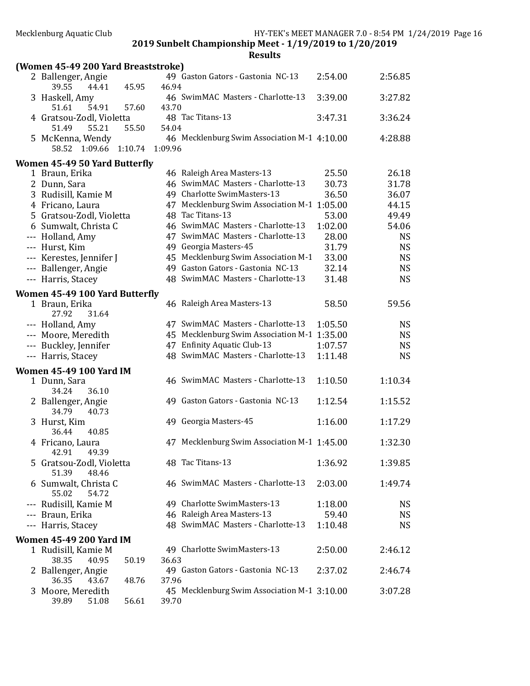| (Women 45-49 200 Yard Breaststroke)        |         |         |                                             |         |           |
|--------------------------------------------|---------|---------|---------------------------------------------|---------|-----------|
| 2 Ballenger, Angie<br>39.55<br>44.41       | 45.95   | 46.94   | 49 Gaston Gators - Gastonia NC-13           | 2:54.00 | 2:56.85   |
| 3 Haskell, Amy<br>51.61<br>54.91           | 57.60   | 43.70   | 46 SwimMAC Masters - Charlotte-13           | 3:39.00 | 3:27.82   |
| 4 Gratsou-Zodl, Violetta<br>51.49<br>55.21 | 55.50   | 54.04   | 48 Tac Titans-13                            | 3:47.31 | 3:36.24   |
| 5 McKenna, Wendy<br>58.52 1:09.66          | 1:10.74 | 1:09.96 | 46 Mecklenburg Swim Association M-1 4:10.00 |         | 4:28.88   |
| Women 45-49 50 Yard Butterfly              |         |         |                                             |         |           |
| 1 Braun, Erika                             |         |         | 46 Raleigh Area Masters-13                  | 25.50   | 26.18     |
| 2 Dunn, Sara                               |         |         | 46 SwimMAC Masters - Charlotte-13           | 30.73   | 31.78     |
| 3 Rudisill, Kamie M                        |         |         | 49 Charlotte SwimMasters-13                 | 36.50   | 36.07     |
| 4 Fricano, Laura                           |         |         | 47 Mecklenburg Swim Association M-1 1:05.00 |         | 44.15     |
| 5 Gratsou-Zodl, Violetta                   |         |         | 48 Tac Titans-13                            | 53.00   | 49.49     |
| 6 Sumwalt, Christa C                       |         |         | 46 SwimMAC Masters - Charlotte-13           | 1:02.00 | 54.06     |
| --- Holland, Amy                           |         |         | 47 SwimMAC Masters - Charlotte-13           | 28.00   | <b>NS</b> |
| --- Hurst, Kim                             |         |         | 49 Georgia Masters-45                       | 31.79   | <b>NS</b> |
| --- Kerestes, Jennifer J                   |         |         | 45 Mecklenburg Swim Association M-1         | 33.00   | <b>NS</b> |
| --- Ballenger, Angie                       |         |         | 49 Gaston Gators - Gastonia NC-13           | 32.14   | <b>NS</b> |
| --- Harris, Stacey                         |         |         | 48 SwimMAC Masters - Charlotte-13           | 31.48   | <b>NS</b> |
| <b>Women 45-49 100 Yard Butterfly</b>      |         |         |                                             |         |           |
| 1 Braun, Erika<br>27.92<br>31.64           |         |         | 46 Raleigh Area Masters-13                  | 58.50   | 59.56     |
| --- Holland, Amy                           |         |         | 47 SwimMAC Masters - Charlotte-13           | 1:05.50 | <b>NS</b> |
| --- Moore, Meredith                        |         |         | 45 Mecklenburg Swim Association M-1 1:35.00 |         | <b>NS</b> |
| --- Buckley, Jennifer                      |         |         | 47 Enfinity Aquatic Club-13                 | 1:07.57 | <b>NS</b> |
| --- Harris, Stacey                         |         |         | 48 SwimMAC Masters - Charlotte-13           | 1:11.48 | <b>NS</b> |
| <b>Women 45-49 100 Yard IM</b>             |         |         |                                             |         |           |
| 1 Dunn, Sara<br>34.24<br>36.10             |         |         | 46 SwimMAC Masters - Charlotte-13           | 1:10.50 | 1:10.34   |
| 2 Ballenger, Angie<br>34.79<br>40.73       |         |         | 49 Gaston Gators - Gastonia NC-13           | 1:12.54 | 1:15.52   |
| 3 Hurst, Kim<br>36.44<br>40.85             |         |         | 49 Georgia Masters-45                       | 1:16.00 | 1:17.29   |
| 4 Fricano, Laura<br>49.39<br>42.91         |         |         | 47 Mecklenburg Swim Association M-1 1:45.00 |         | 1:32.30   |
| 5 Gratsou-Zodl, Violetta<br>51.39<br>48.46 |         |         | 48 Tac Titans-13                            | 1:36.92 | 1:39.85   |
| 6 Sumwalt, Christa C<br>55.02<br>54.72     |         |         | 46 SwimMAC Masters - Charlotte-13           | 2:03.00 | 1:49.74   |
| --- Rudisill, Kamie M                      |         |         | 49 Charlotte SwimMasters-13                 | 1:18.00 | NS        |
| --- Braun, Erika                           |         |         | 46 Raleigh Area Masters-13                  | 59.40   | <b>NS</b> |
| --- Harris, Stacey                         |         |         | 48 SwimMAC Masters - Charlotte-13           | 1:10.48 | <b>NS</b> |
| <b>Women 45-49 200 Yard IM</b>             |         |         |                                             |         |           |
| 1 Rudisill, Kamie M                        |         |         | 49 Charlotte SwimMasters-13                 | 2:50.00 | 2:46.12   |
| 38.35<br>40.95                             | 50.19   | 36.63   |                                             |         |           |
| 2 Ballenger, Angie                         |         |         | 49 Gaston Gators - Gastonia NC-13           | 2:37.02 | 2:46.74   |
| 36.35<br>43.67                             | 48.76   | 37.96   |                                             |         |           |
| 3 Moore, Meredith<br>39.89<br>51.08        | 56.61   | 39.70   | 45 Mecklenburg Swim Association M-1 3:10.00 |         | 3:07.28   |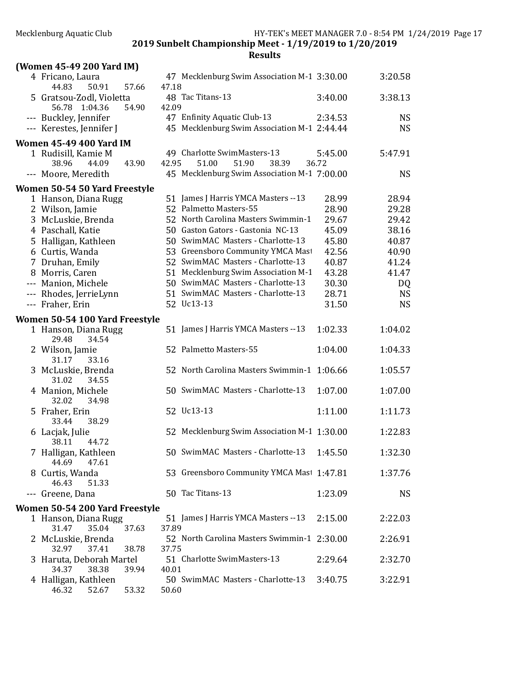| (Women 45-49 200 Yard IM)                             |                                                                |                |                |
|-------------------------------------------------------|----------------------------------------------------------------|----------------|----------------|
| 4 Fricano, Laura<br>57.66<br>44.83<br>50.91           | 47 Mecklenburg Swim Association M-1 3:30.00<br>47.18           |                | 3:20.58        |
| 5 Gratsou-Zodl, Violetta<br>1:04.36<br>56.78<br>54.90 | 48 Tac Titans-13<br>42.09                                      | 3:40.00        | 3:38.13        |
| --- Buckley, Jennifer                                 | 47 Enfinity Aquatic Club-13                                    | 2:34.53        | <b>NS</b>      |
| --- Kerestes, Jennifer J                              | 45 Mecklenburg Swim Association M-1 2:44.44                    |                | <b>NS</b>      |
| <b>Women 45-49 400 Yard IM</b>                        |                                                                |                |                |
| 1 Rudisill, Kamie M                                   | 49 Charlotte SwimMasters-13                                    | 5:45.00        | 5:47.91        |
| 38.96<br>44.09<br>43.90                               | 51.00<br>42.95<br>51.90<br>38.39                               | 36.72          |                |
| --- Moore, Meredith                                   | 45 Mecklenburg Swim Association M-1 7:00.00                    |                | <b>NS</b>      |
| Women 50-54 50 Yard Freestyle                         |                                                                |                |                |
| 1 Hanson, Diana Rugg                                  | 51 James J Harris YMCA Masters -- 13<br>52 Palmetto Masters-55 | 28.99          | 28.94          |
| 2 Wilson, Jamie                                       | 52 North Carolina Masters Swimmin-1                            | 28.90          | 29.28          |
| 3 McLuskie, Brenda                                    | 50 Gaston Gators - Gastonia NC-13                              | 29.67<br>45.09 | 29.42<br>38.16 |
| 4 Paschall, Katie                                     | 50 SwimMAC Masters - Charlotte-13                              | 45.80          | 40.87          |
| 5 Halligan, Kathleen<br>6 Curtis, Wanda               | 53 Greensboro Community YMCA Mast                              | 42.56          | 40.90          |
| 7 Druhan, Emily                                       | 52 SwimMAC Masters - Charlotte-13                              | 40.87          | 41.24          |
| 8 Morris, Caren                                       | 51 Mecklenburg Swim Association M-1                            | 43.28          | 41.47          |
| --- Manion, Michele                                   | 50 SwimMAC Masters - Charlotte-13                              | 30.30          | DQ             |
| --- Rhodes, JerrieLynn                                | 51 SwimMAC Masters - Charlotte-13                              | 28.71          | <b>NS</b>      |
| --- Fraher, Erin                                      | 52 Uc13-13                                                     | 31.50          | <b>NS</b>      |
| Women 50-54 100 Yard Freestyle                        |                                                                |                |                |
| 1 Hanson, Diana Rugg<br>29.48<br>34.54                | 51 James J Harris YMCA Masters -- 13                           | 1:02.33        | 1:04.02        |
| 2 Wilson, Jamie<br>31.17<br>33.16                     | 52 Palmetto Masters-55                                         | 1:04.00        | 1:04.33        |
| 3 McLuskie, Brenda<br>31.02<br>34.55                  | 52 North Carolina Masters Swimmin-1 1:06.66                    |                | 1:05.57        |
| 4 Manion, Michele<br>32.02<br>34.98                   | 50 SwimMAC Masters - Charlotte-13                              | 1:07.00        | 1:07.00        |
| 5 Fraher, Erin<br>33.44<br>38.29                      | 52 Uc13-13                                                     | 1:11.00        | 1:11.73        |
| 6 Lacjak, Julie<br>38.11<br>44.72                     | 52 Mecklenburg Swim Association M-1 1:30.00                    |                | 1:22.83        |
| 7 Halligan, Kathleen<br>44.69<br>47.61                | 50 SwimMAC Masters - Charlotte-13 1:45.50                      |                | 1:32.30        |
| 8 Curtis, Wanda<br>51.33<br>46.43                     | 53 Greensboro Community YMCA Mast 1:47.81                      |                | 1:37.76        |
| --- Greene, Dana                                      | 50 Tac Titans-13                                               | 1:23.09        | <b>NS</b>      |
| Women 50-54 200 Yard Freestyle                        |                                                                |                |                |
| 1 Hanson, Diana Rugg<br>31.47<br>35.04<br>37.63       | 51 James J Harris YMCA Masters --13<br>37.89                   | 2:15.00        | 2:22.03        |
| 2 McLuskie, Brenda<br>32.97<br>37.41<br>38.78         | 52 North Carolina Masters Swimmin-1 2:30.00<br>37.75           |                | 2:26.91        |
| 3 Haruta, Deborah Martel<br>34.37<br>38.38<br>39.94   | 51 Charlotte SwimMasters-13<br>40.01                           | 2:29.64        | 2:32.70        |
| 4 Halligan, Kathleen<br>53.32<br>46.32<br>52.67       | 50 SwimMAC Masters - Charlotte-13<br>50.60                     | 3:40.75        | 3:22.91        |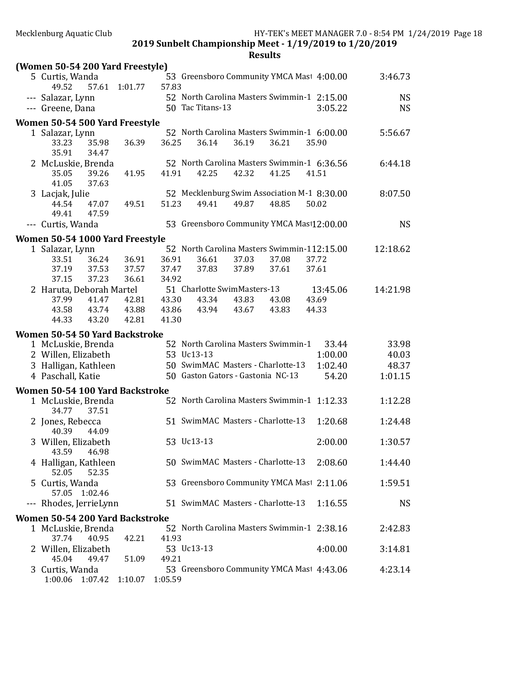| (Women 50-54 200 Yard Freestyle)                                                                                         |                         |                         |                                               |                |                                                                                                               |                                                               |                                    |
|--------------------------------------------------------------------------------------------------------------------------|-------------------------|-------------------------|-----------------------------------------------|----------------|---------------------------------------------------------------------------------------------------------------|---------------------------------------------------------------|------------------------------------|
| 5 Curtis, Wanda<br>57.61<br>49.52                                                                                        | 1:01.77                 | 57.83                   |                                               |                |                                                                                                               | 53 Greensboro Community YMCA Mast 4:00.00                     | 3:46.73                            |
| --- Salazar, Lynn<br>--- Greene, Dana                                                                                    |                         |                         | 50 Tac Titans-13                              |                |                                                                                                               | 52 North Carolina Masters Swimmin-1 2:15.00<br>3:05.22        | <b>NS</b><br><b>NS</b>             |
| Women 50-54 500 Yard Freestyle                                                                                           |                         |                         |                                               |                |                                                                                                               |                                                               |                                    |
| 1 Salazar, Lynn<br>33.23<br>35.98<br>35.91<br>34.47                                                                      | 36.39                   | 36.25                   | 36.14                                         | 36.19          | 36.21                                                                                                         | 52 North Carolina Masters Swimmin-1 6:00.00<br>35.90          | 5:56.67                            |
| 2 McLuskie, Brenda<br>35.05<br>39.26<br>41.05<br>37.63                                                                   | 41.95                   | 41.91                   | 42.25                                         | 42.32          | 41.25                                                                                                         | 52 North Carolina Masters Swimmin-1 6:36.56<br>41.51          | 6:44.18                            |
| 3 Lacjak, Julie<br>44.54<br>47.07<br>49.41<br>47.59                                                                      | 49.51                   | 51.23                   | 49.41                                         | 49.87          | 48.85                                                                                                         | 52 Mecklenburg Swim Association M-1 8:30.00<br>50.02          | 8:07.50                            |
| --- Curtis, Wanda                                                                                                        |                         |                         |                                               |                |                                                                                                               | 53 Greensboro Community YMCA Mast12:00.00                     | <b>NS</b>                          |
| Women 50-54 1000 Yard Freestyle                                                                                          |                         |                         |                                               |                |                                                                                                               |                                                               |                                    |
| 1 Salazar, Lynn<br>36.24<br>33.51<br>37.53<br>37.19<br>37.15<br>37.23                                                    | 36.91<br>37.57<br>36.61 | 36.91<br>37.47<br>34.92 | 36.61<br>37.83                                | 37.03<br>37.89 | 37.08<br>37.61                                                                                                | 52 North Carolina Masters Swimmin-112:15.00<br>37.72<br>37.61 | 12:18.62                           |
| 2 Haruta, Deborah Martel<br>37.99<br>41.47<br>43.58<br>43.74<br>44.33<br>43.20                                           | 42.81<br>43.88<br>42.81 | 43.30<br>43.86<br>41.30 | 51 Charlotte SwimMasters-13<br>43.34<br>43.94 | 43.83<br>43.67 | 43.08<br>43.83                                                                                                | 13:45.06<br>43.69<br>44.33                                    | 14:21.98                           |
| Women 50-54 50 Yard Backstroke<br>1 McLuskie, Brenda<br>2 Willen, Elizabeth<br>3 Halligan, Kathleen<br>4 Paschall, Katie |                         | 53 Uc13-13              |                                               |                | 52 North Carolina Masters Swimmin-1<br>50 SwimMAC Masters - Charlotte-13<br>50 Gaston Gators - Gastonia NC-13 | 33.44<br>1:00.00<br>1:02.40<br>54.20                          | 33.98<br>40.03<br>48.37<br>1:01.15 |
| Women 50-54 100 Yard Backstroke                                                                                          |                         |                         |                                               |                |                                                                                                               |                                                               |                                    |
| 1 McLuskie, Brenda<br>34.77<br>37.51                                                                                     |                         |                         |                                               |                |                                                                                                               | 52 North Carolina Masters Swimmin-1 1:12.33                   | 1:12.28                            |
| 2 Jones, Rebecca<br>40.39<br>44.09                                                                                       |                         |                         |                                               |                | 51 SwimMAC Masters - Charlotte-13                                                                             | 1:20.68                                                       | 1:24.48                            |
| 3 Willen, Elizabeth<br>43.59 46.98                                                                                       |                         | 53 Uc13-13              |                                               |                |                                                                                                               | 2:00.00                                                       | 1:30.57                            |
| 4 Halligan, Kathleen<br>52.05<br>52.35                                                                                   |                         |                         |                                               |                | 50 SwimMAC Masters - Charlotte-13                                                                             | 2:08.60                                                       | 1:44.40                            |
| 5 Curtis, Wanda<br>57.05<br>1:02.46                                                                                      |                         |                         |                                               |                |                                                                                                               | 53 Greensboro Community YMCA Mast 2:11.06                     | 1:59.51                            |
| --- Rhodes, JerrieLynn                                                                                                   |                         |                         |                                               |                | 51 SwimMAC Masters - Charlotte-13                                                                             | 1:16.55                                                       | <b>NS</b>                          |
| Women 50-54 200 Yard Backstroke                                                                                          |                         |                         |                                               |                |                                                                                                               |                                                               |                                    |
| 1 McLuskie, Brenda<br>37.74<br>40.95                                                                                     | 42.21                   | 41.93                   |                                               |                |                                                                                                               | 52 North Carolina Masters Swimmin-1 2:38.16                   | 2:42.83                            |
| 2 Willen, Elizabeth<br>45.04<br>49.47                                                                                    | 51.09                   | 53 Uc13-13<br>49.21     |                                               |                |                                                                                                               | 4:00.00                                                       | 3:14.81                            |
| 3 Curtis, Wanda<br>1:00.06<br>1:07.42                                                                                    | 1:10.07                 | 1:05.59                 |                                               |                |                                                                                                               | 53 Greensboro Community YMCA Mast 4:43.06                     | 4:23.14                            |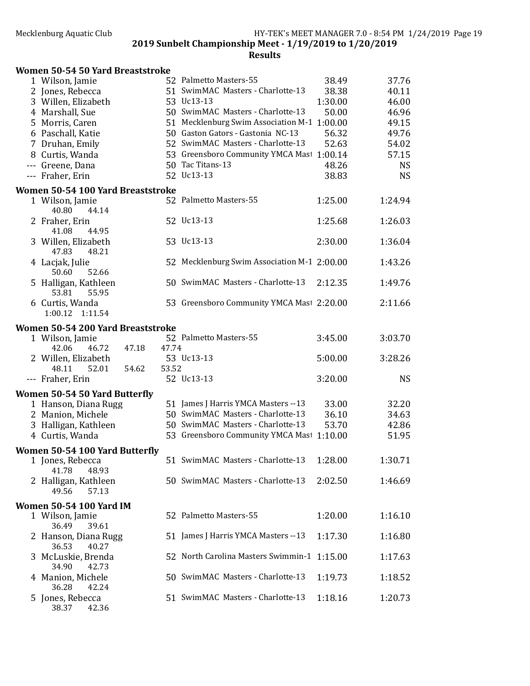| Women 50-54 50 Yard Breaststroke                  |       |                                             |         |           |
|---------------------------------------------------|-------|---------------------------------------------|---------|-----------|
| 1 Wilson, Jamie                                   |       | 52 Palmetto Masters-55                      | 38.49   | 37.76     |
| 2 Jones, Rebecca                                  |       | 51 SwimMAC Masters - Charlotte-13           | 38.38   | 40.11     |
| 3 Willen, Elizabeth                               |       | 53 Uc13-13                                  | 1:30.00 | 46.00     |
| 4 Marshall, Sue                                   |       | 50 SwimMAC Masters - Charlotte-13           | 50.00   | 46.96     |
| 5 Morris, Caren                                   |       | 51 Mecklenburg Swim Association M-1 1:00.00 |         | 49.15     |
| 6 Paschall, Katie                                 |       | 50 Gaston Gators - Gastonia NC-13           | 56.32   | 49.76     |
| 7 Druhan, Emily                                   |       | 52 SwimMAC Masters - Charlotte-13           | 52.63   | 54.02     |
| 8 Curtis, Wanda                                   |       | 53 Greensboro Community YMCA Mast 1:00.14   |         | 57.15     |
| --- Greene, Dana                                  |       | 50 Tac Titans-13                            | 48.26   | <b>NS</b> |
| --- Fraher, Erin                                  |       | 52 Uc13-13                                  | 38.83   | <b>NS</b> |
| Women 50-54 100 Yard Breaststroke                 |       | 52 Palmetto Masters-55                      |         |           |
| 1 Wilson, Jamie<br>40.80<br>44.14                 |       |                                             | 1:25.00 | 1:24.94   |
| 2 Fraher, Erin                                    |       | 52 Uc13-13                                  | 1:25.68 | 1:26.03   |
| 41.08<br>44.95                                    |       |                                             |         |           |
| 3 Willen, Elizabeth                               |       | 53 Uc13-13                                  | 2:30.00 | 1:36.04   |
| 47.83<br>48.21                                    |       |                                             |         |           |
| 4 Lacjak, Julie                                   |       | 52 Mecklenburg Swim Association M-1 2:00.00 |         | 1:43.26   |
| 50.60<br>52.66                                    |       |                                             |         |           |
| 5 Halligan, Kathleen<br>53.81<br>55.95            |       | 50 SwimMAC Masters - Charlotte-13           | 2:12.35 | 1:49.76   |
| 6 Curtis, Wanda                                   |       | 53 Greensboro Community YMCA Mast 2:20.00   |         | 2:11.66   |
| 1:00.12<br>1:11.54                                |       |                                             |         |           |
| Women 50-54 200 Yard Breaststroke                 |       |                                             |         |           |
| 1 Wilson, Jamie                                   |       | 52 Palmetto Masters-55                      | 3:45.00 | 3:03.70   |
| 42.06<br>47.18<br>46.72                           | 47.74 |                                             |         |           |
| 2 Willen, Elizabeth                               |       | 53 Uc13-13                                  | 5:00.00 | 3:28.26   |
| 48.11<br>54.62<br>52.01                           | 53.52 |                                             |         |           |
| --- Fraher, Erin                                  |       | 52 Uc13-13                                  | 3:20.00 | <b>NS</b> |
| Women 50-54 50 Yard Butterfly                     |       |                                             |         |           |
| 1 Hanson, Diana Rugg                              |       | 51 James J Harris YMCA Masters -- 13        | 33.00   | 32.20     |
| 2 Manion, Michele                                 |       | 50 SwimMAC Masters - Charlotte-13           | 36.10   | 34.63     |
| 3 Halligan, Kathleen                              |       | 50 SwimMAC Masters - Charlotte-13           | 53.70   | 42.86     |
| 4 Curtis, Wanda                                   |       | 53 Greensboro Community YMCA Mast 1:10.00   |         | 51.95     |
| Women 50-54 100 Yard Butterfly                    |       |                                             |         |           |
| 1 Jones, Rebecca                                  |       | 51 SwimMAC Masters - Charlotte-13           | 1:28.00 | 1:30.71   |
| 41.78<br>48.93                                    |       |                                             |         |           |
| 2 Halligan, Kathleen<br>49.56<br>57.13            |       | 50 SwimMAC Masters - Charlotte-13           | 2:02.50 | 1:46.69   |
|                                                   |       |                                             |         |           |
| <b>Women 50-54 100 Yard IM</b><br>1 Wilson, Jamie |       | 52 Palmetto Masters-55                      | 1:20.00 | 1:16.10   |
| 36.49<br>39.61                                    |       |                                             |         |           |
| 2 Hanson, Diana Rugg                              |       | 51 James J Harris YMCA Masters --13         | 1:17.30 | 1:16.80   |
| 36.53<br>40.27                                    |       |                                             |         |           |
| 3 McLuskie, Brenda                                |       | 52 North Carolina Masters Swimmin-1 1:15.00 |         | 1:17.63   |
| 34.90<br>42.73                                    |       |                                             |         |           |
| 4 Manion, Michele                                 |       | 50 SwimMAC Masters - Charlotte-13           | 1:19.73 | 1:18.52   |
| 36.28<br>42.24                                    |       | 51 SwimMAC Masters - Charlotte-13           |         |           |
| 5 Jones, Rebecca<br>42.36<br>38.37                |       |                                             | 1:18.16 | 1:20.73   |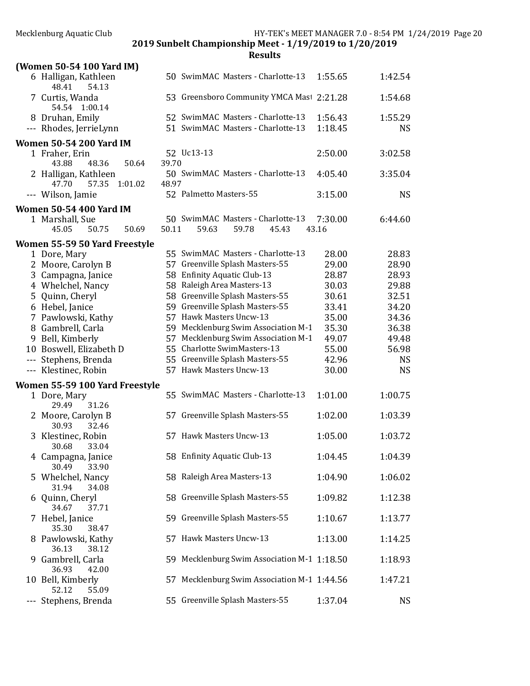|    | (Women 50-54 100 Yard IM)              |       |                                             |         |           |
|----|----------------------------------------|-------|---------------------------------------------|---------|-----------|
|    | 6 Halligan, Kathleen<br>54.13<br>48.41 |       | 50 SwimMAC Masters - Charlotte-13           | 1:55.65 | 1:42.54   |
|    | 7 Curtis, Wanda<br>54.54 1:00.14       |       | 53 Greensboro Community YMCA Mast 2:21.28   |         | 1:54.68   |
|    | 8 Druhan, Emily                        |       | 52 SwimMAC Masters - Charlotte-13           | 1:56.43 | 1:55.29   |
|    | --- Rhodes, JerrieLynn                 |       | 51 SwimMAC Masters - Charlotte-13           | 1:18.45 | <b>NS</b> |
|    | <b>Women 50-54 200 Yard IM</b>         |       |                                             |         |           |
|    | 1 Fraher, Erin                         |       | 52 Uc13-13                                  | 2:50.00 | 3:02.58   |
|    | 43.88<br>48.36<br>50.64                | 39.70 |                                             |         |           |
|    | 2 Halligan, Kathleen                   |       | 50 SwimMAC Masters - Charlotte-13           | 4:05.40 | 3:35.04   |
|    | 47.70<br>57.35<br>1:01.02              | 48.97 |                                             |         |           |
|    | --- Wilson, Jamie                      |       | 52 Palmetto Masters-55                      | 3:15.00 | <b>NS</b> |
|    |                                        |       |                                             |         |           |
|    | <b>Women 50-54 400 Yard IM</b>         |       |                                             |         |           |
|    | 1 Marshall, Sue                        |       | 50 SwimMAC Masters - Charlotte-13           | 7:30.00 | 6:44.60   |
|    | 50.69<br>45.05<br>50.75                | 50.11 | 59.63<br>59.78<br>45.43                     | 43.16   |           |
|    | Women 55-59 50 Yard Freestyle          |       |                                             |         |           |
|    | 1 Dore, Mary                           |       | 55 SwimMAC Masters - Charlotte-13           | 28.00   | 28.83     |
|    | 2 Moore, Carolyn B                     |       | 57 Greenville Splash Masters-55             | 29.00   | 28.90     |
|    | 3 Campagna, Janice                     |       | 58 Enfinity Aquatic Club-13                 | 28.87   | 28.93     |
|    | 4 Whelchel, Nancy                      |       | 58 Raleigh Area Masters-13                  | 30.03   | 29.88     |
|    | 5 Quinn, Cheryl                        |       | 58 Greenville Splash Masters-55             | 30.61   | 32.51     |
|    | 6 Hebel, Janice                        |       | 59 Greenville Splash Masters-55             | 33.41   | 34.20     |
|    | 7 Pawlowski, Kathy                     |       | 57 Hawk Masters Uncw-13                     | 35.00   | 34.36     |
|    | 8 Gambrell, Carla                      |       | 59 Mecklenburg Swim Association M-1         | 35.30   | 36.38     |
|    | 9 Bell, Kimberly                       |       | 57 Mecklenburg Swim Association M-1         | 49.07   | 49.48     |
|    | 10 Boswell, Elizabeth D                |       | 55 Charlotte SwimMasters-13                 | 55.00   | 56.98     |
|    | --- Stephens, Brenda                   |       | 55 Greenville Splash Masters-55             | 42.96   | <b>NS</b> |
|    | --- Klestinec, Robin                   |       | 57 Hawk Masters Uncw-13                     | 30.00   | <b>NS</b> |
|    | Women 55-59 100 Yard Freestyle         |       |                                             |         |           |
|    | 1 Dore, Mary                           |       | 55 SwimMAC Masters - Charlotte-13           | 1:01.00 | 1:00.75   |
|    | 31.26<br>29.49                         |       |                                             |         |           |
|    | 2 Moore, Carolyn B                     |       | 57 Greenville Splash Masters-55             | 1:02.00 | 1:03.39   |
|    | 30.93<br>32.46                         |       |                                             |         |           |
|    | 3 Klestinec, Robin                     |       | 57 Hawk Masters Uncw-13                     | 1:05.00 | 1:03.72   |
|    | 30.68<br>33.04                         |       |                                             |         |           |
|    | 4 Campagna, Janice                     |       | 58 Enfinity Aquatic Club-13                 | 1:04.45 | 1:04.39   |
|    | 30.49<br>33.90                         |       |                                             |         |           |
| 5. | Whelchel, Nancy                        |       | 58 Raleigh Area Masters-13                  | 1:04.90 | 1:06.02   |
|    | 31.94<br>34.08                         |       |                                             |         |           |
| 6  | Quinn, Cheryl                          |       | 58 Greenville Splash Masters-55             | 1:09.82 | 1:12.38   |
|    | 37.71<br>34.67                         |       |                                             |         |           |
|    | Hebel, Janice                          |       | 59 Greenville Splash Masters-55             | 1:10.67 | 1:13.77   |
|    | 35.30<br>38.47                         |       |                                             |         |           |
|    | Pawlowski, Kathy                       |       | 57 Hawk Masters Uncw-13                     | 1:13.00 | 1:14.25   |
|    | 38.12<br>36.13                         |       |                                             |         |           |
|    | 9 Gambrell, Carla                      |       | 59 Mecklenburg Swim Association M-1 1:18.50 |         | 1:18.93   |
|    | 36.93<br>42.00                         |       |                                             |         |           |
|    | 10 Bell, Kimberly                      |       | 57 Mecklenburg Swim Association M-1 1:44.56 |         | 1:47.21   |
|    | 52.12<br>55.09                         |       |                                             |         |           |
|    | Stephens, Brenda                       |       | 55 Greenville Splash Masters-55             | 1:37.04 | <b>NS</b> |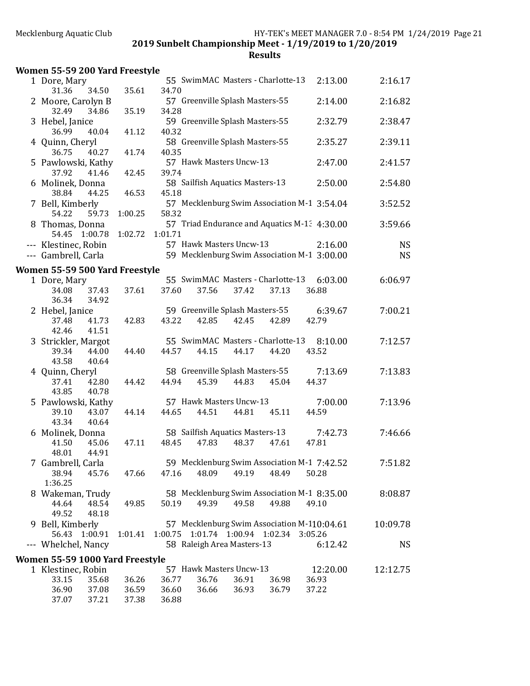| Women 55-59 200 Yard Freestyle        |         |                                                                                  |           |
|---------------------------------------|---------|----------------------------------------------------------------------------------|-----------|
| 1 Dore, Mary<br>31.36<br>34.50        | 35.61   | 55 SwimMAC Masters - Charlotte-13<br>2:13.00<br>34.70                            | 2:16.17   |
| 2 Moore, Carolyn B                    |         | 57 Greenville Splash Masters-55<br>2:14.00                                       | 2:16.82   |
| 32.49<br>34.86                        | 35.19   | 34.28                                                                            |           |
| 3 Hebel, Janice<br>36.99<br>40.04     | 41.12   | 59 Greenville Splash Masters-55<br>2:32.79<br>40.32                              | 2:38.47   |
| 4 Quinn, Cheryl                       |         | 58 Greenville Splash Masters-55<br>2:35.27                                       | 2:39.11   |
| 36.75<br>40.27                        | 41.74   | 40.35<br>57 Hawk Masters Uncw-13                                                 | 2:41.57   |
| 5 Pawlowski, Kathy<br>37.92<br>41.46  | 42.45   | 2:47.00<br>39.74                                                                 |           |
| 6 Molinek, Donna                      |         | 58 Sailfish Aquatics Masters-13<br>2:50.00                                       | 2:54.80   |
| 38.84<br>44.25<br>7 Bell, Kimberly    | 46.53   | 45.18<br>57 Mecklenburg Swim Association M-1 3:54.04                             | 3:52.52   |
| 54.22<br>59.73                        | 1:00.25 | 58.32                                                                            |           |
| 8 Thomas, Donna                       |         | 57 Triad Endurance and Aquatics M-1: 4:30.00                                     | 3:59.66   |
| 54.45 1:00.78<br>--- Klestinec, Robin | 1:02.72 | 1:01.71<br>57 Hawk Masters Uncw-13<br>2:16.00                                    | <b>NS</b> |
| --- Gambrell, Carla                   |         | 59 Mecklenburg Swim Association M-1 3:00.00                                      | <b>NS</b> |
| Women 55-59 500 Yard Freestyle        |         |                                                                                  |           |
| 1 Dore, Mary                          |         | 55 SwimMAC Masters - Charlotte-13<br>6:03.00                                     | 6:06.97   |
| 34.08<br>37.43<br>36.34<br>34.92      | 37.61   | 37.60<br>37.56<br>37.42<br>37.13<br>36.88                                        |           |
| 2 Hebel, Janice                       |         | 59 Greenville Splash Masters-55<br>6:39.67                                       | 7:00.21   |
| 37.48<br>41.73<br>42.46<br>41.51      | 42.83   | 43.22<br>42.85<br>42.45<br>42.89<br>42.79                                        |           |
| 3 Strickler, Margot                   |         | 55 SwimMAC Masters - Charlotte-13<br>8:10.00                                     | 7:12.57   |
| 39.34<br>44.00                        | 44.40   | 44.57<br>44.15<br>44.20<br>43.52<br>44.17                                        |           |
| 43.58<br>40.64                        |         | 58 Greenville Splash Masters-55<br>7:13.69                                       |           |
| 4 Quinn, Cheryl<br>37.41<br>42.80     | 44.42   | 44.94<br>45.39<br>44.83<br>45.04<br>44.37                                        | 7:13.83   |
| 43.85<br>40.78                        |         |                                                                                  |           |
| 5 Pawlowski, Kathy                    |         | 57 Hawk Masters Uncw-13<br>7:00.00                                               | 7:13.96   |
| 39.10<br>43.07<br>43.34<br>40.64      | 44.14   | 44.65<br>44.51<br>44.81<br>45.11<br>44.59                                        |           |
| 6 Molinek, Donna                      |         | 58 Sailfish Aquatics Masters-13<br>7:42.73                                       | 7:46.66   |
| 41.50<br>45.06                        | 47.11   | 48.45<br>47.83<br>48.37<br>47.61<br>47.81                                        |           |
| 48.01<br>44.91<br>7 Gambrell, Carla   |         | 59 Mecklenburg Swim Association M-1 7:42.52                                      | 7:51.82   |
| 38.94<br>45.76                        | 47.66   | 47.16<br>48.09<br>49.19<br>48.49<br>50.28                                        |           |
| 1:36.25                               |         |                                                                                  |           |
| 8 Wakeman, Trudy                      |         | 58 Mecklenburg Swim Association M-1 8:35.00                                      | 8:08.87   |
| 48.54<br>44.64<br>49.52<br>48.18      | 49.85   | 49.39<br>50.19<br>49.58<br>49.88<br>49.10                                        |           |
| 9 Bell, Kimberly                      |         | 57 Mecklenburg Swim Association M-110:04.61                                      | 10:09.78  |
| 56.43<br>1:00.91                      | 1:01.41 | 1:00.75 1:01.74 1:00.94 1:02.34<br>3:05.26                                       |           |
| --- Whelchel, Nancy                   |         | 58 Raleigh Area Masters-13<br>6:12.42                                            | <b>NS</b> |
| Women 55-59 1000 Yard Freestyle       |         |                                                                                  |           |
| 1 Klestinec, Robin<br>33.15<br>35.68  | 36.26   | 57 Hawk Masters Uncw-13<br>12:20.00<br>36.76<br>36.91<br>36.93<br>36.77<br>36.98 | 12:12.75  |
| 36.90<br>37.08                        | 36.59   | 36.66<br>36.93<br>36.60<br>36.79<br>37.22                                        |           |
| 37.07<br>37.21                        | 37.38   | 36.88                                                                            |           |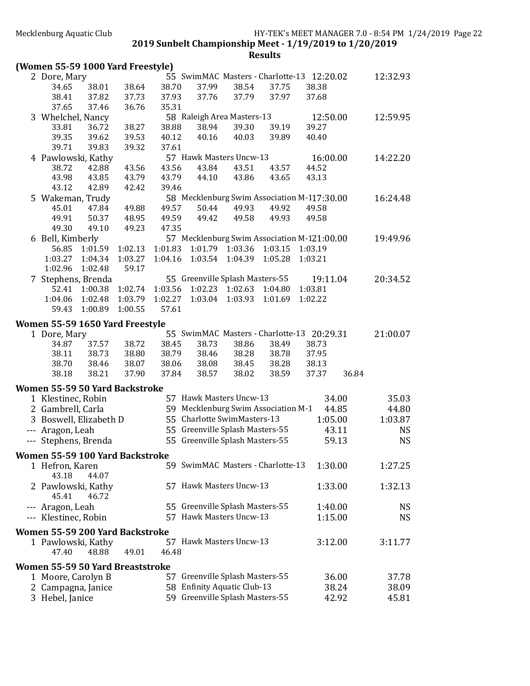| 55 SwimMAC Masters - Charlotte-13 12:20.02<br>2 Dore, Mary                           | 12:32.93             |
|--------------------------------------------------------------------------------------|----------------------|
| 38.38<br>34.65<br>38.01<br>38.64<br>38.70<br>37.99<br>38.54<br>37.75                 |                      |
| 38.41<br>37.82<br>37.93<br>37.76<br>37.79<br>37.97<br>37.68<br>37.73                 |                      |
| 37.46<br>36.76<br>35.31<br>37.65                                                     |                      |
| 58 Raleigh Area Masters-13<br>3 Whelchel, Nancy                                      | 12:50.00<br>12:59.95 |
| 38.27<br>38.88<br>38.94<br>39.30<br>39.19<br>39.27<br>33.81<br>36.72                 |                      |
| 39.35<br>39.62<br>39.53<br>40.12<br>40.16<br>40.03<br>39.89<br>40.40                 |                      |
| 39.71<br>39.83<br>39.32<br>37.61                                                     |                      |
| 57 Hawk Masters Uncw-13<br>4 Pawlowski, Kathy                                        | 16:00.00<br>14:22.20 |
| 43.56<br>43.56<br>43.84<br>43.51<br>43.57<br>38.72<br>42.88<br>44.52                 |                      |
| 43.98<br>43.85<br>43.79<br>43.79<br>44.10<br>43.86<br>43.65<br>43.13                 |                      |
| 43.12<br>42.89<br>42.42<br>39.46                                                     |                      |
| 58 Mecklenburg Swim Association M-117:30.00<br>5 Wakeman, Trudy                      | 16:24.48             |
| 49.92<br>45.01<br>47.84<br>49.88<br>49.57<br>50.44<br>49.93<br>49.58                 |                      |
| 49.91<br>50.37<br>48.95<br>49.59<br>49.42<br>49.58<br>49.93<br>49.58                 |                      |
| 49.30<br>49.10<br>49.23<br>47.35                                                     |                      |
| 57 Mecklenburg Swim Association M-121:00.00<br>6 Bell, Kimberly                      | 19:49.96             |
| 56.85 1:01.59<br>1:02.13<br>1:01.83<br>1:01.79<br>1:03.36<br>1:03.15<br>1:03.19      |                      |
| 1:03.27<br>1:04.16<br>1:03.54<br>1:04.39<br>1:05.28<br>1:03.21<br>1:03.27<br>1:04.34 |                      |
| 1:02.96<br>1:02.48<br>59.17                                                          |                      |
| 55 Greenville Splash Masters-55<br>7 Stephens, Brenda                                | 19:11.04<br>20:34.52 |
| 1:00.38<br>1:02.74<br>1:03.56<br>1:02.23<br>1:02.63 1:04.80<br>1:03.81<br>52.41      |                      |
| 1:02.48<br>1:03.79<br>1:02.27<br>1:03.04<br>1:03.93<br>1:02.22<br>1:04.06<br>1:01.69 |                      |
| 59.43<br>1:00.89<br>1:00.55<br>57.61                                                 |                      |
|                                                                                      |                      |
| Women 55-59 1650 Yard Freestyle                                                      |                      |
| 55 SwimMAC Masters - Charlotte-13<br>1 Dore, Mary                                    | 20:29.31<br>21:00.07 |
| 38.72<br>38.73<br>37.57<br>38.45<br>38.86<br>38.49<br>38.73<br>34.87                 |                      |
| 38.80<br>38.46<br>38.11<br>38.73<br>38.79<br>38.28<br>38.78<br>37.95                 |                      |
| 38.70<br>38.07<br>38.06<br>38.08<br>38.45<br>38.28<br>38.46<br>38.13                 |                      |
| 38.18<br>38.21<br>37.90<br>37.84<br>38.57<br>38.02<br>38.59<br>37.37                 | 36.84                |
| Women 55-59 50 Yard Backstroke                                                       |                      |
| 57 Hawk Masters Uncw-13<br>1 Klestinec, Robin                                        | 34.00<br>35.03       |
| 59 Mecklenburg Swim Association M-1<br>2 Gambrell, Carla                             | 44.85<br>44.80       |
| 55 Charlotte SwimMasters-13<br>3 Boswell, Elizabeth D                                | 1:05.00<br>1:03.87   |
| 55 Greenville Splash Masters-55<br>--- Aragon, Leah                                  | 43.11<br>NS          |
| 55 Greenville Splash Masters-55<br>--- Stephens, Brenda                              | 59.13<br><b>NS</b>   |
|                                                                                      |                      |
| Women 55-59 100 Yard Backstroke                                                      |                      |
| 59 SwimMAC Masters - Charlotte-13<br>1 Hefron, Karen                                 | 1:30.00<br>1:27.25   |
| 43.18<br>44.07                                                                       |                      |
| 57 Hawk Masters Uncw-13<br>2 Pawlowski, Kathy                                        | 1:33.00<br>1:32.13   |
| 45.41<br>46.72                                                                       |                      |
| 55 Greenville Splash Masters-55<br>--- Aragon, Leah                                  | 1:40.00<br>NS        |
| 57 Hawk Masters Uncw-13<br>--- Klestinec, Robin                                      | 1:15.00<br><b>NS</b> |
|                                                                                      |                      |
| Women 55-59 200 Yard Backstroke                                                      |                      |
| 57 Hawk Masters Uncw-13<br>1 Pawlowski, Kathy                                        | 3:12.00<br>3:11.77   |
| 47.40<br>48.88<br>46.48<br>49.01                                                     |                      |
| <b>Women 55-59 50 Yard Breaststroke</b>                                              |                      |
| 57 Greenville Splash Masters-55<br>1 Moore, Carolyn B                                | 36.00<br>37.78       |
| 58 Enfinity Aquatic Club-13<br>2 Campagna, Janice                                    | 38.24<br>38.09       |
| 59 Greenville Splash Masters-55<br>3 Hebel, Janice                                   | 42.92<br>45.81       |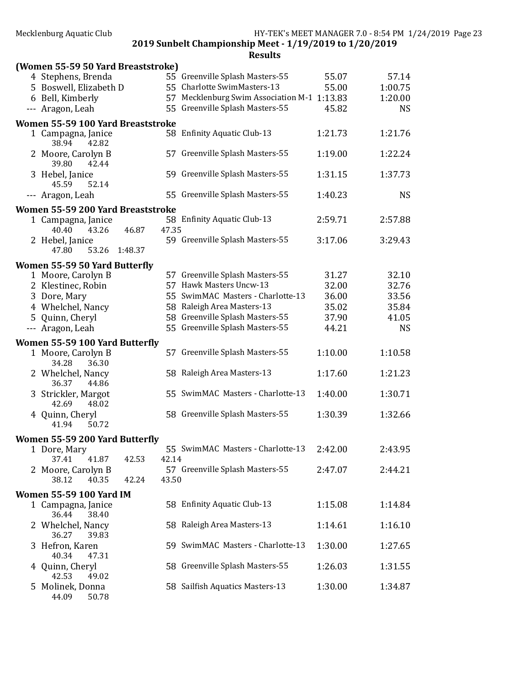| Mecklenburg Aquatic Club |  |
|--------------------------|--|
|--------------------------|--|

| (Women 55-59 50 Yard Breaststroke)            |       |                                             |         |           |
|-----------------------------------------------|-------|---------------------------------------------|---------|-----------|
| 4 Stephens, Brenda                            |       | 55 Greenville Splash Masters-55             | 55.07   | 57.14     |
| 5 Boswell, Elizabeth D                        |       | 55 Charlotte SwimMasters-13                 | 55.00   | 1:00.75   |
| 6 Bell, Kimberly                              |       | 57 Mecklenburg Swim Association M-1 1:13.83 |         | 1:20.00   |
| --- Aragon, Leah                              |       | 55 Greenville Splash Masters-55             | 45.82   | <b>NS</b> |
| Women 55-59 100 Yard Breaststroke             |       |                                             |         |           |
| 1 Campagna, Janice                            |       | 58 Enfinity Aquatic Club-13                 | 1:21.73 | 1:21.76   |
| 38.94<br>42.82                                |       |                                             |         |           |
| 2 Moore, Carolyn B<br>39.80<br>42.44          |       | 57 Greenville Splash Masters-55             | 1:19.00 | 1:22.24   |
| 3 Hebel, Janice<br>45.59<br>52.14             |       | 59 Greenville Splash Masters-55             | 1:31.15 | 1:37.73   |
| --- Aragon, Leah                              |       | 55 Greenville Splash Masters-55             | 1:40.23 | <b>NS</b> |
| Women 55-59 200 Yard Breaststroke             |       |                                             |         |           |
| 1 Campagna, Janice<br>46.87<br>40.40<br>43.26 | 47.35 | 58 Enfinity Aquatic Club-13                 | 2:59.71 | 2:57.88   |
| 2 Hebel, Janice<br>53.26<br>1:48.37<br>47.80  |       | 59 Greenville Splash Masters-55             | 3:17.06 | 3:29.43   |
| Women 55-59 50 Yard Butterfly                 |       |                                             |         |           |
| 1 Moore, Carolyn B                            |       | 57 Greenville Splash Masters-55             | 31.27   | 32.10     |
| 2 Klestinec, Robin                            |       | 57 Hawk Masters Uncw-13                     | 32.00   | 32.76     |
| 3 Dore, Mary                                  |       | 55 SwimMAC Masters - Charlotte-13           | 36.00   | 33.56     |
| 4 Whelchel, Nancy                             |       | 58 Raleigh Area Masters-13                  | 35.02   | 35.84     |
| 5 Quinn, Cheryl                               |       | 58 Greenville Splash Masters-55             | 37.90   | 41.05     |
| --- Aragon, Leah                              |       | 55 Greenville Splash Masters-55             | 44.21   | <b>NS</b> |
| Women 55-59 100 Yard Butterfly                |       |                                             |         |           |
| 1 Moore, Carolyn B<br>36.30<br>34.28          |       | 57 Greenville Splash Masters-55             | 1:10.00 | 1:10.58   |
| 2 Whelchel, Nancy<br>36.37<br>44.86           |       | 58 Raleigh Area Masters-13                  | 1:17.60 | 1:21.23   |
| 3 Strickler, Margot<br>42.69<br>48.02         |       | 55 SwimMAC Masters - Charlotte-13           | 1:40.00 | 1:30.71   |
| 4 Quinn, Cheryl<br>50.72<br>41.94             |       | 58 Greenville Splash Masters-55             | 1:30.39 | 1:32.66   |
| Women 55-59 200 Yard Butterfly                |       |                                             |         |           |
| 1 Dore, Mary<br>37.41<br>42.53<br>41.87       | 42.14 | 55 SwimMAC Masters - Charlotte-13           | 2:42.00 | 2:43.95   |
| 2 Moore, Carolyn B                            |       | 57 Greenville Splash Masters-55             | 2:47.07 | 2:44.21   |
| 38.12<br>40.35<br>42.24                       | 43.50 |                                             |         |           |
| <b>Women 55-59 100 Yard IM</b>                |       |                                             |         |           |
| 1 Campagna, Janice<br>36.44<br>38.40          |       | 58 Enfinity Aquatic Club-13                 | 1:15.08 | 1:14.84   |
| 2 Whelchel, Nancy<br>39.83<br>36.27           |       | 58 Raleigh Area Masters-13                  | 1:14.61 | 1:16.10   |
| 3 Hefron, Karen<br>40.34<br>47.31             |       | 59 SwimMAC Masters - Charlotte-13           | 1:30.00 | 1:27.65   |
| 4 Quinn, Cheryl<br>42.53<br>49.02             |       | 58 Greenville Splash Masters-55             | 1:26.03 | 1:31.55   |
| 5 Molinek, Donna<br>44.09<br>50.78            |       | 58 Sailfish Aquatics Masters-13             | 1:30.00 | 1:34.87   |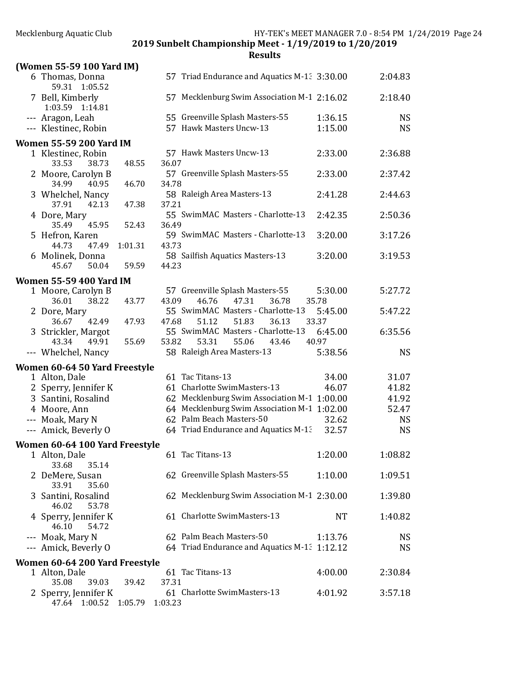| (Women 55-59 100 Yard IM)                |         |         |                                                              |                    |                        |
|------------------------------------------|---------|---------|--------------------------------------------------------------|--------------------|------------------------|
| 6 Thomas, Donna<br>59.31 1:05.52         |         |         | 57 Triad Endurance and Aquatics M-1: 3:30.00                 |                    | 2:04.83                |
| 7 Bell, Kimberly<br>1:03.59 1:14.81      |         |         | 57 Mecklenburg Swim Association M-1 2:16.02                  |                    | 2:18.40                |
| --- Aragon, Leah<br>--- Klestinec, Robin |         |         | 55 Greenville Splash Masters-55<br>57 Hawk Masters Uncw-13   | 1:36.15<br>1:15.00 | <b>NS</b><br><b>NS</b> |
| <b>Women 55-59 200 Yard IM</b>           |         |         |                                                              |                    |                        |
| 1 Klestinec, Robin<br>33.53<br>38.73     | 48.55   | 36.07   | 57 Hawk Masters Uncw-13                                      | 2:33.00            | 2:36.88                |
| 2 Moore, Carolyn B<br>34.99<br>40.95     | 46.70   | 34.78   | 57 Greenville Splash Masters-55                              | 2:33.00            | 2:37.42                |
| 3 Whelchel, Nancy<br>37.91<br>42.13      | 47.38   | 37.21   | 58 Raleigh Area Masters-13                                   | 2:41.28            | 2:44.63                |
| 4 Dore, Mary<br>45.95<br>35.49           | 52.43   | 36.49   | 55 SwimMAC Masters - Charlotte-13                            | 2:42.35            | 2:50.36                |
| 5 Hefron, Karen<br>47.49<br>44.73        | 1:01.31 | 43.73   | 59 SwimMAC Masters - Charlotte-13                            | 3:20.00            | 3:17.26                |
| 6 Molinek, Donna<br>45.67<br>50.04       | 59.59   | 44.23   | 58 Sailfish Aquatics Masters-13                              | 3:20.00            | 3:19.53                |
| <b>Women 55-59 400 Yard IM</b>           |         |         |                                                              |                    |                        |
| 1 Moore, Carolyn B<br>36.01<br>38.22     | 43.77   | 43.09   | 57 Greenville Splash Masters-55<br>46.76<br>47.31<br>36.78   | 5:30.00<br>35.78   | 5:27.72                |
| 2 Dore, Mary<br>36.67<br>42.49           | 47.93   | 47.68   | 55 SwimMAC Masters - Charlotte-13<br>51.12<br>51.83<br>36.13 | 5:45.00<br>33.37   | 5:47.22                |
| 3 Strickler, Margot<br>43.34<br>49.91    | 55.69   | 53.82   | 55 SwimMAC Masters - Charlotte-13<br>53.31<br>55.06<br>43.46 | 6:45.00<br>40.97   | 6:35.56                |
| --- Whelchel, Nancy                      |         |         | 58 Raleigh Area Masters-13                                   | 5:38.56            | <b>NS</b>              |
| Women 60-64 50 Yard Freestyle            |         |         |                                                              |                    |                        |
| 1 Alton, Dale                            |         |         | 61 Tac Titans-13                                             | 34.00              | 31.07                  |
| 2 Sperry, Jennifer K                     |         |         | 61 Charlotte SwimMasters-13                                  | 46.07              | 41.82                  |
| 3 Santini, Rosalind                      |         |         | 62 Mecklenburg Swim Association M-1 1:00.00                  |                    | 41.92                  |
| 4 Moore, Ann                             |         |         | 64 Mecklenburg Swim Association M-1 1:02.00                  |                    | 52.47                  |
| --- Moak, Mary N                         |         |         | 62 Palm Beach Masters-50                                     | 32.62              | <b>NS</b>              |
|                                          |         |         |                                                              |                    |                        |
| --- Amick, Beverly O                     |         |         | 64 Triad Endurance and Aquatics M-13                         | 32.57              | <b>NS</b>              |
| Women 60-64 100 Yard Freestyle           |         |         |                                                              |                    |                        |
| 1 Alton, Dale<br>33.68<br>35.14          |         |         | 61 Tac Titans-13                                             | 1:20.00            | 1:08.82                |
| 2 DeMere, Susan<br>33.91<br>35.60        |         |         | 62 Greenville Splash Masters-55                              | 1:10.00            | 1:09.51                |
| Santini, Rosalind<br>46.02<br>53.78      |         |         | 62 Mecklenburg Swim Association M-1 2:30.00                  |                    | 1:39.80                |
| 4 Sperry, Jennifer K<br>46.10<br>54.72   |         |         | 61 Charlotte SwimMasters-13                                  | <b>NT</b>          | 1:40.82                |
| --- Moak, Mary N                         |         |         | 62 Palm Beach Masters-50                                     | 1:13.76            | <b>NS</b>              |
| --- Amick, Beverly O                     |         |         | 64 Triad Endurance and Aquatics M-1: 1:12.12                 |                    | <b>NS</b>              |
| Women 60-64 200 Yard Freestyle           |         |         |                                                              |                    |                        |
| 1 Alton, Dale<br>35.08<br>39.03          | 39.42   | 37.31   | 61 Tac Titans-13                                             | 4:00.00            | 2:30.84                |
| 2 Sperry, Jennifer K<br>1:00.52<br>47.64 | 1:05.79 | 1:03.23 | 61 Charlotte SwimMasters-13                                  | 4:01.92            | 3:57.18                |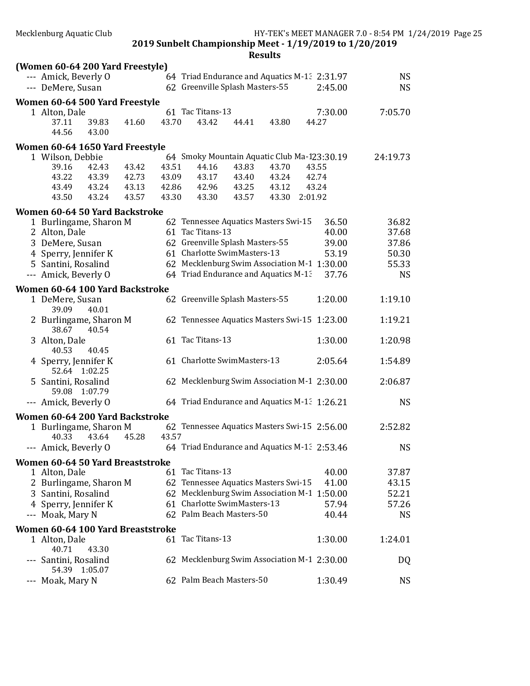|                                        | 2019 Sunbelt Championship Meet - 1/19/2019 to 1/20/2019 |           |
|----------------------------------------|---------------------------------------------------------|-----------|
|                                        | <b>Results</b>                                          |           |
| (Women 60-64 200 Yard Freestyle)       |                                                         |           |
| --- Amick, Beverly O                   | 64 Triad Endurance and Aquatics M-1: 2:31.97            | <b>NS</b> |
| --- DeMere, Susan                      | 62 Greenville Splash Masters-55<br>2:45.00              | <b>NS</b> |
| Women 60-64 500 Yard Freestyle         |                                                         |           |
| 1 Alton, Dale                          | 61 Tac Titans-13<br>7:30.00                             | 7:05.70   |
| 37.11<br>39.83<br>41.60                | 43.70<br>43.42<br>44.41<br>43.80<br>44.27               |           |
| 44.56<br>43.00                         |                                                         |           |
| Women 60-64 1650 Yard Freestyle        |                                                         |           |
| 1 Wilson, Debbie                       | 64 Smoky Mountain Aquatic Club Ma-123:30.19             | 24:19.73  |
| 39.16<br>42.43<br>43.42                | 43.51<br>44.16<br>43.83<br>43.70<br>43.55               |           |
| 43.22<br>43.39<br>42.73                | 43.09<br>43.17<br>43.40<br>42.74<br>43.24               |           |
| 43.49<br>43.24<br>43.13                | 42.96<br>43.25<br>43.24<br>42.86<br>43.12               |           |
| 43.50<br>43.24<br>43.57                | 43.30<br>2:01.92<br>43.30<br>43.57<br>43.30             |           |
| Women 60-64 50 Yard Backstroke         |                                                         |           |
| 1 Burlingame, Sharon M                 | 62 Tennessee Aquatics Masters Swi-15<br>36.50           | 36.82     |
| 2 Alton, Dale                          | 61 Tac Titans-13<br>40.00                               | 37.68     |
| 3 DeMere, Susan                        | 62 Greenville Splash Masters-55<br>39.00                | 37.86     |
| 4 Sperry, Jennifer K                   | 61 Charlotte SwimMasters-13<br>53.19                    | 50.30     |
| 5 Santini, Rosalind                    | 62 Mecklenburg Swim Association M-1 1:30.00             | 55.33     |
| --- Amick, Beverly O                   | 64 Triad Endurance and Aquatics M-13<br>37.76           | <b>NS</b> |
|                                        |                                                         |           |
| Women 60-64 100 Yard Backstroke        |                                                         |           |
| 1 DeMere, Susan<br>39.09<br>40.01      | 62 Greenville Splash Masters-55<br>1:20.00              | 1:19.10   |
| 2 Burlingame, Sharon M                 | 62 Tennessee Aquatics Masters Swi-15 1:23.00            | 1:19.21   |
| 38.67<br>40.54                         |                                                         |           |
| 3 Alton, Dale                          | 61 Tac Titans-13<br>1:30.00                             | 1:20.98   |
| 40.53<br>40.45                         |                                                         |           |
| 4 Sperry, Jennifer K                   | 61 Charlotte SwimMasters-13<br>2:05.64                  | 1:54.89   |
| 52.64 1:02.25                          |                                                         |           |
| 5 Santini, Rosalind                    | 62 Mecklenburg Swim Association M-1 2:30.00             | 2:06.87   |
| 59.08 1:07.79                          |                                                         |           |
| --- Amick, Beverly O                   | 64 Triad Endurance and Aquatics M-1: 1:26.21            | <b>NS</b> |
| Women 60-64 200 Yard Backstroke        |                                                         |           |
| 1 Burlingame, Sharon M                 | 62 Tennessee Aquatics Masters Swi-15 2:56.00            | 2:52.82   |
| 40.33<br>43.64<br>45.28                | 43.57                                                   |           |
| --- Amick, Beverly O                   | 64 Triad Endurance and Aquatics M-1: 2:53.46            | <b>NS</b> |
| Women 60-64 50 Yard Breaststroke       |                                                         |           |
| 1 Alton, Dale                          | 61 Tac Titans-13<br>40.00                               | 37.87     |
| 2 Burlingame, Sharon M                 | 62 Tennessee Aquatics Masters Swi-15<br>41.00           | 43.15     |
| 3 Santini, Rosalind                    | 62 Mecklenburg Swim Association M-1 1:50.00             | 52.21     |
| 4 Sperry, Jennifer K                   | 61 Charlotte SwimMasters-13<br>57.94                    | 57.26     |
| --- Moak, Mary N                       | 62 Palm Beach Masters-50<br>40.44                       | <b>NS</b> |
|                                        |                                                         |           |
| Women 60-64 100 Yard Breaststroke      |                                                         |           |
| 1 Alton, Dale                          | 61 Tac Titans-13<br>1:30.00                             | 1:24.01   |
| 40.71<br>43.30                         |                                                         |           |
| --- Santini, Rosalind<br>54.39 1:05.07 | 62 Mecklenburg Swim Association M-1 2:30.00             | DQ        |
| --- Moak, Mary N                       | 62 Palm Beach Masters-50<br>1:30.49                     | <b>NS</b> |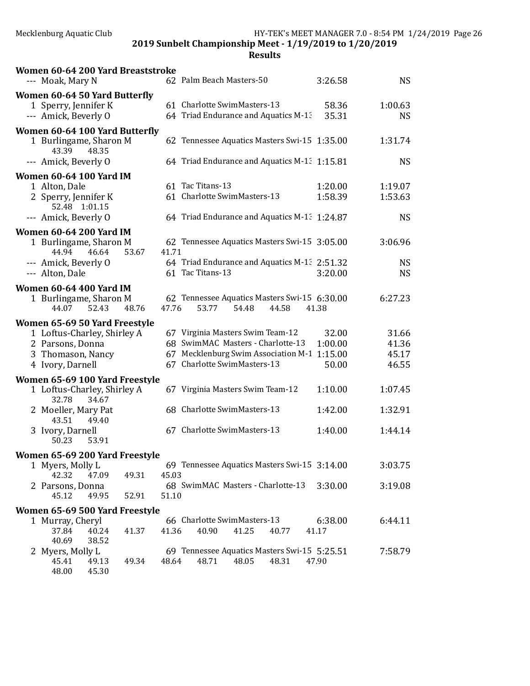2019 Sunbelt Championship Meet - 1/19/2019 to 1/20/2019

| Women 60-64 200 Yard Breaststroke<br>--- Moak, Mary N                                                       |       |       | 62 Palm Beach Masters-50                                                | 3:26.58        | <b>NS</b>            |
|-------------------------------------------------------------------------------------------------------------|-------|-------|-------------------------------------------------------------------------|----------------|----------------------|
| Women 60-64 50 Yard Butterfly<br>1 Sperry, Jennifer K<br>--- Amick, Beverly O                               |       |       | 61 Charlotte SwimMasters-13<br>64 Triad Endurance and Aquatics M-13     | 58.36<br>35.31 | 1:00.63<br><b>NS</b> |
| Women 60-64 100 Yard Butterfly<br>1 Burlingame, Sharon M<br>43.39<br>48.35                                  |       |       | 62 Tennessee Aquatics Masters Swi-15 1:35.00                            |                | 1:31.74              |
| --- Amick, Beverly O                                                                                        |       |       | 64 Triad Endurance and Aquatics M-1: 1:15.81                            |                | <b>NS</b>            |
| <b>Women 60-64 100 Yard IM</b>                                                                              |       |       |                                                                         |                |                      |
| 1 Alton, Dale                                                                                               |       |       | 61 Tac Titans-13                                                        | 1:20.00        | 1:19.07              |
| 2 Sperry, Jennifer K<br>52.48 1:01.15                                                                       |       |       | 61 Charlotte SwimMasters-13                                             | 1:58.39        | 1:53.63              |
| --- Amick, Beverly O                                                                                        |       |       | 64 Triad Endurance and Aquatics M-1: 1:24.87                            |                | <b>NS</b>            |
| <b>Women 60-64 200 Yard IM</b>                                                                              |       |       |                                                                         |                |                      |
| 1 Burlingame, Sharon M<br>44.94<br>46.64                                                                    | 53.67 | 41.71 | 62 Tennessee Aquatics Masters Swi-15 3:05.00                            |                | 3:06.96              |
| --- Amick, Beverly O                                                                                        |       |       | 64 Triad Endurance and Aquatics M-1: 2:51.32                            |                | <b>NS</b>            |
| --- Alton, Dale                                                                                             |       |       | 61 Tac Titans-13                                                        | 3:20.00        | <b>NS</b>            |
| <b>Women 60-64 400 Yard IM</b><br>1 Burlingame, Sharon M<br>52.43<br>44.07<br>Women 65-69 50 Yard Freestyle | 48.76 | 47.76 | 62 Tennessee Aquatics Masters Swi-15 6:30.00<br>53.77<br>54.48<br>44.58 | 41.38          | 6:27.23              |
| 1 Loftus-Charley, Shirley A                                                                                 |       |       | 67 Virginia Masters Swim Team-12                                        | 32.00          | 31.66                |
| 2 Parsons, Donna                                                                                            |       |       | 68 SwimMAC Masters - Charlotte-13                                       | 1:00.00        | 41.36                |
| 3 Thomason, Nancy                                                                                           |       |       | 67 Mecklenburg Swim Association M-1                                     | 1:15.00        | 45.17                |
| 4 Ivory, Darnell                                                                                            |       |       | 67 Charlotte SwimMasters-13                                             | 50.00          | 46.55                |
| Women 65-69 100 Yard Freestyle                                                                              |       |       |                                                                         |                |                      |
| 1 Loftus-Charley, Shirley A<br>32.78<br>34.67                                                               |       |       | 67 Virginia Masters Swim Team-12                                        | 1:10.00        | 1:07.45              |
| 2 Moeller, Mary Pat<br>43.51<br>49.40                                                                       |       |       | 68 Charlotte SwimMasters-13                                             | 1:42.00        | 1:32.91              |
| 3 Ivory, Darnell<br>50.23<br>53.91                                                                          |       |       | 67 Charlotte SwimMasters-13                                             | 1:40.00        | 1:44.14              |
| Women 65-69 200 Yard Freestyle                                                                              |       |       |                                                                         |                |                      |
| 1 Myers, Molly L                                                                                            |       |       | 69 Tennessee Aquatics Masters Swi-15 3:14.00                            |                | 3:03.75              |
| 42.32<br>47.09                                                                                              | 49.31 | 45.03 |                                                                         |                |                      |
| 2 Parsons, Donna<br>45.12<br>49.95                                                                          | 52.91 | 51.10 | 68 SwimMAC Masters - Charlotte-13                                       | 3:30.00        | 3:19.08              |
| Women 65-69 500 Yard Freestyle                                                                              |       |       |                                                                         |                |                      |
| 1 Murray, Cheryl                                                                                            |       |       | 66 Charlotte SwimMasters-13                                             | 6:38.00        | 6:44.11              |
| 37.84<br>40.24<br>40.69<br>38.52                                                                            | 41.37 | 41.36 | 40.90<br>41.25<br>40.77                                                 | 41.17          |                      |
| 2 Myers, Molly L                                                                                            |       |       | 69 Tennessee Aquatics Masters Swi-15 5:25.51                            |                | 7:58.79              |
| 45.41<br>49.13<br>48.00<br>45.30                                                                            | 49.34 | 48.64 | 48.71<br>48.31<br>48.05                                                 | 47.90          |                      |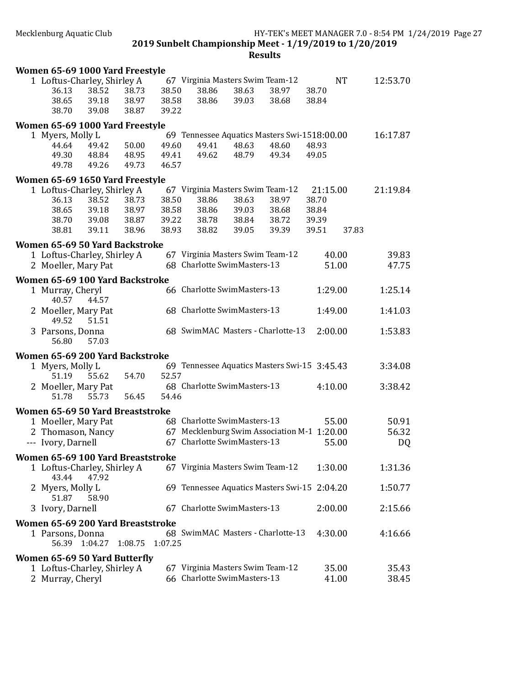| Women 65-69 1000 Yard Freestyle                     |       |         |         |                                                                 |       |                                                       |                   |           |          |
|-----------------------------------------------------|-------|---------|---------|-----------------------------------------------------------------|-------|-------------------------------------------------------|-------------------|-----------|----------|
| 1 Loftus-Charley, Shirley A<br>36.13                | 38.52 | 38.73   | 38.50   | 67 Virginia Masters Swim Team-12<br>38.86                       | 38.63 | 38.97                                                 | 38.70             | <b>NT</b> | 12:53.70 |
| 38.65                                               | 39.18 | 38.97   | 38.58   | 38.86                                                           | 39.03 | 38.68                                                 | 38.84             |           |          |
| 38.70                                               | 39.08 | 38.87   | 39.22   |                                                                 |       |                                                       |                   |           |          |
| Women 65-69 1000 Yard Freestyle                     |       |         |         |                                                                 |       |                                                       |                   |           |          |
| 1 Myers, Molly L<br>44.64                           | 49.42 | 50.00   | 49.60   | 49.41                                                           | 48.63 | 69 Tennessee Aquatics Masters Swi-1518:00.00<br>48.60 | 48.93             |           | 16:17.87 |
| 49.30                                               | 48.84 | 48.95   | 49.41   | 49.62                                                           | 48.79 | 49.34                                                 | 49.05             |           |          |
| 49.78                                               | 49.26 | 49.73   | 46.57   |                                                                 |       |                                                       |                   |           |          |
| Women 65-69 1650 Yard Freestyle                     |       |         |         |                                                                 |       |                                                       |                   |           |          |
| 1 Loftus-Charley, Shirley A<br>36.13                | 38.52 | 38.73   | 38.50   | 67 Virginia Masters Swim Team-12<br>38.86                       | 38.63 | 38.97                                                 | 21:15.00<br>38.70 |           | 21:19.84 |
| 38.65                                               | 39.18 | 38.97   | 38.58   | 38.86                                                           | 39.03 | 38.68                                                 | 38.84             |           |          |
| 38.70                                               | 39.08 | 38.87   | 39.22   | 38.78                                                           | 38.84 | 38.72                                                 | 39.39             |           |          |
| 38.81                                               | 39.11 | 38.96   | 38.93   | 38.82                                                           | 39.05 | 39.39                                                 | 39.51             | 37.83     |          |
| Women 65-69 50 Yard Backstroke                      |       |         |         |                                                                 |       |                                                       |                   |           |          |
| 1 Loftus-Charley, Shirley A                         |       |         |         | 67 Virginia Masters Swim Team-12                                |       |                                                       |                   | 40.00     | 39.83    |
| 2 Moeller, Mary Pat                                 |       |         |         | 68 Charlotte SwimMasters-13                                     |       |                                                       |                   | 51.00     | 47.75    |
| Women 65-69 100 Yard Backstroke<br>1 Murray, Cheryl |       |         |         | 66 Charlotte SwimMasters-13                                     |       |                                                       | 1:29.00           |           | 1:25.14  |
| 40.57                                               | 44.57 |         |         |                                                                 |       |                                                       |                   |           |          |
| 2 Moeller, Mary Pat<br>49.52                        | 51.51 |         |         | 68 Charlotte SwimMasters-13                                     |       |                                                       | 1:49.00           |           | 1:41.03  |
| 3 Parsons, Donna<br>56.80                           | 57.03 |         |         |                                                                 |       | 68 SwimMAC Masters - Charlotte-13                     | 2:00.00           |           | 1:53.83  |
| Women 65-69 200 Yard Backstroke                     |       |         |         |                                                                 |       |                                                       |                   |           |          |
| 1 Myers, Molly L                                    |       |         |         |                                                                 |       | 69 Tennessee Aquatics Masters Swi-15 3:45.43          |                   |           | 3:34.08  |
| 51.19                                               | 55.62 | 54.70   | 52.57   | 68 Charlotte SwimMasters-13                                     |       |                                                       | 4:10.00           |           | 3:38.42  |
| 2 Moeller, Mary Pat<br>51.78                        | 55.73 | 56.45   | 54.46   |                                                                 |       |                                                       |                   |           |          |
| Women 65-69 50 Yard Breaststroke                    |       |         |         |                                                                 |       |                                                       |                   |           |          |
| 1 Moeller, Mary Pat                                 |       |         |         | 68 Charlotte SwimMasters-13                                     |       |                                                       |                   | 55.00     | 50.91    |
| 2 Thomason, Nancy                                   |       |         |         |                                                                 |       | 67 Mecklenburg Swim Association M-1 1:20.00           |                   |           | 56.32    |
| --- Ivory, Darnell                                  |       |         |         | 67 Charlotte SwimMasters-13                                     |       |                                                       |                   | 55.00     | DQ       |
| Women 65-69 100 Yard Breaststroke                   |       |         |         |                                                                 |       |                                                       |                   |           |          |
| 1 Loftus-Charley, Shirley A<br>43.44                | 47.92 |         |         | 67 Virginia Masters Swim Team-12                                |       |                                                       | 1:30.00           |           | 1:31.36  |
| 2 Myers, Molly L<br>51.87                           | 58.90 |         |         |                                                                 |       | 69 Tennessee Aquatics Masters Swi-15 2:04.20          |                   |           | 1:50.77  |
| 3 Ivory, Darnell                                    |       |         |         | 67 Charlotte SwimMasters-13                                     |       |                                                       | 2:00.00           |           | 2:15.66  |
| Women 65-69 200 Yard Breaststroke                   |       |         |         |                                                                 |       |                                                       |                   |           |          |
| 1 Parsons, Donna<br>56.39 1:04.27                   |       | 1:08.75 | 1:07.25 |                                                                 |       | 68 SwimMAC Masters - Charlotte-13                     | 4:30.00           |           | 4:16.66  |
| Women 65-69 50 Yard Butterfly                       |       |         |         |                                                                 |       |                                                       |                   |           |          |
| 1 Loftus-Charley, Shirley A                         |       |         |         | 67 Virginia Masters Swim Team-12<br>66 Charlotte SwimMasters-13 |       |                                                       |                   | 35.00     | 35.43    |
| 2 Murray, Cheryl                                    |       |         |         |                                                                 |       |                                                       |                   | 41.00     | 38.45    |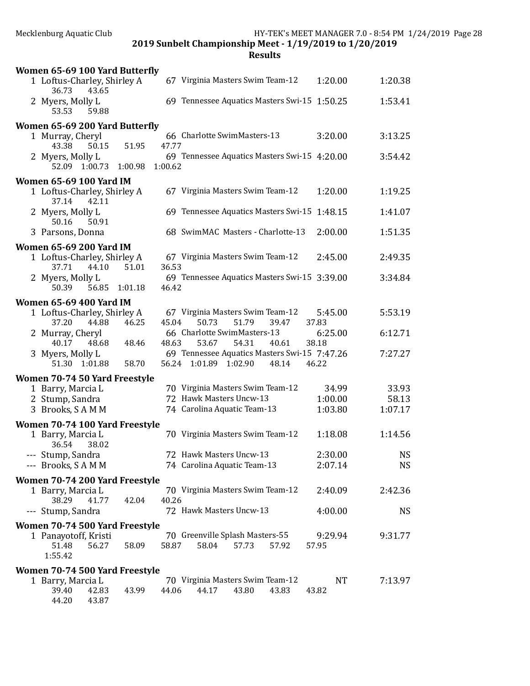| Women 65-69 100 Yard Butterfly                |               |         |                                              |       |       |                  |           |
|-----------------------------------------------|---------------|---------|----------------------------------------------|-------|-------|------------------|-----------|
| 1 Loftus-Charley, Shirley A<br>43.65<br>36.73 |               |         | 67 Virginia Masters Swim Team-12             |       |       | 1:20.00          | 1:20.38   |
| 2 Myers, Molly L<br>53.53<br>59.88            |               |         | 69 Tennessee Aquatics Masters Swi-15 1:50.25 |       |       |                  | 1:53.41   |
| Women 65-69 200 Yard Butterfly                |               |         |                                              |       |       |                  |           |
| 1 Murray, Cheryl<br>43.38<br>50.15            | 51.95         | 47.77   | 66 Charlotte SwimMasters-13                  |       |       | 3:20.00          | 3:13.25   |
| 2 Myers, Molly L<br>52.09 1:00.73 1:00.98     |               | 1:00.62 | 69 Tennessee Aquatics Masters Swi-15 4:20.00 |       |       |                  | 3:54.42   |
| <b>Women 65-69 100 Yard IM</b>                |               |         |                                              |       |       |                  |           |
| 1 Loftus-Charley, Shirley A<br>37.14<br>42.11 |               |         | 67 Virginia Masters Swim Team-12             |       |       | 1:20.00          | 1:19.25   |
| 2 Myers, Molly L<br>50.91<br>50.16            |               |         | 69 Tennessee Aquatics Masters Swi-15 1:48.15 |       |       |                  | 1:41.07   |
| 3 Parsons, Donna                              |               |         | 68 SwimMAC Masters - Charlotte-13            |       |       | 2:00.00          | 1:51.35   |
| <b>Women 65-69 200 Yard IM</b>                |               |         |                                              |       |       |                  |           |
| 1 Loftus-Charley, Shirley A                   |               |         | 67 Virginia Masters Swim Team-12             |       |       | 2:45.00          | 2:49.35   |
| 37.71<br>44.10                                | 51.01         | 36.53   |                                              |       |       |                  |           |
| 2 Myers, Molly L<br>50.39                     | 56.85 1:01.18 | 46.42   | 69 Tennessee Aquatics Masters Swi-15 3:39.00 |       |       |                  | 3:34.84   |
| <b>Women 65-69 400 Yard IM</b>                |               |         |                                              |       |       |                  |           |
| 1 Loftus-Charley, Shirley A                   |               |         | 67 Virginia Masters Swim Team-12             |       |       | 5:45.00          | 5:53.19   |
| 37.20<br>44.88<br>2 Murray, Cheryl            | 46.25         | 45.04   | 50.73<br>66 Charlotte SwimMasters-13         | 51.79 | 39.47 | 37.83<br>6:25.00 | 6:12.71   |
| 40.17<br>48.68                                | 48.46         | 48.63   | 53.67                                        | 54.31 | 40.61 | 38.18            |           |
| 3 Myers, Molly L                              |               |         | 69 Tennessee Aquatics Masters Swi-15 7:47.26 |       |       |                  | 7:27.27   |
| 51.30 1:01.88                                 | 58.70         |         | 56.24 1:01.89 1:02.90                        |       | 48.14 | 46.22            |           |
| Women 70-74 50 Yard Freestyle                 |               |         |                                              |       |       |                  |           |
| 1 Barry, Marcia L                             |               |         | 70 Virginia Masters Swim Team-12             |       |       | 34.99            | 33.93     |
| 2 Stump, Sandra                               |               |         | 72 Hawk Masters Uncw-13                      |       |       | 1:00.00          | 58.13     |
| 3 Brooks, SAMM                                |               |         | 74 Carolina Aquatic Team-13                  |       |       | 1:03.80          | 1:07.17   |
| Women 70-74 100 Yard Freestyle                |               |         |                                              |       |       |                  |           |
| 1 Barry, Marcia L<br>36.54<br>38.02           |               |         | 70 Virginia Masters Swim Team-12             |       |       | 1:18.08          | 1:14.56   |
| --- Stump, Sandra                             |               |         | 72 Hawk Masters Uncw-13                      |       |       | 2:30.00          | <b>NS</b> |
| --- Brooks, SAMM                              |               |         | 74 Carolina Aquatic Team-13                  |       |       | 2:07.14          | NS.       |
| Women 70-74 200 Yard Freestyle                |               |         |                                              |       |       |                  |           |
| 1 Barry, Marcia L                             |               |         | 70 Virginia Masters Swim Team-12             |       |       | 2:40.09          | 2:42.36   |
| 38.29<br>41.77                                | 42.04         | 40.26   |                                              |       |       |                  |           |
| --- Stump, Sandra                             |               |         | 72 Hawk Masters Uncw-13                      |       |       | 4:00.00          | <b>NS</b> |
| Women 70-74 500 Yard Freestyle                |               |         |                                              |       |       |                  |           |
| 1 Panayotoff, Kristi                          |               |         | 70 Greenville Splash Masters-55              |       |       | 9:29.94          | 9:31.77   |
| 51.48<br>56.27<br>1:55.42                     | 58.09         | 58.87   | 58.04                                        | 57.73 | 57.92 | 57.95            |           |
| Women 70-74 500 Yard Freestyle                |               |         |                                              |       |       |                  |           |
| 1 Barry, Marcia L                             |               |         | 70 Virginia Masters Swim Team-12             |       |       | NT               | 7:13.97   |
| 39.40<br>42.83                                | 43.99         | 44.06   | 44.17                                        | 43.80 | 43.83 | 43.82            |           |
| 44.20<br>43.87                                |               |         |                                              |       |       |                  |           |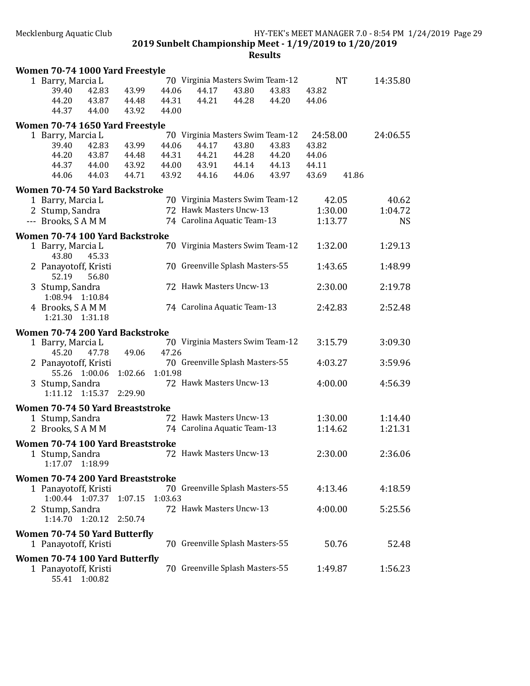| 70 Virginia Masters Swim Team-12<br><b>NT</b><br>14:35.80<br>1 Barry, Marcia L<br>43.99<br>44.06<br>44.17<br>43.82<br>39.40<br>42.83<br>43.80<br>43.83<br>44.20<br>44.31<br>44.21<br>43.87<br>44.48<br>44.28<br>44.20<br>44.06<br>43.92<br>44.37<br>44.00<br>44.00<br>Women 70-74 1650 Yard Freestyle<br>70 Virginia Masters Swim Team-12<br>1 Barry, Marcia L<br>24:58.00<br>24:06.55<br>44.06<br>44.17<br>43.80<br>43.83<br>43.82<br>39.40<br>42.83<br>43.99<br>44.20<br>43.87<br>44.21<br>44.20<br>44.48<br>44.31<br>44.28<br>44.06<br>44.37<br>44.00<br>43.92<br>44.00<br>43.91<br>44.13<br>44.14<br>44.11<br>44.03<br>44.71<br>43.92<br>43.97<br>41.86<br>44.06<br>44.16<br>44.06<br>43.69<br>Women 70-74 50 Yard Backstroke<br>70 Virginia Masters Swim Team-12<br>40.62<br>1 Barry, Marcia L<br>42.05<br>72 Hawk Masters Uncw-13<br>1:30.00<br>1:04.72<br>2 Stump, Sandra<br>74 Carolina Aquatic Team-13<br>--- Brooks, SAMM<br>1:13.77<br><b>NS</b><br>Women 70-74 100 Yard Backstroke<br>70 Virginia Masters Swim Team-12<br>1:32.00<br>1:29.13<br>1 Barry, Marcia L<br>43.80<br>45.33<br>1:48.99<br>70 Greenville Splash Masters-55<br>1:43.65<br>2 Panayotoff, Kristi<br>52.19<br>56.80<br>72 Hawk Masters Uncw-13<br>2:19.78<br>2:30.00<br>3 Stump, Sandra<br>1:08.94 1:10.84<br>74 Carolina Aquatic Team-13<br>4 Brooks, SAMM<br>2:42.83<br>2:52.48<br>1:21.30 1:31.18<br>Women 70-74 200 Yard Backstroke<br>70 Virginia Masters Swim Team-12<br>3:15.79<br>3:09.30<br>1 Barry, Marcia L<br>47.26<br>45.20<br>49.06<br>47.78<br>3:59.96<br>70 Greenville Splash Masters-55<br>4:03.27<br>2 Panayotoff, Kristi<br>55.26 1:00.06<br>1:02.66<br>1:01.98<br>3 Stump, Sandra<br>72 Hawk Masters Uncw-13<br>4:00.00<br>4:56.39<br>1:11.12 1:15.37 2:29.90<br>Women 70-74 50 Yard Breaststroke<br>72 Hawk Masters Uncw-13<br>1:30.00<br>1 Stump, Sandra<br>1:14.40<br>1:21.31<br>2 Brooks, SAMM<br>74 Carolina Aquatic Team-13<br>1:14.62<br>Women 70-74 100 Yard Breaststroke<br>2:36.06<br>72 Hawk Masters Uncw-13<br>2:30.00<br>1 Stump, Sandra<br>1:17.07 1:18.99<br>Women 70-74 200 Yard Breaststroke<br>70 Greenville Splash Masters-55<br>1 Panayotoff, Kristi<br>4:13.46<br>4:18.59<br>1:03.63<br>1:00.44 1:07.37<br>1:07.15<br>72 Hawk Masters Uncw-13<br>4:00.00<br>5:25.56<br>2 Stump, Sandra<br>1:14.70 1:20.12<br>2:50.74<br><b>Women 70-74 50 Yard Butterfly</b><br>70 Greenville Splash Masters-55<br>1 Panayotoff, Kristi<br>50.76<br>52.48<br>Women 70-74 100 Yard Butterfly<br>70 Greenville Splash Masters-55<br>1 Panayotoff, Kristi<br>1:49.87<br>1:56.23<br>55.41<br>1:00.82 |  | Women 70-74 1000 Yard Freestyle |  |  |  |  |  |  |  |  |  |
|----------------------------------------------------------------------------------------------------------------------------------------------------------------------------------------------------------------------------------------------------------------------------------------------------------------------------------------------------------------------------------------------------------------------------------------------------------------------------------------------------------------------------------------------------------------------------------------------------------------------------------------------------------------------------------------------------------------------------------------------------------------------------------------------------------------------------------------------------------------------------------------------------------------------------------------------------------------------------------------------------------------------------------------------------------------------------------------------------------------------------------------------------------------------------------------------------------------------------------------------------------------------------------------------------------------------------------------------------------------------------------------------------------------------------------------------------------------------------------------------------------------------------------------------------------------------------------------------------------------------------------------------------------------------------------------------------------------------------------------------------------------------------------------------------------------------------------------------------------------------------------------------------------------------------------------------------------------------------------------------------------------------------------------------------------------------------------------------------------------------------------------------------------------------------------------------------------------------------------------------------------------------------------------------------------------------------------------------------------------------------------------------------------------------------------------------------------------------------------------------------------------------------------------------------------------------------------------------------------|--|---------------------------------|--|--|--|--|--|--|--|--|--|
|                                                                                                                                                                                                                                                                                                                                                                                                                                                                                                                                                                                                                                                                                                                                                                                                                                                                                                                                                                                                                                                                                                                                                                                                                                                                                                                                                                                                                                                                                                                                                                                                                                                                                                                                                                                                                                                                                                                                                                                                                                                                                                                                                                                                                                                                                                                                                                                                                                                                                                                                                                                                          |  |                                 |  |  |  |  |  |  |  |  |  |
|                                                                                                                                                                                                                                                                                                                                                                                                                                                                                                                                                                                                                                                                                                                                                                                                                                                                                                                                                                                                                                                                                                                                                                                                                                                                                                                                                                                                                                                                                                                                                                                                                                                                                                                                                                                                                                                                                                                                                                                                                                                                                                                                                                                                                                                                                                                                                                                                                                                                                                                                                                                                          |  |                                 |  |  |  |  |  |  |  |  |  |
|                                                                                                                                                                                                                                                                                                                                                                                                                                                                                                                                                                                                                                                                                                                                                                                                                                                                                                                                                                                                                                                                                                                                                                                                                                                                                                                                                                                                                                                                                                                                                                                                                                                                                                                                                                                                                                                                                                                                                                                                                                                                                                                                                                                                                                                                                                                                                                                                                                                                                                                                                                                                          |  |                                 |  |  |  |  |  |  |  |  |  |
|                                                                                                                                                                                                                                                                                                                                                                                                                                                                                                                                                                                                                                                                                                                                                                                                                                                                                                                                                                                                                                                                                                                                                                                                                                                                                                                                                                                                                                                                                                                                                                                                                                                                                                                                                                                                                                                                                                                                                                                                                                                                                                                                                                                                                                                                                                                                                                                                                                                                                                                                                                                                          |  |                                 |  |  |  |  |  |  |  |  |  |
|                                                                                                                                                                                                                                                                                                                                                                                                                                                                                                                                                                                                                                                                                                                                                                                                                                                                                                                                                                                                                                                                                                                                                                                                                                                                                                                                                                                                                                                                                                                                                                                                                                                                                                                                                                                                                                                                                                                                                                                                                                                                                                                                                                                                                                                                                                                                                                                                                                                                                                                                                                                                          |  |                                 |  |  |  |  |  |  |  |  |  |
|                                                                                                                                                                                                                                                                                                                                                                                                                                                                                                                                                                                                                                                                                                                                                                                                                                                                                                                                                                                                                                                                                                                                                                                                                                                                                                                                                                                                                                                                                                                                                                                                                                                                                                                                                                                                                                                                                                                                                                                                                                                                                                                                                                                                                                                                                                                                                                                                                                                                                                                                                                                                          |  |                                 |  |  |  |  |  |  |  |  |  |
|                                                                                                                                                                                                                                                                                                                                                                                                                                                                                                                                                                                                                                                                                                                                                                                                                                                                                                                                                                                                                                                                                                                                                                                                                                                                                                                                                                                                                                                                                                                                                                                                                                                                                                                                                                                                                                                                                                                                                                                                                                                                                                                                                                                                                                                                                                                                                                                                                                                                                                                                                                                                          |  |                                 |  |  |  |  |  |  |  |  |  |
|                                                                                                                                                                                                                                                                                                                                                                                                                                                                                                                                                                                                                                                                                                                                                                                                                                                                                                                                                                                                                                                                                                                                                                                                                                                                                                                                                                                                                                                                                                                                                                                                                                                                                                                                                                                                                                                                                                                                                                                                                                                                                                                                                                                                                                                                                                                                                                                                                                                                                                                                                                                                          |  |                                 |  |  |  |  |  |  |  |  |  |
|                                                                                                                                                                                                                                                                                                                                                                                                                                                                                                                                                                                                                                                                                                                                                                                                                                                                                                                                                                                                                                                                                                                                                                                                                                                                                                                                                                                                                                                                                                                                                                                                                                                                                                                                                                                                                                                                                                                                                                                                                                                                                                                                                                                                                                                                                                                                                                                                                                                                                                                                                                                                          |  |                                 |  |  |  |  |  |  |  |  |  |
|                                                                                                                                                                                                                                                                                                                                                                                                                                                                                                                                                                                                                                                                                                                                                                                                                                                                                                                                                                                                                                                                                                                                                                                                                                                                                                                                                                                                                                                                                                                                                                                                                                                                                                                                                                                                                                                                                                                                                                                                                                                                                                                                                                                                                                                                                                                                                                                                                                                                                                                                                                                                          |  |                                 |  |  |  |  |  |  |  |  |  |
|                                                                                                                                                                                                                                                                                                                                                                                                                                                                                                                                                                                                                                                                                                                                                                                                                                                                                                                                                                                                                                                                                                                                                                                                                                                                                                                                                                                                                                                                                                                                                                                                                                                                                                                                                                                                                                                                                                                                                                                                                                                                                                                                                                                                                                                                                                                                                                                                                                                                                                                                                                                                          |  |                                 |  |  |  |  |  |  |  |  |  |
|                                                                                                                                                                                                                                                                                                                                                                                                                                                                                                                                                                                                                                                                                                                                                                                                                                                                                                                                                                                                                                                                                                                                                                                                                                                                                                                                                                                                                                                                                                                                                                                                                                                                                                                                                                                                                                                                                                                                                                                                                                                                                                                                                                                                                                                                                                                                                                                                                                                                                                                                                                                                          |  |                                 |  |  |  |  |  |  |  |  |  |
|                                                                                                                                                                                                                                                                                                                                                                                                                                                                                                                                                                                                                                                                                                                                                                                                                                                                                                                                                                                                                                                                                                                                                                                                                                                                                                                                                                                                                                                                                                                                                                                                                                                                                                                                                                                                                                                                                                                                                                                                                                                                                                                                                                                                                                                                                                                                                                                                                                                                                                                                                                                                          |  |                                 |  |  |  |  |  |  |  |  |  |
|                                                                                                                                                                                                                                                                                                                                                                                                                                                                                                                                                                                                                                                                                                                                                                                                                                                                                                                                                                                                                                                                                                                                                                                                                                                                                                                                                                                                                                                                                                                                                                                                                                                                                                                                                                                                                                                                                                                                                                                                                                                                                                                                                                                                                                                                                                                                                                                                                                                                                                                                                                                                          |  |                                 |  |  |  |  |  |  |  |  |  |
|                                                                                                                                                                                                                                                                                                                                                                                                                                                                                                                                                                                                                                                                                                                                                                                                                                                                                                                                                                                                                                                                                                                                                                                                                                                                                                                                                                                                                                                                                                                                                                                                                                                                                                                                                                                                                                                                                                                                                                                                                                                                                                                                                                                                                                                                                                                                                                                                                                                                                                                                                                                                          |  |                                 |  |  |  |  |  |  |  |  |  |
|                                                                                                                                                                                                                                                                                                                                                                                                                                                                                                                                                                                                                                                                                                                                                                                                                                                                                                                                                                                                                                                                                                                                                                                                                                                                                                                                                                                                                                                                                                                                                                                                                                                                                                                                                                                                                                                                                                                                                                                                                                                                                                                                                                                                                                                                                                                                                                                                                                                                                                                                                                                                          |  |                                 |  |  |  |  |  |  |  |  |  |
|                                                                                                                                                                                                                                                                                                                                                                                                                                                                                                                                                                                                                                                                                                                                                                                                                                                                                                                                                                                                                                                                                                                                                                                                                                                                                                                                                                                                                                                                                                                                                                                                                                                                                                                                                                                                                                                                                                                                                                                                                                                                                                                                                                                                                                                                                                                                                                                                                                                                                                                                                                                                          |  |                                 |  |  |  |  |  |  |  |  |  |
|                                                                                                                                                                                                                                                                                                                                                                                                                                                                                                                                                                                                                                                                                                                                                                                                                                                                                                                                                                                                                                                                                                                                                                                                                                                                                                                                                                                                                                                                                                                                                                                                                                                                                                                                                                                                                                                                                                                                                                                                                                                                                                                                                                                                                                                                                                                                                                                                                                                                                                                                                                                                          |  |                                 |  |  |  |  |  |  |  |  |  |
|                                                                                                                                                                                                                                                                                                                                                                                                                                                                                                                                                                                                                                                                                                                                                                                                                                                                                                                                                                                                                                                                                                                                                                                                                                                                                                                                                                                                                                                                                                                                                                                                                                                                                                                                                                                                                                                                                                                                                                                                                                                                                                                                                                                                                                                                                                                                                                                                                                                                                                                                                                                                          |  |                                 |  |  |  |  |  |  |  |  |  |
|                                                                                                                                                                                                                                                                                                                                                                                                                                                                                                                                                                                                                                                                                                                                                                                                                                                                                                                                                                                                                                                                                                                                                                                                                                                                                                                                                                                                                                                                                                                                                                                                                                                                                                                                                                                                                                                                                                                                                                                                                                                                                                                                                                                                                                                                                                                                                                                                                                                                                                                                                                                                          |  |                                 |  |  |  |  |  |  |  |  |  |
|                                                                                                                                                                                                                                                                                                                                                                                                                                                                                                                                                                                                                                                                                                                                                                                                                                                                                                                                                                                                                                                                                                                                                                                                                                                                                                                                                                                                                                                                                                                                                                                                                                                                                                                                                                                                                                                                                                                                                                                                                                                                                                                                                                                                                                                                                                                                                                                                                                                                                                                                                                                                          |  |                                 |  |  |  |  |  |  |  |  |  |
|                                                                                                                                                                                                                                                                                                                                                                                                                                                                                                                                                                                                                                                                                                                                                                                                                                                                                                                                                                                                                                                                                                                                                                                                                                                                                                                                                                                                                                                                                                                                                                                                                                                                                                                                                                                                                                                                                                                                                                                                                                                                                                                                                                                                                                                                                                                                                                                                                                                                                                                                                                                                          |  |                                 |  |  |  |  |  |  |  |  |  |
|                                                                                                                                                                                                                                                                                                                                                                                                                                                                                                                                                                                                                                                                                                                                                                                                                                                                                                                                                                                                                                                                                                                                                                                                                                                                                                                                                                                                                                                                                                                                                                                                                                                                                                                                                                                                                                                                                                                                                                                                                                                                                                                                                                                                                                                                                                                                                                                                                                                                                                                                                                                                          |  |                                 |  |  |  |  |  |  |  |  |  |
|                                                                                                                                                                                                                                                                                                                                                                                                                                                                                                                                                                                                                                                                                                                                                                                                                                                                                                                                                                                                                                                                                                                                                                                                                                                                                                                                                                                                                                                                                                                                                                                                                                                                                                                                                                                                                                                                                                                                                                                                                                                                                                                                                                                                                                                                                                                                                                                                                                                                                                                                                                                                          |  |                                 |  |  |  |  |  |  |  |  |  |
|                                                                                                                                                                                                                                                                                                                                                                                                                                                                                                                                                                                                                                                                                                                                                                                                                                                                                                                                                                                                                                                                                                                                                                                                                                                                                                                                                                                                                                                                                                                                                                                                                                                                                                                                                                                                                                                                                                                                                                                                                                                                                                                                                                                                                                                                                                                                                                                                                                                                                                                                                                                                          |  |                                 |  |  |  |  |  |  |  |  |  |
|                                                                                                                                                                                                                                                                                                                                                                                                                                                                                                                                                                                                                                                                                                                                                                                                                                                                                                                                                                                                                                                                                                                                                                                                                                                                                                                                                                                                                                                                                                                                                                                                                                                                                                                                                                                                                                                                                                                                                                                                                                                                                                                                                                                                                                                                                                                                                                                                                                                                                                                                                                                                          |  |                                 |  |  |  |  |  |  |  |  |  |
|                                                                                                                                                                                                                                                                                                                                                                                                                                                                                                                                                                                                                                                                                                                                                                                                                                                                                                                                                                                                                                                                                                                                                                                                                                                                                                                                                                                                                                                                                                                                                                                                                                                                                                                                                                                                                                                                                                                                                                                                                                                                                                                                                                                                                                                                                                                                                                                                                                                                                                                                                                                                          |  |                                 |  |  |  |  |  |  |  |  |  |
|                                                                                                                                                                                                                                                                                                                                                                                                                                                                                                                                                                                                                                                                                                                                                                                                                                                                                                                                                                                                                                                                                                                                                                                                                                                                                                                                                                                                                                                                                                                                                                                                                                                                                                                                                                                                                                                                                                                                                                                                                                                                                                                                                                                                                                                                                                                                                                                                                                                                                                                                                                                                          |  |                                 |  |  |  |  |  |  |  |  |  |
|                                                                                                                                                                                                                                                                                                                                                                                                                                                                                                                                                                                                                                                                                                                                                                                                                                                                                                                                                                                                                                                                                                                                                                                                                                                                                                                                                                                                                                                                                                                                                                                                                                                                                                                                                                                                                                                                                                                                                                                                                                                                                                                                                                                                                                                                                                                                                                                                                                                                                                                                                                                                          |  |                                 |  |  |  |  |  |  |  |  |  |
|                                                                                                                                                                                                                                                                                                                                                                                                                                                                                                                                                                                                                                                                                                                                                                                                                                                                                                                                                                                                                                                                                                                                                                                                                                                                                                                                                                                                                                                                                                                                                                                                                                                                                                                                                                                                                                                                                                                                                                                                                                                                                                                                                                                                                                                                                                                                                                                                                                                                                                                                                                                                          |  |                                 |  |  |  |  |  |  |  |  |  |
|                                                                                                                                                                                                                                                                                                                                                                                                                                                                                                                                                                                                                                                                                                                                                                                                                                                                                                                                                                                                                                                                                                                                                                                                                                                                                                                                                                                                                                                                                                                                                                                                                                                                                                                                                                                                                                                                                                                                                                                                                                                                                                                                                                                                                                                                                                                                                                                                                                                                                                                                                                                                          |  |                                 |  |  |  |  |  |  |  |  |  |
|                                                                                                                                                                                                                                                                                                                                                                                                                                                                                                                                                                                                                                                                                                                                                                                                                                                                                                                                                                                                                                                                                                                                                                                                                                                                                                                                                                                                                                                                                                                                                                                                                                                                                                                                                                                                                                                                                                                                                                                                                                                                                                                                                                                                                                                                                                                                                                                                                                                                                                                                                                                                          |  |                                 |  |  |  |  |  |  |  |  |  |
|                                                                                                                                                                                                                                                                                                                                                                                                                                                                                                                                                                                                                                                                                                                                                                                                                                                                                                                                                                                                                                                                                                                                                                                                                                                                                                                                                                                                                                                                                                                                                                                                                                                                                                                                                                                                                                                                                                                                                                                                                                                                                                                                                                                                                                                                                                                                                                                                                                                                                                                                                                                                          |  |                                 |  |  |  |  |  |  |  |  |  |
|                                                                                                                                                                                                                                                                                                                                                                                                                                                                                                                                                                                                                                                                                                                                                                                                                                                                                                                                                                                                                                                                                                                                                                                                                                                                                                                                                                                                                                                                                                                                                                                                                                                                                                                                                                                                                                                                                                                                                                                                                                                                                                                                                                                                                                                                                                                                                                                                                                                                                                                                                                                                          |  |                                 |  |  |  |  |  |  |  |  |  |
|                                                                                                                                                                                                                                                                                                                                                                                                                                                                                                                                                                                                                                                                                                                                                                                                                                                                                                                                                                                                                                                                                                                                                                                                                                                                                                                                                                                                                                                                                                                                                                                                                                                                                                                                                                                                                                                                                                                                                                                                                                                                                                                                                                                                                                                                                                                                                                                                                                                                                                                                                                                                          |  |                                 |  |  |  |  |  |  |  |  |  |
|                                                                                                                                                                                                                                                                                                                                                                                                                                                                                                                                                                                                                                                                                                                                                                                                                                                                                                                                                                                                                                                                                                                                                                                                                                                                                                                                                                                                                                                                                                                                                                                                                                                                                                                                                                                                                                                                                                                                                                                                                                                                                                                                                                                                                                                                                                                                                                                                                                                                                                                                                                                                          |  |                                 |  |  |  |  |  |  |  |  |  |
|                                                                                                                                                                                                                                                                                                                                                                                                                                                                                                                                                                                                                                                                                                                                                                                                                                                                                                                                                                                                                                                                                                                                                                                                                                                                                                                                                                                                                                                                                                                                                                                                                                                                                                                                                                                                                                                                                                                                                                                                                                                                                                                                                                                                                                                                                                                                                                                                                                                                                                                                                                                                          |  |                                 |  |  |  |  |  |  |  |  |  |
|                                                                                                                                                                                                                                                                                                                                                                                                                                                                                                                                                                                                                                                                                                                                                                                                                                                                                                                                                                                                                                                                                                                                                                                                                                                                                                                                                                                                                                                                                                                                                                                                                                                                                                                                                                                                                                                                                                                                                                                                                                                                                                                                                                                                                                                                                                                                                                                                                                                                                                                                                                                                          |  |                                 |  |  |  |  |  |  |  |  |  |
|                                                                                                                                                                                                                                                                                                                                                                                                                                                                                                                                                                                                                                                                                                                                                                                                                                                                                                                                                                                                                                                                                                                                                                                                                                                                                                                                                                                                                                                                                                                                                                                                                                                                                                                                                                                                                                                                                                                                                                                                                                                                                                                                                                                                                                                                                                                                                                                                                                                                                                                                                                                                          |  |                                 |  |  |  |  |  |  |  |  |  |
|                                                                                                                                                                                                                                                                                                                                                                                                                                                                                                                                                                                                                                                                                                                                                                                                                                                                                                                                                                                                                                                                                                                                                                                                                                                                                                                                                                                                                                                                                                                                                                                                                                                                                                                                                                                                                                                                                                                                                                                                                                                                                                                                                                                                                                                                                                                                                                                                                                                                                                                                                                                                          |  |                                 |  |  |  |  |  |  |  |  |  |
|                                                                                                                                                                                                                                                                                                                                                                                                                                                                                                                                                                                                                                                                                                                                                                                                                                                                                                                                                                                                                                                                                                                                                                                                                                                                                                                                                                                                                                                                                                                                                                                                                                                                                                                                                                                                                                                                                                                                                                                                                                                                                                                                                                                                                                                                                                                                                                                                                                                                                                                                                                                                          |  |                                 |  |  |  |  |  |  |  |  |  |
|                                                                                                                                                                                                                                                                                                                                                                                                                                                                                                                                                                                                                                                                                                                                                                                                                                                                                                                                                                                                                                                                                                                                                                                                                                                                                                                                                                                                                                                                                                                                                                                                                                                                                                                                                                                                                                                                                                                                                                                                                                                                                                                                                                                                                                                                                                                                                                                                                                                                                                                                                                                                          |  |                                 |  |  |  |  |  |  |  |  |  |
|                                                                                                                                                                                                                                                                                                                                                                                                                                                                                                                                                                                                                                                                                                                                                                                                                                                                                                                                                                                                                                                                                                                                                                                                                                                                                                                                                                                                                                                                                                                                                                                                                                                                                                                                                                                                                                                                                                                                                                                                                                                                                                                                                                                                                                                                                                                                                                                                                                                                                                                                                                                                          |  |                                 |  |  |  |  |  |  |  |  |  |
|                                                                                                                                                                                                                                                                                                                                                                                                                                                                                                                                                                                                                                                                                                                                                                                                                                                                                                                                                                                                                                                                                                                                                                                                                                                                                                                                                                                                                                                                                                                                                                                                                                                                                                                                                                                                                                                                                                                                                                                                                                                                                                                                                                                                                                                                                                                                                                                                                                                                                                                                                                                                          |  |                                 |  |  |  |  |  |  |  |  |  |
|                                                                                                                                                                                                                                                                                                                                                                                                                                                                                                                                                                                                                                                                                                                                                                                                                                                                                                                                                                                                                                                                                                                                                                                                                                                                                                                                                                                                                                                                                                                                                                                                                                                                                                                                                                                                                                                                                                                                                                                                                                                                                                                                                                                                                                                                                                                                                                                                                                                                                                                                                                                                          |  |                                 |  |  |  |  |  |  |  |  |  |
|                                                                                                                                                                                                                                                                                                                                                                                                                                                                                                                                                                                                                                                                                                                                                                                                                                                                                                                                                                                                                                                                                                                                                                                                                                                                                                                                                                                                                                                                                                                                                                                                                                                                                                                                                                                                                                                                                                                                                                                                                                                                                                                                                                                                                                                                                                                                                                                                                                                                                                                                                                                                          |  |                                 |  |  |  |  |  |  |  |  |  |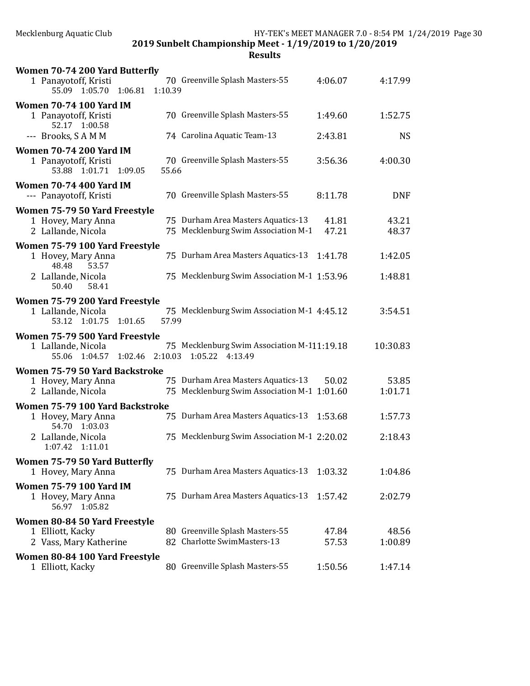| Women 70-74 200 Yard Butterfly                                                        |         |                                                                           |                |                |
|---------------------------------------------------------------------------------------|---------|---------------------------------------------------------------------------|----------------|----------------|
| 1 Panayotoff, Kristi<br>1:06.81<br>55.09 1:05.70                                      | 1:10.39 | 70 Greenville Splash Masters-55                                           | 4:06.07        | 4:17.99        |
| <b>Women 70-74 100 Yard IM</b>                                                        |         |                                                                           |                |                |
| 1 Panayotoff, Kristi<br>52.17 1:00.58                                                 |         | 70 Greenville Splash Masters-55                                           | 1:49.60        | 1:52.75        |
| --- Brooks, SAMM                                                                      |         | 74 Carolina Aquatic Team-13                                               | 2:43.81        | <b>NS</b>      |
| <b>Women 70-74 200 Yard IM</b><br>1 Panayotoff, Kristi<br>53.88<br>1:01.71<br>1:09.05 | 55.66   | 70 Greenville Splash Masters-55                                           | 3:56.36        | 4:00.30        |
| <b>Women 70-74 400 Yard IM</b><br>--- Panayotoff, Kristi                              |         | 70 Greenville Splash Masters-55                                           | 8:11.78        | <b>DNF</b>     |
| Women 75-79 50 Yard Freestyle                                                         |         |                                                                           |                |                |
| 1 Hovey, Mary Anna<br>2 Lallande, Nicola                                              |         | 75 Durham Area Masters Aquatics-13<br>75 Mecklenburg Swim Association M-1 | 41.81<br>47.21 | 43.21<br>48.37 |
| Women 75-79 100 Yard Freestyle                                                        |         |                                                                           |                |                |
| 1 Hovey, Mary Anna<br>48.48<br>53.57                                                  |         | 75 Durham Area Masters Aquatics-13                                        | 1:41.78        | 1:42.05        |
| 2 Lallande, Nicola<br>58.41<br>50.40                                                  |         | 75 Mecklenburg Swim Association M-1 1:53.96                               |                | 1:48.81        |
| Women 75-79 200 Yard Freestyle                                                        |         |                                                                           |                |                |
| 1 Lallande, Nicola<br>53.12 1:01.75<br>1:01.65                                        | 57.99   | 75 Mecklenburg Swim Association M-1 4:45.12                               |                | 3:54.51        |
| Women 75-79 500 Yard Freestyle                                                        |         |                                                                           |                |                |
| 1 Lallande, Nicola<br>55.06 1:04.57 1:02.46                                           |         | 75 Mecklenburg Swim Association M-111:19.18<br>2:10.03 1:05.22 4:13.49    |                | 10:30.83       |
| Women 75-79 50 Yard Backstroke                                                        |         |                                                                           |                |                |
| 1 Hovey, Mary Anna                                                                    |         | 75 Durham Area Masters Aquatics-13                                        | 50.02          | 53.85          |
| 2 Lallande, Nicola                                                                    |         | 75 Mecklenburg Swim Association M-1 1:01.60                               |                | 1:01.71        |
| Women 75-79 100 Yard Backstroke                                                       |         |                                                                           |                |                |
| 1 Hovey, Mary Anna<br>54.70 1:03.03                                                   |         | 75 Durham Area Masters Aquatics-13                                        | 1:53.68        | 1:57.73        |
| 2 Lallande, Nicola<br>1:07.42 1:11.01                                                 |         | 75 Mecklenburg Swim Association M-1 2:20.02                               |                | 2:18.43        |
| Women 75-79 50 Yard Butterfly                                                         |         |                                                                           |                |                |
| 1 Hovey, Mary Anna                                                                    |         | 75 Durham Area Masters Aquatics-13                                        | 1:03.32        | 1:04.86        |
| <b>Women 75-79 100 Yard IM</b>                                                        |         |                                                                           |                |                |
| 1 Hovey, Mary Anna<br>56.97 1:05.82                                                   |         | 75 Durham Area Masters Aquatics-13                                        | 1:57.42        | 2:02.79        |
| Women 80-84 50 Yard Freestyle                                                         |         |                                                                           |                |                |
| 1 Elliott, Kacky                                                                      |         | 80 Greenville Splash Masters-55                                           | 47.84          | 48.56          |
| 2 Vass, Mary Katherine                                                                |         | 82 Charlotte SwimMasters-13                                               | 57.53          | 1:00.89        |
| Women 80-84 100 Yard Freestyle<br>1 Elliott, Kacky                                    |         | 80 Greenville Splash Masters-55                                           | 1:50.56        | 1:47.14        |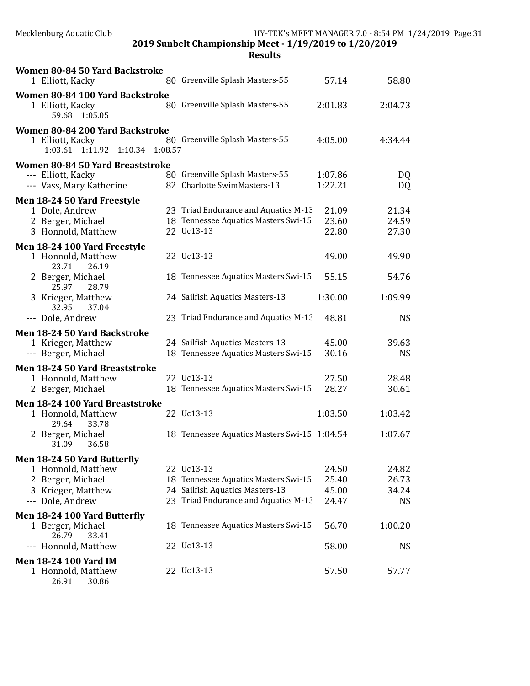| Women 80-84 50 Yard Backstroke<br>1 Elliott, Kacky                                     | 80 Greenville Splash Masters-55                                | 57.14              | 58.80     |
|----------------------------------------------------------------------------------------|----------------------------------------------------------------|--------------------|-----------|
| Women 80-84 100 Yard Backstroke                                                        |                                                                |                    |           |
| 1 Elliott, Kacky<br>59.68 1:05.05                                                      | 80 Greenville Splash Masters-55                                | 2:01.83            | 2:04.73   |
| Women 80-84 200 Yard Backstroke<br>1 Elliott, Kacky<br>1:03.61 1:11.92 1:10.34 1:08.57 | 80 Greenville Splash Masters-55                                | 4:05.00            | 4:34.44   |
| Women 80-84 50 Yard Breaststroke<br>--- Elliott, Kacky<br>--- Vass, Mary Katherine     | 80 Greenville Splash Masters-55<br>82 Charlotte SwimMasters-13 | 1:07.86<br>1:22.21 | DQ<br>DQ  |
| Men 18-24 50 Yard Freestyle                                                            |                                                                |                    |           |
| 1 Dole, Andrew                                                                         | 23 Triad Endurance and Aquatics M-13                           | 21.09              | 21.34     |
| 2 Berger, Michael                                                                      | 18 Tennessee Aquatics Masters Swi-15                           | 23.60              | 24.59     |
| 3 Honnold, Matthew                                                                     | 22 Uc13-13                                                     | 22.80              | 27.30     |
| Men 18-24 100 Yard Freestyle                                                           |                                                                |                    |           |
| 1 Honnold, Matthew<br>23.71<br>26.19                                                   | 22 Uc13-13                                                     | 49.00              | 49.90     |
| 2 Berger, Michael<br>25.97<br>28.79                                                    | 18 Tennessee Aquatics Masters Swi-15                           | 55.15              | 54.76     |
| 3 Krieger, Matthew<br>32.95<br>37.04                                                   | 24 Sailfish Aquatics Masters-13                                | 1:30.00            | 1:09.99   |
| --- Dole, Andrew                                                                       | 23 Triad Endurance and Aquatics M-13                           | 48.81              | <b>NS</b> |
| Men 18-24 50 Yard Backstroke                                                           |                                                                |                    |           |
| 1 Krieger, Matthew                                                                     | 24 Sailfish Aquatics Masters-13                                | 45.00              | 39.63     |
| --- Berger, Michael                                                                    | 18 Tennessee Aquatics Masters Swi-15                           | 30.16              | <b>NS</b> |
| Men 18-24 50 Yard Breaststroke                                                         |                                                                |                    |           |
| 1 Honnold, Matthew                                                                     | 22 Uc13-13                                                     | 27.50              | 28.48     |
| 2 Berger, Michael                                                                      | 18 Tennessee Aquatics Masters Swi-15                           | 28.27              | 30.61     |
| Men 18-24 100 Yard Breaststroke                                                        |                                                                |                    |           |
| 1 Honnold, Matthew<br>29.64<br>33.78                                                   | 22 Uc13-13                                                     | 1:03.50            | 1:03.42   |
| 2 Berger, Michael<br>36.58<br>31.09                                                    | 18 Tennessee Aquatics Masters Swi-15 1:04.54                   |                    | 1:07.67   |
| Men 18-24 50 Yard Butterfly                                                            |                                                                |                    |           |
| 1 Honnold, Matthew                                                                     | 22 Uc13-13                                                     | 24.50              | 24.82     |
| 2 Berger, Michael                                                                      | 18 Tennessee Aquatics Masters Swi-15                           | 25.40              | 26.73     |
| 3 Krieger, Matthew                                                                     | 24 Sailfish Aquatics Masters-13                                | 45.00              | 34.24     |
| --- Dole, Andrew                                                                       | 23 Triad Endurance and Aquatics M-13                           | 24.47              | <b>NS</b> |
| Men 18-24 100 Yard Butterfly                                                           |                                                                |                    |           |
| 1 Berger, Michael<br>26.79<br>33.41                                                    | 18 Tennessee Aquatics Masters Swi-15                           | 56.70              | 1:00.20   |
| --- Honnold, Matthew                                                                   | 22 Uc13-13                                                     | 58.00              | <b>NS</b> |
| <b>Men 18-24 100 Yard IM</b>                                                           |                                                                |                    |           |
| 1 Honnold, Matthew<br>26.91<br>30.86                                                   | 22 Uc13-13                                                     | 57.50              | 57.77     |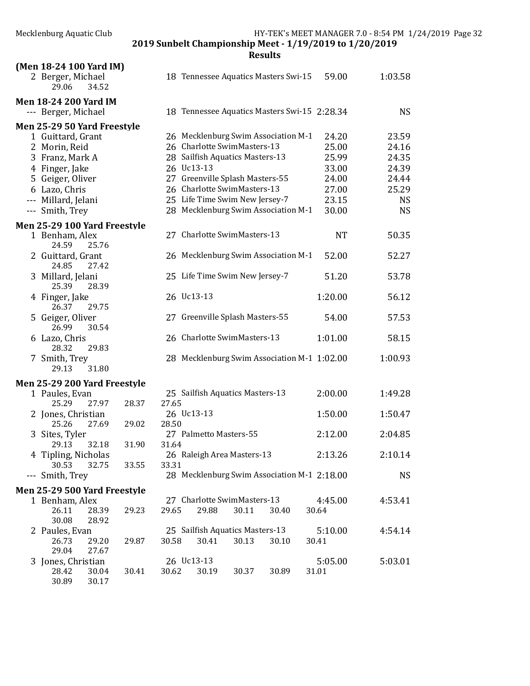|         | (Men 18-24 100 Yard IM)<br>2 Berger, Michael<br>29.06<br>34.52   |       |       | 18 Tennessee Aquatics Masters Swi-15                       | 59.00            | 1:03.58   |
|---------|------------------------------------------------------------------|-------|-------|------------------------------------------------------------|------------------|-----------|
|         |                                                                  |       |       |                                                            |                  |           |
|         | <b>Men 18-24 200 Yard IM</b><br>--- Berger, Michael              |       |       | 18 Tennessee Aquatics Masters Swi-15 2:28.34               |                  | <b>NS</b> |
|         | Men 25-29 50 Yard Freestyle                                      |       |       |                                                            |                  |           |
|         | 1 Guittard, Grant                                                |       |       | 26 Mecklenburg Swim Association M-1                        | 24.20            | 23.59     |
|         | 2 Morin, Reid                                                    |       |       | 26 Charlotte SwimMasters-13                                | 25.00            | 24.16     |
|         | 3 Franz, Mark A                                                  |       |       | 28 Sailfish Aquatics Masters-13                            | 25.99            | 24.35     |
|         | 4 Finger, Jake                                                   |       |       | 26 Uc13-13                                                 | 33.00            | 24.39     |
|         | 5 Geiger, Oliver                                                 |       |       | 27 Greenville Splash Masters-55                            | 24.00            | 24.44     |
|         | 6 Lazo, Chris                                                    |       |       | 26 Charlotte SwimMasters-13                                | 27.00            | 25.29     |
|         | --- Millard, Jelani                                              |       |       | 25 Life Time Swim New Jersey-7                             | 23.15            | <b>NS</b> |
|         | --- Smith, Trey                                                  |       |       | 28 Mecklenburg Swim Association M-1                        | 30.00            | <b>NS</b> |
|         | Men 25-29 100 Yard Freestyle<br>1 Benham, Alex<br>24.59<br>25.76 |       |       | 27 Charlotte SwimMasters-13                                | <b>NT</b>        | 50.35     |
|         | 2 Guittard, Grant<br>24.85<br>27.42                              |       |       | 26 Mecklenburg Swim Association M-1                        | 52.00            | 52.27     |
|         | 3 Millard, Jelani<br>25.39<br>28.39                              |       |       | 25 Life Time Swim New Jersey-7                             | 51.20            | 53.78     |
|         | 4 Finger, Jake<br>26.37<br>29.75                                 |       |       | 26 Uc13-13                                                 | 1:20.00          | 56.12     |
|         | 5 Geiger, Oliver<br>26.99<br>30.54                               |       |       | 27 Greenville Splash Masters-55                            | 54.00            | 57.53     |
|         | 6 Lazo, Chris<br>28.32<br>29.83                                  |       |       | 26 Charlotte SwimMasters-13                                | 1:01.00          | 58.15     |
|         | 7 Smith, Trey<br>29.13<br>31.80                                  |       |       | 28 Mecklenburg Swim Association M-1 1:02.00                |                  | 1:00.93   |
|         | Men 25-29 200 Yard Freestyle                                     |       |       |                                                            |                  |           |
|         | 1 Paules, Evan<br>25.29<br>27.97                                 | 28.37 | 27.65 | 25 Sailfish Aquatics Masters-13                            | 2:00.00          | 1:49.28   |
|         | 2 Jones, Christian<br>25.26<br>27.69                             | 29.02 | 28.50 | 26 Uc13-13                                                 | 1:50.00          | 1:50.47   |
| 3       | Sites, Tyler<br>29.13<br>32.18                                   | 31.90 | 31.64 | 27 Palmetto Masters-55                                     | 2:12.00          | 2:04.85   |
|         | 4 Tipling, Nicholas<br>30.53<br>32.75                            | 33.55 | 33.31 | 26 Raleigh Area Masters-13                                 | 2:13.26          | 2:10.14   |
| $- - -$ | Smith, Trey                                                      |       |       | 28 Mecklenburg Swim Association M-1 2:18.00                |                  | <b>NS</b> |
|         | Men 25-29 500 Yard Freestyle                                     |       |       |                                                            |                  |           |
|         | 1 Benham, Alex<br>26.11<br>28.39<br>30.08<br>28.92               | 29.23 | 29.65 | 27 Charlotte SwimMasters-13<br>29.88<br>30.11<br>30.40     | 4:45.00<br>30.64 | 4:53.41   |
|         | 2 Paules, Evan<br>26.73<br>29.20                                 | 29.87 | 30.58 | 25 Sailfish Aquatics Masters-13<br>30.41<br>30.13<br>30.10 | 5:10.00<br>30.41 | 4:54.14   |
| 3.      | 29.04<br>27.67<br>Jones, Christian                               |       |       | 26 Uc13-13                                                 | 5:05.00          | 5:03.01   |
|         | 28.42<br>30.04<br>30.89<br>30.17                                 | 30.41 | 30.62 | 30.19<br>30.37<br>30.89                                    | 31.01            |           |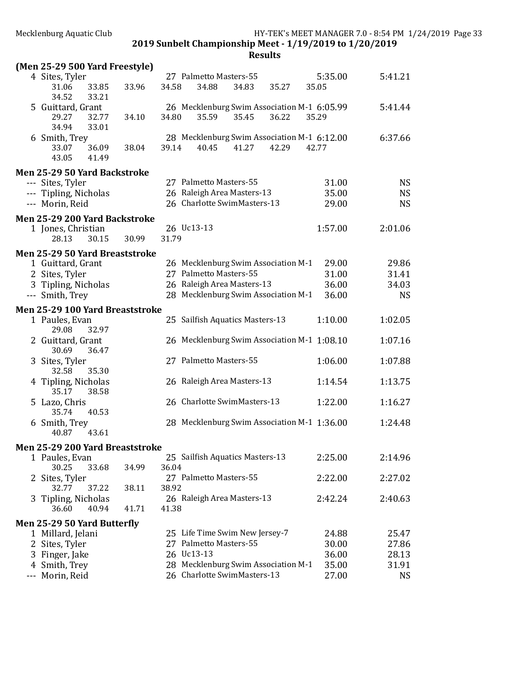|     | (Men 25-29 500 Yard Freestyle)        |       |       |                                             |       |       |         |           |
|-----|---------------------------------------|-------|-------|---------------------------------------------|-------|-------|---------|-----------|
|     | 4 Sites, Tyler                        |       |       | 27 Palmetto Masters-55                      |       |       | 5:35.00 | 5:41.21   |
|     | 33.85<br>31.06<br>34.52<br>33.21      | 33.96 | 34.58 | 34.88                                       | 34.83 | 35.27 | 35.05   |           |
|     | 5 Guittard, Grant                     |       |       | 26 Mecklenburg Swim Association M-1 6:05.99 |       |       |         | 5:41.44   |
|     | 29.27<br>32.77<br>34.94<br>33.01      | 34.10 | 34.80 | 35.59                                       | 35.45 | 36.22 | 35.29   |           |
|     | 6 Smith, Trey                         |       |       | 28 Mecklenburg Swim Association M-1 6:12.00 |       |       |         | 6:37.66   |
|     | 36.09<br>33.07                        | 38.04 | 39.14 | 40.45                                       | 41.27 | 42.29 | 42.77   |           |
|     | 43.05<br>41.49                        |       |       |                                             |       |       |         |           |
|     | Men 25-29 50 Yard Backstroke          |       |       |                                             |       |       |         |           |
|     | --- Sites, Tyler                      |       |       | 27 Palmetto Masters-55                      |       |       | 31.00   | <b>NS</b> |
|     | --- Tipling, Nicholas                 |       |       | 26 Raleigh Area Masters-13                  |       |       | 35.00   | <b>NS</b> |
|     | --- Morin, Reid                       |       |       | 26 Charlotte SwimMasters-13                 |       |       | 29.00   | <b>NS</b> |
|     | Men 25-29 200 Yard Backstroke         |       |       |                                             |       |       |         |           |
|     | 1 Jones, Christian                    |       |       | 26 Uc13-13                                  |       |       | 1:57.00 | 2:01.06   |
|     | 28.13<br>30.15                        | 30.99 | 31.79 |                                             |       |       |         |           |
|     | Men 25-29 50 Yard Breaststroke        |       |       |                                             |       |       |         |           |
|     | 1 Guittard, Grant                     |       |       | 26 Mecklenburg Swim Association M-1         |       |       | 29.00   | 29.86     |
|     | 2 Sites, Tyler                        |       |       | 27 Palmetto Masters-55                      |       |       | 31.00   | 31.41     |
|     | 3 Tipling, Nicholas                   |       |       | 26 Raleigh Area Masters-13                  |       |       | 36.00   | 34.03     |
|     | --- Smith, Trey                       |       |       | 28 Mecklenburg Swim Association M-1         |       |       | 36.00   | <b>NS</b> |
|     | Men 25-29 100 Yard Breaststroke       |       |       |                                             |       |       |         |           |
|     | 1 Paules, Evan<br>32.97<br>29.08      |       |       | 25 Sailfish Aquatics Masters-13             |       |       | 1:10.00 | 1:02.05   |
|     | 2 Guittard, Grant                     |       |       | 26 Mecklenburg Swim Association M-1 1:08.10 |       |       |         | 1:07.16   |
|     | 30.69<br>36.47                        |       |       |                                             |       |       |         |           |
|     | 3 Sites, Tyler                        |       |       | 27 Palmetto Masters-55                      |       |       | 1:06.00 | 1:07.88   |
|     | 35.30<br>32.58<br>4 Tipling, Nicholas |       |       | 26 Raleigh Area Masters-13                  |       |       | 1:14.54 | 1:13.75   |
|     | 35.17<br>38.58                        |       |       |                                             |       |       |         |           |
|     | 5 Lazo, Chris                         |       |       | 26 Charlotte SwimMasters-13                 |       |       | 1:22.00 | 1:16.27   |
|     | 35.74<br>40.53<br>6 Smith, Trey       |       |       | 28 Mecklenburg Swim Association M-1 1:36.00 |       |       |         | 1:24.48   |
|     | 43.61<br>40.87                        |       |       |                                             |       |       |         |           |
|     | Men 25-29 200 Yard Breaststroke       |       |       |                                             |       |       |         |           |
|     | 1 Paules, Evan                        |       |       | 25 Sailfish Aquatics Masters-13             |       |       | 2:25.00 | 2:14.96   |
|     | 30.25<br>33.68                        | 34.99 | 36.04 |                                             |       |       |         |           |
|     | 2 Sites, Tyler                        |       |       | 27 Palmetto Masters-55                      |       |       | 2:22.00 | 2:27.02   |
|     | 37.22<br>32.77                        | 38.11 | 38.92 |                                             |       |       |         |           |
| 3   | Tipling, Nicholas                     |       |       | 26 Raleigh Area Masters-13                  |       |       | 2:42.24 | 2:40.63   |
|     | 36.60<br>40.94                        | 41.71 | 41.38 |                                             |       |       |         |           |
|     | Men 25-29 50 Yard Butterfly           |       |       |                                             |       |       |         |           |
|     | 1 Millard, Jelani                     |       |       | 25 Life Time Swim New Jersey-7              |       |       | 24.88   | 25.47     |
|     | 2 Sites, Tyler                        |       |       | 27 Palmetto Masters-55                      |       |       | 30.00   | 27.86     |
|     | 3 Finger, Jake                        |       |       | 26 Uc13-13                                  |       |       | 36.00   | 28.13     |
|     | 4 Smith, Trey                         |       |       | 28 Mecklenburg Swim Association M-1         |       |       | 35.00   | 31.91     |
| --- | Morin, Reid                           |       |       | 26 Charlotte SwimMasters-13                 |       |       | 27.00   | <b>NS</b> |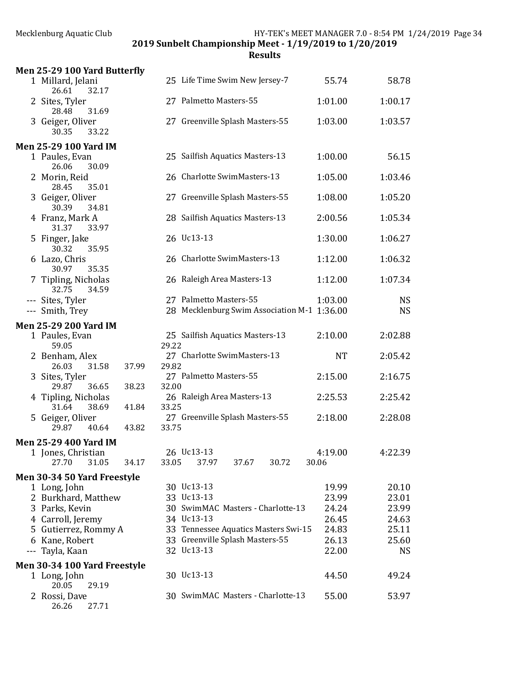| Men 25-29 100 Yard Butterfly                   |                                                                         |                |                    |
|------------------------------------------------|-------------------------------------------------------------------------|----------------|--------------------|
| 1 Millard, Jelani<br>26.61<br>32.17            | 25 Life Time Swim New Jersey-7                                          | 55.74          | 58.78              |
| 2 Sites, Tyler<br>28.48<br>31.69               | 27 Palmetto Masters-55                                                  | 1:01.00        | 1:00.17            |
| 3 Geiger, Oliver<br>30.35<br>33.22             | 27 Greenville Splash Masters-55                                         | 1:03.00        | 1:03.57            |
| <b>Men 25-29 100 Yard IM</b>                   |                                                                         |                |                    |
| 1 Paules, Evan<br>26.06<br>30.09               | 25 Sailfish Aquatics Masters-13                                         | 1:00.00        | 56.15              |
| 2 Morin, Reid<br>28.45<br>35.01                | 26 Charlotte SwimMasters-13                                             | 1:05.00        | 1:03.46            |
| 3 Geiger, Oliver<br>30.39<br>34.81             | 27 Greenville Splash Masters-55                                         | 1:08.00        | 1:05.20            |
| 4 Franz, Mark A<br>31.37<br>33.97              | 28 Sailfish Aquatics Masters-13                                         | 2:00.56        | 1:05.34            |
| 5 Finger, Jake<br>30.32<br>35.95               | 26 Uc13-13                                                              | 1:30.00        | 1:06.27            |
| 6 Lazo, Chris<br>30.97<br>35.35                | 26 Charlotte SwimMasters-13                                             | 1:12.00        | 1:06.32            |
| 7 Tipling, Nicholas<br>32.75<br>34.59          | 26 Raleigh Area Masters-13                                              | 1:12.00        | 1:07.34            |
| --- Sites, Tyler                               | 27 Palmetto Masters-55                                                  | 1:03.00        | <b>NS</b>          |
| --- Smith, Trey                                | 28 Mecklenburg Swim Association M-1 1:36.00                             |                | <b>NS</b>          |
| <b>Men 25-29 200 Yard IM</b>                   |                                                                         |                |                    |
| 1 Paules, Evan                                 | 25 Sailfish Aquatics Masters-13                                         | 2:10.00        | 2:02.88            |
| 59.05<br>2 Benham, Alex                        | 29.22<br>27 Charlotte SwimMasters-13                                    | <b>NT</b>      | 2:05.42            |
| 26.03<br>31.58<br>37.99                        | 29.82                                                                   |                |                    |
| 3 Sites, Tyler<br>29.87<br>36.65<br>38.23      | 27 Palmetto Masters-55<br>32.00                                         | 2:15.00        | 2:16.75            |
| 4 Tipling, Nicholas<br>31.64<br>38.69<br>41.84 | 26 Raleigh Area Masters-13<br>33.25                                     | 2:25.53        | 2:25.42            |
| 5 Geiger, Oliver<br>43.82<br>29.87<br>40.64    | 27 Greenville Splash Masters-55<br>33.75                                | 2:18.00        | 2:28.08            |
| <b>Men 25-29 400 Yard IM</b>                   |                                                                         |                |                    |
| 1 Jones, Christian                             | 26 Uc13-13                                                              | 4:19.00        | 4:22.39            |
| 27.70<br>31.05<br>34.17                        | 33.05<br>37.97<br>30.72<br>37.67                                        | 30.06          |                    |
| Men 30-34 50 Yard Freestyle                    |                                                                         |                |                    |
| 1 Long, John                                   | 30 Uc13-13                                                              | 19.99          | 20.10              |
| 2 Burkhard, Matthew                            | 33 Uc13-13                                                              | 23.99          | 23.01              |
| 3 Parks, Kevin                                 | 30 SwimMAC Masters - Charlotte-13                                       | 24.24          | 23.99              |
|                                                | 34 Uc13-13                                                              | 26.45          |                    |
| 4 Carroll, Jeremy<br>5 Gutierrez, Rommy A      |                                                                         | 24.83          | 24.63              |
| 6 Kane, Robert                                 | 33 Tennessee Aquatics Masters Swi-15<br>33 Greenville Splash Masters-55 |                | 25.11              |
| Tayla, Kaan<br>$---$                           | 32 Uc13-13                                                              | 26.13<br>22.00 | 25.60<br><b>NS</b> |
|                                                |                                                                         |                |                    |
| Men 30-34 100 Yard Freestyle                   | 30 Uc13-13                                                              | 44.50          | 49.24              |
| 1 Long, John<br>20.05<br>29.19                 |                                                                         |                |                    |
| 2 Rossi, Dave<br>26.26<br>27.71                | 30 SwimMAC Masters - Charlotte-13                                       | 55.00          | 53.97              |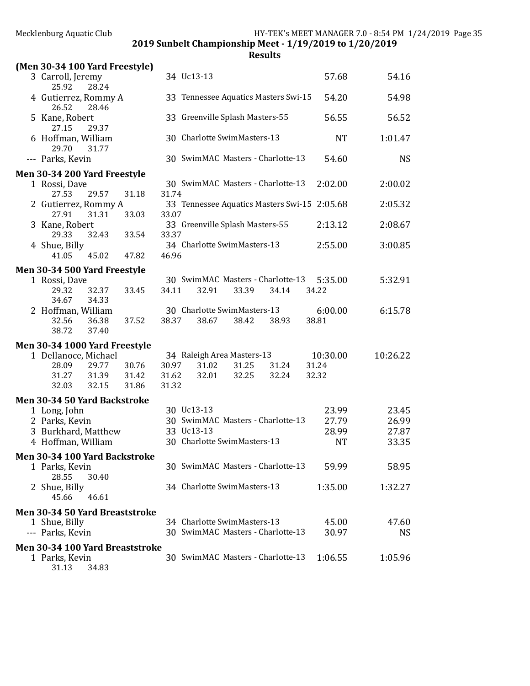2019 Sunbelt Championship Meet - 1/19/2019 to 1/20/2019

| (Men 30-34 100 Yard Freestyle)                    |                                           |                      |
|---------------------------------------------------|-------------------------------------------|----------------------|
| 3 Carroll, Jeremy<br>25.92<br>28.24               | 34 Uc13-13                                | 57.68<br>54.16       |
| 4 Gutierrez, Rommy A<br>26.52<br>28.46            | 33 Tennessee Aquatics Masters Swi-15      | 54.98<br>54.20       |
| 5 Kane, Robert<br>27.15<br>29.37                  | 33 Greenville Splash Masters-55           | 56.55<br>56.52       |
| 6 Hoffman, William<br>29.70<br>31.77              | 30 Charlotte SwimMasters-13               | <b>NT</b><br>1:01.47 |
| --- Parks, Kevin                                  | 30 SwimMAC Masters - Charlotte-13         | <b>NS</b><br>54.60   |
| Men 30-34 200 Yard Freestyle                      |                                           |                      |
| 1 Rossi, Dave                                     | 30 SwimMAC Masters - Charlotte-13         | 2:02.00<br>2:00.02   |
| 27.53<br>29.57<br>31.18                           | 31.74                                     |                      |
| 2 Gutierrez, Rommy A                              | 33 Tennessee Aquatics Masters Swi-15      | 2:05.68<br>2:05.32   |
| 27.91<br>31.31<br>33.03                           | 33.07                                     |                      |
| 3 Kane, Robert                                    | 33 Greenville Splash Masters-55           | 2:08.67<br>2:13.12   |
| 29.33<br>32.43<br>33.54                           | 33.37                                     |                      |
| 4 Shue, Billy                                     | 34 Charlotte SwimMasters-13               | 2:55.00<br>3:00.85   |
| 41.05<br>45.02<br>47.82                           | 46.96                                     |                      |
| Men 30-34 500 Yard Freestyle                      |                                           |                      |
| 1 Rossi, Dave                                     | 30 SwimMAC Masters - Charlotte-13         | 5:35.00<br>5:32.91   |
| 29.32<br>32.37<br>33.45                           | 34.11<br>32.91<br>33.39<br>34.14<br>34.22 |                      |
| 34.33<br>34.67                                    |                                           |                      |
| 2 Hoffman, William                                | 30 Charlotte SwimMasters-13               | 6:00.00<br>6:15.78   |
| 32.56<br>36.38<br>37.52                           | 38.37<br>38.67<br>38.93<br>38.81<br>38.42 |                      |
| 38.72<br>37.40                                    |                                           |                      |
| Men 30-34 1000 Yard Freestyle                     |                                           |                      |
| 1 Dellanoce, Michael                              | 34 Raleigh Area Masters-13                | 10:30.00<br>10:26.22 |
| 28.09<br>29.77<br>30.76                           | 31.02<br>31.24<br>30.97<br>31.25<br>31.24 |                      |
| 31.27<br>31.39<br>31.42                           | 31.62<br>32.01<br>32.25<br>32.24<br>32.32 |                      |
| 32.15<br>32.03<br>31.86                           | 31.32                                     |                      |
| Men 30-34 50 Yard Backstroke                      |                                           |                      |
| 1 Long, John                                      | 30 Uc13-13                                | 23.99<br>23.45       |
| 2 Parks, Kevin                                    | 30 SwimMAC Masters - Charlotte-13         | 27.79<br>26.99       |
| 3 Burkhard, Matthew                               | 33 Uc13-13                                | 28.99<br>27.87       |
| 4 Hoffman, William                                | 30 Charlotte SwimMasters-13               | <b>NT</b><br>33.35   |
|                                                   |                                           |                      |
| Men 30-34 100 Yard Backstroke                     |                                           |                      |
| 1 Parks, Kevin                                    | 30 SwimMAC Masters - Charlotte-13         |                      |
| 28.55<br>30.40                                    |                                           | 59.99<br>58.95       |
| 2 Shue, Billy                                     |                                           |                      |
|                                                   | 34 Charlotte SwimMasters-13               | 1:35.00<br>1:32.27   |
| 45.66<br>46.61                                    |                                           |                      |
| Men 30-34 50 Yard Breaststroke                    |                                           |                      |
| 1 Shue, Billy                                     | 34 Charlotte SwimMasters-13               | 45.00<br>47.60       |
| --- Parks, Kevin                                  | 30 SwimMAC Masters - Charlotte-13         | 30.97<br><b>NS</b>   |
|                                                   |                                           |                      |
| Men 30-34 100 Yard Breaststroke<br>1 Parks, Kevin | 30 SwimMAC Masters - Charlotte-13         | 1:06.55<br>1:05.96   |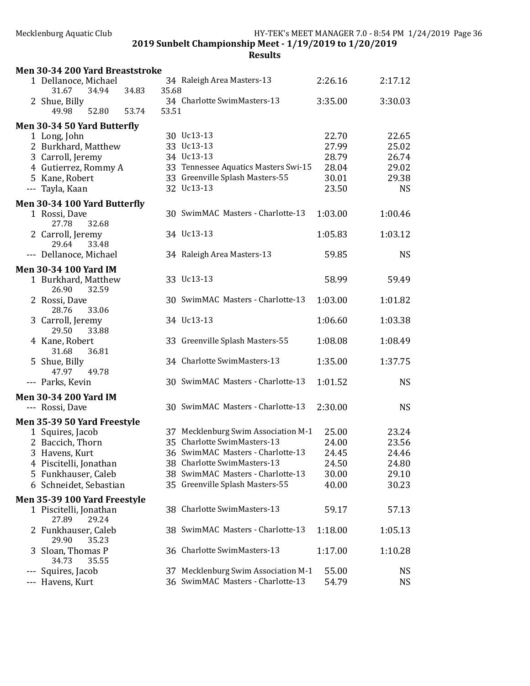|     | Men 30-34 200 Yard Breaststroke               |       |       |       |                                      |                |                |
|-----|-----------------------------------------------|-------|-------|-------|--------------------------------------|----------------|----------------|
|     | 1 Dellanoce, Michael                          |       |       |       | 34 Raleigh Area Masters-13           | 2:26.16        | 2:17.12        |
|     | 31.67                                         | 34.94 | 34.83 | 35.68 |                                      |                |                |
|     | 2 Shue, Billy                                 |       |       |       | 34 Charlotte SwimMasters-13          | 3:35.00        | 3:30.03        |
|     | 49.98                                         | 52.80 | 53.74 | 53.51 |                                      |                |                |
|     | Men 30-34 50 Yard Butterfly                   |       |       |       |                                      |                |                |
|     | 1 Long, John                                  |       |       |       | 30 Uc13-13<br>33 Uc13-13             | 22.70          | 22.65          |
|     | 2 Burkhard, Matthew<br>3 Carroll, Jeremy      |       |       |       | 34 Uc13-13                           | 27.99<br>28.79 | 25.02<br>26.74 |
|     | 4 Gutierrez, Rommy A                          |       |       |       | 33 Tennessee Aquatics Masters Swi-15 | 28.04          | 29.02          |
|     | 5 Kane, Robert                                |       |       |       | 33 Greenville Splash Masters-55      | 30.01          | 29.38          |
|     | --- Tayla, Kaan                               |       |       |       | 32 Uc13-13                           | 23.50          | <b>NS</b>      |
|     |                                               |       |       |       |                                      |                |                |
|     | Men 30-34 100 Yard Butterfly<br>1 Rossi, Dave |       |       |       | 30 SwimMAC Masters - Charlotte-13    | 1:03.00        | 1:00.46        |
|     | 27.78                                         | 32.68 |       |       |                                      |                |                |
|     | 2 Carroll, Jeremy                             |       |       |       | 34 Uc13-13                           | 1:05.83        | 1:03.12        |
|     | 29.64                                         | 33.48 |       |       |                                      |                |                |
|     | --- Dellanoce, Michael                        |       |       |       | 34 Raleigh Area Masters-13           | 59.85          | <b>NS</b>      |
|     | <b>Men 30-34 100 Yard IM</b>                  |       |       |       |                                      |                |                |
|     | 1 Burkhard, Matthew<br>26.90                  | 32.59 |       |       | 33 Uc13-13                           | 58.99          | 59.49          |
|     | 2 Rossi, Dave<br>28.76                        | 33.06 |       |       | 30 SwimMAC Masters - Charlotte-13    | 1:03.00        | 1:01.82        |
|     | 3 Carroll, Jeremy<br>29.50                    | 33.88 |       |       | 34 Uc13-13                           | 1:06.60        | 1:03.38        |
|     | 4 Kane, Robert<br>31.68                       | 36.81 |       |       | 33 Greenville Splash Masters-55      | 1:08.08        | 1:08.49        |
|     | 5 Shue, Billy                                 |       |       |       | 34 Charlotte SwimMasters-13          | 1:35.00        | 1:37.75        |
|     | 47.97<br>--- Parks, Kevin                     | 49.78 |       |       | 30 SwimMAC Masters - Charlotte-13    | 1:01.52        | <b>NS</b>      |
|     | <b>Men 30-34 200 Yard IM</b>                  |       |       |       |                                      |                |                |
|     | --- Rossi, Dave                               |       |       |       | 30 SwimMAC Masters - Charlotte-13    | 2:30.00        | <b>NS</b>      |
|     | Men 35-39 50 Yard Freestyle                   |       |       |       |                                      |                |                |
|     | 1 Squires, Jacob                              |       |       |       | 37 Mecklenburg Swim Association M-1  | 25.00          | 23.24          |
|     | 2 Baccich, Thorn                              |       |       |       | 35 Charlotte SwimMasters-13          | 24.00          | 23.56          |
|     | 3 Havens, Kurt                                |       |       |       | 36 SwimMAC Masters - Charlotte-13    | 24.45          | 24.46          |
|     | 4 Piscitelli, Jonathan                        |       |       |       | 38 Charlotte SwimMasters-13          | 24.50          | 24.80          |
|     | 5 Funkhauser, Caleb                           |       |       |       | 38 SwimMAC Masters - Charlotte-13    | 30.00          | 29.10          |
|     | 6 Schneidet, Sebastian                        |       |       |       | 35 Greenville Splash Masters-55      | 40.00          | 30.23          |
|     | Men 35-39 100 Yard Freestyle                  |       |       |       |                                      |                |                |
|     | 1 Piscitelli, Jonathan<br>27.89               | 29.24 |       |       | 38 Charlotte SwimMasters-13          | 59.17          | 57.13          |
|     | 2 Funkhauser, Caleb<br>29.90                  | 35.23 |       |       | 38 SwimMAC Masters - Charlotte-13    | 1:18.00        | 1:05.13        |
|     | 3 Sloan, Thomas P<br>34.73                    | 35.55 |       |       | 36 Charlotte SwimMasters-13          | 1:17.00        | 1:10.28        |
| --- | Squires, Jacob                                |       |       |       | 37 Mecklenburg Swim Association M-1  | 55.00          | <b>NS</b>      |
|     | --- Havens, Kurt                              |       |       |       | 36 SwimMAC Masters - Charlotte-13    | 54.79          | <b>NS</b>      |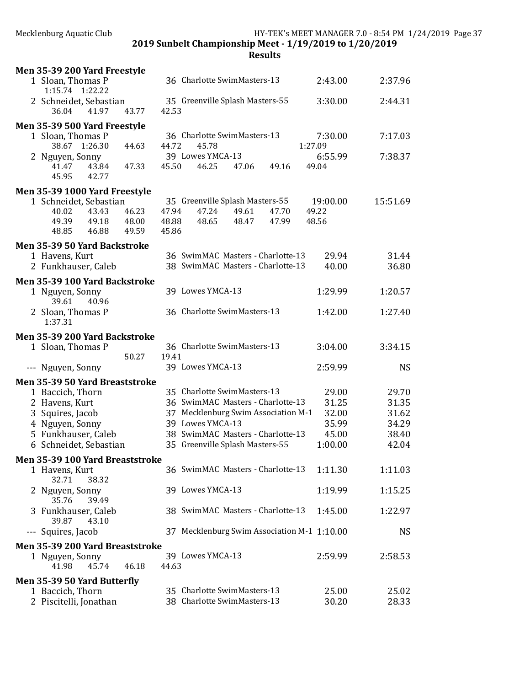2019 Sunbelt Championship Meet - 1/19/2019 to 1/20/2019

| 36 Charlotte SwimMasters-13<br>1 Sloan, Thomas P<br>2:43.00<br>2:37.96<br>1:15.74 1:22.22<br>2:44.31<br>2 Schneidet, Sebastian<br>35 Greenville Splash Masters-55<br>3:30.00<br>43.77<br>36.04<br>41.97<br>42.53<br>Men 35-39 500 Yard Freestyle<br>36 Charlotte SwimMasters-13<br>1 Sloan, Thomas P<br>7:30.00<br>7:17.03<br>44.72<br>45.78<br>38.67 1:26.30<br>1:27.09<br>44.63<br>39 Lowes YMCA-13<br>2 Nguyen, Sonny<br>7:38.37<br>6:55.99<br>45.50<br>46.25<br>49.04<br>41.47<br>43.84<br>47.33<br>47.06<br>49.16<br>45.95<br>42.77<br>Men 35-39 1000 Yard Freestyle<br>1 Schneidet, Sebastian<br>35 Greenville Splash Masters-55<br>19:00.00<br>15:51.69<br>43.43<br>46.23<br>47.94<br>47.24<br>49.61<br>47.70<br>49.22<br>40.02<br>48.56<br>49.39<br>49.18<br>48.00<br>48.88<br>48.65<br>48.47<br>47.99<br>46.88<br>49.59<br>45.86<br>48.85<br>Men 35-39 50 Yard Backstroke<br>36 SwimMAC Masters - Charlotte-13<br>29.94<br>31.44<br>1 Havens, Kurt<br>38 SwimMAC Masters - Charlotte-13<br>40.00<br>2 Funkhauser, Caleb<br>36.80<br>Men 35-39 100 Yard Backstroke<br>39 Lowes YMCA-13<br>1:29.99<br>1:20.57<br>1 Nguyen, Sonny<br>39.61<br>40.96<br>36 Charlotte SwimMasters-13<br>2 Sloan, Thomas P<br>1:42.00<br>1:27.40<br>1:37.31<br>Men 35-39 200 Yard Backstroke<br>36 Charlotte SwimMasters-13<br>3:04.00<br>3:34.15<br>1 Sloan, Thomas P<br>50.27<br>19.41<br>39 Lowes YMCA-13<br><b>NS</b><br>--- Nguyen, Sonny<br>2:59.99<br>Men 35-39 50 Yard Breaststroke<br>1 Baccich, Thorn<br>35 Charlotte SwimMasters-13<br>29.00<br>29.70<br>36 SwimMAC Masters - Charlotte-13<br>31.25<br>31.35<br>2 Havens, Kurt<br>37 Mecklenburg Swim Association M-1<br>32.00<br>31.62<br>3 Squires, Jacob<br>39 Lowes YMCA-13<br>35.99<br>34.29<br>4 Nguyen, Sonny<br>38 SwimMAC Masters - Charlotte-13<br>5 Funkhauser, Caleb<br>45.00<br>38.40<br>35 Greenville Splash Masters-55<br>6 Schneidet, Sebastian<br>1:00.00<br>42.04<br>Men 35-39 100 Yard Breaststroke<br>36 SwimMAC Masters - Charlotte-13<br>1 Havens, Kurt<br>1:11.30<br>1:11.03<br>32.71<br>38.32<br>39 Lowes YMCA-13<br>1:19.99<br>1:15.25<br>2 Nguyen, Sonny<br>35.76<br>39.49<br>38 SwimMAC Masters - Charlotte-13<br>3 Funkhauser, Caleb<br>1:45.00<br>1:22.97<br>39.87<br>43.10<br>37 Mecklenburg Swim Association M-1 1:10.00<br>--- Squires, Jacob<br><b>NS</b><br>Men 35-39 200 Yard Breaststroke<br>39 Lowes YMCA-13<br>2:59.99<br>2:58.53<br>1 Nguyen, Sonny<br>41.98<br>45.74<br>46.18<br>44.63<br>Men 35-39 50 Yard Butterfly<br>35 Charlotte SwimMasters-13<br>25.00<br>1 Baccich, Thorn<br>25.02<br>38 Charlotte SwimMasters-13<br>2 Piscitelli, Jonathan<br>30.20<br>28.33 | Men 35-39 200 Yard Freestyle |  |  |
|-------------------------------------------------------------------------------------------------------------------------------------------------------------------------------------------------------------------------------------------------------------------------------------------------------------------------------------------------------------------------------------------------------------------------------------------------------------------------------------------------------------------------------------------------------------------------------------------------------------------------------------------------------------------------------------------------------------------------------------------------------------------------------------------------------------------------------------------------------------------------------------------------------------------------------------------------------------------------------------------------------------------------------------------------------------------------------------------------------------------------------------------------------------------------------------------------------------------------------------------------------------------------------------------------------------------------------------------------------------------------------------------------------------------------------------------------------------------------------------------------------------------------------------------------------------------------------------------------------------------------------------------------------------------------------------------------------------------------------------------------------------------------------------------------------------------------------------------------------------------------------------------------------------------------------------------------------------------------------------------------------------------------------------------------------------------------------------------------------------------------------------------------------------------------------------------------------------------------------------------------------------------------------------------------------------------------------------------------------------------------------------------------------------------------------------------------------------------------------------------------------------------------------------------------------------------------------------------------------------------------------------------------------------|------------------------------|--|--|
|                                                                                                                                                                                                                                                                                                                                                                                                                                                                                                                                                                                                                                                                                                                                                                                                                                                                                                                                                                                                                                                                                                                                                                                                                                                                                                                                                                                                                                                                                                                                                                                                                                                                                                                                                                                                                                                                                                                                                                                                                                                                                                                                                                                                                                                                                                                                                                                                                                                                                                                                                                                                                                                             |                              |  |  |
|                                                                                                                                                                                                                                                                                                                                                                                                                                                                                                                                                                                                                                                                                                                                                                                                                                                                                                                                                                                                                                                                                                                                                                                                                                                                                                                                                                                                                                                                                                                                                                                                                                                                                                                                                                                                                                                                                                                                                                                                                                                                                                                                                                                                                                                                                                                                                                                                                                                                                                                                                                                                                                                             |                              |  |  |
|                                                                                                                                                                                                                                                                                                                                                                                                                                                                                                                                                                                                                                                                                                                                                                                                                                                                                                                                                                                                                                                                                                                                                                                                                                                                                                                                                                                                                                                                                                                                                                                                                                                                                                                                                                                                                                                                                                                                                                                                                                                                                                                                                                                                                                                                                                                                                                                                                                                                                                                                                                                                                                                             |                              |  |  |
|                                                                                                                                                                                                                                                                                                                                                                                                                                                                                                                                                                                                                                                                                                                                                                                                                                                                                                                                                                                                                                                                                                                                                                                                                                                                                                                                                                                                                                                                                                                                                                                                                                                                                                                                                                                                                                                                                                                                                                                                                                                                                                                                                                                                                                                                                                                                                                                                                                                                                                                                                                                                                                                             |                              |  |  |
|                                                                                                                                                                                                                                                                                                                                                                                                                                                                                                                                                                                                                                                                                                                                                                                                                                                                                                                                                                                                                                                                                                                                                                                                                                                                                                                                                                                                                                                                                                                                                                                                                                                                                                                                                                                                                                                                                                                                                                                                                                                                                                                                                                                                                                                                                                                                                                                                                                                                                                                                                                                                                                                             |                              |  |  |
|                                                                                                                                                                                                                                                                                                                                                                                                                                                                                                                                                                                                                                                                                                                                                                                                                                                                                                                                                                                                                                                                                                                                                                                                                                                                                                                                                                                                                                                                                                                                                                                                                                                                                                                                                                                                                                                                                                                                                                                                                                                                                                                                                                                                                                                                                                                                                                                                                                                                                                                                                                                                                                                             |                              |  |  |
|                                                                                                                                                                                                                                                                                                                                                                                                                                                                                                                                                                                                                                                                                                                                                                                                                                                                                                                                                                                                                                                                                                                                                                                                                                                                                                                                                                                                                                                                                                                                                                                                                                                                                                                                                                                                                                                                                                                                                                                                                                                                                                                                                                                                                                                                                                                                                                                                                                                                                                                                                                                                                                                             |                              |  |  |
|                                                                                                                                                                                                                                                                                                                                                                                                                                                                                                                                                                                                                                                                                                                                                                                                                                                                                                                                                                                                                                                                                                                                                                                                                                                                                                                                                                                                                                                                                                                                                                                                                                                                                                                                                                                                                                                                                                                                                                                                                                                                                                                                                                                                                                                                                                                                                                                                                                                                                                                                                                                                                                                             |                              |  |  |
|                                                                                                                                                                                                                                                                                                                                                                                                                                                                                                                                                                                                                                                                                                                                                                                                                                                                                                                                                                                                                                                                                                                                                                                                                                                                                                                                                                                                                                                                                                                                                                                                                                                                                                                                                                                                                                                                                                                                                                                                                                                                                                                                                                                                                                                                                                                                                                                                                                                                                                                                                                                                                                                             |                              |  |  |
|                                                                                                                                                                                                                                                                                                                                                                                                                                                                                                                                                                                                                                                                                                                                                                                                                                                                                                                                                                                                                                                                                                                                                                                                                                                                                                                                                                                                                                                                                                                                                                                                                                                                                                                                                                                                                                                                                                                                                                                                                                                                                                                                                                                                                                                                                                                                                                                                                                                                                                                                                                                                                                                             |                              |  |  |
|                                                                                                                                                                                                                                                                                                                                                                                                                                                                                                                                                                                                                                                                                                                                                                                                                                                                                                                                                                                                                                                                                                                                                                                                                                                                                                                                                                                                                                                                                                                                                                                                                                                                                                                                                                                                                                                                                                                                                                                                                                                                                                                                                                                                                                                                                                                                                                                                                                                                                                                                                                                                                                                             |                              |  |  |
|                                                                                                                                                                                                                                                                                                                                                                                                                                                                                                                                                                                                                                                                                                                                                                                                                                                                                                                                                                                                                                                                                                                                                                                                                                                                                                                                                                                                                                                                                                                                                                                                                                                                                                                                                                                                                                                                                                                                                                                                                                                                                                                                                                                                                                                                                                                                                                                                                                                                                                                                                                                                                                                             |                              |  |  |
|                                                                                                                                                                                                                                                                                                                                                                                                                                                                                                                                                                                                                                                                                                                                                                                                                                                                                                                                                                                                                                                                                                                                                                                                                                                                                                                                                                                                                                                                                                                                                                                                                                                                                                                                                                                                                                                                                                                                                                                                                                                                                                                                                                                                                                                                                                                                                                                                                                                                                                                                                                                                                                                             |                              |  |  |
|                                                                                                                                                                                                                                                                                                                                                                                                                                                                                                                                                                                                                                                                                                                                                                                                                                                                                                                                                                                                                                                                                                                                                                                                                                                                                                                                                                                                                                                                                                                                                                                                                                                                                                                                                                                                                                                                                                                                                                                                                                                                                                                                                                                                                                                                                                                                                                                                                                                                                                                                                                                                                                                             |                              |  |  |
|                                                                                                                                                                                                                                                                                                                                                                                                                                                                                                                                                                                                                                                                                                                                                                                                                                                                                                                                                                                                                                                                                                                                                                                                                                                                                                                                                                                                                                                                                                                                                                                                                                                                                                                                                                                                                                                                                                                                                                                                                                                                                                                                                                                                                                                                                                                                                                                                                                                                                                                                                                                                                                                             |                              |  |  |
|                                                                                                                                                                                                                                                                                                                                                                                                                                                                                                                                                                                                                                                                                                                                                                                                                                                                                                                                                                                                                                                                                                                                                                                                                                                                                                                                                                                                                                                                                                                                                                                                                                                                                                                                                                                                                                                                                                                                                                                                                                                                                                                                                                                                                                                                                                                                                                                                                                                                                                                                                                                                                                                             |                              |  |  |
|                                                                                                                                                                                                                                                                                                                                                                                                                                                                                                                                                                                                                                                                                                                                                                                                                                                                                                                                                                                                                                                                                                                                                                                                                                                                                                                                                                                                                                                                                                                                                                                                                                                                                                                                                                                                                                                                                                                                                                                                                                                                                                                                                                                                                                                                                                                                                                                                                                                                                                                                                                                                                                                             |                              |  |  |
|                                                                                                                                                                                                                                                                                                                                                                                                                                                                                                                                                                                                                                                                                                                                                                                                                                                                                                                                                                                                                                                                                                                                                                                                                                                                                                                                                                                                                                                                                                                                                                                                                                                                                                                                                                                                                                                                                                                                                                                                                                                                                                                                                                                                                                                                                                                                                                                                                                                                                                                                                                                                                                                             |                              |  |  |
|                                                                                                                                                                                                                                                                                                                                                                                                                                                                                                                                                                                                                                                                                                                                                                                                                                                                                                                                                                                                                                                                                                                                                                                                                                                                                                                                                                                                                                                                                                                                                                                                                                                                                                                                                                                                                                                                                                                                                                                                                                                                                                                                                                                                                                                                                                                                                                                                                                                                                                                                                                                                                                                             |                              |  |  |
|                                                                                                                                                                                                                                                                                                                                                                                                                                                                                                                                                                                                                                                                                                                                                                                                                                                                                                                                                                                                                                                                                                                                                                                                                                                                                                                                                                                                                                                                                                                                                                                                                                                                                                                                                                                                                                                                                                                                                                                                                                                                                                                                                                                                                                                                                                                                                                                                                                                                                                                                                                                                                                                             |                              |  |  |
|                                                                                                                                                                                                                                                                                                                                                                                                                                                                                                                                                                                                                                                                                                                                                                                                                                                                                                                                                                                                                                                                                                                                                                                                                                                                                                                                                                                                                                                                                                                                                                                                                                                                                                                                                                                                                                                                                                                                                                                                                                                                                                                                                                                                                                                                                                                                                                                                                                                                                                                                                                                                                                                             |                              |  |  |
|                                                                                                                                                                                                                                                                                                                                                                                                                                                                                                                                                                                                                                                                                                                                                                                                                                                                                                                                                                                                                                                                                                                                                                                                                                                                                                                                                                                                                                                                                                                                                                                                                                                                                                                                                                                                                                                                                                                                                                                                                                                                                                                                                                                                                                                                                                                                                                                                                                                                                                                                                                                                                                                             |                              |  |  |
|                                                                                                                                                                                                                                                                                                                                                                                                                                                                                                                                                                                                                                                                                                                                                                                                                                                                                                                                                                                                                                                                                                                                                                                                                                                                                                                                                                                                                                                                                                                                                                                                                                                                                                                                                                                                                                                                                                                                                                                                                                                                                                                                                                                                                                                                                                                                                                                                                                                                                                                                                                                                                                                             |                              |  |  |
|                                                                                                                                                                                                                                                                                                                                                                                                                                                                                                                                                                                                                                                                                                                                                                                                                                                                                                                                                                                                                                                                                                                                                                                                                                                                                                                                                                                                                                                                                                                                                                                                                                                                                                                                                                                                                                                                                                                                                                                                                                                                                                                                                                                                                                                                                                                                                                                                                                                                                                                                                                                                                                                             |                              |  |  |
|                                                                                                                                                                                                                                                                                                                                                                                                                                                                                                                                                                                                                                                                                                                                                                                                                                                                                                                                                                                                                                                                                                                                                                                                                                                                                                                                                                                                                                                                                                                                                                                                                                                                                                                                                                                                                                                                                                                                                                                                                                                                                                                                                                                                                                                                                                                                                                                                                                                                                                                                                                                                                                                             |                              |  |  |
|                                                                                                                                                                                                                                                                                                                                                                                                                                                                                                                                                                                                                                                                                                                                                                                                                                                                                                                                                                                                                                                                                                                                                                                                                                                                                                                                                                                                                                                                                                                                                                                                                                                                                                                                                                                                                                                                                                                                                                                                                                                                                                                                                                                                                                                                                                                                                                                                                                                                                                                                                                                                                                                             |                              |  |  |
|                                                                                                                                                                                                                                                                                                                                                                                                                                                                                                                                                                                                                                                                                                                                                                                                                                                                                                                                                                                                                                                                                                                                                                                                                                                                                                                                                                                                                                                                                                                                                                                                                                                                                                                                                                                                                                                                                                                                                                                                                                                                                                                                                                                                                                                                                                                                                                                                                                                                                                                                                                                                                                                             |                              |  |  |
|                                                                                                                                                                                                                                                                                                                                                                                                                                                                                                                                                                                                                                                                                                                                                                                                                                                                                                                                                                                                                                                                                                                                                                                                                                                                                                                                                                                                                                                                                                                                                                                                                                                                                                                                                                                                                                                                                                                                                                                                                                                                                                                                                                                                                                                                                                                                                                                                                                                                                                                                                                                                                                                             |                              |  |  |
|                                                                                                                                                                                                                                                                                                                                                                                                                                                                                                                                                                                                                                                                                                                                                                                                                                                                                                                                                                                                                                                                                                                                                                                                                                                                                                                                                                                                                                                                                                                                                                                                                                                                                                                                                                                                                                                                                                                                                                                                                                                                                                                                                                                                                                                                                                                                                                                                                                                                                                                                                                                                                                                             |                              |  |  |
|                                                                                                                                                                                                                                                                                                                                                                                                                                                                                                                                                                                                                                                                                                                                                                                                                                                                                                                                                                                                                                                                                                                                                                                                                                                                                                                                                                                                                                                                                                                                                                                                                                                                                                                                                                                                                                                                                                                                                                                                                                                                                                                                                                                                                                                                                                                                                                                                                                                                                                                                                                                                                                                             |                              |  |  |
|                                                                                                                                                                                                                                                                                                                                                                                                                                                                                                                                                                                                                                                                                                                                                                                                                                                                                                                                                                                                                                                                                                                                                                                                                                                                                                                                                                                                                                                                                                                                                                                                                                                                                                                                                                                                                                                                                                                                                                                                                                                                                                                                                                                                                                                                                                                                                                                                                                                                                                                                                                                                                                                             |                              |  |  |
|                                                                                                                                                                                                                                                                                                                                                                                                                                                                                                                                                                                                                                                                                                                                                                                                                                                                                                                                                                                                                                                                                                                                                                                                                                                                                                                                                                                                                                                                                                                                                                                                                                                                                                                                                                                                                                                                                                                                                                                                                                                                                                                                                                                                                                                                                                                                                                                                                                                                                                                                                                                                                                                             |                              |  |  |
|                                                                                                                                                                                                                                                                                                                                                                                                                                                                                                                                                                                                                                                                                                                                                                                                                                                                                                                                                                                                                                                                                                                                                                                                                                                                                                                                                                                                                                                                                                                                                                                                                                                                                                                                                                                                                                                                                                                                                                                                                                                                                                                                                                                                                                                                                                                                                                                                                                                                                                                                                                                                                                                             |                              |  |  |
|                                                                                                                                                                                                                                                                                                                                                                                                                                                                                                                                                                                                                                                                                                                                                                                                                                                                                                                                                                                                                                                                                                                                                                                                                                                                                                                                                                                                                                                                                                                                                                                                                                                                                                                                                                                                                                                                                                                                                                                                                                                                                                                                                                                                                                                                                                                                                                                                                                                                                                                                                                                                                                                             |                              |  |  |
|                                                                                                                                                                                                                                                                                                                                                                                                                                                                                                                                                                                                                                                                                                                                                                                                                                                                                                                                                                                                                                                                                                                                                                                                                                                                                                                                                                                                                                                                                                                                                                                                                                                                                                                                                                                                                                                                                                                                                                                                                                                                                                                                                                                                                                                                                                                                                                                                                                                                                                                                                                                                                                                             |                              |  |  |
|                                                                                                                                                                                                                                                                                                                                                                                                                                                                                                                                                                                                                                                                                                                                                                                                                                                                                                                                                                                                                                                                                                                                                                                                                                                                                                                                                                                                                                                                                                                                                                                                                                                                                                                                                                                                                                                                                                                                                                                                                                                                                                                                                                                                                                                                                                                                                                                                                                                                                                                                                                                                                                                             |                              |  |  |
|                                                                                                                                                                                                                                                                                                                                                                                                                                                                                                                                                                                                                                                                                                                                                                                                                                                                                                                                                                                                                                                                                                                                                                                                                                                                                                                                                                                                                                                                                                                                                                                                                                                                                                                                                                                                                                                                                                                                                                                                                                                                                                                                                                                                                                                                                                                                                                                                                                                                                                                                                                                                                                                             |                              |  |  |
|                                                                                                                                                                                                                                                                                                                                                                                                                                                                                                                                                                                                                                                                                                                                                                                                                                                                                                                                                                                                                                                                                                                                                                                                                                                                                                                                                                                                                                                                                                                                                                                                                                                                                                                                                                                                                                                                                                                                                                                                                                                                                                                                                                                                                                                                                                                                                                                                                                                                                                                                                                                                                                                             |                              |  |  |
|                                                                                                                                                                                                                                                                                                                                                                                                                                                                                                                                                                                                                                                                                                                                                                                                                                                                                                                                                                                                                                                                                                                                                                                                                                                                                                                                                                                                                                                                                                                                                                                                                                                                                                                                                                                                                                                                                                                                                                                                                                                                                                                                                                                                                                                                                                                                                                                                                                                                                                                                                                                                                                                             |                              |  |  |
|                                                                                                                                                                                                                                                                                                                                                                                                                                                                                                                                                                                                                                                                                                                                                                                                                                                                                                                                                                                                                                                                                                                                                                                                                                                                                                                                                                                                                                                                                                                                                                                                                                                                                                                                                                                                                                                                                                                                                                                                                                                                                                                                                                                                                                                                                                                                                                                                                                                                                                                                                                                                                                                             |                              |  |  |
|                                                                                                                                                                                                                                                                                                                                                                                                                                                                                                                                                                                                                                                                                                                                                                                                                                                                                                                                                                                                                                                                                                                                                                                                                                                                                                                                                                                                                                                                                                                                                                                                                                                                                                                                                                                                                                                                                                                                                                                                                                                                                                                                                                                                                                                                                                                                                                                                                                                                                                                                                                                                                                                             |                              |  |  |
|                                                                                                                                                                                                                                                                                                                                                                                                                                                                                                                                                                                                                                                                                                                                                                                                                                                                                                                                                                                                                                                                                                                                                                                                                                                                                                                                                                                                                                                                                                                                                                                                                                                                                                                                                                                                                                                                                                                                                                                                                                                                                                                                                                                                                                                                                                                                                                                                                                                                                                                                                                                                                                                             |                              |  |  |
|                                                                                                                                                                                                                                                                                                                                                                                                                                                                                                                                                                                                                                                                                                                                                                                                                                                                                                                                                                                                                                                                                                                                                                                                                                                                                                                                                                                                                                                                                                                                                                                                                                                                                                                                                                                                                                                                                                                                                                                                                                                                                                                                                                                                                                                                                                                                                                                                                                                                                                                                                                                                                                                             |                              |  |  |
|                                                                                                                                                                                                                                                                                                                                                                                                                                                                                                                                                                                                                                                                                                                                                                                                                                                                                                                                                                                                                                                                                                                                                                                                                                                                                                                                                                                                                                                                                                                                                                                                                                                                                                                                                                                                                                                                                                                                                                                                                                                                                                                                                                                                                                                                                                                                                                                                                                                                                                                                                                                                                                                             |                              |  |  |
|                                                                                                                                                                                                                                                                                                                                                                                                                                                                                                                                                                                                                                                                                                                                                                                                                                                                                                                                                                                                                                                                                                                                                                                                                                                                                                                                                                                                                                                                                                                                                                                                                                                                                                                                                                                                                                                                                                                                                                                                                                                                                                                                                                                                                                                                                                                                                                                                                                                                                                                                                                                                                                                             |                              |  |  |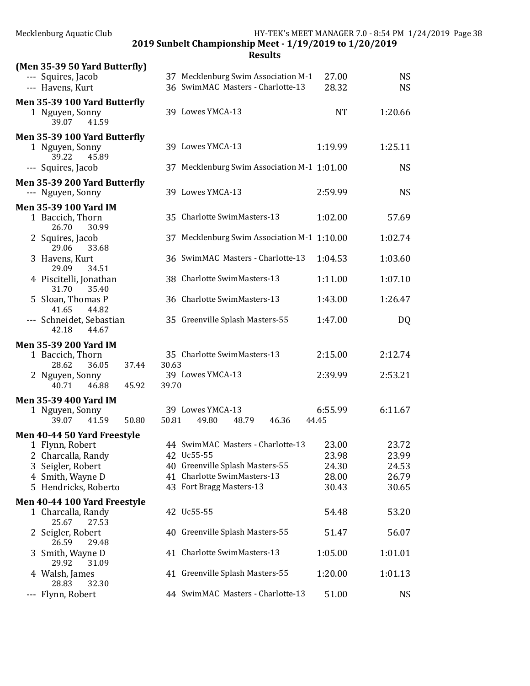| Mecklenburg Aquatic Club                                             | HY-TEK's MEET MANAGER 7.0 - 8:54 PM 1/24/2019 Page 38<br>2019 Sunbelt Championship Meet - 1/19/2019 to 1/20/2019 |           |           |  |  |  |  |  |  |
|----------------------------------------------------------------------|------------------------------------------------------------------------------------------------------------------|-----------|-----------|--|--|--|--|--|--|
|                                                                      | <b>Results</b>                                                                                                   |           |           |  |  |  |  |  |  |
| (Men 35-39 50 Yard Butterfly)                                        |                                                                                                                  |           |           |  |  |  |  |  |  |
| --- Squires, Jacob                                                   | 37 Mecklenburg Swim Association M-1                                                                              | 27.00     | <b>NS</b> |  |  |  |  |  |  |
| --- Havens, Kurt                                                     | 36 SwimMAC Masters - Charlotte-13                                                                                | 28.32     | <b>NS</b> |  |  |  |  |  |  |
| Men 35-39 100 Yard Butterfly<br>1 Nguyen, Sonny<br>39.07<br>41.59    | 39 Lowes YMCA-13                                                                                                 | <b>NT</b> | 1:20.66   |  |  |  |  |  |  |
| Men 35-39 100 Yard Butterfly<br>1 Nguyen, Sonny<br>39.22<br>45.89    | 39 Lowes YMCA-13                                                                                                 | 1:19.99   | 1:25.11   |  |  |  |  |  |  |
| --- Squires, Jacob                                                   | 37 Mecklenburg Swim Association M-1 1:01.00                                                                      |           | <b>NS</b> |  |  |  |  |  |  |
| Men 35-39 200 Yard Butterfly<br>--- Nguyen, Sonny                    | 39 Lowes YMCA-13                                                                                                 | 2:59.99   | <b>NS</b> |  |  |  |  |  |  |
| Men 35-39 100 Yard IM<br>1 Baccich, Thorn<br>26.70<br>30.99          | 35 Charlotte SwimMasters-13                                                                                      | 1:02.00   | 57.69     |  |  |  |  |  |  |
| 2 Squires, Jacob<br>29.06<br>33.68                                   | 37 Mecklenburg Swim Association M-1 1:10.00                                                                      |           | 1:02.74   |  |  |  |  |  |  |
| 3 Havens, Kurt<br>29.09<br>34.51                                     | 36 SwimMAC Masters - Charlotte-13                                                                                | 1:04.53   | 1:03.60   |  |  |  |  |  |  |
| 4 Piscitelli, Jonathan<br>31.70<br>35.40                             | 38 Charlotte SwimMasters-13                                                                                      | 1:11.00   | 1:07.10   |  |  |  |  |  |  |
| 5 Sloan, Thomas P<br>44.82<br>41.65                                  | 36 Charlotte SwimMasters-13                                                                                      | 1:43.00   | 1:26.47   |  |  |  |  |  |  |
| --- Schneidet, Sebastian<br>42.18<br>44.67                           | 35 Greenville Splash Masters-55                                                                                  | 1:47.00   | DQ        |  |  |  |  |  |  |
| <b>Men 35-39 200 Yard IM</b>                                         |                                                                                                                  |           |           |  |  |  |  |  |  |
| 1 Baccich, Thorn<br>28.62<br>36.05<br>37.44                          | 35 Charlotte SwimMasters-13<br>30.63                                                                             | 2:15.00   | 2:12.74   |  |  |  |  |  |  |
| 2 Nguyen, Sonny<br>40.71<br>46.88<br>45.92                           | 39 Lowes YMCA-13<br>39.70                                                                                        | 2:39.99   | 2:53.21   |  |  |  |  |  |  |
|                                                                      |                                                                                                                  |           |           |  |  |  |  |  |  |
| Men 35-39 400 Yard IM                                                |                                                                                                                  |           |           |  |  |  |  |  |  |
| 1 Nguyen, Sonny                                                      | 39 Lowes YMCA-13                                                                                                 | 6:55.99   | 6:11.67   |  |  |  |  |  |  |
| 50.80<br>39.07<br>41.59                                              | 50.81<br>49.80<br>48.79<br>46.36                                                                                 | 44.45     |           |  |  |  |  |  |  |
| Men 40-44 50 Yard Freestyle                                          |                                                                                                                  |           |           |  |  |  |  |  |  |
| 1 Flynn, Robert                                                      | 44 SwimMAC Masters - Charlotte-13                                                                                | 23.00     | 23.72     |  |  |  |  |  |  |
| 2 Charcalla, Randy                                                   | 42 Uc55-55                                                                                                       | 23.98     | 23.99     |  |  |  |  |  |  |
| 3 Seigler, Robert                                                    | 40 Greenville Splash Masters-55                                                                                  | 24.30     | 24.53     |  |  |  |  |  |  |
| 4 Smith, Wayne D                                                     | 41 Charlotte SwimMasters-13                                                                                      | 28.00     | 26.79     |  |  |  |  |  |  |
| 5 Hendricks, Roberto                                                 | 43 Fort Bragg Masters-13                                                                                         | 30.43     | 30.65     |  |  |  |  |  |  |
|                                                                      |                                                                                                                  |           |           |  |  |  |  |  |  |
| Men 40-44 100 Yard Freestyle<br>1 Charcalla, Randy<br>25.67<br>27.53 | 42 Uc55-55                                                                                                       | 54.48     | 53.20     |  |  |  |  |  |  |
| 2 Seigler, Robert<br>26.59<br>29.48                                  | 40 Greenville Splash Masters-55                                                                                  | 51.47     | 56.07     |  |  |  |  |  |  |
| 3 Smith, Wayne D<br>31.09<br>29.92                                   | 41 Charlotte SwimMasters-13                                                                                      | 1:05.00   | 1:01.01   |  |  |  |  |  |  |
| 4 Walsh, James<br>28.83<br>32.30                                     | 41 Greenville Splash Masters-55                                                                                  | 1:20.00   | 1:01.13   |  |  |  |  |  |  |
| --- Flynn, Robert                                                    | 44 SwimMAC Masters - Charlotte-13                                                                                | 51.00     | <b>NS</b> |  |  |  |  |  |  |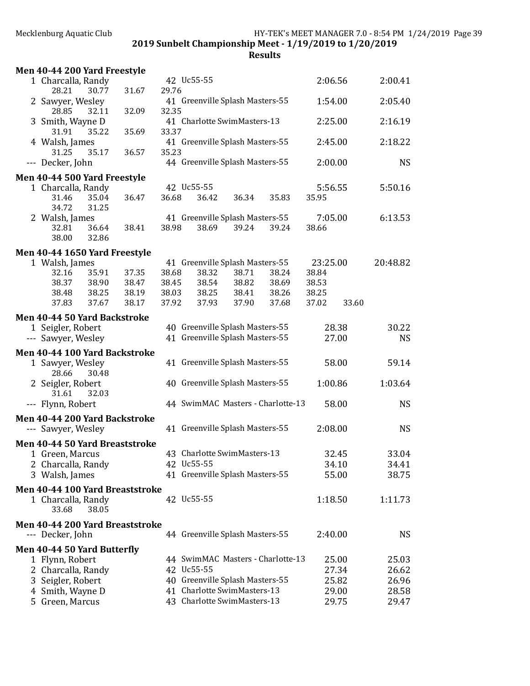2019 Sunbelt Championship Meet - 1/19/2019 to 1/20/2019

| Men 40-44 200 Yard Freestyle    |       |       |       |                                 |       |                                   |          |       |           |
|---------------------------------|-------|-------|-------|---------------------------------|-------|-----------------------------------|----------|-------|-----------|
| 1 Charcalla, Randy              |       |       |       | 42 Uc55-55                      |       |                                   | 2:06.56  |       | 2:00.41   |
| 28.21<br>2 Sawyer, Wesley       | 30.77 | 31.67 | 29.76 | 41 Greenville Splash Masters-55 |       |                                   | 1:54.00  |       | 2:05.40   |
| 28.85<br>3 Smith, Wayne D       | 32.11 | 32.09 | 32.35 | 41 Charlotte SwimMasters-13     |       |                                   | 2:25.00  |       | 2:16.19   |
| 31.91                           | 35.22 | 35.69 | 33.37 |                                 |       |                                   |          |       |           |
| 4 Walsh, James<br>31.25         | 35.17 | 36.57 | 35.23 | 41 Greenville Splash Masters-55 |       |                                   | 2:45.00  |       | 2:18.22   |
| --- Decker, John                |       |       |       | 44 Greenville Splash Masters-55 |       |                                   | 2:00.00  |       | <b>NS</b> |
| Men 40-44 500 Yard Freestyle    |       |       |       |                                 |       |                                   |          |       |           |
| 1 Charcalla, Randy              |       |       |       | 42 Uc55-55                      |       |                                   | 5:56.55  |       | 5:50.16   |
| 31.46                           | 35.04 | 36.47 | 36.68 | 36.42                           | 36.34 | 35.83                             | 35.95    |       |           |
| 34.72<br>2 Walsh, James         | 31.25 |       |       | 41 Greenville Splash Masters-55 |       |                                   | 7:05.00  |       | 6:13.53   |
| 32.81                           | 36.64 | 38.41 | 38.98 | 38.69                           | 39.24 | 39.24                             | 38.66    |       |           |
| 38.00                           | 32.86 |       |       |                                 |       |                                   |          |       |           |
| Men 40-44 1650 Yard Freestyle   |       |       |       |                                 |       |                                   |          |       |           |
| 1 Walsh, James                  |       |       |       | 41 Greenville Splash Masters-55 |       |                                   | 23:25.00 |       | 20:48.82  |
| 32.16                           | 35.91 | 37.35 | 38.68 | 38.32                           | 38.71 | 38.24                             | 38.84    |       |           |
| 38.37                           | 38.90 | 38.47 | 38.45 | 38.54                           | 38.82 | 38.69                             | 38.53    |       |           |
| 38.48                           | 38.25 | 38.19 | 38.03 | 38.25                           | 38.41 | 38.26                             | 38.25    |       |           |
| 37.83                           | 37.67 | 38.17 | 37.92 | 37.93                           | 37.90 | 37.68                             | 37.02    | 33.60 |           |
| Men 40-44 50 Yard Backstroke    |       |       |       |                                 |       |                                   |          |       |           |
| 1 Seigler, Robert               |       |       |       | 40 Greenville Splash Masters-55 |       |                                   |          | 28.38 | 30.22     |
| --- Sawyer, Wesley              |       |       |       | 41 Greenville Splash Masters-55 |       |                                   |          | 27.00 | <b>NS</b> |
| Men 40-44 100 Yard Backstroke   |       |       |       |                                 |       |                                   |          |       |           |
| 1 Sawyer, Wesley<br>28.66       | 30.48 |       |       | 41 Greenville Splash Masters-55 |       |                                   |          | 58.00 | 59.14     |
| 2 Seigler, Robert               |       |       |       | 40 Greenville Splash Masters-55 |       |                                   | 1:00.86  |       | 1:03.64   |
| 31.61                           | 32.03 |       |       |                                 |       |                                   |          |       |           |
| --- Flynn, Robert               |       |       |       |                                 |       | 44 SwimMAC Masters - Charlotte-13 |          | 58.00 | <b>NS</b> |
| Men 40-44 200 Yard Backstroke   |       |       |       |                                 |       |                                   |          |       |           |
| --- Sawyer, Wesley              |       |       |       | 41 Greenville Splash Masters-55 |       |                                   | 2:08.00  |       | <b>NS</b> |
| Men 40-44 50 Yard Breaststroke  |       |       |       |                                 |       |                                   |          |       |           |
| 1 Green, Marcus                 |       |       |       | 43 Charlotte SwimMasters-13     |       |                                   |          | 32.45 | 33.04     |
| 2 Charcalla, Randy              |       |       |       | 42 Uc55-55                      |       |                                   |          | 34.10 | 34.41     |
| 3 Walsh, James                  |       |       |       | 41 Greenville Splash Masters-55 |       |                                   |          | 55.00 | 38.75     |
| Men 40-44 100 Yard Breaststroke |       |       |       |                                 |       |                                   |          |       |           |
| 1 Charcalla, Randy<br>33.68     | 38.05 |       |       | 42 Uc55-55                      |       |                                   | 1:18.50  |       | 1:11.73   |
| Men 40-44 200 Yard Breaststroke |       |       |       |                                 |       |                                   |          |       |           |
| --- Decker, John                |       |       |       | 44 Greenville Splash Masters-55 |       |                                   | 2:40.00  |       | <b>NS</b> |
| Men 40-44 50 Yard Butterfly     |       |       |       |                                 |       |                                   |          |       |           |
| 1 Flynn, Robert                 |       |       |       |                                 |       | 44 SwimMAC Masters - Charlotte-13 |          | 25.00 | 25.03     |
| 2 Charcalla, Randy              |       |       |       | 42 Uc55-55                      |       |                                   |          | 27.34 | 26.62     |
| 3 Seigler, Robert               |       |       |       | 40 Greenville Splash Masters-55 |       |                                   |          | 25.82 | 26.96     |
| 4 Smith, Wayne D                |       |       |       | 41 Charlotte SwimMasters-13     |       |                                   |          | 29.00 | 28.58     |
| 5 Green, Marcus                 |       |       |       | 43 Charlotte SwimMasters-13     |       |                                   |          | 29.75 | 29.47     |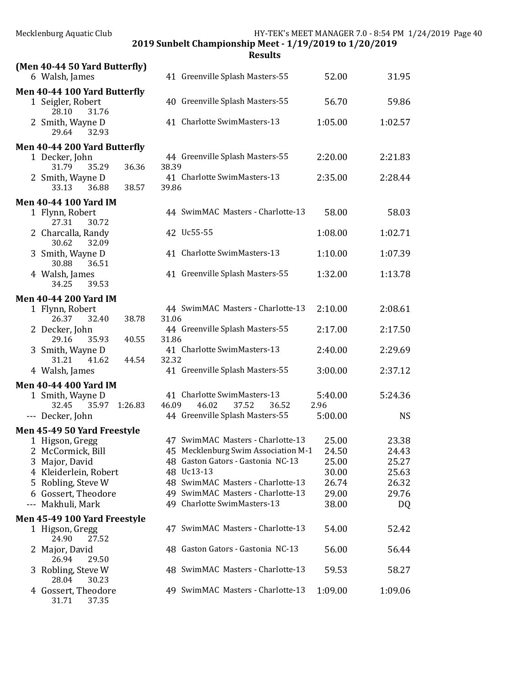| Mecklenburg Aquatic Club                                               | HY-TEK's MEET MANAGER 7.0 - 8:54 PM 1/24/2019 Page 40<br>2019 Sunbelt Championship Meet - 1/19/2019 to 1/20/2019<br><b>Results</b> |                 |           |  |  |  |  |  |  |  |
|------------------------------------------------------------------------|------------------------------------------------------------------------------------------------------------------------------------|-----------------|-----------|--|--|--|--|--|--|--|
| (Men 40-44 50 Yard Butterfly)                                          |                                                                                                                                    |                 |           |  |  |  |  |  |  |  |
| 6 Walsh, James                                                         | 41 Greenville Splash Masters-55                                                                                                    | 52.00           | 31.95     |  |  |  |  |  |  |  |
| Men 40-44 100 Yard Butterfly<br>1 Seigler, Robert<br>28.10<br>31.76    | 40 Greenville Splash Masters-55                                                                                                    | 56.70           | 59.86     |  |  |  |  |  |  |  |
| 2 Smith, Wayne D<br>29.64<br>32.93                                     | 41 Charlotte SwimMasters-13                                                                                                        | 1:05.00         | 1:02.57   |  |  |  |  |  |  |  |
| Men 40-44 200 Yard Butterfly                                           |                                                                                                                                    |                 |           |  |  |  |  |  |  |  |
| 1 Decker, John                                                         | 44 Greenville Splash Masters-55                                                                                                    | 2:20.00         | 2:21.83   |  |  |  |  |  |  |  |
| 36.36<br>31.79<br>35.29<br>2 Smith, Wayne D<br>36.88<br>38.57<br>33.13 | 38.39<br>41 Charlotte SwimMasters-13<br>39.86                                                                                      | 2:35.00         | 2:28.44   |  |  |  |  |  |  |  |
|                                                                        |                                                                                                                                    |                 |           |  |  |  |  |  |  |  |
| <b>Men 40-44 100 Yard IM</b><br>1 Flynn, Robert<br>27.31<br>30.72      | 44 SwimMAC Masters - Charlotte-13                                                                                                  | 58.00           | 58.03     |  |  |  |  |  |  |  |
| 2 Charcalla, Randy<br>30.62<br>32.09                                   | 42 Uc55-55                                                                                                                         | 1:08.00         | 1:02.71   |  |  |  |  |  |  |  |
| 3 Smith, Wayne D<br>30.88<br>36.51                                     | 41 Charlotte SwimMasters-13                                                                                                        | 1:10.00         | 1:07.39   |  |  |  |  |  |  |  |
| 4 Walsh, James<br>34.25<br>39.53                                       | 41 Greenville Splash Masters-55                                                                                                    | 1:32.00         | 1:13.78   |  |  |  |  |  |  |  |
| <b>Men 40-44 200 Yard IM</b>                                           |                                                                                                                                    |                 |           |  |  |  |  |  |  |  |
| 1 Flynn, Robert<br>26.37<br>32.40<br>38.78                             | 44 SwimMAC Masters - Charlotte-13<br>31.06                                                                                         | 2:10.00         | 2:08.61   |  |  |  |  |  |  |  |
| 2 Decker, John<br>40.55<br>29.16<br>35.93                              | 44 Greenville Splash Masters-55<br>31.86                                                                                           | 2:17.00         | 2:17.50   |  |  |  |  |  |  |  |
| 3 Smith, Wayne D<br>41.62<br>31.21<br>44.54                            | 41 Charlotte SwimMasters-13<br>32.32                                                                                               | 2:40.00         | 2:29.69   |  |  |  |  |  |  |  |
| 4 Walsh, James                                                         | 41 Greenville Splash Masters-55                                                                                                    | 3:00.00         | 2:37.12   |  |  |  |  |  |  |  |
| <b>Men 40-44 400 Yard IM</b>                                           |                                                                                                                                    |                 |           |  |  |  |  |  |  |  |
| 1 Smith, Wayne D<br>32.45<br>35.97<br>1:26.83                          | 41 Charlotte SwimMasters-13<br>46.09<br>46.02<br>37.52<br>36.52                                                                    | 5:40.00<br>2.96 | 5:24.36   |  |  |  |  |  |  |  |
| --- Decker, John                                                       | 44 Greenville Splash Masters-55                                                                                                    | 5:00.00         | <b>NS</b> |  |  |  |  |  |  |  |
| Men 45-49 50 Yard Freestyle                                            |                                                                                                                                    |                 |           |  |  |  |  |  |  |  |
| 1 Higson, Gregg                                                        | 47 SwimMAC Masters - Charlotte-13                                                                                                  | 25.00           | 23.38     |  |  |  |  |  |  |  |
| 2 McCormick, Bill                                                      | 45 Mecklenburg Swim Association M-1                                                                                                | 24.50           | 24.43     |  |  |  |  |  |  |  |
| 3 Major, David                                                         | 48 Gaston Gators - Gastonia NC-13                                                                                                  | 25.00           | 25.27     |  |  |  |  |  |  |  |
| 4 Kleiderlein, Robert                                                  | 48 Uc13-13                                                                                                                         | 30.00           | 25.63     |  |  |  |  |  |  |  |
| Robling, Steve W<br>5.                                                 | 48 SwimMAC Masters - Charlotte-13                                                                                                  | 26.74           | 26.32     |  |  |  |  |  |  |  |
| Gossert, Theodore<br>6                                                 | 49 SwimMAC Masters - Charlotte-13                                                                                                  | 29.00           | 29.76     |  |  |  |  |  |  |  |
| Makhuli, Mark<br>$- - -$                                               | 49 Charlotte SwimMasters-13                                                                                                        | 38.00           | DQ        |  |  |  |  |  |  |  |
| Men 45-49 100 Yard Freestyle                                           |                                                                                                                                    |                 |           |  |  |  |  |  |  |  |
| 1 Higson, Gregg<br>24.90<br>27.52                                      | 47 SwimMAC Masters - Charlotte-13                                                                                                  | 54.00           | 52.42     |  |  |  |  |  |  |  |
| 2 Major, David<br>26.94<br>29.50                                       | 48 Gaston Gators - Gastonia NC-13                                                                                                  | 56.00           | 56.44     |  |  |  |  |  |  |  |
| 3 Robling, Steve W<br>28.04<br>30.23                                   | 48 SwimMAC Masters - Charlotte-13                                                                                                  | 59.53           | 58.27     |  |  |  |  |  |  |  |
| 4 Gossert, Theodore<br>31.71<br>37.35                                  | 49 SwimMAC Masters - Charlotte-13                                                                                                  | 1:09.00         | 1:09.06   |  |  |  |  |  |  |  |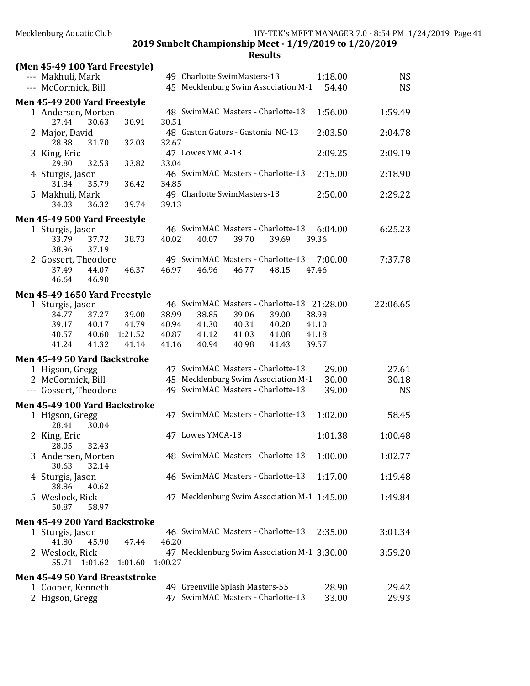| (Men 45-49 100 Yard Freestyle)       |                  |                                                                                        |                |
|--------------------------------------|------------------|----------------------------------------------------------------------------------------|----------------|
| --- Makhuli, Mark                    |                  | 49 Charlotte SwimMasters-13<br>1:18.00                                                 | <b>NS</b>      |
| --- McCormick, Bill                  |                  | 45 Mecklenburg Swim Association M-1<br>54.40                                           | <b>NS</b>      |
| Men 45-49 200 Yard Freestyle         |                  |                                                                                        |                |
| 1 Andersen, Morten                   |                  | 48 SwimMAC Masters - Charlotte-13<br>1:56.00                                           | 1:59.49        |
| 27.44<br>30.63                       | 30.91            | 30.51                                                                                  |                |
| 2 Major, David                       |                  | 48 Gaston Gators - Gastonia NC-13<br>2:03.50                                           | 2:04.78        |
| 28.38<br>31.70<br>3 King, Eric       | 32.03            | 32.67<br>47 Lowes YMCA-13<br>2:09.25                                                   | 2:09.19        |
| 29.80<br>32.53                       | 33.82            | 33.04                                                                                  |                |
| 4 Sturgis, Jason                     |                  | 46 SwimMAC Masters - Charlotte-13<br>2:15.00                                           | 2:18.90        |
| 31.84<br>35.79                       | 36.42            | 34.85                                                                                  |                |
| 5 Makhuli, Mark                      |                  | 49 Charlotte SwimMasters-13<br>2:50.00                                                 | 2:29.22        |
| 34.03<br>36.32                       | 39.74            | 39.13                                                                                  |                |
| Men 45-49 500 Yard Freestyle         |                  |                                                                                        |                |
| 1 Sturgis, Jason                     |                  | 46 SwimMAC Masters - Charlotte-13<br>6:04.00                                           | 6:25.23        |
| 33.79<br>37.72                       | 38.73            | 40.02<br>39.70<br>39.36<br>40.07<br>39.69                                              |                |
| 38.96<br>37.19                       |                  |                                                                                        |                |
| 2 Gossert, Theodore                  |                  | 49 SwimMAC Masters - Charlotte-13<br>7:00.00                                           | 7:37.78        |
| 44.07<br>37.49<br>46.90<br>46.64     | 46.37            | 46.97<br>46.96<br>46.77<br>48.15<br>47.46                                              |                |
|                                      |                  |                                                                                        |                |
| Men 45-49 1650 Yard Freestyle        |                  |                                                                                        |                |
| 1 Sturgis, Jason                     |                  | 46 SwimMAC Masters - Charlotte-13 21:28.00                                             | 22:06.65       |
| 37.27<br>34.77                       | 39.00            | 38.99<br>38.85<br>39.06<br>39.00<br>38.98                                              |                |
| 39.17<br>40.17<br>40.57<br>40.60     | 41.79<br>1:21.52 | 40.94<br>41.30<br>40.31<br>40.20<br>41.10<br>41.12<br>40.87<br>41.03<br>41.08<br>41.18 |                |
| 41.32<br>41.24                       | 41.14            | 41.16<br>40.94<br>40.98<br>41.43<br>39.57                                              |                |
|                                      |                  |                                                                                        |                |
| Men 45-49 50 Yard Backstroke         |                  | 47 SwimMAC Masters - Charlotte-13                                                      |                |
| 1 Higson, Gregg<br>2 McCormick, Bill |                  | 29.00<br>45 Mecklenburg Swim Association M-1<br>30.00                                  | 27.61<br>30.18 |
| --- Gossert, Theodore                |                  | 49 SwimMAC Masters - Charlotte-13<br>39.00                                             | <b>NS</b>      |
|                                      |                  |                                                                                        |                |
| Men 45-49 100 Yard Backstroke        |                  |                                                                                        |                |
| 1 Higson, Gregg                      |                  | 47 SwimMAC Masters - Charlotte-13<br>1:02.00                                           | 58.45          |
| 30.04<br>28.41<br>2 King, Eric       |                  | 47 Lowes YMCA-13<br>1:01.38                                                            | 1:00.48        |
| 32.43<br>28.05                       |                  |                                                                                        |                |
| 3 Andersen, Morten                   |                  | 48 SwimMAC Masters - Charlotte-13<br>1:00.00                                           | 1:02.77        |
| 32.14<br>30.63                       |                  |                                                                                        |                |
| 4 Sturgis, Jason                     |                  | 46 SwimMAC Masters - Charlotte-13<br>1:17.00                                           | 1:19.48        |
| 38.86<br>40.62                       |                  |                                                                                        |                |
| 5 Weslock, Rick                      |                  | 47 Mecklenburg Swim Association M-1 1:45.00                                            | 1:49.84        |
| 50.87<br>58.97                       |                  |                                                                                        |                |
| Men 45-49 200 Yard Backstroke        |                  |                                                                                        |                |
| 1 Sturgis, Jason                     |                  | 46 SwimMAC Masters - Charlotte-13<br>2:35.00                                           | 3:01.34        |
| 41.80<br>45.90                       | 47.44            | 46.20                                                                                  |                |
| 2 Weslock, Rick                      |                  | 47 Mecklenburg Swim Association M-1 3:30.00                                            | 3:59.20        |
| 55.71 1:01.62                        | 1:01.60          | 1:00.27                                                                                |                |
| Men 45-49 50 Yard Breaststroke       |                  |                                                                                        |                |
| 1 Cooper, Kenneth                    |                  | 49 Greenville Splash Masters-55<br>28.90                                               | 29.42          |
| 2 Higson, Gregg                      |                  | 47 SwimMAC Masters - Charlotte-13<br>33.00                                             | 29.93          |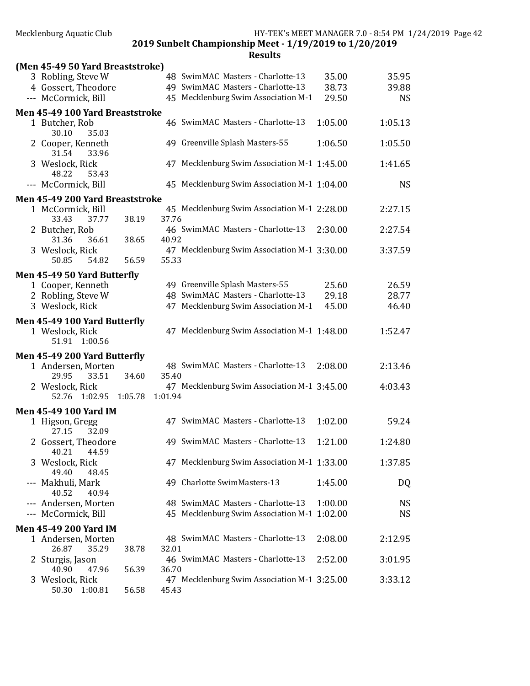| (Men 45-49 50 Yard Breaststroke)                                 |         |         |                                             |         |           |
|------------------------------------------------------------------|---------|---------|---------------------------------------------|---------|-----------|
| 3 Robling, Steve W                                               |         |         | 48 SwimMAC Masters - Charlotte-13           | 35.00   | 35.95     |
| 4 Gossert, Theodore                                              |         |         | 49 SwimMAC Masters - Charlotte-13           | 38.73   | 39.88     |
| --- McCormick, Bill                                              |         |         | 45 Mecklenburg Swim Association M-1         | 29.50   | <b>NS</b> |
| Men 45-49 100 Yard Breaststroke                                  |         |         |                                             |         |           |
| 1 Butcher, Rob                                                   |         |         | 46 SwimMAC Masters - Charlotte-13           | 1:05.00 | 1:05.13   |
| 30.10<br>35.03<br>2 Cooper, Kenneth                              |         |         | 49 Greenville Splash Masters-55             | 1:06.50 | 1:05.50   |
| 31.54<br>33.96                                                   |         |         |                                             |         |           |
| 3 Weslock, Rick<br>48.22<br>53.43                                |         |         | 47 Mecklenburg Swim Association M-1 1:45.00 |         | 1:41.65   |
| --- McCormick, Bill                                              |         |         | 45 Mecklenburg Swim Association M-1 1:04.00 |         | <b>NS</b> |
| Men 45-49 200 Yard Breaststroke                                  |         |         |                                             |         |           |
| 1 McCormick, Bill<br>33.43<br>37.77                              | 38.19   | 37.76   | 45 Mecklenburg Swim Association M-1 2:28.00 |         | 2:27.15   |
| 2 Butcher, Rob                                                   |         |         | 46 SwimMAC Masters - Charlotte-13           | 2:30.00 | 2:27.54   |
| 31.36<br>36.61<br>3 Weslock, Rick                                | 38.65   | 40.92   | 47 Mecklenburg Swim Association M-1 3:30.00 |         | 3:37.59   |
| 54.82<br>50.85                                                   | 56.59   | 55.33   |                                             |         |           |
| Men 45-49 50 Yard Butterfly                                      |         |         |                                             |         |           |
| 1 Cooper, Kenneth                                                |         |         | 49 Greenville Splash Masters-55             | 25.60   | 26.59     |
| 2 Robling, Steve W                                               |         |         | 48 SwimMAC Masters - Charlotte-13           | 29.18   | 28.77     |
| 3 Weslock, Rick                                                  |         |         | 47 Mecklenburg Swim Association M-1         | 45.00   | 46.40     |
|                                                                  |         |         |                                             |         |           |
| Men 45-49 100 Yard Butterfly<br>1 Weslock, Rick<br>51.91 1:00.56 |         |         | 47 Mecklenburg Swim Association M-1 1:48.00 |         | 1:52.47   |
| Men 45-49 200 Yard Butterfly                                     |         |         |                                             |         |           |
| 1 Andersen, Morten                                               |         |         | 48 SwimMAC Masters - Charlotte-13           | 2:08.00 | 2:13.46   |
| 29.95<br>33.51                                                   | 34.60   | 35.40   |                                             |         |           |
| 2 Weslock, Rick                                                  |         |         | 47 Mecklenburg Swim Association M-1 3:45.00 |         | 4:03.43   |
| 1:02.95<br>52.76                                                 | 1:05.78 | 1:01.94 |                                             |         |           |
| <b>Men 45-49 100 Yard IM</b>                                     |         |         |                                             |         |           |
| 1 Higson, Gregg<br>27.15<br>32.09                                |         |         | 47 SwimMAC Masters - Charlotte-13           | 1:02.00 | 59.24     |
| 2 Gossert, Theodore<br>40.21<br>44.59                            |         |         | 49 SwimMAC Masters - Charlotte-13           | 1:21.00 | 1:24.80   |
| 3 Weslock, Rick                                                  |         |         | 47 Mecklenburg Swim Association M-1 1:33.00 |         | 1:37.85   |
| 49.40<br>48.45<br>--- Makhuli, Mark                              |         |         | 49 Charlotte SwimMasters-13                 | 1:45.00 | DQ        |
| 40.52<br>40.94<br>--- Andersen, Morten                           |         |         | 48 SwimMAC Masters - Charlotte-13           | 1:00.00 | <b>NS</b> |
| --- McCormick, Bill                                              |         |         | 45 Mecklenburg Swim Association M-1 1:02.00 |         | <b>NS</b> |
| <b>Men 45-49 200 Yard IM</b>                                     |         |         |                                             |         |           |
| 1 Andersen, Morten                                               |         |         | 48 SwimMAC Masters - Charlotte-13           | 2:08.00 | 2:12.95   |
| 26.87<br>35.29                                                   | 38.78   | 32.01   |                                             |         |           |
| Sturgis, Jason<br>40.90<br>47.96                                 | 56.39   | 36.70   | 46 SwimMAC Masters - Charlotte-13           | 2:52.00 | 3:01.95   |
| 3 Weslock, Rick                                                  |         |         | 47 Mecklenburg Swim Association M-1 3:25.00 |         | 3:33.12   |
| 50.30<br>1:00.81                                                 | 56.58   | 45.43   |                                             |         |           |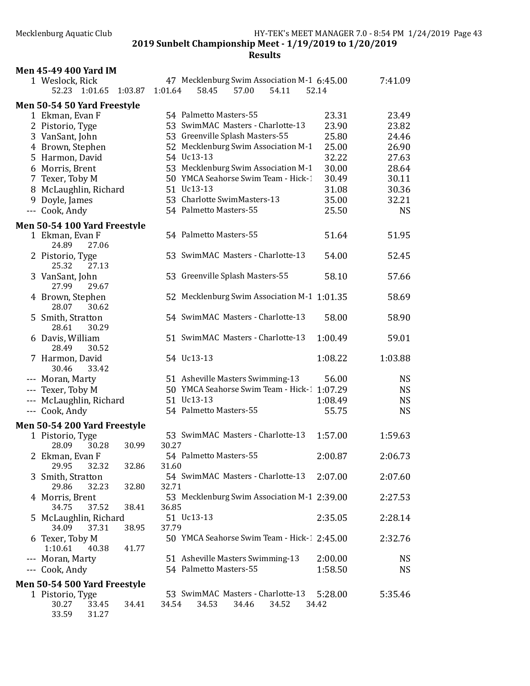| <b>Men 45-49 400 Yard IM</b>                     |                                                                                   |                  |           |
|--------------------------------------------------|-----------------------------------------------------------------------------------|------------------|-----------|
| 1 Weslock, Rick<br>52.23 1:01.65 1:03.87         | 47 Mecklenburg Swim Association M-1 6:45.00<br>1:01.64<br>58.45<br>57.00<br>54.11 | 52.14            | 7:41.09   |
| Men 50-54 50 Yard Freestyle                      |                                                                                   |                  |           |
| 1 Ekman, Evan F                                  | 54 Palmetto Masters-55                                                            | 23.31            | 23.49     |
| 2 Pistorio, Tyge                                 | 53 SwimMAC Masters - Charlotte-13                                                 | 23.90            | 23.82     |
| 3 VanSant, John                                  | 53 Greenville Splash Masters-55                                                   | 25.80            | 24.46     |
| 4 Brown, Stephen                                 | 52 Mecklenburg Swim Association M-1                                               | 25.00            | 26.90     |
| 5 Harmon, David                                  | 54 Uc13-13                                                                        | 32.22            | 27.63     |
| 6 Morris, Brent                                  | 53 Mecklenburg Swim Association M-1                                               | 30.00            | 28.64     |
| 7 Texer, Toby M                                  | 50 YMCA Seahorse Swim Team - Hick-1                                               | 30.49            | 30.11     |
| 8 McLaughlin, Richard                            | 51 Uc13-13                                                                        | 31.08            | 30.36     |
| 9 Doyle, James                                   | 53 Charlotte SwimMasters-13                                                       | 35.00            | 32.21     |
| --- Cook, Andy                                   | 54 Palmetto Masters-55                                                            | 25.50            | <b>NS</b> |
| Men 50-54 100 Yard Freestyle                     |                                                                                   |                  |           |
| 1 Ekman, Evan F<br>24.89<br>27.06                | 54 Palmetto Masters-55                                                            | 51.64            | 51.95     |
| 2 Pistorio, Tyge<br>25.32<br>27.13               | 53 SwimMAC Masters - Charlotte-13                                                 | 54.00            | 52.45     |
| 3 VanSant, John<br>27.99<br>29.67                | 53 Greenville Splash Masters-55                                                   | 58.10            | 57.66     |
| 4 Brown, Stephen<br>28.07<br>30.62               | 52 Mecklenburg Swim Association M-1 1:01.35                                       |                  | 58.69     |
| 5 Smith, Stratton<br>28.61<br>30.29              | 54 SwimMAC Masters - Charlotte-13                                                 | 58.00            | 58.90     |
| 6 Davis, William<br>28.49<br>30.52               | 51 SwimMAC Masters - Charlotte-13                                                 | 1:00.49          | 59.01     |
| 7 Harmon, David<br>33.42<br>30.46                | 54 Uc13-13                                                                        | 1:08.22          | 1:03.88   |
| --- Moran, Marty                                 | 51 Asheville Masters Swimming-13                                                  | 56.00            | <b>NS</b> |
| --- Texer, Toby M                                | 50 YMCA Seahorse Swim Team - Hick-1 1:07.29                                       |                  | <b>NS</b> |
| --- McLaughlin, Richard                          | 51 Uc13-13                                                                        | 1:08.49          | <b>NS</b> |
| --- Cook, Andy                                   | 54 Palmetto Masters-55                                                            | 55.75            | <b>NS</b> |
| Men 50-54 200 Yard Freestyle                     |                                                                                   |                  |           |
| 1 Pistorio, Tyge<br>28.09<br>30.28<br>30.99      | 53 SwimMAC Masters - Charlotte-13<br>30.27                                        | 1:57.00          | 1:59.63   |
| 2 Ekman, Evan F<br>29.95<br>32.32<br>32.86       | 54 Palmetto Masters-55<br>31.60                                                   | 2:00.87          | 2:06.73   |
| 3 Smith, Stratton<br>29.86<br>32.23<br>32.80     | 54 SwimMAC Masters - Charlotte-13<br>32.71                                        | 2:07.00          | 2:07.60   |
| 4 Morris, Brent<br>34.75<br>37.52<br>38.41       | 53 Mecklenburg Swim Association M-1 2:39.00<br>36.85                              |                  | 2:27.53   |
| 5 McLaughlin, Richard<br>34.09<br>37.31<br>38.95 | 51 Uc13-13<br>37.79                                                               | 2:35.05          | 2:28.14   |
| 6 Texer, Toby M<br>1:10.61<br>40.38<br>41.77     | 50 YMCA Seahorse Swim Team - Hick-1 2:45.00                                       |                  | 2:32.76   |
| --- Moran, Marty                                 | 51 Asheville Masters Swimming-13                                                  | 2:00.00          | NS        |
| --- Cook, Andy                                   | 54 Palmetto Masters-55                                                            | 1:58.50          | <b>NS</b> |
| Men 50-54 500 Yard Freestyle                     |                                                                                   |                  |           |
| 1 Pistorio, Tyge<br>30.27<br>33.45<br>34.41      | 53 SwimMAC Masters - Charlotte-13<br>34.54<br>34.53<br>34.46<br>34.52             | 5:28.00<br>34.42 | 5:35.46   |
| 33.59<br>31.27                                   |                                                                                   |                  |           |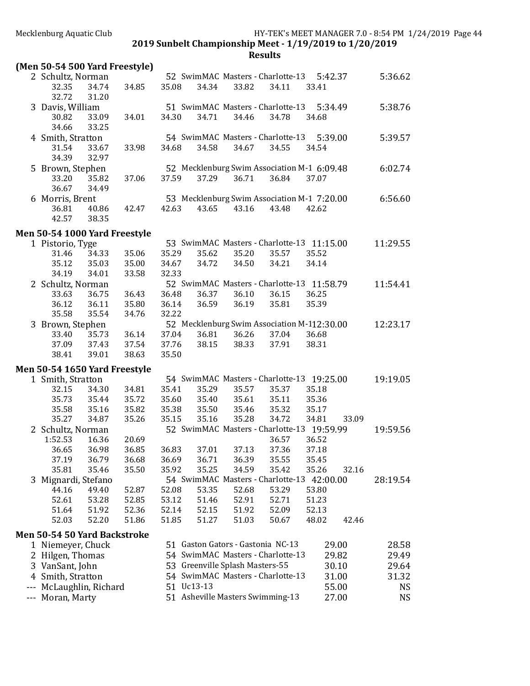## **Results**

### (Men 50-54 500 Yard Freestyle)

| $1.1$ . The state of $1.000$ and $1.1000$ |                |                |                                             |                                   |       |                |                                             |       |          |
|-------------------------------------------|----------------|----------------|---------------------------------------------|-----------------------------------|-------|----------------|---------------------------------------------|-------|----------|
| 2 Schultz, Norman                         |                |                |                                             | 52 SwimMAC Masters - Charlotte-13 |       |                | 5:42.37                                     |       | 5:36.62  |
| 32.35                                     | 34.74          | 34.85          | 35.08                                       | 34.34                             | 33.82 | 34.11          | 33.41                                       |       |          |
| 32.72                                     | 31.20          |                |                                             |                                   |       |                |                                             |       |          |
| 3 Davis, William                          |                |                |                                             | 51 SwimMAC Masters - Charlotte-13 |       |                | 5:34.49                                     |       | 5:38.76  |
| 30.82                                     | 33.09          | 34.01          | 34.30                                       | 34.71                             | 34.46 | 34.78          | 34.68                                       |       |          |
| 34.66                                     | 33.25          |                |                                             |                                   |       |                |                                             |       |          |
| 4 Smith, Stratton                         |                |                |                                             | 54 SwimMAC Masters - Charlotte-13 |       |                | 5:39.00                                     |       | 5:39.57  |
| 31.54                                     | 33.67          | 33.98          | 34.68                                       | 34.58                             | 34.67 | 34.55          | 34.54                                       |       |          |
| 34.39                                     | 32.97          |                |                                             |                                   |       |                |                                             |       |          |
| 5 Brown, Stephen                          |                |                |                                             |                                   |       |                | 52 Mecklenburg Swim Association M-1 6:09.48 |       | 6:02.74  |
| 33.20                                     | 35.82          | 37.06          | 37.59                                       | 37.29                             | 36.71 | 36.84          | 37.07                                       |       |          |
| 36.67                                     | 34.49          |                |                                             |                                   |       |                |                                             |       |          |
| 6 Morris, Brent                           |                |                |                                             |                                   |       |                | 53 Mecklenburg Swim Association M-1 7:20.00 |       | 6:56.60  |
| 36.81                                     | 40.86          | 42.47          | 42.63                                       | 43.65                             | 43.16 | 43.48          | 42.62                                       |       |          |
| 42.57                                     | 38.35          |                |                                             |                                   |       |                |                                             |       |          |
| Men 50-54 1000 Yard Freestyle             |                |                |                                             |                                   |       |                |                                             |       |          |
| 1 Pistorio, Tyge                          |                |                |                                             |                                   |       |                | 53 SwimMAC Masters - Charlotte-13 11:15.00  |       | 11:29.55 |
| 31.46                                     | 34.33          | 35.06          | 35.29                                       | 35.62                             | 35.20 | 35.57          | 35.52                                       |       |          |
| 35.12                                     | 35.03          | 35.00          | 34.67                                       | 34.72                             | 34.50 | 34.21          | 34.14                                       |       |          |
| 34.19                                     | 34.01          | 33.58          | 32.33                                       |                                   |       |                |                                             |       |          |
| 2 Schultz, Norman                         |                |                |                                             |                                   |       |                | 52 SwimMAC Masters - Charlotte-13 11:58.79  |       | 11:54.41 |
| 33.63                                     | 36.75          | 36.43          | 36.48                                       | 36.37                             | 36.10 | 36.15          | 36.25                                       |       |          |
| 36.12                                     | 36.11          | 35.80          | 36.14                                       | 36.59                             | 36.19 | 35.81          | 35.39                                       |       |          |
| 35.58                                     | 35.54          | 34.76          | 32.22                                       |                                   |       |                |                                             |       |          |
| 3 Brown, Stephen                          |                |                | 52 Mecklenburg Swim Association M-112:30.00 |                                   |       |                |                                             |       | 12:23.17 |
| 33.40                                     | 35.73          | 36.14          | 37.04                                       | 36.81                             | 36.26 | 37.04          | 36.68                                       |       |          |
| 37.09                                     | 37.43          | 37.54          | 37.76                                       | 38.15                             | 38.33 | 37.91          | 38.31                                       |       |          |
| 38.41                                     | 39.01          | 38.63          | 35.50                                       |                                   |       |                |                                             |       |          |
|                                           |                |                |                                             |                                   |       |                |                                             |       |          |
| Men 50-54 1650 Yard Freestyle             |                |                |                                             |                                   |       |                |                                             |       |          |
| 1 Smith, Stratton                         |                |                |                                             | 35.29                             |       |                | 54 SwimMAC Masters - Charlotte-13 19:25.00  |       | 19:19.05 |
| 32.15                                     | 34.30          | 34.81          | 35.41                                       |                                   | 35.57 | 35.37          | 35.18                                       |       |          |
| 35.73                                     | 35.44          | 35.72          | 35.60                                       | 35.40                             | 35.61 | 35.11          | 35.36                                       |       |          |
| 35.58<br>35.27                            | 35.16<br>34.87 | 35.82<br>35.26 | 35.38                                       | 35.50<br>35.16                    | 35.46 | 35.32<br>34.72 | 35.17                                       |       |          |
|                                           |                |                | 35.15                                       |                                   | 35.28 |                | 34.81                                       | 33.09 |          |
| 2 Schultz, Norman<br>1:52.53              | 16.36          |                |                                             |                                   |       |                | 52 SwimMAC Masters - Charlotte-13 19:59.99  |       | 19:59.56 |
| 36.65                                     | 36.98          | 20.69<br>36.85 | 36.83                                       | 37.01                             | 37.13 | 36.57<br>37.36 | 36.52<br>37.18                              |       |          |
|                                           |                |                |                                             |                                   |       |                |                                             |       |          |

| 30.OS               | 30.YO | 30.85 | 30.03 | 37.VI | 37.13                                      | 37.30 | 57.18 |       |          |
|---------------------|-------|-------|-------|-------|--------------------------------------------|-------|-------|-------|----------|
| 37.19               | 36.79 | 36.68 | 36.69 | 36.71 | 36.39                                      | 35.55 | 35.45 |       |          |
| 35.81               | 35.46 | 35.50 | 35.92 | 35.25 | 34.59                                      | 35.42 | 35.26 | 32.16 |          |
| 3 Mignardi, Stefano |       |       |       |       | 54 SwimMAC Masters - Charlotte-13 42:00.00 |       |       |       | 28:19.54 |
| 44.16               | 49.40 | 52.87 | 52.08 | 53.35 | 52.68                                      | 53.29 | 53.80 |       |          |
| 52.61               | 53.28 | 52.85 | 53.12 | 51.46 | 52.91                                      | 52.71 | 51.23 |       |          |
| 51.64               | 51.92 | 52.36 | 52.14 | 52.15 | 51.92                                      | 52.09 | 52.13 |       |          |
| 52.03               | 52.20 | 51.86 | 51.85 | 51.27 | 51.03                                      | 50.67 | 48.02 | 42.46 |          |

#### Men 50-54 50 Yard Backstroke

| 1 Niemeyer, Chuck       | 51 Gaston Gators - Gastonia NC-13 | 29.00 | 28.58 |
|-------------------------|-----------------------------------|-------|-------|
| 2 Hilgen, Thomas        | 54 SwimMAC Masters - Charlotte-13 | 29.82 | 29.49 |
| 3 VanSant, John         | 53 Greenville Splash Masters-55   | 30.10 | 29.64 |
| 4 Smith, Stratton       | 54 SwimMAC Masters - Charlotte-13 | 31.00 | 31.32 |
| --- McLaughlin, Richard | 51 Uc13-13                        | 55.00 | NS.   |
| --- Moran, Marty        | 51 Asheville Masters Swimming-13  | 27.00 | NS.   |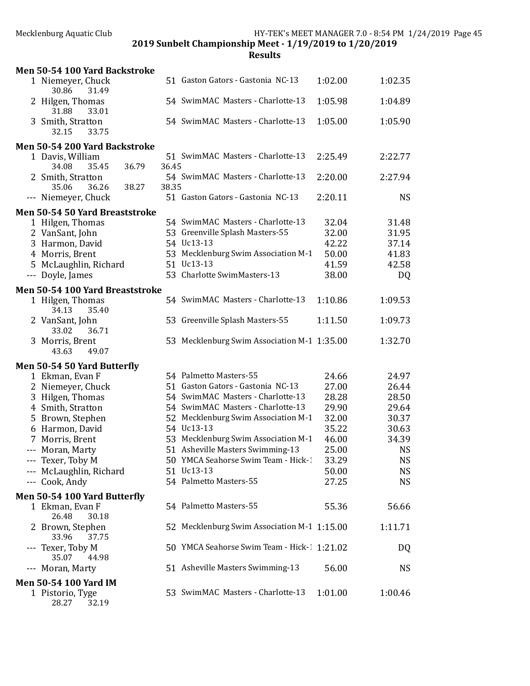| Men 50-54 100 Yard Backstroke                |       |                                             |         |           |
|----------------------------------------------|-------|---------------------------------------------|---------|-----------|
| 1 Niemeyer, Chuck<br>31.49<br>30.86          |       | 51 Gaston Gators - Gastonia NC-13           | 1:02.00 | 1:02.35   |
| 2 Hilgen, Thomas<br>31.88<br>33.01           |       | 54 SwimMAC Masters - Charlotte-13           | 1:05.98 | 1:04.89   |
| 3 Smith, Stratton<br>33.75<br>32.15          |       | 54 SwimMAC Masters - Charlotte-13           | 1:05.00 | 1:05.90   |
| Men 50-54 200 Yard Backstroke                |       |                                             |         |           |
| 1 Davis, William<br>34.08<br>35.45<br>36.79  | 36.45 | 51 SwimMAC Masters - Charlotte-13           | 2:25.49 | 2:22.77   |
| 2 Smith, Stratton<br>35.06<br>38.27<br>36.26 | 38.35 | 54 SwimMAC Masters - Charlotte-13           | 2:20.00 | 2:27.94   |
| --- Niemeyer, Chuck                          |       | 51 Gaston Gators - Gastonia NC-13           | 2:20.11 | <b>NS</b> |
| Men 50-54 50 Yard Breaststroke               |       |                                             |         |           |
| 1 Hilgen, Thomas                             |       | 54 SwimMAC Masters - Charlotte-13           | 32.04   | 31.48     |
| 2 VanSant, John                              |       | 53 Greenville Splash Masters-55             | 32.00   | 31.95     |
| 3 Harmon, David                              |       | 54 Uc13-13                                  | 42.22   | 37.14     |
| 4 Morris, Brent                              |       | 53 Mecklenburg Swim Association M-1         | 50.00   | 41.83     |
| 5 McLaughlin, Richard                        |       | 51 Uc13-13                                  | 41.59   | 42.58     |
| --- Doyle, James                             |       | 53 Charlotte SwimMasters-13                 | 38.00   | DQ        |
| Men 50-54 100 Yard Breaststroke              |       |                                             |         |           |
| 1 Hilgen, Thomas<br>34.13<br>35.40           |       | 54 SwimMAC Masters - Charlotte-13           | 1:10.86 | 1:09.53   |
| 2 VanSant, John<br>33.02<br>36.71            |       | 53 Greenville Splash Masters-55             | 1:11.50 | 1:09.73   |
| 3 Morris, Brent<br>43.63<br>49.07            |       | 53 Mecklenburg Swim Association M-1 1:35.00 |         | 1:32.70   |
| Men 50-54 50 Yard Butterfly                  |       |                                             |         |           |
| 1 Ekman, Evan F                              |       | 54 Palmetto Masters-55                      | 24.66   | 24.97     |
| 2 Niemeyer, Chuck                            |       | 51 Gaston Gators - Gastonia NC-13           | 27.00   | 26.44     |
| 3 Hilgen, Thomas                             |       | 54 SwimMAC Masters - Charlotte-13           | 28.28   | 28.50     |
| 4 Smith, Stratton                            |       | 54 SwimMAC Masters - Charlotte-13           | 29.90   | 29.64     |
| 5 Brown, Stephen                             |       | 52 Mecklenburg Swim Association M-1         | 32.00   | 30.37     |
| 6 Harmon, David                              |       | 54 Uc13-13                                  | 35.22   | 30.63     |
| 7 Morris, Brent                              |       | 53 Mecklenburg Swim Association M-1         | 46.00   | 34.39     |
| --- Moran, Marty                             |       | 51 Asheville Masters Swimming-13            | 25.00   | <b>NS</b> |
| --- Texer, Toby M                            |       | 50 YMCA Seahorse Swim Team - Hick-1         | 33.29   | NS        |
| -- McLaughlin, Richard                       |       | 51 Uc13-13                                  | 50.00   | NS        |
| --- Cook, Andy                               |       | 54 Palmetto Masters-55                      | 27.25   | NS        |
| Men 50-54 100 Yard Butterfly                 |       |                                             |         |           |
| 1 Ekman, Evan F<br>26.48<br>30.18            |       | 54 Palmetto Masters-55                      | 55.36   | 56.66     |
| 2 Brown, Stephen<br>33.96<br>37.75           |       | 52 Mecklenburg Swim Association M-1 1:15.00 |         | 1:11.71   |
| --- Texer, Toby M<br>35.07<br>44.98          |       | 50 YMCA Seahorse Swim Team - Hick-1 1:21.02 |         | DQ        |
| --- Moran, Marty                             |       | 51 Asheville Masters Swimming-13            | 56.00   | <b>NS</b> |
| <b>Men 50-54 100 Yard IM</b>                 |       |                                             |         |           |
| 1 Pistorio, Tyge<br>28.27<br>32.19           |       | 53 SwimMAC Masters - Charlotte-13           | 1:01.00 | 1:00.46   |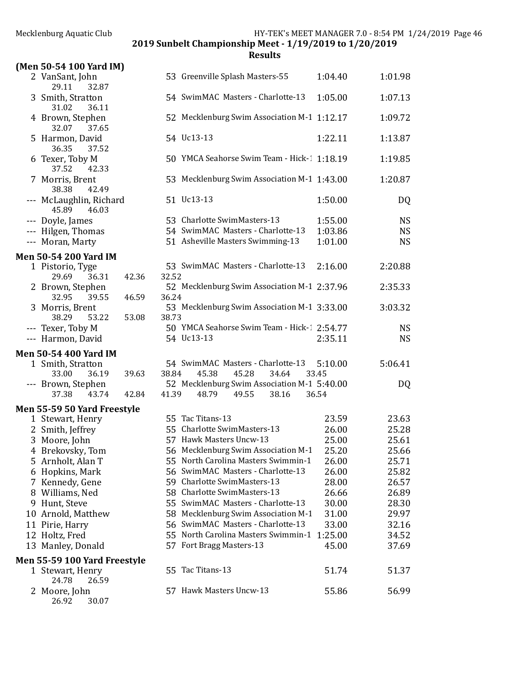2019 Sunbelt Championship Meet - 1/19/2019 to 1/20/2019

| (Men 50-54 100 Yard IM)                   |       |       |                                             |         |           |
|-------------------------------------------|-------|-------|---------------------------------------------|---------|-----------|
| 2 VanSant, John<br>29.11<br>32.87         |       |       | 53 Greenville Splash Masters-55             | 1:04.40 | 1:01.98   |
| 3 Smith, Stratton<br>31.02<br>36.11       |       |       | 54 SwimMAC Masters - Charlotte-13           | 1:05.00 | 1:07.13   |
| 4 Brown, Stephen<br>32.07<br>37.65        |       |       | 52 Mecklenburg Swim Association M-1 1:12.17 |         | 1:09.72   |
| 5 Harmon, David<br>36.35<br>37.52         |       |       | 54 Uc13-13                                  | 1:22.11 | 1:13.87   |
| 6 Texer, Toby M<br>37.52<br>42.33         |       |       | 50 YMCA Seahorse Swim Team - Hick-1 1:18.19 |         | 1:19.85   |
| 7 Morris, Brent<br>38.38<br>42.49         |       |       | 53 Mecklenburg Swim Association M-1 1:43.00 |         | 1:20.87   |
| --- McLaughlin, Richard<br>45.89<br>46.03 |       |       | 51 Uc13-13                                  | 1:50.00 | DQ        |
| --- Doyle, James                          |       |       | 53 Charlotte SwimMasters-13                 | 1:55.00 | <b>NS</b> |
| --- Hilgen, Thomas                        |       |       | 54 SwimMAC Masters - Charlotte-13           | 1:03.86 | <b>NS</b> |
| --- Moran, Marty                          |       |       | 51 Asheville Masters Swimming-13            | 1:01.00 | <b>NS</b> |
|                                           |       |       |                                             |         |           |
| <b>Men 50-54 200 Yard IM</b>              |       |       |                                             |         |           |
| 1 Pistorio, Tyge<br>29.69<br>36.31        | 42.36 | 32.52 | 53 SwimMAC Masters - Charlotte-13           | 2:16.00 | 2:20.88   |
| 2 Brown, Stephen<br>32.95<br>39.55        | 46.59 | 36.24 | 52 Mecklenburg Swim Association M-1 2:37.96 |         | 2:35.33   |
| 3 Morris, Brent<br>38.29<br>53.22         | 53.08 | 38.73 | 53 Mecklenburg Swim Association M-1 3:33.00 |         | 3:03.32   |
| --- Texer, Toby M                         |       |       | 50 YMCA Seahorse Swim Team - Hick-1 2:54.77 |         | <b>NS</b> |
| --- Harmon, David                         |       |       | 54 Uc13-13                                  | 2:35.11 | <b>NS</b> |
|                                           |       |       |                                             |         |           |
| <b>Men 50-54 400 Yard IM</b>              |       |       |                                             |         |           |
| 1 Smith, Stratton                         |       |       | 54 SwimMAC Masters - Charlotte-13           | 5:10.00 | 5:06.41   |
| 33.00<br>36.19                            | 39.63 | 38.84 | 45.38<br>45.28<br>34.64                     | 33.45   |           |
| --- Brown, Stephen                        |       |       | 52 Mecklenburg Swim Association M-1 5:40.00 |         | DQ        |
| 37.38<br>43.74                            | 42.84 | 41.39 | 49.55<br>38.16<br>48.79                     | 36.54   |           |
| Men 55-59 50 Yard Freestyle               |       |       |                                             |         |           |
| 1 Stewart, Henry                          |       |       | 55 Tac Titans-13                            | 23.59   | 23.63     |
| 2 Smith, Jeffrey                          |       |       | 55 Charlotte SwimMasters-13                 | 26.00   | 25.28     |
| 3 Moore, John                             |       |       | 57 Hawk Masters Uncw-13                     | 25.00   | 25.61     |
| 4 Brekovsky, Tom                          |       |       | 56 Mecklenburg Swim Association M-1         | 25.20   | 25.66     |
| 5 Arnholt, Alan T                         |       |       | 55 North Carolina Masters Swimmin-1         | 26.00   | 25.71     |
| 6 Hopkins, Mark                           |       |       | 56 SwimMAC Masters - Charlotte-13           | 26.00   | 25.82     |
| 7 Kennedy, Gene                           |       |       | 59 Charlotte SwimMasters-13                 | 28.00   | 26.57     |
| 8 Williams, Ned                           |       |       | 58 Charlotte SwimMasters-13                 | 26.66   | 26.89     |
| 9 Hunt, Steve                             |       |       | 55 SwimMAC Masters - Charlotte-13           | 30.00   | 28.30     |
| 10 Arnold, Matthew                        |       |       | 58 Mecklenburg Swim Association M-1         | 31.00   | 29.97     |
| 11 Pirie, Harry                           |       |       | 56 SwimMAC Masters - Charlotte-13           | 33.00   | 32.16     |
| 12 Holtz, Fred                            |       |       | 55 North Carolina Masters Swimmin-1 1:25.00 |         | 34.52     |
| 13 Manley, Donald                         |       |       | 57 Fort Bragg Masters-13                    | 45.00   | 37.69     |
|                                           |       |       |                                             |         |           |
| <b>Men 55-59 100 Yard Freestyle</b>       |       |       |                                             |         |           |
| 1 Stewart, Henry<br>24.78<br>26.59        |       |       | 55 Tac Titans-13                            | 51.74   | 51.37     |
| 2 Moore, John<br>26.92<br>30.07           |       |       | 57 Hawk Masters Uncw-13                     | 55.86   | 56.99     |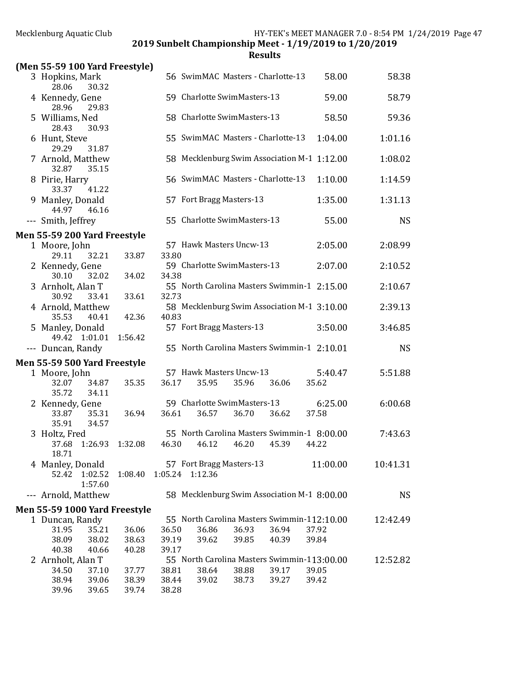2019 Sunbelt Championship Meet - 1/19/2019 to 1/20/2019

|     | (Men 55-59 100 Yard Freestyle)                    |                |                |                                             |       |       |                                                      |           |
|-----|---------------------------------------------------|----------------|----------------|---------------------------------------------|-------|-------|------------------------------------------------------|-----------|
|     | 3 Hopkins, Mark<br>28.06<br>30.32                 |                |                | 56 SwimMAC Masters - Charlotte-13           |       |       | 58.00                                                | 58.38     |
|     | 4 Kennedy, Gene<br>28.96<br>29.83                 |                |                | 59 Charlotte SwimMasters-13                 |       |       | 59.00                                                | 58.79     |
|     | 5 Williams, Ned<br>28.43<br>30.93                 |                |                | 58 Charlotte SwimMasters-13                 |       |       | 58.50                                                | 59.36     |
|     | 6 Hunt, Steve<br>29.29<br>31.87                   |                |                | 55 SwimMAC Masters - Charlotte-13           |       |       | 1:04.00                                              | 1:01.16   |
|     | 7 Arnold, Matthew<br>32.87<br>35.15               |                |                |                                             |       |       | 58 Mecklenburg Swim Association M-1 1:12.00          | 1:08.02   |
|     | 8 Pirie, Harry<br>33.37<br>41.22                  |                |                | 56 SwimMAC Masters - Charlotte-13           |       |       | 1:10.00                                              | 1:14.59   |
|     | 9 Manley, Donald<br>44.97<br>46.16                |                |                | 57 Fort Bragg Masters-13                    |       |       | 1:35.00                                              | 1:31.13   |
|     | --- Smith, Jeffrey                                |                |                | 55 Charlotte SwimMasters-13                 |       |       | 55.00                                                | <b>NS</b> |
|     | Men 55-59 200 Yard Freestyle                      |                |                |                                             |       |       |                                                      |           |
|     | 1 Moore, John<br>32.21<br>29.11                   | 33.87          | 33.80          | 57 Hawk Masters Uncw-13                     |       |       | 2:05.00                                              | 2:08.99   |
|     | 2 Kennedy, Gene<br>30.10<br>32.02                 | 34.02          | 34.38          | 59 Charlotte SwimMasters-13                 |       |       | 2:07.00                                              | 2:10.52   |
|     | 3 Arnholt, Alan T<br>30.92<br>33.41               | 33.61          | 32.73          |                                             |       |       | 55 North Carolina Masters Swimmin-1 2:15.00          | 2:10.67   |
|     | 4 Arnold, Matthew<br>35.53<br>40.41               | 42.36          | 40.83          |                                             |       |       | 58 Mecklenburg Swim Association M-1 3:10.00          | 2:39.13   |
|     | 5 Manley, Donald<br>49.42 1:01.01                 | 1:56.42        |                | 57 Fort Bragg Masters-13                    |       |       | 3:50.00                                              | 3:46.85   |
|     | --- Duncan, Randy                                 |                |                |                                             |       |       | 55 North Carolina Masters Swimmin-1 2:10.01          | <b>NS</b> |
|     | Men 55-59 500 Yard Freestyle                      |                |                |                                             |       |       |                                                      |           |
|     | 1 Moore, John<br>32.07<br>34.87<br>35.72<br>34.11 | 35.35          | 36.17          | 57 Hawk Masters Uncw-13<br>35.95            | 35.96 | 36.06 | 5:40.47<br>35.62                                     | 5:51.88   |
|     | 2 Kennedy, Gene<br>35.31<br>33.87                 | 36.94          | 36.61          | 59 Charlotte SwimMasters-13<br>36.57        | 36.70 | 36.62 | 6:25.00<br>37.58                                     | 6:00.68   |
|     | 35.91<br>34.57                                    |                |                |                                             |       |       |                                                      |           |
|     | 3 Holtz, Fred<br>37.68 1:26.93<br>18.71           | 1:32.08        | 46.30          | 46.12                                       | 46.20 | 45.39 | 55 North Carolina Masters Swimmin-1 8:00.00<br>44.22 | 7:43.63   |
|     | 4 Manley, Donald<br>52.42<br>1:02.52<br>1:57.60   | 1:08.40        |                | 57 Fort Bragg Masters-13<br>1:05.24 1:12.36 |       |       | 11:00.00                                             | 10:41.31  |
| --- | Arnold, Matthew                                   |                |                |                                             |       |       | 58 Mecklenburg Swim Association M-1 8:00.00          | <b>NS</b> |
|     | Men 55-59 1000 Yard Freestyle                     |                |                |                                             |       |       |                                                      |           |
|     | 1 Duncan, Randy                                   |                |                |                                             |       |       | 55 North Carolina Masters Swimmin-112:10.00          | 12:42.49  |
|     | 31.95<br>35.21                                    | 36.06          | 36.50          | 36.86                                       | 36.93 | 36.94 | 37.92                                                |           |
|     | 38.09<br>38.02<br>40.38<br>40.66                  | 38.63<br>40.28 | 39.19<br>39.17 | 39.62                                       | 39.85 | 40.39 | 39.84                                                |           |
|     | 2 Arnholt, Alan T                                 |                |                |                                             |       |       | 55 North Carolina Masters Swimmin-113:00.00          | 12:52.82  |
|     | 34.50<br>37.10                                    | 37.77          | 38.81          | 38.64                                       | 38.88 | 39.17 | 39.05                                                |           |
|     | 38.94<br>39.06                                    | 38.39          | 38.44          | 39.02                                       | 38.73 | 39.27 | 39.42                                                |           |
|     | 39.96<br>39.65                                    | 39.74          | 38.28          |                                             |       |       |                                                      |           |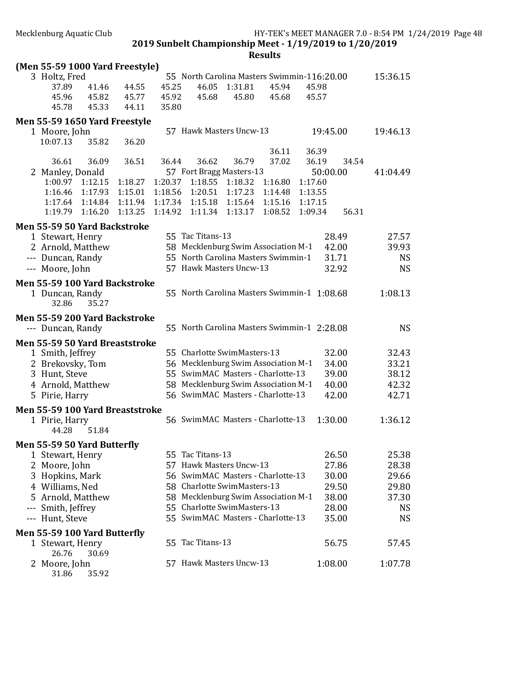**Results** 

|                                          |                    |                    |                                                                          |                    | nesults            |                    |                |                |
|------------------------------------------|--------------------|--------------------|--------------------------------------------------------------------------|--------------------|--------------------|--------------------|----------------|----------------|
| (Men 55-59 1000 Yard Freestyle)          |                    |                    | 55 North Carolina Masters Swimmin-116:20.00                              |                    |                    |                    |                | 15:36.15       |
| 3 Holtz, Fred<br>37.89<br>41.46          | 44.55              | 45.25              | 46.05                                                                    | 1:31.81            | 45.94              | 45.98              |                |                |
| 45.96<br>45.82                           | 45.77              | 45.92              | 45.68                                                                    | 45.80              | 45.68              | 45.57              |                |                |
| 45.78<br>45.33                           | 44.11              | 35.80              |                                                                          |                    |                    |                    |                |                |
| Men 55-59 1650 Yard Freestyle            |                    |                    |                                                                          |                    |                    |                    |                |                |
| 1 Moore, John                            |                    |                    | 57 Hawk Masters Uncw-13                                                  |                    |                    | 19:45.00           |                | 19:46.13       |
| 10:07.13<br>35.82                        | 36.20              |                    |                                                                          |                    |                    |                    |                |                |
|                                          |                    |                    |                                                                          |                    | 36.11              | 36.39              |                |                |
| 36.61<br>36.09                           | 36.51              | 36.44              | 36.62                                                                    | 36.79              | 37.02              | 36.19              | 34.54          |                |
| 2 Manley, Donald                         |                    |                    | 57 Fort Bragg Masters-13                                                 |                    |                    | 50:00.00           |                | 41:04.49       |
| 1:00.97<br>1:12.15                       | 1:18.27            | 1:20.37            | 1:18.55                                                                  | 1:18.32            | 1:16.80            | 1:17.60            |                |                |
| 1:16.46<br>1:17.93<br>1:17.64<br>1:14.84 | 1:15.01<br>1:11.94 | 1:18.56<br>1:17.34 | 1:20.51<br>1:15.18                                                       | 1:17.23<br>1:15.64 | 1:14.48<br>1:15.16 | 1:13.55<br>1:17.15 |                |                |
| 1:16.20<br>1:19.79                       | 1:13.25            | 1:14.92            | 1:11.34                                                                  | 1:13.17            | 1:08.52            | 1:09.34            | 56.31          |                |
|                                          |                    |                    |                                                                          |                    |                    |                    |                |                |
| Men 55-59 50 Yard Backstroke             |                    |                    | 55 Tac Titans-13                                                         |                    |                    |                    | 28.49          | 27.57          |
| 1 Stewart, Henry<br>2 Arnold, Matthew    |                    |                    | 58 Mecklenburg Swim Association M-1                                      |                    |                    |                    | 42.00          | 39.93          |
| --- Duncan, Randy                        |                    |                    | 55 North Carolina Masters Swimmin-1                                      |                    |                    |                    | 31.71          | <b>NS</b>      |
| --- Moore, John                          |                    |                    | 57 Hawk Masters Uncw-13                                                  |                    |                    |                    | 32.92          | <b>NS</b>      |
|                                          |                    |                    |                                                                          |                    |                    |                    |                |                |
| Men 55-59 100 Yard Backstroke            |                    |                    | 55 North Carolina Masters Swimmin-1 1:08.68                              |                    |                    |                    |                | 1:08.13        |
| 1 Duncan, Randy<br>32.86<br>35.27        |                    |                    |                                                                          |                    |                    |                    |                |                |
|                                          |                    |                    |                                                                          |                    |                    |                    |                |                |
| Men 55-59 200 Yard Backstroke            |                    |                    | 55 North Carolina Masters Swimmin-1 2:28.08                              |                    |                    |                    |                | <b>NS</b>      |
| --- Duncan, Randy                        |                    |                    |                                                                          |                    |                    |                    |                |                |
| Men 55-59 50 Yard Breaststroke           |                    |                    |                                                                          |                    |                    |                    |                |                |
| 1 Smith, Jeffrey                         |                    |                    | 55 Charlotte SwimMasters-13                                              |                    |                    |                    | 32.00          | 32.43          |
| 2 Brekovsky, Tom<br>3 Hunt, Steve        |                    |                    | 56 Mecklenburg Swim Association M-1<br>55 SwimMAC Masters - Charlotte-13 |                    |                    |                    | 34.00<br>39.00 | 33.21<br>38.12 |
| 4 Arnold, Matthew                        |                    |                    | 58 Mecklenburg Swim Association M-1                                      |                    |                    |                    | 40.00          | 42.32          |
| 5 Pirie, Harry                           |                    |                    | 56 SwimMAC Masters - Charlotte-13                                        |                    |                    |                    | 42.00          | 42.71          |
|                                          |                    |                    |                                                                          |                    |                    |                    |                |                |
| Men 55-59 100 Yard Breaststroke          |                    |                    | 56 SwimMAC Masters - Charlotte-13                                        |                    |                    |                    | 1:30.00        | 1:36.12        |
| 1 Pirie, Harry<br>51.84<br>44.28         |                    |                    |                                                                          |                    |                    |                    |                |                |
|                                          |                    |                    |                                                                          |                    |                    |                    |                |                |
| Men 55-59 50 Yard Butterfly              |                    |                    | 55 Tac Titans-13                                                         |                    |                    |                    |                |                |
| 1 Stewart, Henry                         |                    |                    | 57 Hawk Masters Uncw-13                                                  |                    |                    |                    | 26.50          | 25.38          |
| 2 Moore, John<br>3 Hopkins, Mark         |                    |                    | 56 SwimMAC Masters - Charlotte-13                                        |                    |                    |                    | 27.86<br>30.00 | 28.38<br>29.66 |
| 4 Williams, Ned                          |                    |                    | 58 Charlotte SwimMasters-13                                              |                    |                    |                    | 29.50          | 29.80          |
| 5 Arnold, Matthew                        |                    |                    | 58 Mecklenburg Swim Association M-1                                      |                    |                    |                    | 38.00          | 37.30          |
| --- Smith, Jeffrey                       |                    |                    | 55 Charlotte SwimMasters-13                                              |                    |                    |                    | 28.00          | <b>NS</b>      |
| --- Hunt, Steve                          |                    |                    | 55 SwimMAC Masters - Charlotte-13                                        |                    |                    |                    | 35.00          | <b>NS</b>      |
| Men 55-59 100 Yard Butterfly             |                    |                    |                                                                          |                    |                    |                    |                |                |
| 1 Stewart, Henry                         |                    |                    | 55 Tac Titans-13                                                         |                    |                    |                    | 56.75          | 57.45          |
| 30.69<br>26.76                           |                    |                    |                                                                          |                    |                    |                    |                |                |
| 2 Moore, John                            |                    |                    | 57 Hawk Masters Uncw-13                                                  |                    |                    |                    | 1:08.00        | 1:07.78        |

31.86 35.92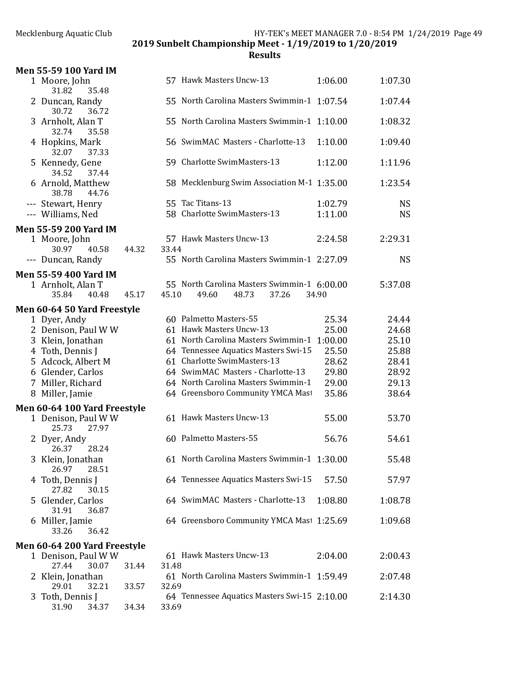2019 Sunbelt Championship Meet - 1/19/2019 to 1/20/2019

| Men 55-59 100 Yard IM                   |       |       |                         |                                                               |                    |                        |
|-----------------------------------------|-------|-------|-------------------------|---------------------------------------------------------------|--------------------|------------------------|
| 1 Moore, John<br>31.82<br>35.48         |       |       | 57 Hawk Masters Uncw-13 |                                                               | 1:06.00            | 1:07.30                |
| 2 Duncan, Randy<br>30.72<br>36.72       |       |       |                         | 55 North Carolina Masters Swimmin-1 1:07.54                   |                    | 1:07.44                |
| 3 Arnholt, Alan T<br>32.74<br>35.58     |       |       |                         | 55 North Carolina Masters Swimmin-1 1:10.00                   |                    | 1:08.32                |
| 4 Hopkins, Mark<br>32.07<br>37.33       |       |       |                         | 56 SwimMAC Masters - Charlotte-13                             | 1:10.00            | 1:09.40                |
| 5 Kennedy, Gene<br>34.52<br>37.44       |       |       |                         | 59 Charlotte SwimMasters-13                                   | 1:12.00            | 1:11.96                |
| 6 Arnold, Matthew<br>38.78<br>44.76     |       |       |                         | 58 Mecklenburg Swim Association M-1 1:35.00                   |                    | 1:23.54                |
| --- Stewart, Henry<br>--- Williams, Ned |       |       | 55 Tac Titans-13        | 58 Charlotte SwimMasters-13                                   | 1:02.79<br>1:11.00 | <b>NS</b><br><b>NS</b> |
| <b>Men 55-59 200 Yard IM</b>            |       |       |                         |                                                               |                    |                        |
| 1 Moore, John<br>30.97<br>40.58         | 44.32 | 33.44 | 57 Hawk Masters Uncw-13 |                                                               | 2:24.58            | 2:29.31                |
| --- Duncan, Randy                       |       |       |                         | 55 North Carolina Masters Swimmin-1 2:27.09                   |                    | <b>NS</b>              |
| Men 55-59 400 Yard IM                   |       |       |                         |                                                               |                    |                        |
| 1 Arnholt, Alan T<br>35.84<br>40.48     | 45.17 | 45.10 | 49.60                   | 55 North Carolina Masters Swimmin-1 6:00.00<br>48.73<br>37.26 | 34.90              | 5:37.08                |
| <b>Men 60-64 50 Yard Freestyle</b>      |       |       |                         |                                                               |                    |                        |
| 1 Dyer, Andy                            |       |       | 60 Palmetto Masters-55  |                                                               | 25.34              | 24.44                  |
| 2 Denison, Paul W W                     |       |       | 61 Hawk Masters Uncw-13 |                                                               | 25.00              | 24.68                  |
| 3 Klein, Jonathan                       |       |       |                         | 61 North Carolina Masters Swimmin-1                           | 1:00.00            | 25.10                  |
| 4 Toth, Dennis J                        |       |       |                         | 64 Tennessee Aquatics Masters Swi-15                          | 25.50              | 25.88                  |
| 5 Adcock, Albert M                      |       |       |                         | 61 Charlotte SwimMasters-13                                   | 28.62              | 28.41                  |
| 6 Glender, Carlos                       |       |       |                         | 64 SwimMAC Masters - Charlotte-13                             | 29.80              | 28.92                  |
| 7 Miller, Richard                       |       |       |                         | 64 North Carolina Masters Swimmin-1                           | 29.00              | 29.13                  |
| 8 Miller, Jamie                         |       |       |                         | 64 Greensboro Community YMCA Mast                             | 35.86              | 38.64                  |
| Men 60-64 100 Yard Freestyle            |       |       |                         |                                                               |                    |                        |
| 1 Denison, Paul W W<br>25.73<br>27.97   |       |       | 61 Hawk Masters Uncw-13 |                                                               | 55.00              | 53.70                  |
| 2 Dyer, Andy<br>26.37<br>28.24          |       |       | 60 Palmetto Masters-55  |                                                               | 56.76              | 54.61                  |
| 3 Klein, Jonathan<br>26.97<br>28.51     |       |       |                         | 61 North Carolina Masters Swimmin-1 1:30.00                   |                    | 55.48                  |
| 4 Toth, Dennis J<br>27.82<br>30.15      |       |       |                         | 64 Tennessee Aquatics Masters Swi-15                          | 57.50              | 57.97                  |
| 5 Glender, Carlos<br>31.91<br>36.87     |       |       |                         | 64 SwimMAC Masters - Charlotte-13                             | 1:08.80            | 1:08.78                |
| 6 Miller, Jamie<br>33.26<br>36.42       |       |       |                         | 64 Greensboro Community YMCA Mast 1:25.69                     |                    | 1:09.68                |
| Men 60-64 200 Yard Freestyle            |       |       |                         |                                                               |                    |                        |
| 1 Denison, Paul W W                     |       |       | 61 Hawk Masters Uncw-13 |                                                               | 2:04.00            | 2:00.43                |
| 27.44<br>30.07                          | 31.44 | 31.48 |                         |                                                               |                    |                        |
| 2 Klein, Jonathan<br>29.01<br>32.21     | 33.57 | 32.69 |                         | 61 North Carolina Masters Swimmin-1 1:59.49                   |                    | 2:07.48                |
| 3 Toth, Dennis J<br>31.90<br>34.37      | 34.34 | 33.69 |                         | 64 Tennessee Aquatics Masters Swi-15 2:10.00                  |                    | 2:14.30                |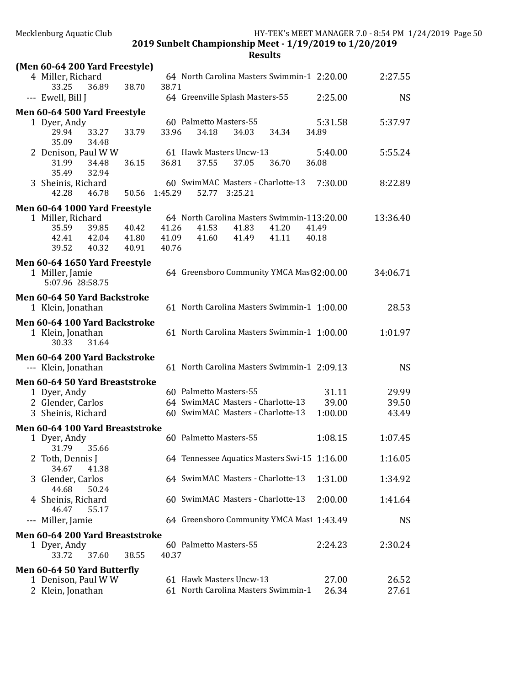| (Men 60-64 200 Yard Freestyle)                                                                      |         |                |
|-----------------------------------------------------------------------------------------------------|---------|----------------|
| 4 Miller, Richard<br>64 North Carolina Masters Swimmin-1 2:20.00                                    |         | 2:27.55        |
| 38.70<br>38.71<br>33.25<br>36.89                                                                    |         |                |
| 64 Greenville Splash Masters-55<br>--- Ewell, Bill J                                                | 2:25.00 | <b>NS</b>      |
| Men 60-64 500 Yard Freestyle                                                                        |         |                |
| 60 Palmetto Masters-55<br>1 Dyer, Andy                                                              | 5:31.58 | 5:37.97        |
| 29.94<br>33.79<br>33.96<br>33.27<br>34.18<br>34.03<br>34.34<br>35.09                                | 34.89   |                |
| 34.48<br>61 Hawk Masters Uncw-13<br>2 Denison, Paul W W                                             | 5:40.00 | 5:55.24        |
| 36.81<br>37.55<br>37.05<br>31.99<br>34.48<br>36.15<br>36.70                                         | 36.08   |                |
| 35.49<br>32.94                                                                                      |         |                |
| 60 SwimMAC Masters - Charlotte-13<br>3 Sheinis, Richard                                             | 7:30.00 | 8:22.89        |
| 42.28<br>50.56<br>1:45.29<br>52.77<br>3:25.21<br>46.78                                              |         |                |
| Men 60-64 1000 Yard Freestyle                                                                       |         |                |
| 1 Miller, Richard<br>64 North Carolina Masters Swimmin-113:20.00                                    |         | 13:36.40       |
| 35.59<br>39.85<br>40.42<br>41.26<br>41.53<br>41.83<br>41.20                                         | 41.49   |                |
| 42.41<br>42.04<br>41.80<br>41.09<br>41.60<br>41.49<br>41.11                                         | 40.18   |                |
| 39.52<br>40.32<br>40.91<br>40.76                                                                    |         |                |
| Men 60-64 1650 Yard Freestyle                                                                       |         |                |
| 64 Greensboro Community YMCA Mast32:00.00<br>1 Miller, Jamie                                        |         | 34:06.71       |
| 5:07.96 28:58.75                                                                                    |         |                |
| Men 60-64 50 Yard Backstroke                                                                        |         |                |
| 61 North Carolina Masters Swimmin-1 1:00.00<br>1 Klein, Jonathan                                    |         | 28.53          |
| Men 60-64 100 Yard Backstroke                                                                       |         |                |
| 61 North Carolina Masters Swimmin-1 1:00.00<br>1 Klein, Jonathan                                    |         | 1:01.97        |
| 31.64<br>30.33                                                                                      |         |                |
|                                                                                                     |         |                |
| Men 60-64 200 Yard Backstroke<br>61 North Carolina Masters Swimmin-1 2:09.13<br>--- Klein, Jonathan |         | <b>NS</b>      |
|                                                                                                     |         |                |
| Men 60-64 50 Yard Breaststroke                                                                      |         |                |
| 60 Palmetto Masters-55<br>1 Dyer, Andy                                                              | 31.11   | 29.99          |
| 64 SwimMAC Masters - Charlotte-13<br>2 Glender, Carlos                                              | 39.00   | 39.50          |
| 60 SwimMAC Masters - Charlotte-13<br>3 Sheinis, Richard                                             | 1:00.00 | 43.49          |
| Men 60-64 100 Yard Breaststroke                                                                     |         |                |
| 60 Palmetto Masters-55<br>1 Dyer, Andy                                                              | 1:08.15 | 1:07.45        |
| 31.79<br>35.66                                                                                      |         |                |
| 64 Tennessee Aquatics Masters Swi-15 1:16.00<br>2 Toth, Dennis J                                    |         | 1:16.05        |
| 34.67<br>41.38                                                                                      |         |                |
| 64 SwimMAC Masters - Charlotte-13<br>3 Glender, Carlos<br>44.68<br>50.24                            | 1:31.00 | 1:34.92        |
| 60 SwimMAC Masters - Charlotte-13<br>4 Sheinis, Richard                                             | 2:00.00 | 1:41.64        |
| 46.47<br>55.17                                                                                      |         |                |
| 64 Greensboro Community YMCA Mast 1:43.49<br>Miller, Jamie<br>---                                   |         | <b>NS</b>      |
|                                                                                                     |         |                |
| Men 60-64 200 Yard Breaststroke<br>60 Palmetto Masters-55<br>1 Dyer, Andy                           | 2:24.23 | 2:30.24        |
| 33.72<br>37.60<br>38.55<br>40.37                                                                    |         |                |
|                                                                                                     |         |                |
| Men 60-64 50 Yard Butterfly<br>61 Hawk Masters Uncw-13                                              | 27.00   |                |
| 1 Denison, Paul W W<br>61 North Carolina Masters Swimmin-1<br>2 Klein, Jonathan                     | 26.34   | 26.52<br>27.61 |
|                                                                                                     |         |                |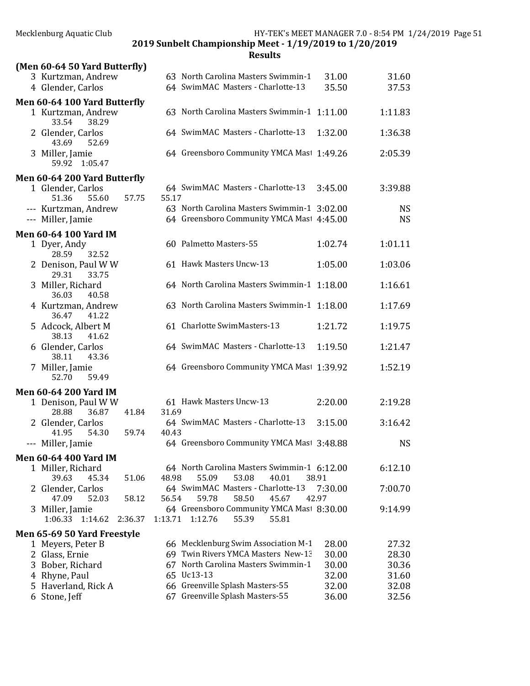|                                                                          |         |         | ncəuitə                                                                  |                  |                |
|--------------------------------------------------------------------------|---------|---------|--------------------------------------------------------------------------|------------------|----------------|
| (Men 60-64 50 Yard Butterfly)<br>3 Kurtzman, Andrew<br>4 Glender, Carlos |         |         | 63 North Carolina Masters Swimmin-1<br>64 SwimMAC Masters - Charlotte-13 | 31.00<br>35.50   | 31.60<br>37.53 |
| Men 60-64 100 Yard Butterfly<br>1 Kurtzman, Andrew<br>33.54<br>38.29     |         |         | 63 North Carolina Masters Swimmin-1 1:11.00                              |                  | 1:11.83        |
| 2 Glender, Carlos<br>43.69<br>52.69                                      |         |         | 64 SwimMAC Masters - Charlotte-13                                        | 1:32.00          | 1:36.38        |
| 3 Miller, Jamie<br>59.92 1:05.47                                         |         |         | 64 Greensboro Community YMCA Mast 1:49.26                                |                  | 2:05.39        |
| Men 60-64 200 Yard Butterfly                                             |         |         |                                                                          |                  |                |
| 1 Glender, Carlos<br>51.36<br>55.60                                      | 57.75   | 55.17   | 64 SwimMAC Masters - Charlotte-13                                        | 3:45.00          | 3:39.88        |
| --- Kurtzman, Andrew                                                     |         |         | 63 North Carolina Masters Swimmin-1 3:02.00                              |                  | <b>NS</b>      |
| --- Miller, Jamie                                                        |         |         | 64 Greensboro Community YMCA Mast 4:45.00                                |                  | <b>NS</b>      |
| <b>Men 60-64 100 Yard IM</b>                                             |         |         |                                                                          |                  |                |
| 1 Dyer, Andy<br>28.59<br>32.52                                           |         |         | 60 Palmetto Masters-55                                                   | 1:02.74          | 1:01.11        |
| 2 Denison, Paul W W<br>29.31<br>33.75                                    |         |         | 61 Hawk Masters Uncw-13                                                  | 1:05.00          | 1:03.06        |
| 3 Miller, Richard<br>40.58<br>36.03                                      |         |         | 64 North Carolina Masters Swimmin-1 1:18.00                              |                  | 1:16.61        |
| 4 Kurtzman, Andrew<br>41.22<br>36.47                                     |         |         | 63 North Carolina Masters Swimmin-1 1:18.00                              |                  | 1:17.69        |
| 5 Adcock, Albert M<br>38.13<br>41.62                                     |         |         | 61 Charlotte SwimMasters-13                                              | 1:21.72          | 1:19.75        |
| 6 Glender, Carlos<br>38.11<br>43.36                                      |         |         | 64 SwimMAC Masters - Charlotte-13                                        | 1:19.50          | 1:21.47        |
| 7 Miller, Jamie<br>52.70<br>59.49                                        |         |         | 64 Greensboro Community YMCA Mast 1:39.92                                |                  | 1:52.19        |
|                                                                          |         |         |                                                                          |                  |                |
| <b>Men 60-64 200 Yard IM</b>                                             |         |         |                                                                          |                  |                |
| 1 Denison, Paul W W<br>28.88<br>36.87                                    | 41.84   | 31.69   | 61 Hawk Masters Uncw-13                                                  | 2:20.00          | 2:19.28        |
| 2 Glender, Carlos<br>41.95<br>54.30                                      | 59.74   | 40.43   | 64 SwimMAC Masters - Charlotte-13                                        | 3:15.00          | 3:16.42        |
| --- Miller, Jamie                                                        |         |         | 64 Greensboro Community YMCA Mast 3:48.88                                |                  | <b>NS</b>      |
| <b>Men 60-64 400 Yard IM</b>                                             |         |         |                                                                          |                  |                |
| 1 Miller, Richard<br>39.63<br>45.34                                      | 51.06   | 48.98   | 64 North Carolina Masters Swimmin-1 6:12.00<br>55.09<br>53.08<br>40.01   | 38.91            | 6:12.10        |
| 2 Glender, Carlos<br>47.09<br>52.03                                      | 58.12   | 56.54   | 64 SwimMAC Masters - Charlotte-13<br>59.78<br>58.50<br>45.67             | 7:30.00<br>42.97 | 7:00.70        |
| 3 Miller, Jamie<br>1:06.33<br>1:14.62                                    | 2:36.37 | 1:13.71 | 64 Greensboro Community YMCA Mast 8:30.00<br>55.39<br>1:12.76<br>55.81   |                  | 9:14.99        |
| Men 65-69 50 Yard Freestyle                                              |         |         |                                                                          |                  |                |
| 1 Meyers, Peter B                                                        |         |         | 66 Mecklenburg Swim Association M-1                                      | 28.00            | 27.32          |
| 2 Glass, Ernie                                                           |         |         | 69 Twin Rivers YMCA Masters New-13                                       | 30.00            | 28.30          |
| 3 Bober, Richard                                                         |         |         | 67 North Carolina Masters Swimmin-1                                      | 30.00            | 30.36          |
| 4 Rhyne, Paul                                                            |         |         | 65 Uc13-13                                                               | 32.00            | 31.60          |
| 5 Haverland, Rick A                                                      |         |         | 66 Greenville Splash Masters-55                                          | 32.00            | 32.08          |
| 6 Stone, Jeff                                                            |         |         | 67 Greenville Splash Masters-55                                          | 36.00            | 32.56          |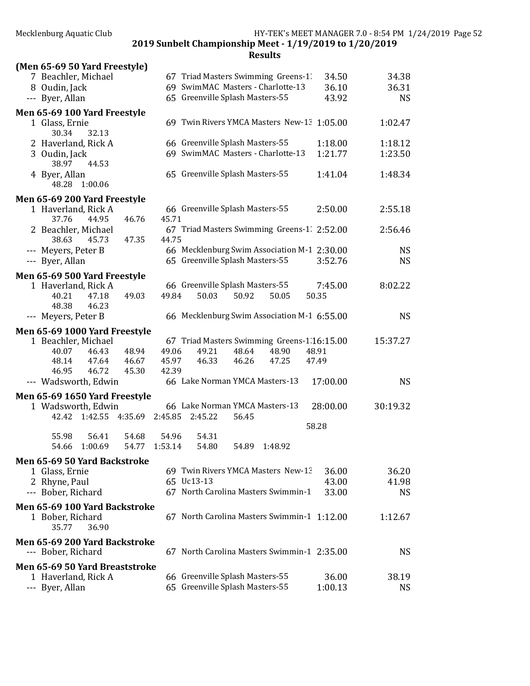| (Men 65-69 50 Yard Freestyle)<br>7 Beachler, Michael                | 67 Triad Masters Swimming Greens-1.<br>34.50              | 34.38              |
|---------------------------------------------------------------------|-----------------------------------------------------------|--------------------|
| 8 Oudin, Jack                                                       | 69 SwimMAC Masters - Charlotte-13<br>36.10                | 36.31              |
| --- Byer, Allan                                                     | 65 Greenville Splash Masters-55<br>43.92                  | <b>NS</b>          |
|                                                                     |                                                           |                    |
| Men 65-69 100 Yard Freestyle<br>1 Glass, Ernie<br>30.34<br>32.13    | 69 Twin Rivers YMCA Masters New-13 1:05.00                | 1:02.47            |
| 2 Haverland, Rick A                                                 | 66 Greenville Splash Masters-55<br>1:18.00                | 1:18.12            |
| 3 Oudin, Jack<br>38.97<br>44.53                                     | 69 SwimMAC Masters - Charlotte-13<br>1:21.77              | 1:23.50            |
| 4 Byer, Allan<br>48.28<br>1:00.06                                   | 65 Greenville Splash Masters-55<br>1:41.04                | 1:48.34            |
| Men 65-69 200 Yard Freestyle                                        |                                                           |                    |
| 1 Haverland, Rick A                                                 | 66 Greenville Splash Masters-55<br>2:50.00                | 2:55.18            |
| 44.95<br>37.76<br>46.76                                             | 45.71                                                     |                    |
| 2 Beachler, Michael                                                 | 67 Triad Masters Swimming Greens-1. 2:52.00               | 2:56.46            |
| 38.63<br>45.73<br>47.35<br>--- Meyers, Peter B                      | 44.75<br>66 Mecklenburg Swim Association M-1 2:30.00      | <b>NS</b>          |
| --- Byer, Allan                                                     | 65 Greenville Splash Masters-55<br>3:52.76                | <b>NS</b>          |
|                                                                     |                                                           |                    |
| Men 65-69 500 Yard Freestyle<br>1 Haverland, Rick A                 | 66 Greenville Splash Masters-55<br>7:45.00                | 8:02.22            |
| 49.03<br>47.18<br>40.21<br>48.38<br>46.23                           | 50.03<br>49.84<br>50.92<br>50.05<br>50.35                 |                    |
| --- Meyers, Peter B                                                 | 66 Mecklenburg Swim Association M-1 6:55.00               | <b>NS</b>          |
| Men 65-69 1000 Yard Freestyle                                       |                                                           |                    |
| 1 Beachler, Michael                                                 | 67 Triad Masters Swimming Greens-1.16:15.00               | 15:37.27           |
| 48.94<br>40.07<br>46.43                                             | 49.06<br>49.21<br>48.64<br>48.90<br>48.91                 |                    |
| 46.67<br>48.14<br>47.64                                             | 45.97<br>46.33<br>46.26<br>47.25<br>47.49                 |                    |
| 46.95<br>46.72<br>45.30                                             | 42.39                                                     |                    |
| --- Wadsworth, Edwin                                                | 66 Lake Norman YMCA Masters-13<br>17:00.00                | <b>NS</b>          |
| Men 65-69 1650 Yard Freestyle                                       |                                                           |                    |
| 1 Wadsworth, Edwin                                                  | 66 Lake Norman YMCA Masters-13<br>28:00.00                | 30:19.32           |
| 42.42 1:42.55 4:35.69 2:45.85                                       | 2:45.22<br>56.45                                          |                    |
| 55.98<br>56.41<br>54.68                                             | 58.28<br>54.96<br>54.31                                   |                    |
| 54.66 1:00.69                                                       | 54.77 1:53.14<br>54.89 1:48.92<br>54.80                   |                    |
| Men 65-69 50 Yard Backstroke                                        |                                                           |                    |
| 1 Glass, Ernie                                                      | 69 Twin Rivers YMCA Masters New-13<br>36.00<br>65 Uc13-13 | 36.20              |
| 2 Rhyne, Paul<br>--- Bober, Richard                                 | 43.00<br>67 North Carolina Masters Swimmin-1<br>33.00     | 41.98<br><b>NS</b> |
|                                                                     |                                                           |                    |
| Men 65-69 100 Yard Backstroke<br>1 Bober, Richard<br>35.77<br>36.90 | 67 North Carolina Masters Swimmin-1 1:12.00               | 1:12.67            |
| Men 65-69 200 Yard Backstroke<br>--- Bober, Richard                 | 67 North Carolina Masters Swimmin-1 2:35.00               | <b>NS</b>          |
| Men 65-69 50 Yard Breaststroke                                      |                                                           |                    |
| 1 Haverland, Rick A                                                 | 66 Greenville Splash Masters-55<br>36.00                  | 38.19              |
| --- Byer, Allan                                                     | 65 Greenville Splash Masters-55<br>1:00.13                | <b>NS</b>          |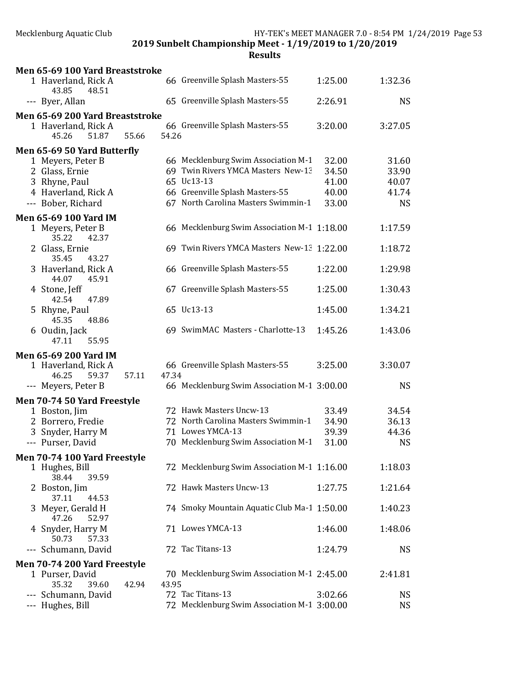| Men 65-69 100 Yard Breaststroke       |       |       |                                             |         |           |
|---------------------------------------|-------|-------|---------------------------------------------|---------|-----------|
| 1 Haverland, Rick A<br>43.85<br>48.51 |       |       | 66 Greenville Splash Masters-55             | 1:25.00 | 1:32.36   |
| --- Byer, Allan                       |       |       | 65 Greenville Splash Masters-55             | 2:26.91 | <b>NS</b> |
| Men 65-69 200 Yard Breaststroke       |       |       |                                             |         |           |
| 1 Haverland, Rick A                   |       |       | 66 Greenville Splash Masters-55             | 3:20.00 | 3:27.05   |
| 45.26<br>51.87                        | 55.66 | 54.26 |                                             |         |           |
| Men 65-69 50 Yard Butterfly           |       |       |                                             |         |           |
| 1 Meyers, Peter B                     |       |       | 66 Mecklenburg Swim Association M-1         | 32.00   | 31.60     |
| 2 Glass, Ernie                        |       |       | 69 Twin Rivers YMCA Masters New-13          | 34.50   | 33.90     |
| 3 Rhyne, Paul                         |       |       | 65 Uc13-13                                  | 41.00   | 40.07     |
| 4 Haverland, Rick A                   |       |       | 66 Greenville Splash Masters-55             | 40.00   | 41.74     |
| --- Bober, Richard                    |       |       | 67 North Carolina Masters Swimmin-1         | 33.00   | <b>NS</b> |
| Men 65-69 100 Yard IM                 |       |       |                                             |         |           |
| 1 Meyers, Peter B<br>35.22<br>42.37   |       |       | 66 Mecklenburg Swim Association M-1 1:18.00 |         | 1:17.59   |
| 2 Glass, Ernie<br>35.45<br>43.27      |       |       | 69 Twin Rivers YMCA Masters New-13 1:22.00  |         | 1:18.72   |
| 3 Haverland, Rick A<br>44.07<br>45.91 |       |       | 66 Greenville Splash Masters-55             | 1:22.00 | 1:29.98   |
| 4 Stone, Jeff<br>42.54<br>47.89       |       |       | 67 Greenville Splash Masters-55             | 1:25.00 | 1:30.43   |
| 5 Rhyne, Paul<br>45.35<br>48.86       |       |       | 65 Uc13-13                                  | 1:45.00 | 1:34.21   |
| 6 Oudin, Jack<br>55.95<br>47.11       |       |       | 69 SwimMAC Masters - Charlotte-13           | 1:45.26 | 1:43.06   |
| <b>Men 65-69 200 Yard IM</b>          |       |       |                                             |         |           |
| 1 Haverland, Rick A                   |       |       | 66 Greenville Splash Masters-55             | 3:25.00 | 3:30.07   |
| 46.25<br>59.37                        | 57.11 | 47.34 |                                             |         |           |
| --- Meyers, Peter B                   |       |       | 66 Mecklenburg Swim Association M-1 3:00.00 |         | <b>NS</b> |
|                                       |       |       |                                             |         |           |
| Men 70-74 50 Yard Freestyle           |       |       | 72 Hawk Masters Uncw-13                     | 33.49   | 34.54     |
| 1 Boston, Jim                         |       |       | 72 North Carolina Masters Swimmin-1         | 34.90   | 36.13     |
| 2 Borrero, Fredie                     |       |       | 71 Lowes YMCA-13                            |         |           |
| 3 Snyder, Harry M                     |       |       |                                             | 39.39   | 44.36     |
| --- Purser, David                     |       |       | 70 Mecklenburg Swim Association M-1         | 31.00   | <b>NS</b> |
| Men 70-74 100 Yard Freestyle          |       |       |                                             |         |           |
| 1 Hughes, Bill<br>38.44<br>39.59      |       |       | 72 Mecklenburg Swim Association M-1 1:16.00 |         | 1:18.03   |
| 2 Boston, Jim<br>37.11<br>44.53       |       |       | 72 Hawk Masters Uncw-13                     | 1:27.75 | 1:21.64   |
| 3 Meyer, Gerald H<br>47.26<br>52.97   |       |       | 74 Smoky Mountain Aquatic Club Ma-1 1:50.00 |         | 1:40.23   |
| 4 Snyder, Harry M<br>50.73<br>57.33   |       |       | 71 Lowes YMCA-13                            | 1:46.00 | 1:48.06   |
| --- Schumann, David                   |       |       | 72 Tac Titans-13                            | 1:24.79 | <b>NS</b> |
| Men 70-74 200 Yard Freestyle          |       |       |                                             |         |           |
| 1 Purser, David<br>35.32<br>39.60     | 42.94 | 43.95 | 70 Mecklenburg Swim Association M-1 2:45.00 |         | 2:41.81   |
| --- Schumann, David                   |       |       | 72 Tac Titans-13                            | 3:02.66 | <b>NS</b> |
| --- Hughes, Bill                      |       |       | 72 Mecklenburg Swim Association M-1 3:00.00 |         | <b>NS</b> |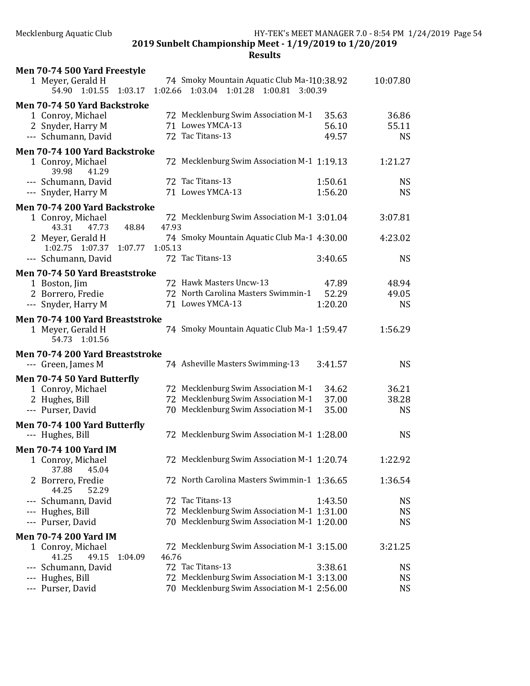| Men 70-74 500 Yard Freestyle                  |                                                                                           |           |
|-----------------------------------------------|-------------------------------------------------------------------------------------------|-----------|
| 1 Meyer, Gerald H<br>54.90 1:01.55<br>1:03.17 | 74 Smoky Mountain Aquatic Club Ma-110:38.92<br>1:02.66 1:03.04 1:01.28 1:00.81<br>3:00.39 | 10:07.80  |
| Men 70-74 50 Yard Backstroke                  |                                                                                           |           |
| 1 Conroy, Michael                             | 72 Mecklenburg Swim Association M-1<br>35.63                                              | 36.86     |
| 2 Snyder, Harry M                             | 71 Lowes YMCA-13<br>56.10                                                                 | 55.11     |
| --- Schumann, David                           | 72 Tac Titans-13<br>49.57                                                                 | <b>NS</b> |
| Men 70-74 100 Yard Backstroke                 |                                                                                           |           |
| 1 Conroy, Michael<br>39.98<br>41.29           | 72 Mecklenburg Swim Association M-1 1:19.13                                               | 1:21.27   |
| --- Schumann, David                           | 72 Tac Titans-13<br>1:50.61                                                               | <b>NS</b> |
| --- Snyder, Harry M                           | 71 Lowes YMCA-13<br>1:56.20                                                               | <b>NS</b> |
| Men 70-74 200 Yard Backstroke                 |                                                                                           |           |
| 1 Conroy, Michael<br>43.31<br>47.73<br>48.84  | 72 Mecklenburg Swim Association M-1 3:01.04<br>47.93                                      | 3:07.81   |
| 2 Meyer, Gerald H                             | 74 Smoky Mountain Aquatic Club Ma-1 4:30.00                                               | 4:23.02   |
| 1:02.75 1:07.37<br>1:07.77                    | 1:05.13                                                                                   |           |
| --- Schumann, David                           | 72 Tac Titans-13<br>3:40.65                                                               | <b>NS</b> |
| Men 70-74 50 Yard Breaststroke                |                                                                                           |           |
| 1 Boston, Jim                                 | 72 Hawk Masters Uncw-13<br>47.89                                                          | 48.94     |
| 2 Borrero, Fredie                             | 72 North Carolina Masters Swimmin-1<br>52.29                                              | 49.05     |
| --- Snyder, Harry M                           | 71 Lowes YMCA-13<br>1:20.20                                                               | <b>NS</b> |
| Men 70-74 100 Yard Breaststroke               |                                                                                           |           |
| 1 Meyer, Gerald H<br>54.73 1:01.56            | 74 Smoky Mountain Aquatic Club Ma-1 1:59.47                                               | 1:56.29   |
| Men 70-74 200 Yard Breaststroke               |                                                                                           |           |
| --- Green, James M                            | 74 Asheville Masters Swimming-13<br>3:41.57                                               | <b>NS</b> |
| Men 70-74 50 Yard Butterfly                   |                                                                                           |           |
| 1 Conroy, Michael                             | 72 Mecklenburg Swim Association M-1<br>34.62                                              | 36.21     |
| 2 Hughes, Bill                                | 72 Mecklenburg Swim Association M-1<br>37.00                                              | 38.28     |
| --- Purser, David                             | 70 Mecklenburg Swim Association M-1<br>35.00                                              | <b>NS</b> |
| Men 70-74 100 Yard Butterfly                  |                                                                                           |           |
| --- Hughes, Bill                              | 72 Mecklenburg Swim Association M-1 1:28.00                                               | <b>NS</b> |
| <b>Men 70-74 100 Yard IM</b>                  |                                                                                           |           |
| 1 Conroy, Michael<br>45.04<br>37.88           | 72 Mecklenburg Swim Association M-1 1:20.74                                               | 1:22.92   |
| Borrero, Fredie<br>44.25<br>52.29             | 72 North Carolina Masters Swimmin-1 1:36.65                                               | 1:36.54   |
| Schumann, David                               | 72 Tac Titans-13<br>1:43.50                                                               | <b>NS</b> |
| Hughes, Bill<br>---                           | 72 Mecklenburg Swim Association M-1 1:31.00                                               | <b>NS</b> |
| --- Purser, David                             | 70 Mecklenburg Swim Association M-1 1:20.00                                               | <b>NS</b> |
| <b>Men 70-74 200 Yard IM</b>                  |                                                                                           |           |
| 1 Conroy, Michael                             | 72 Mecklenburg Swim Association M-1 3:15.00                                               | 3:21.25   |
| 41.25<br>49.15<br>1:04.09                     | 46.76                                                                                     |           |
| --- Schumann, David                           | 72 Tac Titans-13<br>3:38.61                                                               | <b>NS</b> |
| --- Hughes, Bill                              | 72 Mecklenburg Swim Association M-1 3:13.00                                               | <b>NS</b> |
| --- Purser, David                             | 70 Mecklenburg Swim Association M-1 2:56.00                                               | <b>NS</b> |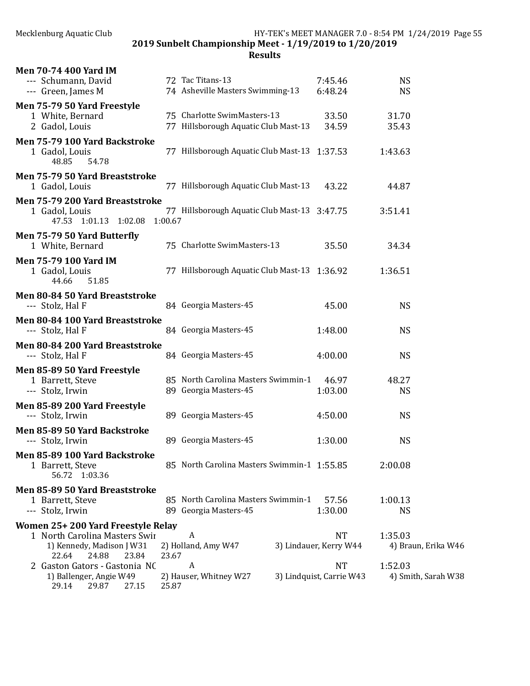| <b>Men 70-74 400 Yard IM</b>                                                          |                                                              |                                     |                                |
|---------------------------------------------------------------------------------------|--------------------------------------------------------------|-------------------------------------|--------------------------------|
| --- Schumann, David                                                                   | 72 Tac Titans-13                                             | 7:45.46                             | <b>NS</b>                      |
| --- Green, James M                                                                    | 74 Asheville Masters Swimming-13                             | 6:48.24                             | <b>NS</b>                      |
| Men 75-79 50 Yard Freestyle<br>1 White, Bernard                                       | 75 Charlotte SwimMasters-13                                  | 33.50                               | 31.70                          |
| 2 Gadol, Louis                                                                        | 77 Hillsborough Aquatic Club Mast-13                         | 34.59                               | 35.43                          |
| Men 75-79 100 Yard Backstroke                                                         |                                                              |                                     |                                |
| 1 Gadol, Louis<br>48.85<br>54.78                                                      | 77 Hillsborough Aquatic Club Mast-13 1:37.53                 |                                     | 1:43.63                        |
| Men 75-79 50 Yard Breaststroke<br>1 Gadol, Louis                                      | 77 Hillsborough Aquatic Club Mast-13                         | 43.22                               | 44.87                          |
| Men 75-79 200 Yard Breaststroke<br>1 Gadol, Louis<br>47.53 1:01.13 1:02.08            | 77 Hillsborough Aquatic Club Mast-13 3:47.75<br>1:00.67      |                                     | 3:51.41                        |
| Men 75-79 50 Yard Butterfly<br>1 White, Bernard                                       | 75 Charlotte SwimMasters-13                                  | 35.50                               | 34.34                          |
| <b>Men 75-79 100 Yard IM</b><br>1 Gadol, Louis<br>44.66<br>51.85                      | 77 Hillsborough Aquatic Club Mast-13 1:36.92                 |                                     | 1:36.51                        |
| Men 80-84 50 Yard Breaststroke<br>--- Stolz, Hal F                                    | 84 Georgia Masters-45                                        | 45.00                               | <b>NS</b>                      |
| Men 80-84 100 Yard Breaststroke<br>--- Stolz, Hal F                                   | 84 Georgia Masters-45                                        | 1:48.00                             | <b>NS</b>                      |
| Men 80-84 200 Yard Breaststroke<br>--- Stolz, Hal F                                   | 84 Georgia Masters-45                                        | 4:00.00                             | <b>NS</b>                      |
| Men 85-89 50 Yard Freestyle                                                           |                                                              |                                     |                                |
| 1 Barrett, Steve<br>--- Stolz, Irwin                                                  | 85 North Carolina Masters Swimmin-1<br>89 Georgia Masters-45 | 46.97<br>1:03.00                    | 48.27<br><b>NS</b>             |
| Men 85-89 200 Yard Freestyle                                                          |                                                              |                                     |                                |
| --- Stolz, Irwin                                                                      | 89 Georgia Masters-45                                        | 4:50.00                             | <b>NS</b>                      |
| Men 85-89 50 Yard Backstroke<br>--- Stolz, Irwin                                      | 89 Georgia Masters-45                                        | 1:30.00                             | <b>NS</b>                      |
| Men 85-89 100 Yard Backstroke<br>1 Barrett, Steve<br>56.72 1:03.36                    | 85 North Carolina Masters Swimmin-1 1:55.85                  |                                     | 2:00.08                        |
| Men 85-89 50 Yard Breaststroke                                                        |                                                              |                                     |                                |
| 1 Barrett, Steve<br>--- Stolz, Irwin                                                  | 85 North Carolina Masters Swimmin-1<br>89 Georgia Masters-45 | 57.56<br>1:30.00                    | 1:00.13<br><b>NS</b>           |
| Women 25+200 Yard Freestyle Relay                                                     |                                                              |                                     |                                |
| 1 North Carolina Masters Swir<br>1) Kennedy, Madison J W31<br>22.64<br>24.88<br>23.84 | A<br>2) Holland, Amy W47<br>23.67                            | <b>NT</b><br>3) Lindauer, Kerry W44 | 1:35.03<br>4) Braun, Erika W46 |
| 2 Gaston Gators - Gastonia NC                                                         | A                                                            | <b>NT</b>                           | 1:52.03                        |
| 1) Ballenger, Angie W49<br>29.14<br>29.87<br>27.15                                    | 2) Hauser, Whitney W27<br>25.87                              | 3) Lindquist, Carrie W43            | 4) Smith, Sarah W38            |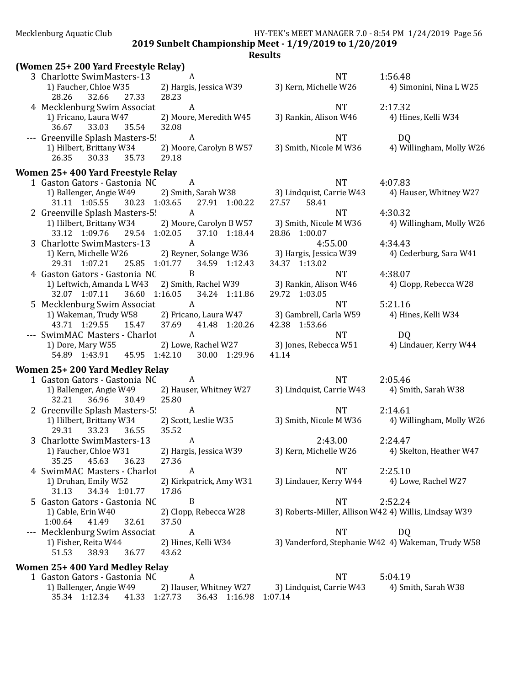2019 Sunbelt Championship Meet - 1/19/2019 to 1/20/2019

#### Results

| (Women 25+200 Yard Freestyle Relay)                                                                              |                                  |                                                                                       |                                                       |
|------------------------------------------------------------------------------------------------------------------|----------------------------------|---------------------------------------------------------------------------------------|-------------------------------------------------------|
| 3 Charlotte SwimMasters-13                                                                                       | A                                | NT <sub>1</sub>                                                                       | 1:56.48                                               |
| 1) Faucher, Chloe W35<br>28.26 32.66 27.33                                                                       | 2) Hargis, Jessica W39<br>28.23  | 3) Kern, Michelle W26                                                                 | 4) Simonini, Nina L W25                               |
| 4 Mecklenburg Swim Associat                                                                                      | $\boldsymbol{A}$                 | NT <sub>1</sub>                                                                       | 2:17.32                                               |
| 1) Fricano, Laura W47<br>36.67 33.03<br>35.54                                                                    | 2) Moore, Meredith W45<br>32.08  | 3) Rankin, Alison W46                                                                 | 4) Hines, Kelli W34                                   |
| --- Greenville Splash Masters-5 A                                                                                |                                  | <b>NT</b>                                                                             | DQ                                                    |
| 1) Hilbert, Brittany W34<br>26.35 30.33<br>35.73                                                                 | 2) Moore, Carolyn B W57<br>29.18 |                                                                                       | 3) Smith, Nicole M W36 4) Willingham, Molly W26       |
| Women 25+400 Yard Freestyle Relay                                                                                |                                  |                                                                                       |                                                       |
| 1 Gaston Gators - Gastonia NC                                                                                    | $\overline{A}$                   | NT 4:07.83                                                                            |                                                       |
| 1) Ballenger, Angie W49<br>31.11 1:05.55 30.23 1:03.65 27.91 1:00.22                                             |                                  | 2) Smith, Sarah W38 3) Lindquist, Carrie W43 4) Hauser, Whitney W27<br>58.41<br>27.57 |                                                       |
| 2 Greenville Splash Masters-5 A                                                                                  |                                  | <b>NT</b>                                                                             | 4:30.32                                               |
| 1) Hilbert, Brittany W34 2) Moore, Carolyn B W57 3) Smith, Nicole M W36<br>33.12 1:09.76 29.54 1:02.05           | 37.10 1:18.44                    | 28.86 1:00.07                                                                         | 4) Willingham, Molly W26                              |
| 3 Charlotte SwimMasters-13                                                                                       | A                                | 4:55.00                                                                               | 4:34.43                                               |
| 1) Kern, Michelle W26 2) Reyner, Solange W36 3) Hargis, Jessica W39<br>29.31 1:07.21 25.85 1:01.77 34.59 1:12.43 |                                  | 34.37 1:13.02                                                                         | 4) Cederburg, Sara W41                                |
| 4 Gaston Gators - Gastonia NC                                                                                    | B                                | NT                                                                                    | 4:38.07                                               |
| 1) Leftwich, Amanda L W43 2) Smith, Rachel W39<br>32.07 1:07.11 36.60 1:16.05 34.24 1:11.86                      |                                  | 3) Rankin, Alison W46<br>29.72 1:03.05                                                | 4) Clopp, Rebecca W28                                 |
| 5 Mecklenburg Swim Associat                                                                                      | $\mathbf{A}$                     | NT                                                                                    | 5:21.16                                               |
| 1) Wakeman, Trudy W58 2) Fricano, Laura W47 3) Gambrell, Carla W59 4) Hines, Kelli W34<br>43.71 1:29.55 15.47    | 37.69 41.48 1:20.26              | 42.38 1:53.66                                                                         |                                                       |
| --- SwimMAC Masters - Charlot                                                                                    | $\mathbf{A}$                     | <b>NT</b>                                                                             | DQ                                                    |
| 1) Dore, Mary W55<br>54.89 1:43.91 45.95 1:42.10 30.00 1:29.96                                                   |                                  | 2) Lowe, Rachel W27 3) Jones, Rebecca W51 4) Lindauer, Kerry W44<br>41.14             |                                                       |
| Women 25+200 Yard Medley Relay                                                                                   |                                  |                                                                                       |                                                       |
| 1 Gaston Gators - Gastonia NC                                                                                    | $\overline{A}$                   | NT <sub>1</sub>                                                                       | 2:05.46                                               |
| 1) Ballenger, Angie W49<br>32.21 36.96 30.49                                                                     | 2) Hauser, Whitney W27<br>25.80  | 3) Lindquist, Carrie W43 4) Smith, Sarah W38                                          |                                                       |
| 2 Greenville Splash Masters-5 A                                                                                  |                                  | <b>NT</b>                                                                             | 2:14.61                                               |
| 1) Hilbert, Brittany W34<br>33.23 36.55<br>29.31                                                                 | 2) Scott, Leslie W35<br>35.52    |                                                                                       | 3) Smith, Nicole M W36 4) Willingham, Molly W26       |
| 3 Charlotte SwimMasters-13                                                                                       | A                                | 2:43.00                                                                               | 2:24.47                                               |
| 1) Faucher, Chloe W31 2) Hargis, Jessica W39<br>35.25<br>45.63<br>36.23                                          | 27.36                            | 3) Kern, Michelle W26                                                                 | 4) Skelton, Heather W47                               |
| 4 SwimMAC Masters - Charlot                                                                                      | $\boldsymbol{A}$                 | <b>NT</b>                                                                             | 2:25.10                                               |
| 1) Druhan, Emily W52<br>34.34 1:01.77<br>31.13                                                                   | 2) Kirkpatrick, Amy W31<br>17.86 | 3) Lindauer, Kerry W44                                                                | 4) Lowe, Rachel W27                                   |
| 5 Gaston Gators - Gastonia NC                                                                                    | $\boldsymbol{B}$                 | <b>NT</b>                                                                             | 2:52.24                                               |
| 1) Cable, Erin W40<br>1:00.64<br>32.61<br>41.49                                                                  | 2) Clopp, Rebecca W28<br>37.50   |                                                                                       | 3) Roberts-Miller, Allison W42 4) Willis, Lindsay W39 |
| --- Mecklenburg Swim Associat                                                                                    | A                                | <b>NT</b>                                                                             | DQ                                                    |
| 1) Fisher, Reita W44<br>51.53<br>38.93<br>36.77                                                                  | 2) Hines, Kelli W34<br>43.62     |                                                                                       | 3) Vanderford, Stephanie W42 4) Wakeman, Trudy W58    |
| Women 25+400 Yard Medley Relay                                                                                   |                                  |                                                                                       |                                                       |
|                                                                                                                  |                                  |                                                                                       |                                                       |

1 Gaston Gators - Gastonia NC A<br>
1) Ballenger, Angie W49 2) Hauser, Whitney W27 3) Lindquist, Carrie W43 4) Smith, Sarah W38 1) Ballenger, Angie W49 2) Hauser, Whitney W27 35.34 1:12.34 41.33 1:27.73 36.43 1:16.98 1:07.14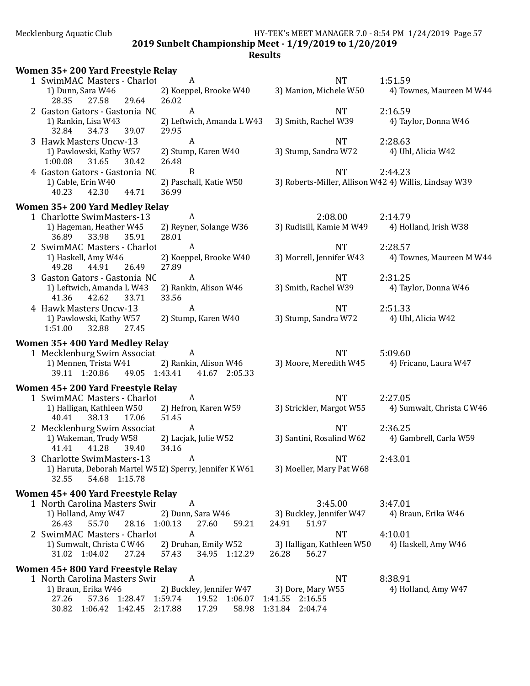Mecklenburg Aquatic Club HY-TEK's MEET MANAGER 7.0 - 8:54 PM 1/24/2019 Page 57 2019 Sunbelt Championship Meet - 1/19/2019 to 1/20/2019

|                                                                                                                                                              | $\boldsymbol{A}$                                        |                                                                            |                                      |
|--------------------------------------------------------------------------------------------------------------------------------------------------------------|---------------------------------------------------------|----------------------------------------------------------------------------|--------------------------------------|
| 1 SwimMAC Masters - Charlot<br>1) Dunn, Sara W46<br>29.64<br>28.35<br>27.58                                                                                  | 2) Koeppel, Brooke W40<br>26.02                         | <b>NT</b><br>3) Manion, Michele W50                                        | 1:51.59<br>4) Townes, Maureen M W44  |
| 2 Gaston Gators - Gastonia NC<br>1) Rankin, Lisa W43<br>32.84<br>39.07<br>34.73                                                                              | $\boldsymbol{A}$<br>2) Leftwich, Amanda L W43<br>29.95  | <b>NT</b><br>3) Smith, Rachel W39                                          | 2:16.59<br>4) Taylor, Donna W46      |
| 3 Hawk Masters Uncw-13<br>1) Pawlowski, Kathy W57<br>1:00.08<br>31.65<br>30.42                                                                               | $\boldsymbol{A}$<br>2) Stump, Karen W40<br>26.48        | <b>NT</b><br>3) Stump, Sandra W72                                          | 2:28.63<br>4) Uhl, Alicia W42        |
| 4 Gaston Gators - Gastonia NC<br>1) Cable, Erin W40<br>40.23<br>42.30<br>44.71                                                                               | B<br>2) Paschall, Katie W50<br>36.99                    | <b>NT</b><br>3) Roberts-Miller, Allison W42 4) Willis, Lindsay W39         | 2:44.23                              |
| Women 35+200 Yard Medley Relay<br>1 Charlotte SwimMasters-13<br>1) Hageman, Heather W45<br>36.89<br>33.98<br>35.91                                           | $\boldsymbol{A}$<br>2) Reyner, Solange W36<br>28.01     | 2:08.00<br>3) Rudisill, Kamie M W49                                        | 2:14.79<br>4) Holland, Irish W38     |
| 2 SwimMAC Masters - Charlot<br>1) Haskell, Amy W46<br>26.49<br>49.28<br>44.91                                                                                | $\boldsymbol{A}$<br>2) Koeppel, Brooke W40<br>27.89     | <b>NT</b><br>3) Morrell, Jennifer W43                                      | 2:28.57<br>4) Townes, Maureen M W44  |
| 3 Gaston Gators - Gastonia NC<br>1) Leftwich, Amanda L W43<br>41.36<br>42.62<br>33.71                                                                        | $\boldsymbol{A}$<br>2) Rankin, Alison W46<br>33.56      | <b>NT</b><br>3) Smith, Rachel W39                                          | 2:31.25<br>4) Taylor, Donna W46      |
| 4 Hawk Masters Uncw-13<br>1) Pawlowski, Kathy W57<br>1:51.00<br>32.88<br>27.45                                                                               | $\boldsymbol{A}$<br>2) Stump, Karen W40                 | <b>NT</b><br>3) Stump, Sandra W72                                          | 2:51.33<br>4) Uhl, Alicia W42        |
| Women 35+400 Yard Medley Relay<br>1 Mecklenburg Swim Associat<br>1) Mennen, Trista W41<br>39.11 1:20.86<br>49.05 1:43.41                                     | A<br>2) Rankin, Alison W46<br>41.67 2:05.33             | <b>NT</b><br>3) Moore, Meredith W45                                        | 5:09.60<br>4) Fricano, Laura W47     |
| Women 45+200 Yard Freestyle Relay<br>1 SwimMAC Masters - Charlot<br>1) Halligan, Kathleen W50<br>17.06<br>40.41<br>38.13                                     | $\boldsymbol{A}$<br>2) Hefron, Karen W59<br>51.45       | <b>NT</b><br>3) Strickler, Margot W55                                      | 2:27.05<br>4) Sumwalt, Christa C W46 |
| 2 Mecklenburg Swim Associat<br>1) Wakeman, Trudy W58<br>41.28<br>39.40<br>41.41                                                                              | $\boldsymbol{A}$<br>2) Lacjak, Julie W52<br>34.16       | <b>NT</b><br>3) Santini, Rosalind W62                                      | 2:36.25<br>4) Gambrell, Carla W59    |
| 3 Charlotte SwimMasters-13<br>1) Haruta, Deborah Martel W512) Sperry, Jennifer K W61<br>32.55<br>54.68 1:15.78                                               | A                                                       | <b>NT</b><br>3) Moeller, Mary Pat W68                                      | 2:43.01                              |
| Women 45+400 Yard Freestyle Relay<br>1 North Carolina Masters Swir<br>1) Holland, Amy W47<br>26.43<br>28.16 1:00.13<br>55.70                                 | A<br>2) Dunn, Sara W46<br>27.60<br>59.21                | 3:45.00<br>3) Buckley, Jennifer W47<br>51.97<br>24.91                      | 3:47.01<br>4) Braun, Erika W46       |
| 2 SwimMAC Masters - Charlot<br>1) Sumwalt, Christa C W46<br>31.02 1:04.02<br>27.24                                                                           | A<br>2) Druhan, Emily W52<br>57.43<br>34.95 1:12.29     | <b>NT</b><br>3) Halligan, Kathleen W50<br>26.28<br>56.27                   | 4:10.01<br>4) Haskell, Amy W46       |
| Women 45+800 Yard Freestyle Relay<br>1 North Carolina Masters Swir<br>1) Braun, Erika W46<br>57.36 1:28.47 1:59.74<br>27.26<br>30.82 1:06.42 1:42.45 2:17.88 | A<br>2) Buckley, Jennifer W47<br>19.52 1:06.07<br>17.29 | <b>NT</b><br>3) Dore, Mary W55<br>1:41.55 2:16.55<br>58.98 1:31.84 2:04.74 | 8:38.91<br>4) Holland, Amy W47       |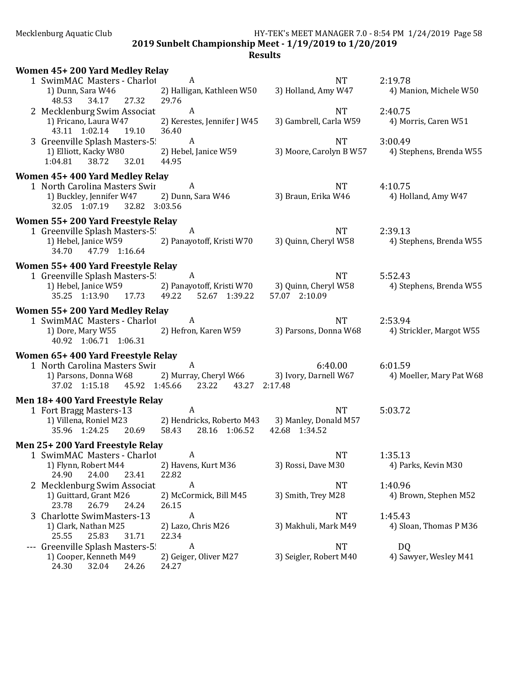2019 Sunbelt Championship Meet - 1/19/2019 to 1/20/2019

|       | Women 45+200 Yard Medley Relay                                            |                                                |                         |                          |
|-------|---------------------------------------------------------------------------|------------------------------------------------|-------------------------|--------------------------|
|       | 1 SwimMAC Masters - Charlot                                               | A                                              | NT                      | 2:19.78                  |
|       | 1) Dunn, Sara W46<br>27.32<br>48.53<br>34.17                              | 2) Halligan, Kathleen W50<br>29.76             | 3) Holland, Amy W47     | 4) Manion, Michele W50   |
|       | 2 Mecklenburg Swim Associat                                               | A                                              | <b>NT</b>               | 2:40.75                  |
|       | 1) Fricano, Laura W47                                                     | 2) Kerestes, Jennifer J W45                    | 3) Gambrell, Carla W59  | 4) Morris, Caren W51     |
|       | 43.11 1:02.14<br>19.10                                                    | 36.40                                          |                         |                          |
|       | 3 Greenville Splash Masters-5                                             | A                                              | <b>NT</b>               | 3:00.49                  |
|       | 1) Elliott, Kacky W80                                                     | 2) Hebel, Janice W59                           | 3) Moore, Carolyn B W57 | 4) Stephens, Brenda W55  |
|       | 38.72<br>32.01<br>1:04.81                                                 | 44.95                                          |                         |                          |
|       | Women 45+400 Yard Medley Relay                                            |                                                |                         |                          |
|       | 1 North Carolina Masters Swir                                             | A                                              | <b>NT</b>               | 4:10.75                  |
|       | 1) Buckley, Jennifer W47 2) Dunn, Sara W46<br>32.05 1:07.19 32.82 3:03.56 |                                                | 3) Braun, Erika W46     | 4) Holland, Amy W47      |
|       |                                                                           |                                                |                         |                          |
|       | Women 55+200 Yard Freestyle Relay<br>1 Greenville Splash Masters-5!       | A                                              | NT                      | 2:39.13                  |
|       | 1) Hebel, Janice W59                                                      | 2) Panayotoff, Kristi W70                      | 3) Quinn, Cheryl W58    | 4) Stephens, Brenda W55  |
|       | 47.79 1:16.64<br>34.70                                                    |                                                |                         |                          |
|       | Women 55+400 Yard Freestyle Relay                                         |                                                |                         |                          |
|       | 1 Greenville Splash Masters-5                                             | A                                              | <b>NT</b>               | 5:52.43                  |
|       | 1) Hebel, Janice W59                                                      | 2) Panayotoff, Kristi W70 3) Quinn, Cheryl W58 |                         | 4) Stephens, Brenda W55  |
|       | 35.25 1:13.90 17.73 49.22 52.67 1:39.22                                   |                                                | 57.07 2:10.09           |                          |
|       | Women 55+200 Yard Medley Relay                                            |                                                |                         |                          |
|       | 1 SwimMAC Masters - Charlot                                               | A                                              | <b>NT</b>               | 2:53.94                  |
|       | 1) Dore, Mary W55 2) Hefron, Karen W59                                    |                                                | 3) Parsons, Donna W68   | 4) Strickler, Margot W55 |
|       | 40.92 1:06.71 1:06.31                                                     |                                                |                         |                          |
|       | Women 65+400 Yard Freestyle Relay                                         |                                                |                         |                          |
|       | 1 North Carolina Masters Swir                                             | A                                              | 6:40.00                 | 6:01.59                  |
|       | 1) Parsons, Donna W68<br>37.02 1:15.18 45.92 1:45.66 23.22                | 2) Murray, Cheryl W66<br>43.27 2:17.48         | 3) Ivory, Darnell W67   | 4) Moeller, Mary Pat W68 |
|       |                                                                           |                                                |                         |                          |
|       | Men 18+400 Yard Freestyle Relay<br>1 Fort Bragg Masters-13                | A                                              | <b>NT</b>               | 5:03.72                  |
|       | 1) Villena, Roniel M23                                                    | 2) Hendricks, Roberto M43                      | 3) Manley, Donald M57   |                          |
|       | 35.96 1:24.25 20.69 58.43                                                 | 28.16 1:06.52                                  | 42.68 1:34.52           |                          |
|       | Men 25+200 Yard Freestyle Relay                                           |                                                |                         |                          |
|       | 1 SwimMAC Masters - Charlot                                               | A                                              | <b>NT</b>               | 1:35.13                  |
|       | 1) Flynn, Robert M44                                                      | 2) Havens, Kurt M36                            | 3) Rossi, Dave M30      | 4) Parks, Kevin M30      |
|       | 24.90<br>24.00<br>23.41                                                   | 22.82                                          |                         |                          |
|       | 2 Mecklenburg Swim Associat                                               | A                                              | <b>NT</b>               | 1:40.96                  |
|       | 1) Guittard, Grant M26                                                    | 2) McCormick, Bill M45                         | 3) Smith, Trey M28      | 4) Brown, Stephen M52    |
|       | 23.78<br>26.79<br>24.24<br>3 Charlotte SwimMasters-13                     | 26.15<br>A                                     | <b>NT</b>               | 1:45.43                  |
|       | 1) Clark, Nathan M25                                                      | 2) Lazo, Chris M26                             | 3) Makhuli, Mark M49    | 4) Sloan, Thomas P M36   |
|       | 25.55<br>25.83<br>31.71                                                   | 22.34                                          |                         |                          |
| $---$ | Greenville Splash Masters-5!                                              | A                                              | <b>NT</b>               | DQ                       |
|       | 1) Cooper, Kenneth M49                                                    | 2) Geiger, Oliver M27                          | 3) Seigler, Robert M40  | 4) Sawyer, Wesley M41    |
|       | 24.30<br>32.04<br>24.26                                                   | 24.27                                          |                         |                          |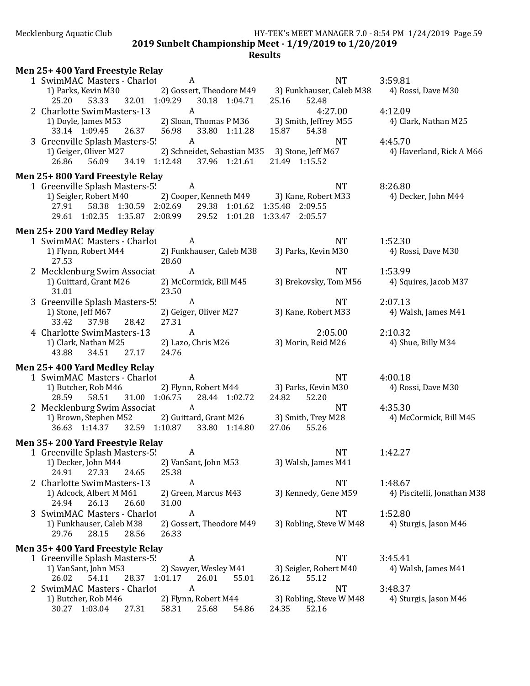2019 Sunbelt Championship Meet - 1/19/2019 to 1/20/2019

| Men 25+400 Yard Freestyle Relay                                                                                             |                                                                      |                                                                        |                                     |
|-----------------------------------------------------------------------------------------------------------------------------|----------------------------------------------------------------------|------------------------------------------------------------------------|-------------------------------------|
| 1 SwimMAC Masters - Charlot<br>1) Parks, Kevin M30                                                                          | A<br>2) Gossert, Theodore M49                                        | <b>NT</b><br>3) Funkhauser, Caleb M38                                  | 3:59.81<br>4) Rossi, Dave M30       |
| 32.01 1:09.29<br>25.20<br>53.33                                                                                             | 30.18 1:04.71                                                        | 25.16<br>52.48                                                         |                                     |
| 2 Charlotte SwimMasters-13<br>1) Doyle, James M53<br>33.14 1:09.45<br>26.37                                                 | A<br>2) Sloan, Thomas P M36<br>56.98<br>33.80 1:11.28                | 4:27.00<br>3) Smith, Jeffrey M55<br>15.87<br>54.38                     | 4:12.09<br>4) Clark, Nathan M25     |
| 3 Greenville Splash Masters-5!<br>1) Geiger, Oliver M27<br>34.19 1:12.48<br>26.86<br>56.09                                  | A<br>2) Schneidet, Sebastian M35 3) Stone, Jeff M67<br>37.96 1:21.61 | <b>NT</b><br>21.49 1:15.52                                             | 4:45.70<br>4) Haverland, Rick A M66 |
| Men 25+800 Yard Freestyle Relay                                                                                             |                                                                      |                                                                        |                                     |
| 1 Greenville Splash Masters-5!<br>1) Seigler, Robert M40<br>58.38 1:30.59 2:02.69<br>27.91<br>29.61 1:02.35 1:35.87 2:08.99 | A<br>2) Cooper, Kenneth M49<br>29.38 1:01.62<br>29.52 1:01.28        | <b>NT</b><br>3) Kane, Robert M33<br>1:35.48 2:09.55<br>1:33.47 2:05.57 | 8:26.80<br>4) Decker, John M44      |
| Men 25+200 Yard Medley Relay                                                                                                |                                                                      |                                                                        |                                     |
| 1 SwimMAC Masters - Charlot<br>1) Flynn, Robert M44<br>27.53                                                                | A<br>2) Funkhauser, Caleb M38<br>28.60                               | <b>NT</b><br>3) Parks, Kevin M30                                       | 1:52.30<br>4) Rossi, Dave M30       |
| 2 Mecklenburg Swim Associat                                                                                                 | A                                                                    | <b>NT</b>                                                              | 1:53.99                             |
| 1) Guittard, Grant M26<br>31.01                                                                                             | 2) McCormick, Bill M45<br>23.50                                      | 3) Brekovsky, Tom M56                                                  | 4) Squires, Jacob M37               |
| 3 Greenville Splash Masters-5!                                                                                              | A                                                                    | <b>NT</b>                                                              | 2:07.13                             |
| 1) Stone, Jeff M67<br>33.42<br>37.98<br>28.42                                                                               | 2) Geiger, Oliver M27<br>27.31                                       | 3) Kane, Robert M33                                                    | 4) Walsh, James M41                 |
| 4 Charlotte SwimMasters-13                                                                                                  | A                                                                    | 2:05.00                                                                | 2:10.32                             |
| 1) Clark, Nathan M25<br>34.51<br>43.88<br>27.17                                                                             | 2) Lazo, Chris M26<br>24.76                                          | 3) Morin, Reid M26                                                     | 4) Shue, Billy M34                  |
| Men 25+400 Yard Medley Relay                                                                                                |                                                                      |                                                                        |                                     |
| 1 SwimMAC Masters - Charlot                                                                                                 | A                                                                    | <b>NT</b>                                                              | 4:00.18                             |
| 1) Butcher, Rob M46<br>31.00 1:06.75<br>28.59<br>58.51                                                                      | 2) Flynn, Robert M44<br>28.44 1:02.72                                | 3) Parks, Kevin M30<br>24.82<br>52.20                                  | 4) Rossi, Dave M30                  |
| 2 Mecklenburg Swim Associat<br>1) Brown, Stephen M52<br>36.63 1:14.37 32.59 1:10.87                                         | $\boldsymbol{A}$<br>2) Guittard, Grant M26<br>33.80 1:14.80          | <b>NT</b><br>3) Smith, Trey M28<br>55.26<br>27.06                      | 4:35.30<br>4) McCormick, Bill M45   |
| Men 35+200 Yard Freestyle Relay                                                                                             |                                                                      |                                                                        |                                     |
| 1 Greenville Splash Masters-5!                                                                                              | A                                                                    | <b>NT</b>                                                              | 1:42.27                             |
| 1) Decker, John M44<br>24.91<br>27.33<br>24.65                                                                              | 2) VanSant, John M53<br>25.38                                        | 3) Walsh, James M41                                                    |                                     |
| 2 Charlotte SwimMasters-13                                                                                                  | A                                                                    | <b>NT</b>                                                              | 1:48.67                             |
| 1) Adcock, Albert M M61<br>26.13<br>24.94<br>26.60                                                                          | 2) Green, Marcus M43<br>31.00                                        | 3) Kennedy, Gene M59                                                   | 4) Piscitelli, Jonathan M38         |
| 3 SwimMAC Masters - Charlot                                                                                                 | A                                                                    | <b>NT</b>                                                              | 1:52.80                             |
| 1) Funkhauser, Caleb M38<br>29.76<br>28.15<br>28.56                                                                         | 2) Gossert, Theodore M49<br>26.33                                    | 3) Robling, Steve W M48                                                | 4) Sturgis, Jason M46               |
| Men 35+400 Yard Freestyle Relay                                                                                             |                                                                      |                                                                        |                                     |
| 1 Greenville Splash Masters-5!                                                                                              | A                                                                    | <b>NT</b>                                                              | 3:45.41                             |
| 1) VanSant, John M53<br>26.02<br>54.11<br>28.37 1:01.17                                                                     | 2) Sawyer, Wesley M41<br>26.01<br>55.01                              | 3) Seigler, Robert M40<br>55.12<br>26.12                               | 4) Walsh, James M41                 |
| 2 SwimMAC Masters - Charlot                                                                                                 | A                                                                    | <b>NT</b>                                                              | 3:48.37                             |
| 1) Butcher, Rob M46<br>30.27 1:03.04<br>27.31                                                                               | 2) Flynn, Robert M44<br>58.31<br>25.68<br>54.86                      | 3) Robling, Steve W M48<br>52.16<br>24.35                              | 4) Sturgis, Jason M46               |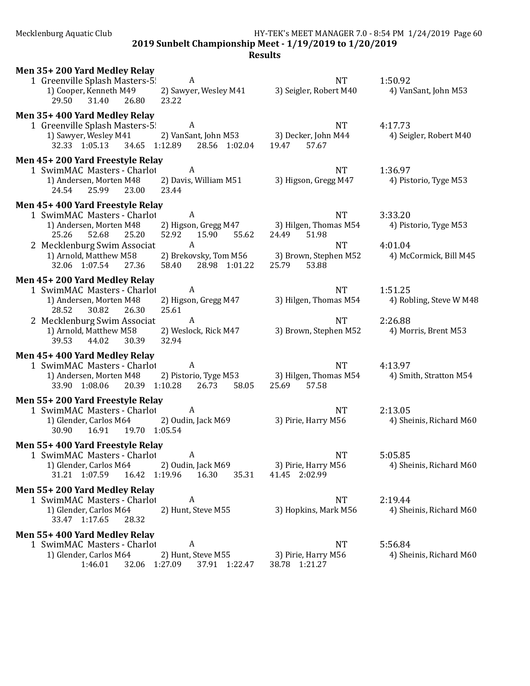2019 Sunbelt Championship Meet - 1/19/2019 to 1/20/2019

| Men 35+200 Yard Medley Relay<br>1 Greenville Splash Masters-5! A<br>2) Sawyer, Wesley M41<br>1) Cooper, Kenneth M49<br>31.40 26.80<br>29.50<br>23.22                                                                                                                                  | <b>NT</b><br>3) Seigler, Robert M40                                                                                                                                                     | 1:50.92<br>4) VanSant, John M53                                                                                      |
|---------------------------------------------------------------------------------------------------------------------------------------------------------------------------------------------------------------------------------------------------------------------------------------|-----------------------------------------------------------------------------------------------------------------------------------------------------------------------------------------|----------------------------------------------------------------------------------------------------------------------|
| Men 35+400 Yard Medley Relay<br>1 Greenville Splash Masters-5 A<br>1) Sawyer, Wesley M41<br>32.33 1:05.13 34.65 1:12.89 28.56 1:02.04                                                                                                                                                 | NT<br>2) VanSant, John M53 3) Decker, John M44<br>19.47 57.67                                                                                                                           | 4:17.73<br>4) Seigler, Robert M40                                                                                    |
| Men 45+200 Yard Freestyle Relay<br>1 SwimMAC Masters - Charlot A<br>2) Davis, William M51<br>1) Andersen, Morten M48<br>24.54 25.99 23.00 23.44                                                                                                                                       | NT<br>3) Higson, Gregg M47                                                                                                                                                              | 1:36.97<br>4) Pistorio, Tyge M53                                                                                     |
| Men 45+400 Yard Freestyle Relay<br>1 SwimMAC Masters - Charlot A<br>1) Andersen, Morten M48<br>25.20<br>52.92 15.90<br>25.26<br>52.68<br>2 Mecklenburg Swim Associat<br>A<br>1) Arnold, Matthew M58<br>32.06 1:07.54 27.36<br>58.40 28.98 1:01.22                                     | <b>NT</b><br>2) Higson, Gregg M47 3) Hilgen, Thomas M54<br>55.62<br>24.49<br>51.98<br><b>NT</b><br>2) Brekovsky, Tom M56 3) Brown, Stephen M52 4) McCormick, Bill M45<br>25.79<br>53.88 | 3:33.20<br>4) Pistorio, Tyge M53<br>4:01.04                                                                          |
| Men 45+200 Yard Medley Relay<br>1 SwimMAC Masters - Charlot<br>$\overline{A}$<br>2) Higson, Gregg M47<br>1) Andersen, Morten M48<br>28.52<br>25.61<br>30.82 26.30<br>2 Mecklenburg Swim Associat<br>A<br>1) Arnold, Matthew M58<br>2) Weslock, Rick M47<br>39.53 44.02 30.39<br>32.94 | NT                                                                                                                                                                                      | 1:51.25<br>3) Hilgen, Thomas M54 4) Robling, Steve W M48<br>NT 2:26.88<br>3) Brown, Stephen M52 4) Morris, Brent M53 |
| Men 45+400 Yard Medley Relay<br>1 SwimMAC Masters - Charlot<br>A<br>1) Andersen, Morten M48<br>33.90 1:08.06 20.39 1:10.28 26.73                                                                                                                                                      | <b>NT</b><br>2) Pistorio, Tyge M53 3) Hilgen, Thomas M54 4) Smith, Stratton M54<br>58.05 25.69 57.58                                                                                    | 4:13.97                                                                                                              |
| Men 55+200 Yard Freestyle Relay<br>1 SwimMAC Masters - Charlot A<br>1) Glender, Carlos M64 2) Oudin, Jack M69<br>30.90  16.91  19.70  1:05.54                                                                                                                                         | <b>NT</b>                                                                                                                                                                               | 2:13.05<br>3) Pirie, Harry M56 4) Sheinis, Richard M60                                                               |
| Men 55+400 Yard Freestyle Relay<br>1 SwimMAC Masters - Charlot A<br>1) Glender, Carlos M64<br>2) Oudin, Jack M69<br>16.42 1:19.96 16.30<br>31.21 1:07.59                                                                                                                              | <b>NT</b><br>3) Pirie, Harry M56<br>35.31<br>41.45 2:02.99                                                                                                                              | 5:05.85<br>4) Sheinis, Richard M60                                                                                   |
| Men 55+200 Yard Medley Relay<br>1 SwimMAC Masters - Charlot<br>A<br>1) Glender, Carlos M64<br>2) Hunt, Steve M55<br>33.47 1:17.65<br>28.32                                                                                                                                            | NT.<br>3) Hopkins, Mark M56                                                                                                                                                             | 2:19.44<br>4) Sheinis, Richard M60                                                                                   |
| Men 55+400 Yard Medley Relay<br>1 SwimMAC Masters - Charlot<br>A<br>1) Glender, Carlos M64<br>2) Hunt, Steve M55<br>1:46.01<br>32.06 1:27.09<br>37.91 1:22.47                                                                                                                         | NT.<br>3) Pirie, Harry M56<br>38.78 1:21.27                                                                                                                                             | 5:56.84<br>4) Sheinis, Richard M60                                                                                   |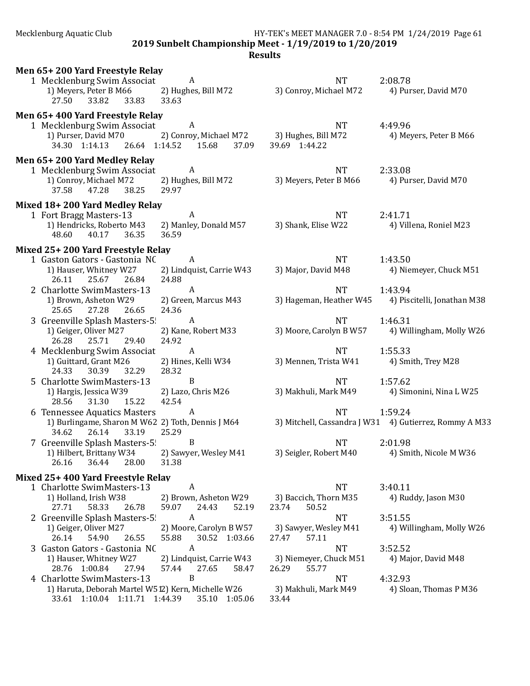2019 Sunbelt Championship Meet - 1/19/2019 to 1/20/2019

| Men 65+200 Yard Freestyle Relay                                              |                                                     |                                          |                                                        |  |
|------------------------------------------------------------------------------|-----------------------------------------------------|------------------------------------------|--------------------------------------------------------|--|
| 1 Mecklenburg Swim Associat                                                  | A                                                   | <b>NT</b>                                | 2:08.78                                                |  |
| 1) Meyers, Peter B M66<br>33.82<br>27.50<br>33.83                            | 2) Hughes, Bill M72<br>33.63                        | 3) Conroy, Michael M72                   | 4) Purser, David M70                                   |  |
|                                                                              |                                                     |                                          |                                                        |  |
| Men 65+400 Yard Freestyle Relay<br>1 Mecklenburg Swim Associat               | A                                                   | <b>NT</b>                                | 4:49.96                                                |  |
| 1) Purser, David M70                                                         | 2) Conroy, Michael M72                              | 3) Hughes, Bill M72                      | 4) Meyers, Peter B M66                                 |  |
| 34.30 1:14.13<br>26.64 1:14.52                                               | 15.68<br>37.09                                      | 39.69 1:44.22                            |                                                        |  |
| Men 65+200 Yard Medley Relay                                                 |                                                     |                                          |                                                        |  |
| 1 Mecklenburg Swim Associat                                                  | A                                                   | <b>NT</b>                                | 2:33.08                                                |  |
| 1) Conroy, Michael M72                                                       | 2) Hughes, Bill M72                                 | 3) Meyers, Peter B M66                   | 4) Purser, David M70                                   |  |
| 47.28<br>37.58<br>38.25                                                      | 29.97                                               |                                          |                                                        |  |
| Mixed 18+200 Yard Medley Relay                                               |                                                     |                                          |                                                        |  |
| 1 Fort Bragg Masters-13<br>1) Hendricks, Roberto M43                         | A                                                   | <b>NT</b><br>3) Shank, Elise W22         | 2:41.71                                                |  |
| 48.60<br>40.17<br>36.35                                                      | 2) Manley, Donald M57<br>36.59                      |                                          | 4) Villena, Roniel M23                                 |  |
| Mixed 25+200 Yard Freestyle Relay                                            |                                                     |                                          |                                                        |  |
| 1 Gaston Gators - Gastonia NC                                                | A                                                   | <b>NT</b>                                | 1:43.50                                                |  |
| 1) Hauser, Whitney W27                                                       | 2) Lindquist, Carrie W43                            | 3) Major, David M48                      | 4) Niemeyer, Chuck M51                                 |  |
| 25.67<br>26.84<br>26.11                                                      | 24.88                                               |                                          |                                                        |  |
| 2 Charlotte SwimMasters-13                                                   | $\boldsymbol{A}$                                    | <b>NT</b>                                | 1:43.94                                                |  |
| 1) Brown, Asheton W29<br>25.65<br>27.28<br>26.65                             | 2) Green, Marcus M43<br>24.36                       | 3) Hageman, Heather W45                  | 4) Piscitelli, Jonathan M38                            |  |
| 3 Greenville Splash Masters-5                                                | $\mathbf{A}$                                        | <b>NT</b>                                | 1:46.31                                                |  |
| 1) Geiger, Oliver M27                                                        | 2) Kane, Robert M33                                 | 3) Moore, Carolyn B W57                  | 4) Willingham, Molly W26                               |  |
| 25.71<br>26.28<br>29.40                                                      | 24.92                                               |                                          |                                                        |  |
| 4 Mecklenburg Swim Associat                                                  | $\boldsymbol{A}$                                    | <b>NT</b>                                | 1:55.33                                                |  |
| 1) Guittard, Grant M26<br>24.33<br>30.39<br>32.29                            | 2) Hines, Kelli W34<br>28.32                        | 3) Mennen, Trista W41                    | 4) Smith, Trey M28                                     |  |
| 5 Charlotte SwimMasters-13                                                   | B                                                   | <b>NT</b>                                | 1:57.62                                                |  |
| 1) Hargis, Jessica W39                                                       | 2) Lazo, Chris M26                                  | 3) Makhuli, Mark M49                     | 4) Simonini, Nina L W25                                |  |
| 28.56<br>31.30<br>15.22                                                      | 42.54                                               |                                          |                                                        |  |
| 6 Tennessee Aquatics Masters                                                 | A                                                   | <b>NT</b>                                | 1:59.24                                                |  |
| 1) Burlingame, Sharon M W62 2) Toth, Dennis J M64<br>26.14<br>34.62<br>33.19 | 25.29                                               |                                          | 3) Mitchell, Cassandra J W31 4) Gutierrez, Rommy A M33 |  |
| 7 Greenville Splash Masters-5!                                               | B                                                   | <b>NT</b>                                | 2:01.98                                                |  |
| 1) Hilbert, Brittany W34                                                     | 2) Sawyer, Wesley M41                               | 3) Seigler, Robert M40                   | 4) Smith, Nicole M W36                                 |  |
| 26.16<br>36.44<br>28.00                                                      | 31.38                                               |                                          |                                                        |  |
| Mixed 25+400 Yard Freestyle Relay                                            |                                                     |                                          |                                                        |  |
| 1 Charlotte SwimMasters-13                                                   | $\boldsymbol{A}$                                    | <b>NT</b>                                | 3:40.11                                                |  |
| 1) Holland, Irish W38<br>27.71<br>58.33<br>26.78                             | 2) Brown, Asheton W29<br>59.07<br>24.43<br>52.19    | 3) Baccich, Thorn M35<br>23.74<br>50.52  | 4) Ruddy, Jason M30                                    |  |
| 2 Greenville Splash Masters-5!                                               | $\boldsymbol{A}$                                    | <b>NT</b>                                | 3:51.55                                                |  |
| 1) Geiger, Oliver M27                                                        | 2) Moore, Carolyn B W57                             | 3) Sawyer, Wesley M41                    | 4) Willingham, Molly W26                               |  |
| 26.14<br>54.90<br>26.55                                                      | 55.88<br>30.52 1:03.66                              | 57.11<br>27.47                           |                                                        |  |
| 3 Gaston Gators - Gastonia NC                                                | $\boldsymbol{A}$                                    | <b>NT</b>                                | 3:52.52                                                |  |
| 1) Hauser, Whitney W27<br>28.76 1:00.84<br>27.94                             | 2) Lindquist, Carrie W43<br>57.44<br>27.65<br>58.47 | 3) Niemeyer, Chuck M51<br>26.29<br>55.77 | 4) Major, David M48                                    |  |
| 4 Charlotte SwimMasters-13                                                   | B                                                   | <b>NT</b>                                | 4:32.93                                                |  |
| 1) Haruta, Deborah Martel W512) Kern, Michelle W26                           |                                                     | 3) Makhuli, Mark M49                     | 4) Sloan, Thomas P M36                                 |  |
| 33.61 1:10.04 1:11.71 1:44.39                                                | 35.10 1:05.06                                       | 33.44                                    |                                                        |  |
|                                                                              |                                                     |                                          |                                                        |  |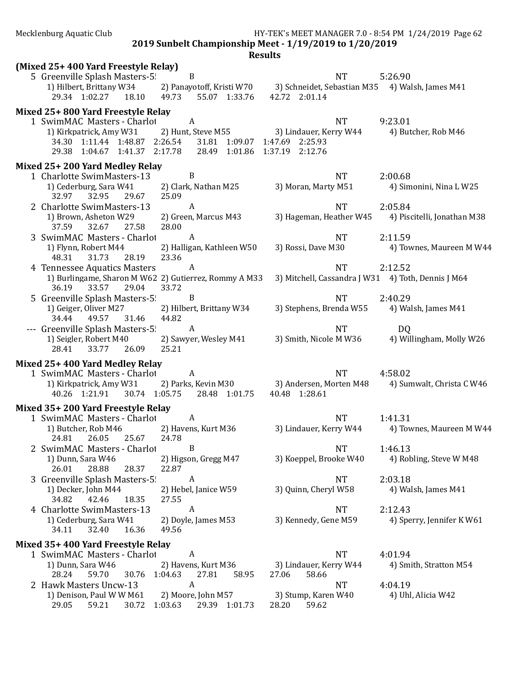2019 Sunbelt Championship Meet - 1/19/2019 to 1/20/2019

|                                                       |                               | ncouno                                                                    |                                                   |
|-------------------------------------------------------|-------------------------------|---------------------------------------------------------------------------|---------------------------------------------------|
| (Mixed 25+400 Yard Freestyle Relay)                   |                               |                                                                           |                                                   |
| 5 Greenville Splash Masters-5                         | $\mathbf B$                   | <b>NT</b>                                                                 | 5:26.90                                           |
| 1) Hilbert, Brittany W34                              |                               | 2) Panayotoff, Kristi W70 3) Schneidet, Sebastian M35 4) Walsh, James M41 |                                                   |
| 29.34 1:02.27 18.10 49.73                             | 55.07 1:33.76                 | 42.72 2:01.14                                                             |                                                   |
| Mixed 25+800 Yard Freestyle Relay                     |                               |                                                                           |                                                   |
| 1 SwimMAC Masters - Charlot                           | $\mathbf{A}$                  | <b>NT</b>                                                                 | 9:23.01                                           |
| 1) Kirkpatrick, Amy W31                               | 2) Hunt, Steve M55            | 3) Lindauer, Kerry W44                                                    | 4) Butcher, Rob M46                               |
| 34.30 1:11.44 1:48.87 2:26.54                         | 31.81 1:09.07 1:47.69 2:25.93 |                                                                           |                                                   |
| 29.38 1:04.67 1:41.37 2:17.78                         | 28.49 1:01.86 1:37.19 2:12.76 |                                                                           |                                                   |
|                                                       |                               |                                                                           |                                                   |
| Mixed 25+200 Yard Medley Relay                        | B                             |                                                                           |                                                   |
| 1 Charlotte SwimMasters-13                            |                               | <b>NT</b>                                                                 | 2:00.68                                           |
| 1) Cederburg, Sara W41<br>32.97<br>29.67              | 2) Clark, Nathan M25<br>25.09 | 3) Moran, Marty M51                                                       | 4) Simonini, Nina L W25                           |
| 32.95                                                 |                               |                                                                           |                                                   |
| 2 Charlotte SwimMasters-13                            | $\boldsymbol{A}$              | <b>NT</b>                                                                 | 2:05.84                                           |
| 1) Brown, Asheton W29                                 | 2) Green, Marcus M43          | 3) Hageman, Heather W45                                                   | 4) Piscitelli, Jonathan M38                       |
| 37.59<br>32.67<br>27.58                               | 28.00                         |                                                                           |                                                   |
| 3 SwimMAC Masters - Charlot                           | $\boldsymbol{A}$              | <b>NT</b>                                                                 | 2:11.59                                           |
| 1) Flynn, Robert M44                                  | 2) Halligan, Kathleen W50     | 3) Rossi, Dave M30                                                        | 4) Townes, Maureen M W44                          |
| 28.19<br>31.73<br>48.31                               | 23.36                         |                                                                           |                                                   |
| 4 Tennessee Aquatics Masters                          | $\mathbf{A}$                  | <b>NT</b>                                                                 | 2:12.52                                           |
| 1) Burlingame, Sharon M W62 2) Gutierrez, Rommy A M33 |                               | 3) Mitchell, Cassandra J W31 4) Toth, Dennis J M64                        |                                                   |
| 29.04<br>36.19<br>33.57                               | 33.72                         |                                                                           |                                                   |
| 5 Greenville Splash Masters-5!                        | B                             | <b>NT</b>                                                                 | 2:40.29                                           |
| 1) Geiger, Oliver M27                                 | 2) Hilbert, Brittany W34      | 3) Stephens, Brenda W55                                                   | 4) Walsh, James M41                               |
| 49.57<br>31.46<br>34.44                               | 44.82                         |                                                                           |                                                   |
| --- Greenville Splash Masters-5                       | $\mathbf{A}$                  | <b>NT</b>                                                                 | D <sub>Q</sub>                                    |
| 1) Seigler, Robert M40                                | 2) Sawyer, Wesley M41         | 3) Smith, Nicole M W36                                                    | 4) Willingham, Molly W26                          |
| 28.41<br>33.77<br>26.09                               | 25.21                         |                                                                           |                                                   |
| Mixed 25+400 Yard Medley Relay                        |                               |                                                                           |                                                   |
| 1 SwimMAC Masters - Charlot                           | A                             | <b>NT</b>                                                                 | 4:58.02                                           |
| 1) Kirkpatrick, Amy W31                               | 2) Parks, Kevin M30           |                                                                           | 3) Andersen, Morten M48 4) Sumwalt, Christa C W46 |
| 40.26 1:21.91 30.74 1:05.75 28.48 1:01.75             |                               | 40.48 1:28.61                                                             |                                                   |
| Mixed 35+200 Yard Freestyle Relay                     |                               |                                                                           |                                                   |
| 1 SwimMAC Masters - Charlot                           | A                             | <b>NT</b>                                                                 | 1:41.31                                           |
| 1) Butcher, Rob M46                                   | 2) Havens, Kurt M36           | 3) Lindauer, Kerry W44                                                    | 4) Townes, Maureen M W44                          |
| 24.81<br>26.05<br>25.67                               | 24.78                         |                                                                           |                                                   |
| 2 SwimMAC Masters - Charlot                           | B                             | <b>NT</b>                                                                 | 1:46.13                                           |
| 1) Dunn, Sara W46                                     | 2) Higson, Gregg M47          | 3) Koeppel, Brooke W40                                                    | 4) Robling, Steve W M48                           |
| 28.37<br>26.01<br>28.88                               | 22.87                         |                                                                           |                                                   |
| 3 Greenville Splash Masters-5!                        | A                             | <b>NT</b>                                                                 | 2:03.18                                           |
| 1) Decker, John M44                                   | 2) Hebel, Janice W59          | 3) Quinn, Cheryl W58                                                      | 4) Walsh, James M41                               |
| 34.82<br>42.46<br>18.35                               | 27.55                         |                                                                           |                                                   |
| 4 Charlotte SwimMasters-13                            | A                             | <b>NT</b>                                                                 | 2:12.43                                           |
|                                                       |                               | 3) Kennedy, Gene M59                                                      | 4) Sperry, Jennifer K W61                         |
| 1) Cederburg, Sara W41                                | 2) Doyle, James M53           |                                                                           |                                                   |
| 32.40<br>16.36<br>34.11                               | 49.56                         |                                                                           |                                                   |
| Mixed 35+400 Yard Freestyle Relay                     |                               |                                                                           |                                                   |
| 1 SwimMAC Masters - Charlot                           | A                             | <b>NT</b>                                                                 | 4:01.94                                           |
| 1) Dunn, Sara W46                                     | 2) Havens, Kurt M36           | 3) Lindauer, Kerry W44                                                    | 4) Smith, Stratton M54                            |
| 28.24<br>59.70<br>30.76                               | 1:04.63<br>27.81<br>58.95     | 27.06<br>58.66                                                            |                                                   |
| 2 Hawk Masters Uncw-13                                | A                             | <b>NT</b>                                                                 | 4:04.19                                           |
| 1) Denison, Paul W W M61                              | 2) Moore, John M57            | 3) Stump, Karen W40                                                       | 4) Uhl, Alicia W42                                |
| 29.05<br>59.21<br>30.72                               | 1:03.63<br>29.39 1:01.73      | 28.20<br>59.62                                                            |                                                   |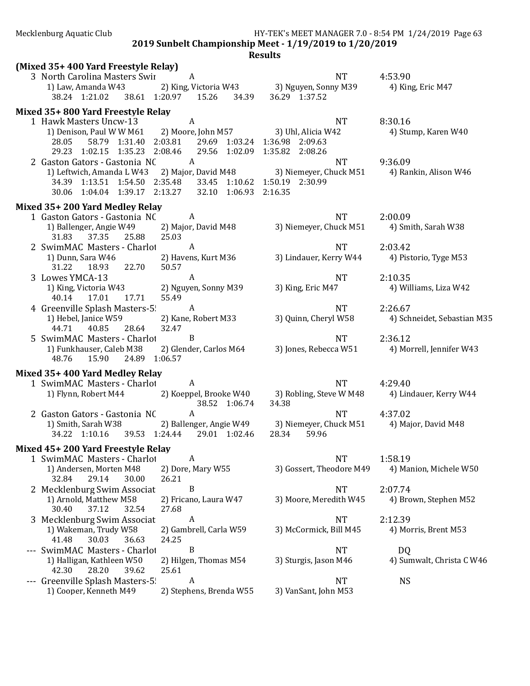2019 Sunbelt Championship Meet - 1/19/2019 to 1/20/2019

| (Mixed 35+400 Yard Freestyle Relay)                            |                                                           |                                                                                                     |                                  |
|----------------------------------------------------------------|-----------------------------------------------------------|-----------------------------------------------------------------------------------------------------|----------------------------------|
| 3 North Carolina Masters Swir A                                |                                                           | <b>NT</b>                                                                                           | 4:53.90                          |
| 1) Law, Amanda W43                                             |                                                           | 2) King, Victoria W43 3) Nguyen, Sonny M39                                                          | 4) King, Eric M47                |
| 38.24 1:21.02 38.61 1:20.97 15.26 34.39                        |                                                           | 36.29 1:37.52                                                                                       |                                  |
| Mixed 35+800 Yard Freestyle Relay                              |                                                           |                                                                                                     |                                  |
| 1 Hawk Masters Uncw-13                                         | A                                                         | <b>NT</b>                                                                                           | 8:30.16                          |
| 1) Denison, Paul W W M61 2) Moore, John M57 3) Uhl, Alicia W42 |                                                           |                                                                                                     | 4) Stump, Karen W40              |
| 28.05                                                          | 58.79  1:31.40  2:03.81  29.69  1:03.24  1:36.98  2:09.63 |                                                                                                     |                                  |
| 29.23 1:02.15 1:35.23 2:08.46 29.56 1:02.09 1:35.82 2:08.26    |                                                           |                                                                                                     |                                  |
| 2 Gaston Gators - Gastonia NC                                  | <sup>A</sup>                                              | <b>NT</b>                                                                                           | 9:36.09                          |
|                                                                |                                                           | 1) Leftwich, Amanda L W43 2) Major, David M48 3) Niemeyer, Chuck M51 4) Rankin, Alison W46          |                                  |
| 34.39 1:13.51 1:54.50 2:35.48                                  | 33.45 1:10.62 1:50.19 2:30.99                             |                                                                                                     |                                  |
| 30.06 1:04.04 1:39.17 2:13.27                                  | 32.10 1:06.93 2:16.35                                     |                                                                                                     |                                  |
| Mixed 35+200 Yard Medley Relay                                 |                                                           |                                                                                                     |                                  |
| 1 Gaston Gators - Gastonia NC                                  | A                                                         | <b>NT</b>                                                                                           | 2:00.09                          |
| 1) Ballenger, Angie W49 2) Major, David M48                    |                                                           | 3) Niemeyer, Chuck M51 4) Smith, Sarah W38                                                          |                                  |
| 37.35 25.88<br>31.83                                           | 25.03                                                     |                                                                                                     |                                  |
| 2 SwimMAC Masters - Charlot A                                  |                                                           | <b>NT</b>                                                                                           | 2:03.42                          |
| 1) Dunn, Sara W46                                              | 2) Havens, Kurt M36                                       | 3) Lindauer, Kerry W44                                                                              | 4) Pistorio, Tyge M53            |
| 31.22 18.93 22.70                                              | 50.57                                                     |                                                                                                     |                                  |
| 3 Lowes YMCA-13                                                | $\mathbf{A}$                                              | <b>NT</b>                                                                                           | 2:10.35                          |
| 1) King, Victoria W43                                          | 2) Nguyen, Sonny M39                                      | 3) King, Eric M47                                                                                   | 4) Williams, Liza W42            |
| 17.01<br>40.14<br>17.71                                        | 55.49                                                     |                                                                                                     |                                  |
| 4 Greenville Splash Masters-5 A                                |                                                           | <b>NT</b>                                                                                           | 2:26.67                          |
| 1) Hebel, Janice W59                                           | 2) Kane, Robert M33                                       | 3) Quinn, Cheryl W58                                                                                | 4) Schneidet, Sebastian M35      |
| 40.85<br>44.71<br>28.64                                        | 32.47                                                     |                                                                                                     |                                  |
| 5 SwimMAC Masters - Charlot                                    | B                                                         | <b>NT</b>                                                                                           | 2:36.12                          |
| 1) Funkhauser, Caleb M38<br>15.90<br>24.89 1:06.57<br>48.76    | 2) Glender, Carlos M64                                    | 3) Jones, Rebecca W51                                                                               | 4) Morrell, Jennifer W43         |
|                                                                |                                                           |                                                                                                     |                                  |
| Mixed 35+400 Yard Medley Relay                                 |                                                           |                                                                                                     |                                  |
| 1 SwimMAC Masters - Charlot                                    | A                                                         | <b>NT</b>                                                                                           | 4:29.40                          |
|                                                                |                                                           | 1) Flynn, Robert M44 2) Koeppel, Brooke W40 3) Robling, Steve W M48 4) Lindauer, Kerry W44          |                                  |
|                                                                | 38.52 1:06.74                                             | 34.38                                                                                               |                                  |
| 2 Gaston Gators - Gastonia NC A                                |                                                           | <b>NT</b><br>1) Smith, Sarah W38 2) Ballenger, Angie W49 3) Niemeyer, Chuck M51 4) Major, David M48 | 4:37.02                          |
| 34.22 1:10.16 39.53 1:24.44 29.01 1:02.46                      |                                                           | 28.34<br>59.96                                                                                      |                                  |
|                                                                |                                                           |                                                                                                     |                                  |
| Mixed 45+200 Yard Freestyle Relay                              |                                                           |                                                                                                     |                                  |
| 1 SwimMAC Masters - Charlot                                    | A                                                         | <b>NT</b>                                                                                           | 1:58.19                          |
| 1) Andersen, Morten M48                                        | 2) Dore, Mary W55                                         | 3) Gossert, Theodore M49                                                                            | 4) Manion, Michele W50           |
| 32.84<br>29.14<br>30.00                                        | 26.21                                                     |                                                                                                     |                                  |
| 2 Mecklenburg Swim Associat                                    | B                                                         | <b>NT</b><br>3) Moore, Meredith W45                                                                 | 2:07.74<br>4) Brown, Stephen M52 |
| 1) Arnold, Matthew M58<br>30.40<br>37.12<br>32.54              | 2) Fricano, Laura W47<br>27.68                            |                                                                                                     |                                  |
| 3 Mecklenburg Swim Associat                                    | A                                                         | <b>NT</b>                                                                                           | 2:12.39                          |
| 1) Wakeman, Trudy W58                                          | 2) Gambrell, Carla W59                                    | 3) McCormick, Bill M45                                                                              | 4) Morris, Brent M53             |
| 41.48<br>30.03<br>36.63                                        | 24.25                                                     |                                                                                                     |                                  |
| --- SwimMAC Masters - Charlot                                  | B                                                         | <b>NT</b>                                                                                           | DQ                               |
| 1) Halligan, Kathleen W50                                      | 2) Hilgen, Thomas M54                                     | 3) Sturgis, Jason M46                                                                               | 4) Sumwalt, Christa C W46        |
| 28.20<br>42.30<br>39.62                                        | 25.61                                                     |                                                                                                     |                                  |
| --- Greenville Splash Masters-5!                               | A                                                         | <b>NT</b>                                                                                           | <b>NS</b>                        |
| 1) Cooper, Kenneth M49                                         | 2) Stephens, Brenda W55                                   | 3) VanSant, John M53                                                                                |                                  |
|                                                                |                                                           |                                                                                                     |                                  |